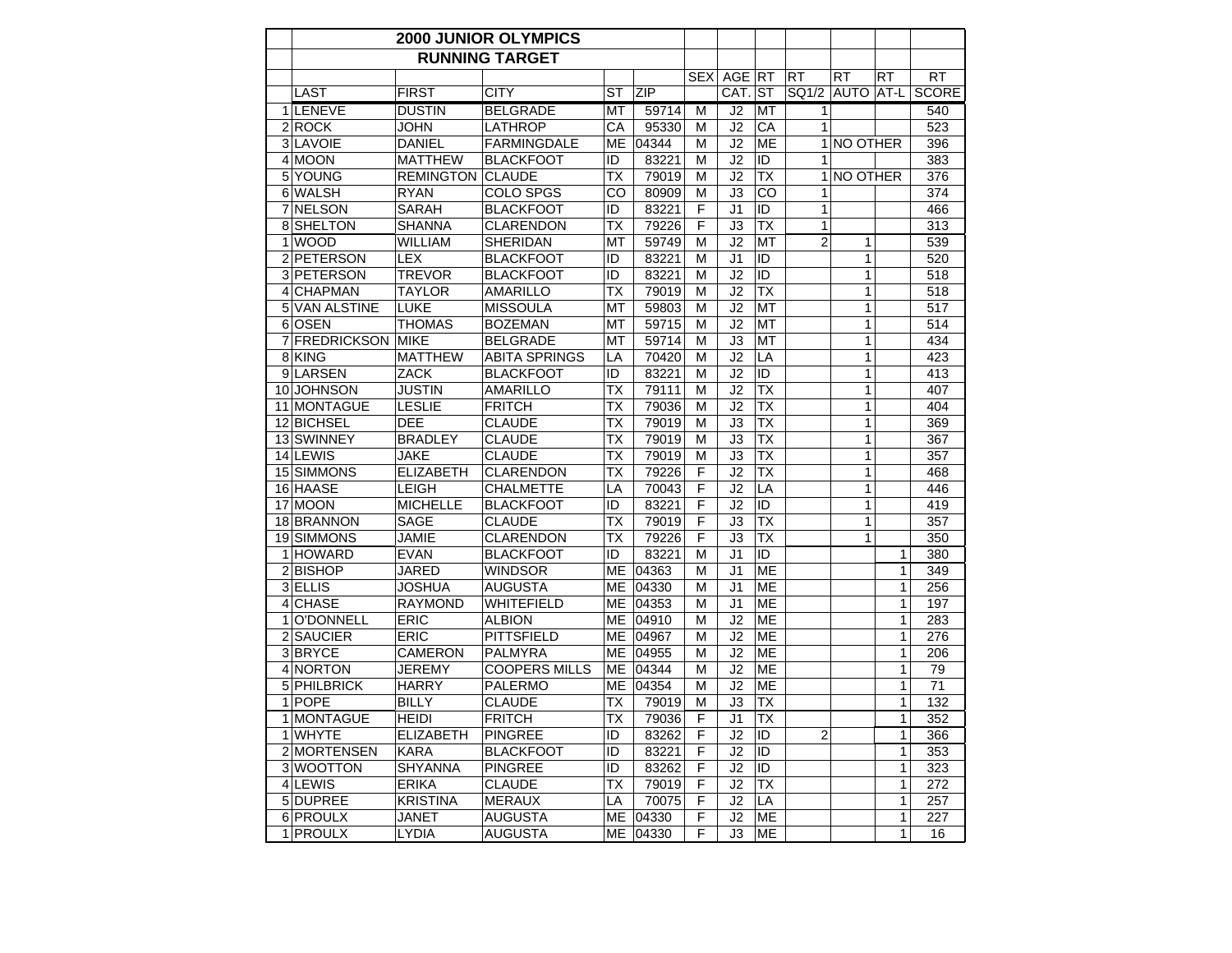|   | 2000 JUNIOR OLYMPICS<br><b>RUNNING TARGET</b> |                  |                      |           |       |            |                |           |                |              |           |              |
|---|-----------------------------------------------|------------------|----------------------|-----------|-------|------------|----------------|-----------|----------------|--------------|-----------|--------------|
|   |                                               |                  |                      |           |       |            |                |           |                |              |           |              |
|   |                                               |                  |                      |           |       | <b>SEX</b> | AGE RT         |           | <b>RT</b>      | <b>RT</b>    | <b>RT</b> | <b>RT</b>    |
|   | <b>LAST</b>                                   | <b>FIRST</b>     | <b>CITY</b>          | <b>ST</b> | ZIP   |            | CAT.           | ST        | SQ1/2          | <b>AUTO</b>  | AT-L      | <b>SCORE</b> |
|   | 1 LENEVE                                      | <b>DUSTIN</b>    | <b>BELGRADE</b>      | <b>MT</b> | 59714 | M          | J2             | MT        | 1              |              |           | 540          |
|   | $2$ ROCK                                      | <b>JOHN</b>      | <b>LATHROP</b>       | CA        | 95330 | Μ          | J2             | CA        | 1              |              |           | 523          |
|   | 3 LAVOIE                                      | <b>DANIEL</b>    | <b>FARMINGDALE</b>   | МE        | 04344 | M          | J2             | ME        |                | 1 NO OTHER   |           | 396          |
|   | 4 MOON                                        | <b>MATTHEW</b>   | <b>BLACKFOOT</b>     | ID        | 83221 | M          | J2             | ID        | 1              |              |           | 383          |
|   | 5 YOUNG                                       | <b>REMINGTON</b> | <b>CLAUDE</b>        | ТX        | 79019 | M          | J2             | TX        | $\mathbf{1}$   | NO OTHER     |           | 376          |
|   | 6 WALSH                                       | <b>RYAN</b>      | <b>COLO SPGS</b>     | CO        | 80909 | M          | J3             | CO        | 1              |              |           | 374          |
|   | 7 NELSON                                      | <b>SARAH</b>     | <b>BLACKFOOT</b>     | ID        | 83221 | F          | J <sub>1</sub> | ID        | $\mathbf{1}$   |              |           | 466          |
|   | 8SHELTON                                      | <b>SHANNA</b>    | <b>CLARENDON</b>     | ТX        | 79226 | F          | J3             | TX        | 1              |              |           | 313          |
|   | 1 WOOD                                        | <b>WILLIAM</b>   | <b>SHERIDAN</b>      | MT        | 59749 | M          | J2             | MT        | 2              | 1            |           | 539          |
|   | 2 PETERSON                                    | <b>LEX</b>       | <b>BLACKFOOT</b>     | ID        | 83221 | M          | J <sub>1</sub> | ID        |                | $\mathbf{1}$ |           | 520          |
|   | 3 PETERSON                                    | <b>TREVOR</b>    | <b>BLACKFOOT</b>     | ID        | 83221 | M          | J2             | ID        |                | $\mathbf{1}$ |           | 518          |
|   | 4 CHAPMAN                                     | <b>TAYLOR</b>    | AMARILLO             | ТX        | 79019 | М          | J2             | <b>TX</b> |                | 1            |           | 518          |
|   | 5 VAN ALSTINE                                 | <b>LUKE</b>      | <b>MISSOULA</b>      | MT        | 59803 | M          | J <sub>2</sub> | MT        |                | 1            |           | 517          |
|   | 6 OSEN                                        | <b>THOMAS</b>    | <b>BOZEMAN</b>       | <b>MT</b> | 59715 | M          | J2             | MT        |                | 1            |           | 514          |
|   | 7 FREDRICKSON                                 | <b>MIKE</b>      | <b>BELGRADE</b>      | MT        | 59714 | M          | J3             | MT        |                | 1            |           | 434          |
|   | 8 KING                                        | <b>MATTHEW</b>   | <b>ABITA SPRINGS</b> | LA        | 70420 | M          | J2             | LA        |                | 1            |           | 423          |
| 9 | <b>LARSEN</b>                                 | <b>ZACK</b>      | <b>BLACKFOOT</b>     | ID        | 83221 | M          | J2             | ID        |                | 1            |           | 413          |
|   | 10 JOHNSON                                    | <b>JUSTIN</b>    | AMARILLO             | TX        | 79111 | M          | J2             | TX        |                | 1            |           | 407          |
|   | 11 MONTAGUE                                   | <b>LESLIE</b>    | <b>FRITCH</b>        | <b>TX</b> | 79036 | M          | J2             | <b>TX</b> |                | 1            |           | 404          |
|   | 12 BICHSEL                                    | DEE              | <b>CLAUDE</b>        | ТX        | 79019 | M          | J3             | TX        |                | 1            |           | 369          |
|   | 13 SWINNEY                                    | <b>BRADLEY</b>   | <b>CLAUDE</b>        | <b>TX</b> | 79019 | M          | J3             | <b>TX</b> |                | 1            |           | 367          |
|   | 14 LEWIS                                      | <b>JAKE</b>      | <b>CLAUDE</b>        | ТX        | 79019 | M          | J3             | TX        |                | 1            |           | 357          |
|   | 15 SIMMONS                                    | <b>ELIZABETH</b> | <b>CLARENDON</b>     | <b>TX</b> | 79226 | F          | J2             | TX        |                | 1            |           | 468          |
|   | 16 HAASE                                      | LEIGH            | <b>CHALMETTE</b>     | LA        | 70043 | F          | J2             | LA        |                | 1            |           | 446          |
|   | 17 MOON                                       | <b>MICHELLE</b>  | <b>BLACKFOOT</b>     | ID        | 83221 | F          | J <sub>2</sub> | ID        |                | $\mathbf{1}$ |           | 419          |
|   | 18 BRANNON                                    | <b>SAGE</b>      | <b>CLAUDE</b>        | ТX        | 79019 | F          | J3             | TX        |                | 1            |           | 357          |
|   | 19 SIMMONS                                    | JAMIE            | <b>CLARENDON</b>     | ТX        | 79226 | F          | J3             | <b>TX</b> |                | 1            |           | 350          |
|   | 1 HOWARD                                      | <b>EVAN</b>      | <b>BLACKFOOT</b>     | ID        | 83221 | M          | J1             | ID        |                |              | 1         | 380          |
|   | 2BISHOP                                       | <b>JARED</b>     | <b>WINDSOR</b>       | MЕ        | 04363 | M          | J <sub>1</sub> | <b>ME</b> |                |              | 1         | 349          |
|   | 3 ELLIS                                       | <b>JOSHUA</b>    | <b>AUGUSTA</b>       | MЕ        | 04330 | M          | J <sub>1</sub> | ME        |                |              | 1         | 256          |
|   | 4 CHASE                                       | <b>RAYMOND</b>   | <b>WHITEFIELD</b>    | МE        | 04353 | M          | J <sub>1</sub> | <b>ME</b> |                |              | 1         | 197          |
|   | 1 O'DONNELL                                   | <b>ERIC</b>      | <b>ALBION</b>        | MЕ        | 04910 | M          | J2             | <b>ME</b> |                |              | 1         | 283          |
|   | 2 SAUCIER                                     | <b>ERIC</b>      | <b>PITTSFIELD</b>    | <b>ME</b> | 04967 | M          | J2             | <b>ME</b> |                |              | 1         | 276          |
|   | 3BRYCE                                        | CAMERON          | <b>PALMYRA</b>       | MЕ        | 04955 | M          | J2             | <b>ME</b> |                |              | 1         | 206          |
|   | 4 NORTON                                      | <b>JEREMY</b>    | <b>COOPERS MILLS</b> | ME        | 04344 | M          | J2             | <b>ME</b> |                |              | 1         | 79           |
|   | 5 PHILBRICK                                   | <b>HARRY</b>     | PALERMO              | MЕ        | 04354 | M          | J2             | <b>ME</b> |                |              | 1         | 71           |
|   | 1 POPE                                        | <b>BILLY</b>     | <b>CLAUDE</b>        | <b>TX</b> | 79019 | M          | J3             | <b>TX</b> |                |              | 1         | 132          |
|   | 1 MONTAGUE                                    | <b>HEIDI</b>     | <b>FRITCH</b>        | <b>TX</b> | 79036 | F          | J <sub>1</sub> | <b>TX</b> |                |              | 1         | 352          |
|   | 1 WHYTE                                       | <b>ELIZABETH</b> | <b>PINGREE</b>       | ID        | 83262 | F          | J2             | ID        | $\overline{2}$ |              | 1         | 366          |
|   | 2 MORTENSEN                                   | <b>KARA</b>      | <b>BLACKFOOT</b>     | ID        | 83221 | F          | J2             | ID        |                |              | 1         | 353          |
|   | 3 WOOTTON                                     | <b>SHYANNA</b>   | <b>PINGREE</b>       | ID        | 83262 | F          | J2             | ID        |                |              | 1         | 323          |
|   | 4 LEWIS                                       | <b>ERIKA</b>     | <b>CLAUDE</b>        | ТX        | 79019 | F          | J2             | <b>TX</b> |                |              | 1         | 272          |
|   | 5DUPREE                                       | <b>KRISTINA</b>  | <b>MERAUX</b>        | LA        | 70075 | F          | J2             | LA        |                |              | 1         | 257          |
|   | 6 PROULX                                      | <b>JANET</b>     | <b>AUGUSTA</b>       | ME        | 04330 | F          | J2             | ME        |                |              | 1         | 227          |
|   | 1 PROULX                                      | <b>LYDIA</b>     | <b>AUGUSTA</b>       | ME        | 04330 | F          | J3             | <b>ME</b> |                |              | 1         | 16           |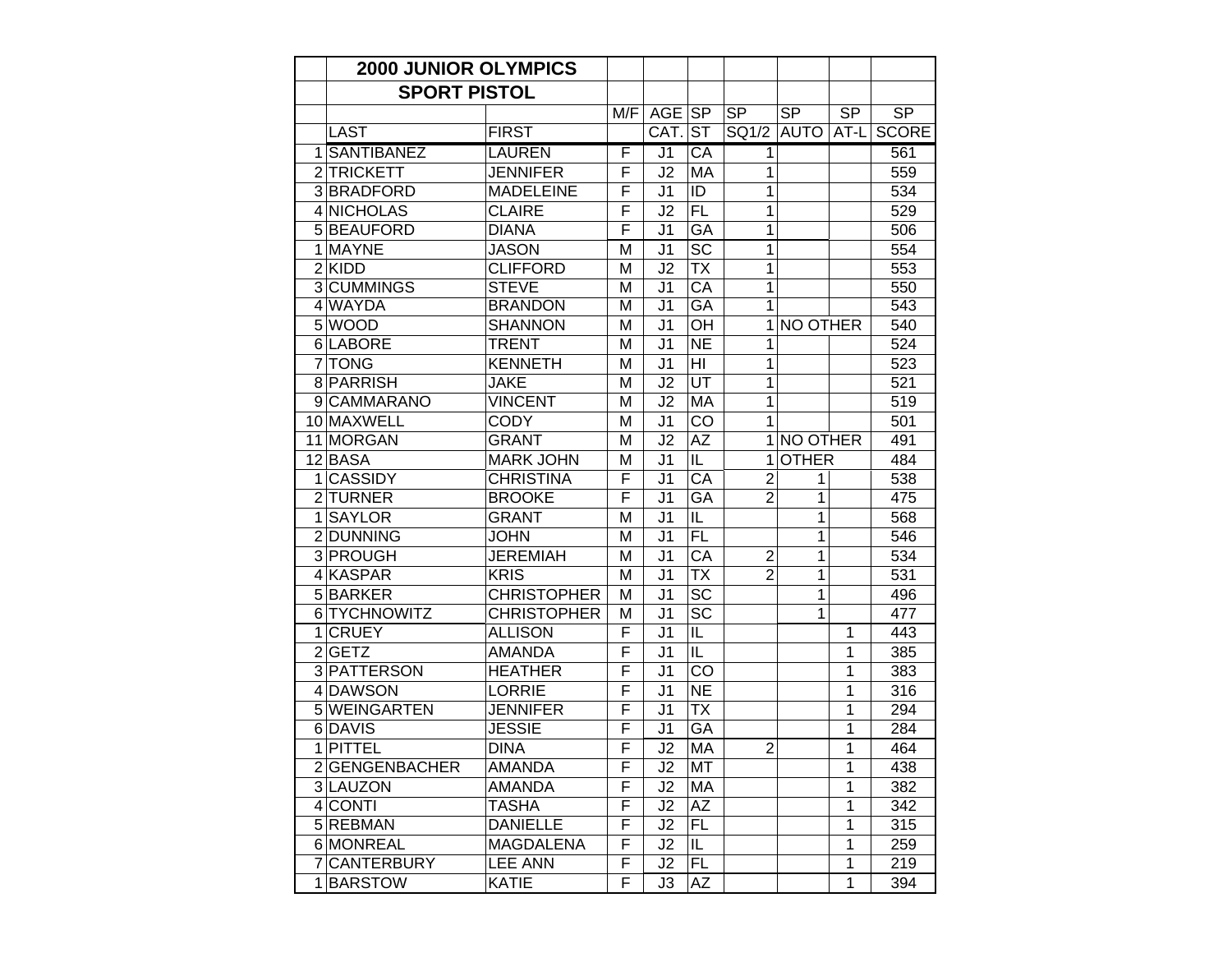| <b>2000 JUNIOR OLYMPICS</b><br><b>SPORT PISTOL</b> |                    |     |                |                 |                |              |              |              |
|----------------------------------------------------|--------------------|-----|----------------|-----------------|----------------|--------------|--------------|--------------|
|                                                    |                    |     |                |                 |                |              |              |              |
|                                                    |                    | M/F | AGE SP         |                 | <b>SP</b>      | <b>SP</b>    | <b>SP</b>    | <b>SP</b>    |
| <b>LAST</b>                                        | <b>FIRST</b>       |     | CAT.           | <b>ST</b>       | SQ1/2          | <b>AUTO</b>  | AT-L         | <b>SCORE</b> |
| 1 SANTIBANEZ                                       | <b>LAUREN</b>      | F   | J1             | СA              | 1              |              |              | 561          |
| 2 TRICKETT                                         | <b>JENNIFER</b>    | F   | J2             | MA              | 1              |              |              | 559          |
| 3 BRADFORD                                         | <b>MADELEINE</b>   | F   | J <sub>1</sub> | ID              | 1              |              |              | 534          |
| 4 NICHOLAS                                         | <b>CLAIRE</b>      | F   | J2             | <b>FL</b>       | 1              |              |              | 529          |
| 5 BEAUFORD                                         | <b>DIANA</b>       | F   | J <sub>1</sub> | GA              | $\overline{1}$ |              |              | 506          |
| 1 MAYNE                                            | <b>JASON</b>       | M   | J <sub>1</sub> | $\overline{SC}$ | $\overline{1}$ |              |              | 554          |
| 2KIDD                                              | <b>CLIFFORD</b>    | M   | J2             | ТX              | 1              |              |              | 553          |
| 3 CUMMINGS                                         | <b>STEVE</b>       | M   | J <sub>1</sub> | CA              | $\mathbf{1}$   |              |              | 550          |
| 4 WAYDA                                            | <b>BRANDON</b>     | M   | J <sub>1</sub> | GA              | $\mathbf{1}$   |              |              | 543          |
| 5WOOD                                              | <b>SHANNON</b>     | M   | J <sub>1</sub> | OH              |                | 1 NO OTHER   |              | 540          |
| 6 LABORE                                           | TRENT              | M   | J <sub>1</sub> | <b>NE</b>       | 1              |              |              | 524          |
| 7 TONG                                             | <b>KENNETH</b>     | M   | J <sub>1</sub> | HI              | 1              |              |              | 523          |
| 8 PARRISH                                          | <b>JAKE</b>        | M   | J2             | UT              | 1              |              |              | 521          |
| 9 CAMMARANO                                        | <b>VINCENT</b>     | M   | J2             | MA              | 1              |              |              | 519          |
| 10 MAXWELL                                         | <b>CODY</b>        | M   | J <sub>1</sub> | CO              | 1              |              |              | 501          |
| 11 MORGAN                                          | <b>GRANT</b>       | M   | J2             | AZ              |                | 1 NO OTHER   |              | 491          |
| 12 BASA                                            | <b>MARK JOHN</b>   | M   | J1             | IL              | 1              | <b>OTHER</b> |              | 484          |
| 1 CASSIDY                                          | <b>CHRISTINA</b>   | F   | J1             | CA              | $\overline{2}$ | 1            |              | 538          |
| 2 TURNER                                           | <b>BROOKE</b>      | F   | J1             | GA              | $\overline{2}$ | 1            |              | 475          |
| 1SAYLOR                                            | <b>GRANT</b>       | M   | J <sub>1</sub> | IL              |                | 1            |              | 568          |
| 2 DUNNING                                          | <b>JOHN</b>        | M   | J <sub>1</sub> | <b>FL</b>       |                | 1            |              | 546          |
| 3 PROUGH                                           | <b>JEREMIAH</b>    | M   | J <sub>1</sub> | CA              | $\overline{2}$ | 1            |              | 534          |
| 4 KASPAR                                           | <b>KRIS</b>        | M   | J <sub>1</sub> | ТX              | $\overline{2}$ | 1            |              | 531          |
| 5BARKER                                            | <b>CHRISTOPHER</b> | M   | J <sub>1</sub> | <b>SC</b>       |                | 1            |              | 496          |
| 6 TYCHNOWITZ                                       | <b>CHRISTOPHER</b> | M   | J1             | SC              |                | 1            |              | 477          |
| 1 CRUEY                                            | <b>ALLISON</b>     | F   | J <sub>1</sub> | IL              |                |              | 1            | 443          |
| 2 GETZ                                             | <b>AMANDA</b>      | F   | J <sub>1</sub> | IL              |                |              | 1            | 385          |
| 3 PATTERSON                                        | <b>HEATHER</b>     | F   | J <sub>1</sub> | CO              |                |              | 1            | 383          |
| 4 DAWSON                                           | <b>LORRIE</b>      | F   | J <sub>1</sub> | <b>NE</b>       |                |              | 1            | 316          |
| 5 WEINGARTEN                                       | <b>JENNIFER</b>    | F   | J <sub>1</sub> | ТX              |                |              | 1            | 294          |
| 6 DAVIS                                            | <b>JESSIE</b>      | F   | J <sub>1</sub> | GA              |                |              | 1            | 284          |
| 1 PITTEL                                           | <b>DINA</b>        | F   | J2             | MA              | $\overline{2}$ |              | 1            | 464          |
| 2 GENGENBACHER                                     | <b>AMANDA</b>      | F   | J2             | MT              |                |              | 1            | 438          |
| 3 LAUZON                                           | <b>AMANDA</b>      | F   | J2             | MA              |                |              | 1            | 382          |
| 4 CONTI                                            | <b>TASHA</b>       | F   | J2             | AZ              |                |              | 1            | 342          |
| 5 REBMAN                                           | <b>DANIELLE</b>    | F   | J2             | FL.             |                |              | 1            | 315          |
| 6 MONREAL                                          | <b>MAGDALENA</b>   | F   | J2             | IL              |                |              | 1            | 259          |
| 7 CANTERBURY                                       | <b>LEE ANN</b>     | F   | J2             | FL              |                |              | 1            | 219          |
| 1 BARSTOW                                          | <b>KATIE</b>       | F   | J3             | AZ              |                |              | $\mathbf{1}$ | 394          |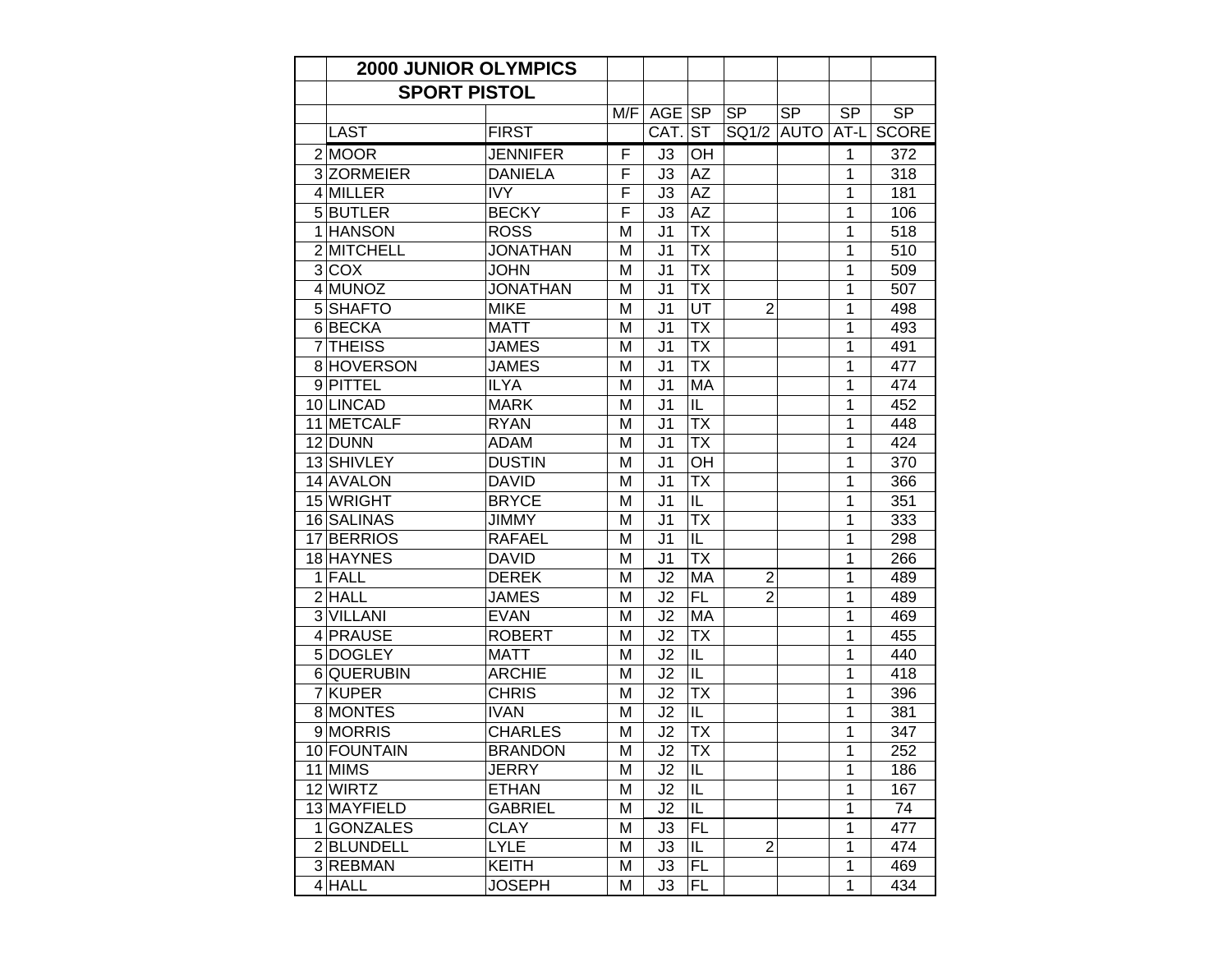| <b>2000 JUNIOR OLYMPICS</b><br><b>SPORT PISTOL</b> |                 |     |                          |           |                |             |           |              |
|----------------------------------------------------|-----------------|-----|--------------------------|-----------|----------------|-------------|-----------|--------------|
|                                                    |                 |     |                          |           |                |             |           |              |
|                                                    |                 | M/F | AGE SP                   |           | <b>SP</b>      | <b>SP</b>   | <b>SP</b> | <b>SP</b>    |
| <b>LAST</b>                                        | <b>FIRST</b>    |     | CAT. ST                  |           | SQ1/2          | <b>AUTO</b> | AT-L      | <b>SCORE</b> |
| 2 MOOR                                             | <b>JENNIFER</b> | F   | J3                       | OH        |                |             | 1         | 372          |
| 3 ZORMEIER                                         | <b>DANIELA</b>  | F   | J3                       | <b>AZ</b> |                |             | 1         | 318          |
| 4 MILLER                                           | <b>IVY</b>      | F   | J3                       | AZ        |                |             | 1         | 181          |
| 5BUTLER                                            | <b>BECKY</b>    | F   | J3                       | <b>AZ</b> |                |             | 1         | 106          |
| 1 HANSON                                           | <b>ROSS</b>     | M   | J <sub>1</sub>           | <b>TX</b> |                |             | 1         | 518          |
| 2 MITCHELL                                         | <b>JONATHAN</b> | M   | J <sub>1</sub>           | <b>TX</b> |                |             | 1         | 510          |
| 3 COX                                              | <b>JOHN</b>     | M   | J <sub>1</sub>           | ТX        |                |             | 1         | 509          |
| 4 MUNOZ                                            | <b>JONATHAN</b> | M   | J <sub>1</sub>           | TX        |                |             | 1         | 507          |
| 5 SHAFTO                                           | <b>MIKE</b>     | M   | J <sub>1</sub>           | UT        | $\overline{2}$ |             | 1         | 498          |
| 6BECKA                                             | <b>MATT</b>     | M   | J <sub>1</sub>           | ТX        |                |             | 1         | 493          |
| 7 THEISS                                           | <b>JAMES</b>    | M   | J <sub>1</sub>           | ТX        |                |             | 1         | 491          |
| 8 HOVERSON                                         | <b>JAMES</b>    | M   | J <sub>1</sub>           | ТX        |                |             | 1         | 477          |
| 9 PITTEL                                           | <b>ILYA</b>     | M   | J <sub>1</sub>           | MA        |                |             | 1         | 474          |
| 10 LINCAD                                          | <b>MARK</b>     | M   | J <sub>1</sub>           | IL        |                |             | 1         | 452          |
| 11 METCALF                                         | <b>RYAN</b>     | M   | J <sub>1</sub>           | <b>TX</b> |                |             | 1         | 448          |
| 12 DUNN                                            | <b>ADAM</b>     | M   | J <sub>1</sub>           | <b>TX</b> |                |             | 1         | 424          |
| 13 SHIVLEY                                         | <b>DUSTIN</b>   | M   | J <sub>1</sub>           | OH        |                |             | 1         | 370          |
| 14 AVALON                                          | <b>DAVID</b>    | M   | J <sub>1</sub>           | <b>TX</b> |                |             | 1         | 366          |
| 15 WRIGHT                                          | <b>BRYCE</b>    | м   | J <sub>1</sub>           | IL        |                |             | 1         | 351          |
| 16 SALINAS                                         | <b>JIMMY</b>    | M   | J <sub>1</sub>           | <b>TX</b> |                |             | 1         | 333          |
| 17 BERRIOS                                         | <b>RAFAEL</b>   | M   | J <sub>1</sub>           | IL        |                |             | 1         | 298          |
| 18 HAYNES                                          | <b>DAVID</b>    | M   | J <sub>1</sub>           | ТX        |                |             | 1         | 266          |
| 1 FALL                                             | <b>DEREK</b>    | M   | $\overline{\mathsf{J2}}$ | MA        | $\overline{2}$ |             | 1         | 489          |
| $2$ $HALL$                                         | <b>JAMES</b>    | M   | J2                       | FL        | $\overline{2}$ |             | 1         | 489          |
| 3 VILLANI                                          | <b>EVAN</b>     | M   | J2                       | MA        |                |             | 1         | 469          |
| 4 PRAUSE                                           | <b>ROBERT</b>   | M   | J2                       | ТX        |                |             | 1         | 455          |
| 5 DOGLEY                                           | <b>MATT</b>     | M   | J2                       | IL        |                |             | 1         | 440          |
| 6 QUERUBIN                                         | <b>ARCHIE</b>   | M   | J2                       | IL        |                |             | 1         | 418          |
| 7 KUPER                                            | <b>CHRIS</b>    | M   | J2                       | ТX        |                |             | 1         | 396          |
| 8 MONTES                                           | <b>IVAN</b>     | M   | J2                       | IL        |                |             | 1         | 381          |
| 9 MORRIS                                           | <b>CHARLES</b>  | M   | J2                       | ТX        |                |             | 1         | 347          |
| 10 FOUNTAIN                                        | <b>BRANDON</b>  | М   | J2                       | <b>TX</b> |                |             | 1         | 252          |
| 11 MIMS                                            | JERRY           | M   | J2                       | IL        |                |             | 1         | 186          |
| 12 WIRTZ                                           | <b>ETHAN</b>    | M   | J2                       | IL        |                |             | 1         | 167          |
| 13 MAYFIELD                                        | <b>GABRIEL</b>  | M   | J2                       | IL        |                |             | 1         | 74           |
| 1 GONZALES                                         | <b>CLAY</b>     | M   | J3                       | FL        |                |             | 1         | 477          |
| 2BLUNDELL                                          | <b>LYLE</b>     | M   | J3                       | IL        | $\overline{2}$ |             | 1         | 474          |
| 3REBMAN                                            | <b>KEITH</b>    | M   | J3                       | FL        |                |             | 1         | 469          |
| 4 HALL                                             | <b>JOSEPH</b>   | M   | J3                       | <b>FL</b> |                |             | 1         | 434          |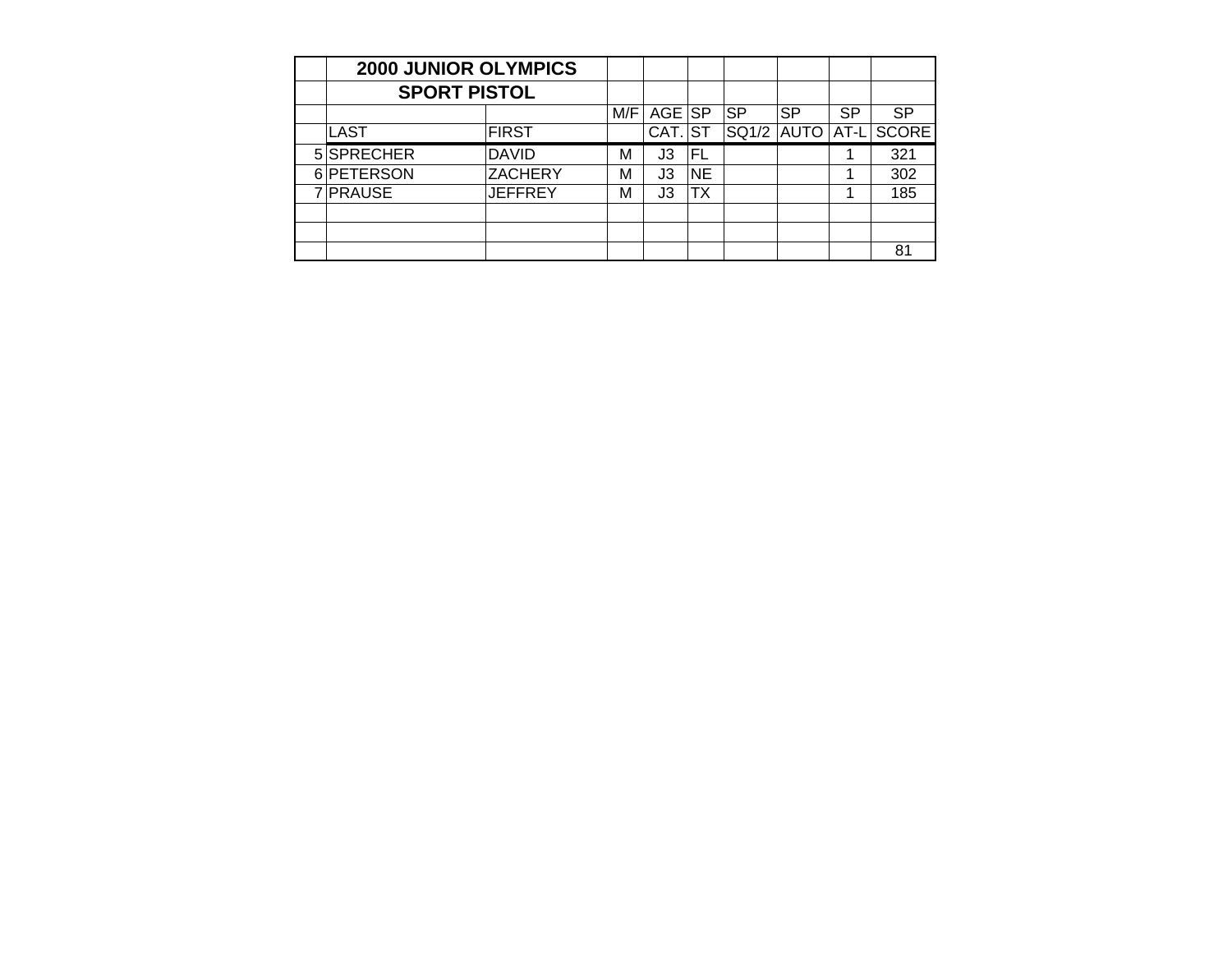| <b>2000 JUNIOR OLYMPICS</b> |                |     |         |           |           |             |      |              |
|-----------------------------|----------------|-----|---------|-----------|-----------|-------------|------|--------------|
| <b>SPORT PISTOL</b>         |                |     |         |           |           |             |      |              |
|                             |                | M/F | AGE SP  |           | <b>SP</b> | <b>SP</b>   | SP   | <b>SP</b>    |
| <b>LAST</b>                 | <b>FIRST</b>   |     | CAT. ST |           | SQ1/2     | <b>AUTO</b> | AT-L | <b>SCORE</b> |
| 5 SPRECHER                  | <b>DAVID</b>   | М   | J3      | FL        |           |             | л    | 321          |
| 6 PETERSON                  | <b>ZACHERY</b> | М   | J3      | <b>NE</b> |           |             | л    | 302          |
| 7 PRAUSE                    | <b>JEFFREY</b> | М   | J3      | TХ        |           |             |      | 185          |
|                             |                |     |         |           |           |             |      |              |
|                             |                |     |         |           |           |             |      |              |
|                             |                |     |         |           |           |             | 81   |              |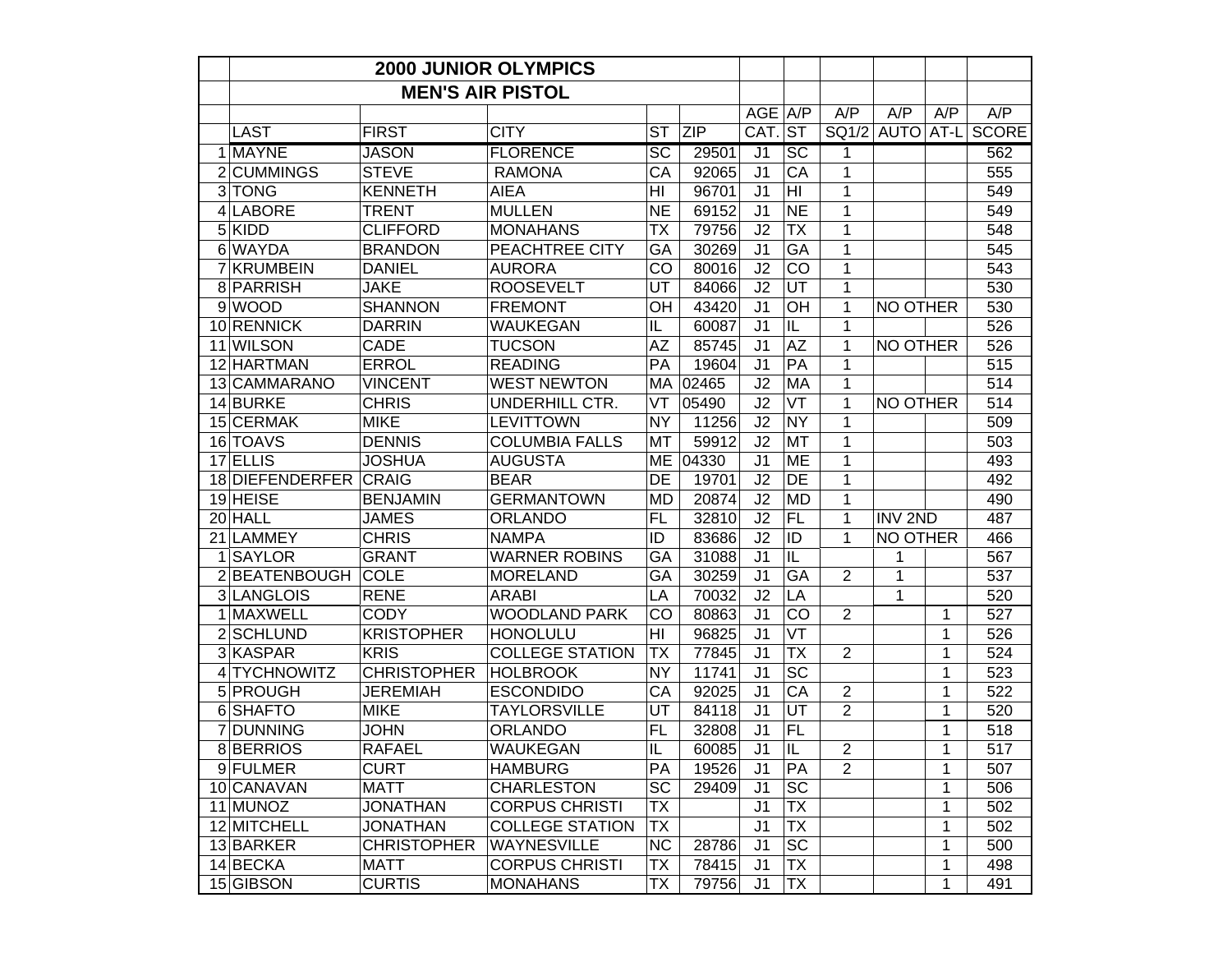|                | <b>2000 JUNIOR OLYMPICS</b> |                    |                         |                 |            |                 |                       |                |                 |      |              |
|----------------|-----------------------------|--------------------|-------------------------|-----------------|------------|-----------------|-----------------------|----------------|-----------------|------|--------------|
|                |                             |                    | <b>MEN'S AIR PISTOL</b> |                 |            |                 |                       |                |                 |      |              |
|                |                             |                    |                         |                 |            | AGE A/P         |                       | A/P            | A/P             | A/P  | A/P          |
|                | <b>LAST</b>                 | <b>FIRST</b>       | <b>CITY</b>             | <b>ST</b>       | <b>ZIP</b> | CAT.            | <b>ST</b>             | SQ1/2          | <b>AUTO</b>     | AT-L | <b>SCORE</b> |
|                | 1 MAYNE                     | <b>JASON</b>       | <b>FLORENCE</b>         | SC              | 29501      | J <sub>1</sub>  | SC                    | 1              |                 |      | 562          |
|                | 2 CUMMINGS                  | <b>STEVE</b>       | <b>RAMONA</b>           | CA              | 92065      | J <sub>1</sub>  | CA                    | 1              |                 |      | 555          |
|                | 3 TONG                      | <b>KENNETH</b>     | <b>AIEA</b>             | HI              | 96701      | J <sub>1</sub>  | H <sub>l</sub>        | 1              |                 |      | 549          |
|                | 4 LABORE                    | <b>TRENT</b>       | <b>MULLEN</b>           | <b>NE</b>       | 69152      | J <sub>1</sub>  | <b>NE</b>             | 1              |                 |      | 549          |
|                | 5KIDD                       | <b>CLIFFORD</b>    | <b>MONAHANS</b>         | ТX              | 79756      | J2              | <b>TX</b>             | 1              |                 |      | 548          |
|                | 6 WAYDA                     | <b>BRANDON</b>     | PEACHTREE CITY          | GA              | 30269      | J <sub>1</sub>  | GA                    | 1              |                 |      | 545          |
|                | 7 KRUMBEIN                  | <b>DANIEL</b>      | <b>AURORA</b>           | CO              | 80016      | J2              | CO                    | 1              |                 |      | 543          |
|                | 8 PARRISH                   | <b>JAKE</b>        | <b>ROOSEVELT</b>        | UT              | 84066      | J2              | UT                    | 1              |                 |      | 530          |
|                | 9WOOD                       | <b>SHANNON</b>     | <b>FREMONT</b>          | OH              | 43420      | J <sub>1</sub>  | OH                    | 1              | NO OTHER        |      | 530          |
|                | 10 RENNICK                  | <b>DARRIN</b>      | <b>WAUKEGAN</b>         | IL              | 60087      | J <sub>1</sub>  | IL                    | 1              |                 |      | 526          |
|                | 11 WILSON                   | CADE               | <b>TUCSON</b>           | <b>AΖ</b>       | 85745      | J <sub>1</sub>  | AΖ                    | 1              | <b>NO OTHER</b> |      | 526          |
|                | 12 HARTMAN                  | <b>ERROL</b>       | <b>READING</b>          | PA              | 19604      | J <sub>1</sub>  | $\overline{PA}$       | 1              |                 |      | 515          |
|                | 13 CAMMARANO                | <b>VINCENT</b>     | <b>WEST NEWTON</b>      | МA              | 02465      | $\overline{J2}$ | MA                    | 1              |                 |      | 514          |
|                | 14 BURKE                    | <b>CHRIS</b>       | UNDERHILL CTR.          | VT              | 05490      | J2              | $\overline{\nabla T}$ | 1              | NO OTHER        |      | 514          |
|                | 15 CERMAK                   | <b>MIKE</b>        | <b>LEVITTOWN</b>        | <b>NY</b>       | 11256      | $\overline{J2}$ | $\overline{NY}$       | 1              |                 |      | 509          |
|                | 16 TOAVS                    | <b>DENNIS</b>      | <b>COLUMBIA FALLS</b>   | МT              | 59912      | J2              | MT                    | 1              |                 |      | 503          |
|                | 17 ELLIS                    | <b>JOSHUA</b>      | <b>AUGUSTA</b>          | ME              | 04330      | J <sub>1</sub>  | <b>ME</b>             | 1              |                 |      | 493          |
|                | 18 DIEFENDERFER             | <b>CRAIG</b>       | <b>BEAR</b>             | DE              | 19701      | J2              | DE                    | 1              |                 |      | 492          |
|                | 19 HEISE                    | <b>BENJAMIN</b>    | <b>GERMANTOWN</b>       | <b>MD</b>       | 20874      | J2              | <b>MD</b>             | 1              |                 |      | 490          |
|                | 20 HALL                     | <b>JAMES</b>       | <b>ORLANDO</b>          | <b>FL</b>       | 32810      | J2              | <b>FL</b>             | 1              | <b>INV 2ND</b>  |      | 487          |
|                | 21 LAMMEY                   | <b>CHRIS</b>       | <b>NAMPA</b>            | ID              | 83686      | J2              | ID                    | 1              | NO OTHER        |      | 466          |
|                | 1 SAYLOR                    | <b>GRANT</b>       | <b>WARNER ROBINS</b>    | GA              | 31088      | J <sub>1</sub>  | IL                    |                | 1               |      | 567          |
|                | 2 BEATENBOUGH               | <b>COLE</b>        | <b>MORELAND</b>         | GA              | 30259      | J <sub>1</sub>  | GA                    | $\overline{2}$ | 1               |      | 537          |
|                | 3 LANGLOIS                  | <b>RENE</b>        | <b>ARABI</b>            | LA              | 70032      | J2              | LA                    |                | 1               |      | 520          |
|                | 1 MAXWELL                   | <b>CODY</b>        | <b>WOODLAND PARK</b>    | CO              | 80863      | J <sub>1</sub>  | CO                    | $\overline{2}$ |                 | 1    | 527          |
|                | 2 SCHLUND                   | <b>KRISTOPHER</b>  | <b>HONOLULU</b>         | H <sub>l</sub>  | 96825      | J <sub>1</sub>  | VT                    |                |                 | 1    | 526          |
|                | 3 KASPAR                    | <b>KRIS</b>        | <b>COLLEGE STATION</b>  | <b>TX</b>       | 77845      | J <sub>1</sub>  | <b>TX</b>             | $\overline{2}$ |                 | 1    | 524          |
| $\overline{4}$ | <b>TYCHNOWITZ</b>           | <b>CHRISTOPHER</b> | <b>HOLBROOK</b>         | <b>NY</b>       | 11741      | J <sub>1</sub>  | $\overline{SC}$       |                |                 | 1    | 523          |
|                | 5 PROUGH                    | <b>JEREMIAH</b>    | <b>ESCONDIDO</b>        | CA              | 92025      | J <sub>1</sub>  | CA                    | $\overline{2}$ |                 | 1    | 522          |
| 6              | <b>SHAFTO</b>               | <b>MIKE</b>        | <b>TAYLORSVILLE</b>     | UT              | 84118      | J <sub>1</sub>  | UT                    | $\overline{2}$ |                 | 1    | 520          |
| 7              | <b>DUNNING</b>              | JOHN               | <b>ORLANDO</b>          | FL              | 32808      | J <sub>1</sub>  | <b>FL</b>             |                |                 | 1    | 518          |
|                | 8BERRIOS                    | <b>RAFAEL</b>      | WAUKEGAN                | IL              | 60085      | J <sub>1</sub>  | IL                    | $\overline{c}$ |                 | 1    | 517          |
|                | 9 FULMER                    | <b>CURT</b>        | <b>HAMBURG</b>          | PA              | 19526      | J <sub>1</sub>  | PA                    | 2              |                 | 1    | 507          |
|                | 10 CANAVAN                  | <b>MATT</b>        | <b>CHARLESTON</b>       | $\overline{SC}$ | 29409      | J1              | <b>SC</b>             |                |                 | 1    | 506          |
|                | 11 MUNOZ                    | <b>JONATHAN</b>    | <b>CORPUS CHRISTI</b>   | ТX              |            | J <sub>1</sub>  | <b>TX</b>             |                |                 | 1    | 502          |
|                | 12 MITCHELL                 | <b>JONATHAN</b>    | <b>COLLEGE STATION</b>  | ТX              |            | J <sub>1</sub>  | <b>TX</b>             |                |                 | 1    | 502          |
|                | 13 BARKER                   | <b>CHRISTOPHER</b> | WAYNESVILLE             | <b>NC</b>       | 28786      | J1              | <b>SC</b>             |                |                 | 1    | 500          |
|                | 14 BECKA                    | <b>MATT</b>        | <b>CORPUS CHRISTI</b>   | ТX              | 78415      | J1              | <b>TX</b>             |                |                 | 1    | 498          |
|                | 15 GIBSON                   | <b>CURTIS</b>      | <b>MONAHANS</b>         | ТX              | 79756      | J1              | ТX                    |                |                 | 1    | 491          |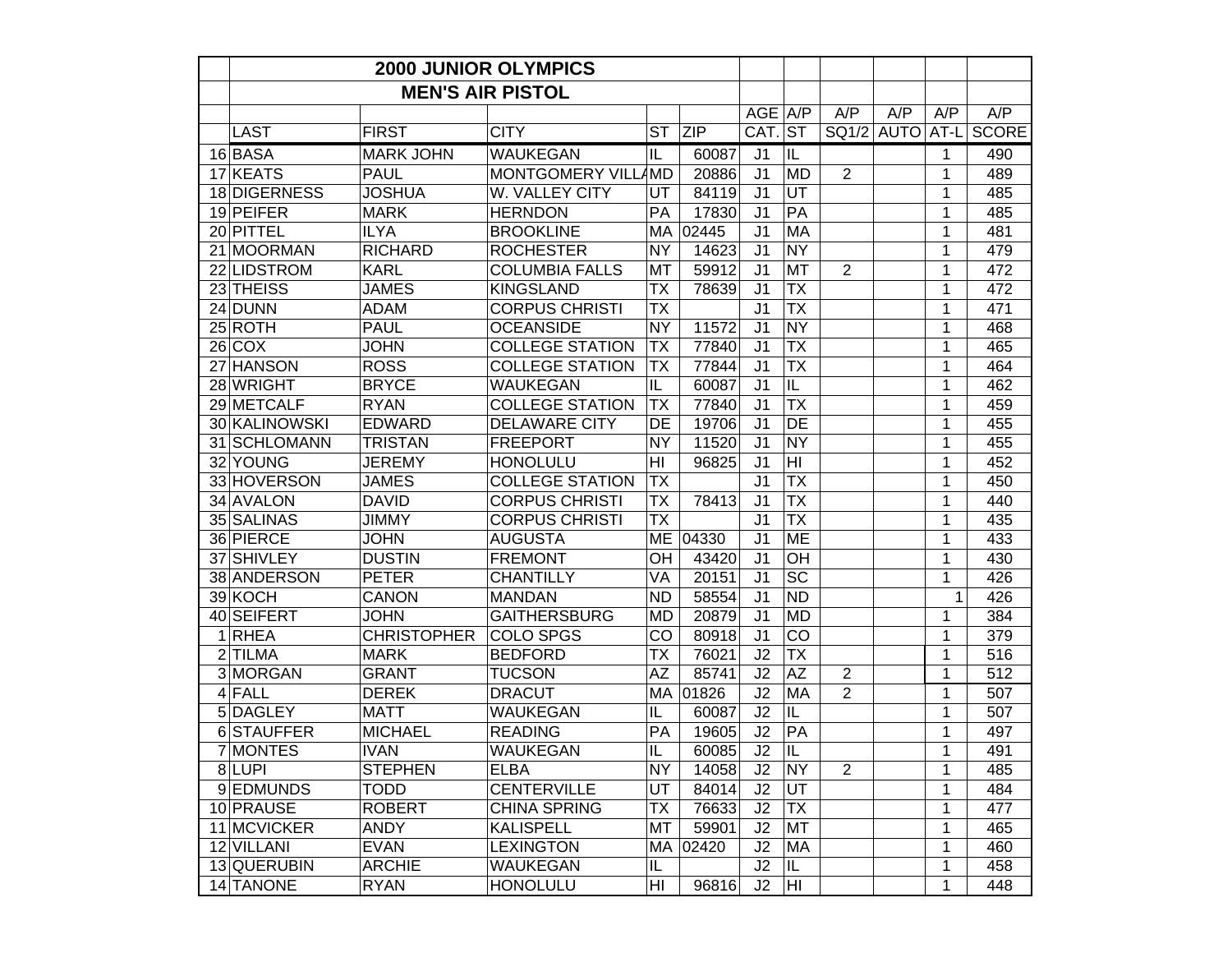| <b>2000 JUNIOR OLYMPICS</b><br><b>MEN'S AIR PISTOL</b> |                    |                        |              |            |                 |                 |                |            |      |              |
|--------------------------------------------------------|--------------------|------------------------|--------------|------------|-----------------|-----------------|----------------|------------|------|--------------|
|                                                        |                    |                        |              |            |                 |                 |                |            |      |              |
|                                                        |                    |                        |              |            | $AGE$ $A/P$     |                 | A/P            | A/P        | A/P  | A/P          |
| <b>LAST</b>                                            | <b>FIRST</b>       | <b>CITY</b>            | <b>ST</b>    | <b>ZIP</b> | CAT. ST         |                 |                | SQ1/2 AUTO | AT-L | <b>SCORE</b> |
| 16 BASA                                                | <b>MARK JOHN</b>   | <b>WAUKEGAN</b>        | IL           | 60087      | J <sub>1</sub>  | IL              |                |            | 1    | 490          |
| 17 KEATS                                               | <b>PAUL</b>        | MONTGOMERY VILL/MD     |              | 20886      | J <sub>1</sub>  | <b>MD</b>       | $\overline{2}$ |            | 1    | 489          |
| 18 DIGERNESS                                           | <b>JOSHUA</b>      | W. VALLEY CITY         | UT           | 84119      | J <sub>1</sub>  | UT              |                |            | 1    | 485          |
| 19 PEIFER                                              | <b>MARK</b>        | <b>HERNDON</b>         | PA           | 17830      | J <sub>1</sub>  | PA              |                |            | 1    | 485          |
| 20 PITTEL                                              | <b>ILYA</b>        | <b>BROOKLINE</b>       | МA           | 02445      | J <sub>1</sub>  | MA              |                |            | 1    | 481          |
| 21 MOORMAN                                             | <b>RICHARD</b>     | <b>ROCHESTER</b>       | <b>NY</b>    | 14623      | J <sub>1</sub>  | <b>NY</b>       |                |            | 1    | 479          |
| 22 LIDSTROM                                            | <b>KARL</b>        | <b>COLUMBIA FALLS</b>  | MT           | 59912      | J <sub>1</sub>  | MT              | $\overline{2}$ |            | 1    | 472          |
| 23 THEISS                                              | <b>JAMES</b>       | <b>KINGSLAND</b>       | ТX           | 78639      | J <sub>1</sub>  | <b>TX</b>       |                |            | 1    | 472          |
| 24 DUNN                                                | <b>ADAM</b>        | <b>CORPUS CHRISTI</b>  | <b>TX</b>    |            | J <sub>1</sub>  | <b>TX</b>       |                |            | 1    | 471          |
| 25 ROTH                                                | <b>PAUL</b>        | <b>OCEANSIDE</b>       | <b>NY</b>    | 11572      | J <sub>1</sub>  | <b>NY</b>       |                |            | 1    | 468          |
| $26$ COX                                               | <b>JOHN</b>        | <b>COLLEGE STATION</b> | <b>TX</b>    | 77840      | J <sub>1</sub>  | <b>TX</b>       |                |            | 1    | 465          |
| 27 HANSON                                              | <b>ROSS</b>        | <b>COLLEGE STATION</b> | ТX           | 77844      | J <sub>1</sub>  | <b>TX</b>       |                |            | 1    | 464          |
| 28 WRIGHT                                              | <b>BRYCE</b>       | WAUKEGAN               | IL           | 60087      | J <sub>1</sub>  | IL              |                |            | 1    | 462          |
| 29 METCALF                                             | <b>RYAN</b>        | <b>COLLEGE STATION</b> | ТX           | 77840      | J <sub>1</sub>  | ТX              |                |            | 1    | 459          |
| 30 KALINOWSKI                                          | <b>EDWARD</b>      | <b>DELAWARE CITY</b>   | DE           | 19706      | J <sub>1</sub>  | DE              |                |            | 1    | 455          |
| 31 SCHLOMANN                                           | <b>TRISTAN</b>     | <b>FREEPORT</b>        | NY.          | 11520      | J1              | <b>NY</b>       |                |            | 1    | 455          |
| 32 YOUNG                                               | <b>JEREMY</b>      | <b>HONOLULU</b>        | HI           | 96825      | J <sub>1</sub>  | H <sub>II</sub> |                |            | 1    | 452          |
| 33 HOVERSON                                            | <b>JAMES</b>       | <b>COLLEGE STATION</b> | ТX           |            | J <sub>1</sub>  | ТX              |                |            | 1    | 450          |
| 34 AVALON                                              | <b>DAVID</b>       | <b>CORPUS CHRISTI</b>  | ТX           | 78413      | J <sub>1</sub>  | <b>TX</b>       |                |            | 1    | 440          |
| 35 SALINAS                                             | <b>JIMMY</b>       | <b>CORPUS CHRISTI</b>  | ТX           |            | J <sub>1</sub>  | ТX              |                |            | 1    | 435          |
| 36 PIERCE                                              | <b>JOHN</b>        | <b>AUGUSTA</b>         | ME           | 04330      | J <sub>1</sub>  | <b>ME</b>       |                |            | 1    | 433          |
| 37 SHIVLEY                                             | <b>DUSTIN</b>      | <b>FREMONT</b>         | OH           | 43420      | J <sub>1</sub>  | OH              |                |            | 1    | 430          |
| 38 ANDERSON                                            | <b>PETER</b>       | <b>CHANTILLY</b>       | VA           | 20151      | J <sub>1</sub>  | $\overline{SC}$ |                |            | 1    | 426          |
| 39 KOCH                                                | CANON              | <b>MANDAN</b>          | <b>ND</b>    | 58554      | J <sub>1</sub>  | <b>ND</b>       |                |            | 1    | 426          |
| 40 SEIFERT                                             | <b>JOHN</b>        | <b>GAITHERSBURG</b>    | <b>MD</b>    | 20879      | J <sub>1</sub>  | <b>MD</b>       |                |            | 1    | 384          |
| $1$ RHEA                                               | <b>CHRISTOPHER</b> | <b>COLO SPGS</b>       | CO           | 80918      | J <sub>1</sub>  | $\overline{CO}$ |                |            | 1    | 379          |
| 2 TILMA                                                | <b>MARK</b>        | <b>BEDFORD</b>         | ТX           | 76021      | J2              | <b>TX</b>       |                |            | 1    | 516          |
| 3 MORGAN                                               | <b>GRANT</b>       | <b>TUCSON</b>          | AZ           | 85741      | $\overline{J2}$ | $\overline{AZ}$ | $\overline{2}$ |            | 1    | 512          |
| 4 FALL                                                 | <b>DEREK</b>       | <b>DRACUT</b>          | МA           | 01826      | J2              | MA              | $\overline{2}$ |            | 1    | 507          |
| 5 DAGLEY                                               | <b>MATT</b>        | <b>WAUKEGAN</b>        | IL           | 60087      | J2              | IL              |                |            | 1    | 507          |
| 6 STAUFFER                                             | <b>MICHAEL</b>     | <b>READING</b>         | PA           | 19605      | J2              | PA              |                |            | 1    | 497          |
| 7 MONTES                                               | <b>IVAN</b>        | <b>WAUKEGAN</b>        | $\mathbf{H}$ | 60085      | J2              | IL              |                |            |      | 491          |
| 8 LUPI                                                 | <b>STEPHEN</b>     | ELBA                   | NY.          | 14058      | J2              | <b>NY</b>       | $\overline{2}$ |            | 1    | 485          |
| 9EDMUNDS                                               | TODD               | <b>CENTERVILLE</b>     | UT           | 84014      | J2              | UT              |                |            | 1    | 484          |
| 10 PRAUSE                                              | <b>ROBERT</b>      | <b>CHINA SPRING</b>    | TX           | 76633      | J2              | <b>TX</b>       |                |            | 1    | 477          |
| 11 MCVICKER                                            | <b>ANDY</b>        | <b>KALISPELL</b>       | МT           | 59901      | J2              | MT              |                |            | 1    | 465          |
| 12 VILLANI                                             | <b>EVAN</b>        | <b>LEXINGTON</b>       | MA I         | 02420      | J2              | <b>MA</b>       |                |            | 1    | 460          |
| 13 QUERUBIN                                            | <b>ARCHIE</b>      | WAUKEGAN               | IL           |            | J2              | IL              |                |            | 1    | 458          |
| 14 TANONE                                              | <b>RYAN</b>        | <b>HONOLULU</b>        | HI           | 96816      | J2              | HI              |                |            | 1    | 448          |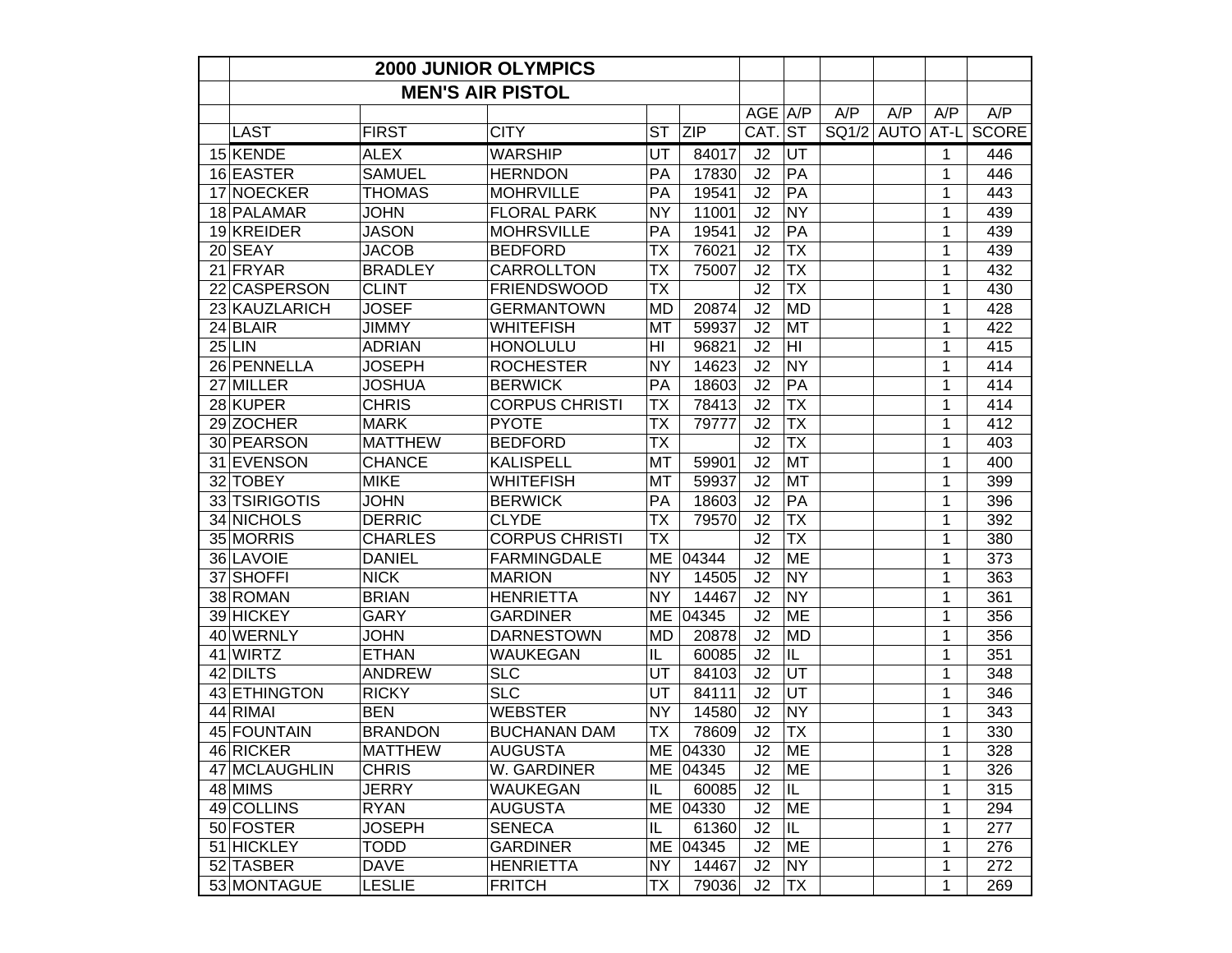| <b>2000 JUNIOR OLYMPICS</b><br><b>MEN'S AIR PISTOL</b> |                |                       |                |            |                 |                |     |            |      |              |
|--------------------------------------------------------|----------------|-----------------------|----------------|------------|-----------------|----------------|-----|------------|------|--------------|
|                                                        |                |                       |                |            |                 |                |     |            |      |              |
|                                                        |                |                       |                |            | $AGE$ $A/P$     |                | A/P | A/P        | A/P  | A/P          |
| <b>LAST</b>                                            | <b>FIRST</b>   | <b>CITY</b>           | <b>ST</b>      | <b>ZIP</b> | CAT. ST         |                |     | SQ1/2 AUTO | AT-L | <b>SCORE</b> |
| 15 KENDE                                               | <b>ALEX</b>    | <b>WARSHIP</b>        | UT             | 84017      | J2              | UT             |     |            | 1    | 446          |
| 16 EASTER                                              | <b>SAMUEL</b>  | <b>HERNDON</b>        | PA             | 17830      | J2              | PA             |     |            | 1    | 446          |
| 17 NOECKER                                             | <b>THOMAS</b>  | <b>MOHRVILLE</b>      | PA             | 19541      | J2              | PA             |     |            | 1    | 443          |
| 18 PALAMAR                                             | <b>JOHN</b>    | <b>FLORAL PARK</b>    | <b>NY</b>      | 11001      | J2              | <b>NY</b>      |     |            | 1    | 439          |
| 19 KREIDER                                             | <b>JASON</b>   | <b>MOHRSVILLE</b>     | PA             | 19541      | J2              | PA             |     |            | 1    | 439          |
| 20 SEAY                                                | <b>JACOB</b>   | <b>BEDFORD</b>        | <b>TX</b>      | 76021      | J2              | <b>TX</b>      |     |            | 1    | 439          |
| 21 FRYAR                                               | <b>BRADLEY</b> | <b>CARROLLTON</b>     | ТX             | 75007      | J2              | <b>TX</b>      |     |            | 1    | 432          |
| 22 CASPERSON                                           | <b>CLINT</b>   | <b>FRIENDSWOOD</b>    | <b>TX</b>      |            | J2              | <b>TX</b>      |     |            | 1    | 430          |
| 23 KAUZLARICH                                          | <b>JOSEF</b>   | <b>GERMANTOWN</b>     | <b>MD</b>      | 20874      | J2              | <b>MD</b>      |     |            | 1    | 428          |
| 24 BLAIR                                               | <b>JIMMY</b>   | <b>WHITEFISH</b>      | <b>MT</b>      | 59937      | J2              | <b>MT</b>      |     |            | 1    | 422          |
| $25$ LIN                                               | <b>ADRIAN</b>  | <b>HONOLULU</b>       | H <sub>l</sub> | 96821      | J2              | H <sub>l</sub> |     |            | 1    | 415          |
| 26 PENNELLA                                            | <b>JOSEPH</b>  | <b>ROCHESTER</b>      | <b>NY</b>      | 14623      | J2              | <b>NY</b>      |     |            | 1    | 414          |
| 27 MILLER                                              | <b>JOSHUA</b>  | <b>BERWICK</b>        | PA             | 18603      | J2              | PA             |     |            |      | 414          |
| 28 KUPER                                               | <b>CHRIS</b>   | <b>CORPUS CHRISTI</b> | ТX             | 78413      | J2              | ТX             |     |            | 1    | 414          |
| 29 ZOCHER                                              | <b>MARK</b>    | <b>PYOTE</b>          | ТX             | 79777      | J2              | <b>TX</b>      |     |            | 1    | 412          |
| 30 PEARSON                                             | <b>MATTHEW</b> | <b>BEDFORD</b>        | ТX             |            | J2              | <b>TX</b>      |     |            | 1    | 403          |
| 31 EVENSON                                             | <b>CHANCE</b>  | <b>KALISPELL</b>      | MT             | 59901      | J2              | MT             |     |            | 1    | 400          |
| 32 TOBEY                                               | <b>MIKE</b>    | <b>WHITEFISH</b>      | MT             | 59937      | J2              | MT             |     |            | 1    | 399          |
| 33 TSIRIGOTIS                                          | <b>JOHN</b>    | <b>BERWICK</b>        | PA             | 18603      | J2              | PA             |     |            | 1    | 396          |
| 34 NICHOLS                                             | <b>DERRIC</b>  | <b>CLYDE</b>          | ТX             | 79570      | J2              | TX             |     |            | 1    | 392          |
| 35 MORRIS                                              | <b>CHARLES</b> | <b>CORPUS CHRISTI</b> | <b>TX</b>      |            | J2              | <b>TX</b>      |     |            | 1    | 380          |
| 36 LAVOIE                                              | <b>DANIEL</b>  | <b>FARMINGDALE</b>    | <b>ME</b>      | 04344      | $\overline{J2}$ | <b>ME</b>      |     |            | 1    | 373          |
| 37 SHOFFI                                              | <b>NICK</b>    | <b>MARION</b>         | <b>NY</b>      | 14505      | J2              | <b>NY</b>      |     |            | 1    | 363          |
| 38 ROMAN                                               | <b>BRIAN</b>   | <b>HENRIETTA</b>      | <b>NY</b>      | 14467      | J2              | <b>NY</b>      |     |            | 1    | 361          |
| 39 HICKEY                                              | <b>GARY</b>    | <b>GARDINER</b>       | ME             | 04345      | J2              | <b>ME</b>      |     |            | 1    | 356          |
| 40 WERNLY                                              | <b>JOHN</b>    | <b>DARNESTOWN</b>     | <b>MD</b>      | 20878      | $\overline{J2}$ | <b>MD</b>      |     |            | 1    | 356          |
| 41 WIRTZ                                               | <b>ETHAN</b>   | WAUKEGAN              | IL             | 60085      | J2              | IL             |     |            | 1    | 351          |
| 42 DILTS                                               | <b>ANDREW</b>  | <b>SLC</b>            | UT             | 84103      | $\overline{J2}$ | UT             |     |            | 1    | 348          |
| 43 ETHINGTON                                           | <b>RICKY</b>   | <b>SLC</b>            | UT             | 84111      | J2              | UT             |     |            | 1    | 346          |
| 44 RIMAI                                               | <b>BEN</b>     | <b>WEBSTER</b>        | <b>NY</b>      | 14580      | J2              | <b>NY</b>      |     |            |      | 343          |
| 45 FOUNTAIN                                            | <b>BRANDON</b> | <b>BUCHANAN DAM</b>   | ТX             | 78609      | J2              | <b>TX</b>      |     |            | 1    | 330          |
| 46 RICKER                                              | <b>MATTHEW</b> | <b>AUGUSTA</b>        |                | ME 04330   | J2              | ME             |     |            |      | 328          |
| 47 MCLAUGHLIN                                          | <b>CHRIS</b>   | W. GARDINER           |                | ME 04345   | J2              | ME             |     |            | 1    | 326          |
| 48 MIMS                                                | JERRY          | WAUKEGAN              | IL.            | 60085      | J2              | IL             |     |            | 1    | 315          |
| 49 COLLINS                                             | <b>RYAN</b>    | <b>AUGUSTA</b>        |                | ME 04330   | J2              | <b>ME</b>      |     |            | 1    | 294          |
| 50 FOSTER                                              | <b>JOSEPH</b>  | <b>SENECA</b>         | IL.            | 61360      | J2              | IL             |     |            | 1    | 277          |
| 51 HICKLEY                                             | TODD           | <b>GARDINER</b>       |                | ME 04345   | J2              | <b>ME</b>      |     |            | 1    | 276          |
| 52 TASBER                                              | <b>DAVE</b>    | <b>HENRIETTA</b>      | NY             | 14467      | J2              | NY             |     |            | 1    | 272          |
| 53 MONTAGUE                                            | <b>LESLIE</b>  | <b>FRITCH</b>         | TX             | 79036      | J2              | <b>TX</b>      |     |            | 1    | 269          |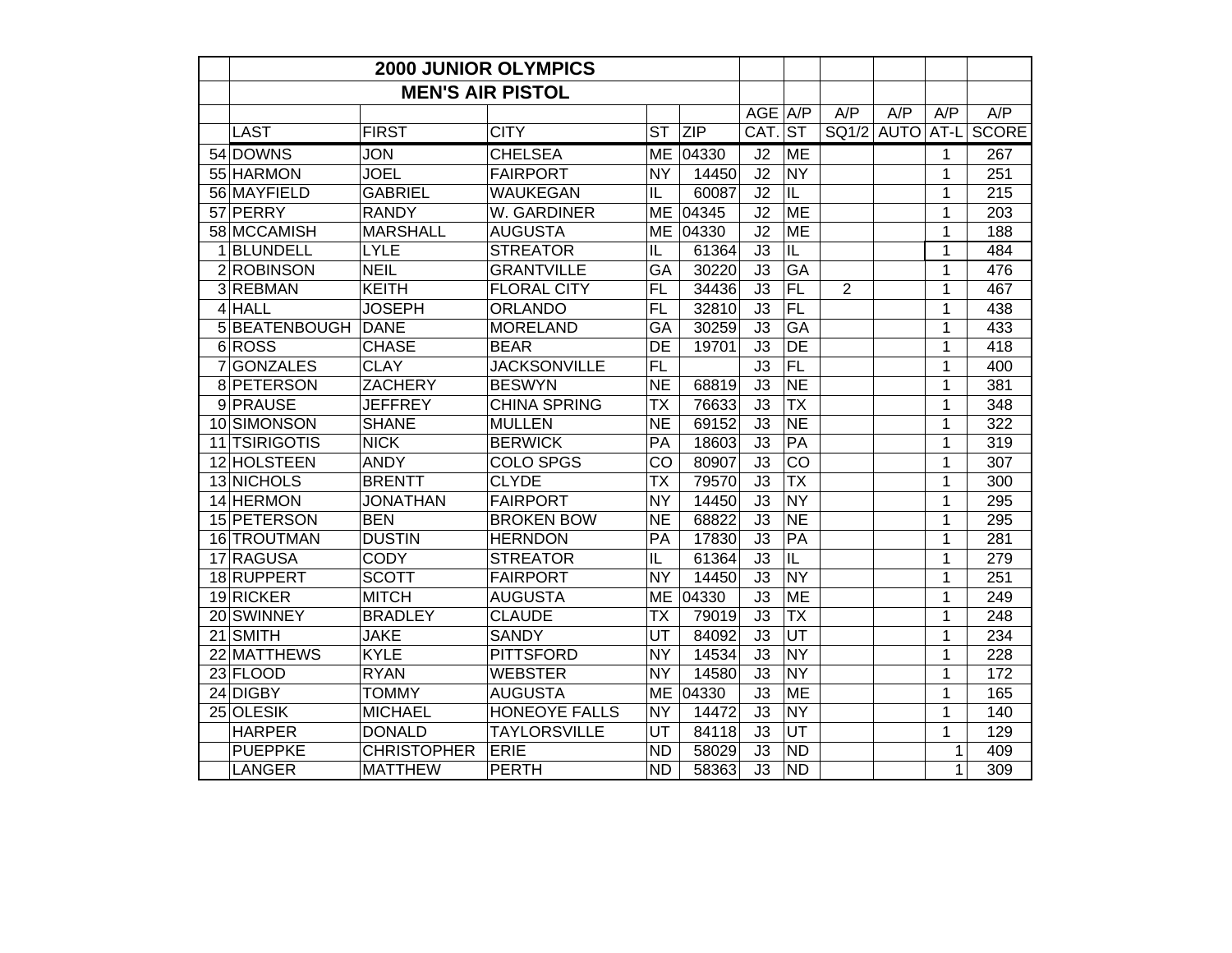| <b>2000 JUNIOR OLYMPICS</b><br><b>MEN'S AIR PISTOL</b> |                    |                     |                          |       |                 |                          |                |             |              |              |
|--------------------------------------------------------|--------------------|---------------------|--------------------------|-------|-----------------|--------------------------|----------------|-------------|--------------|--------------|
|                                                        |                    |                     |                          |       |                 |                          |                |             |              |              |
|                                                        |                    |                     |                          |       | $AGE$ $A/P$     |                          | A/P            | A/P         | A/P          | A/P          |
| <b>LAST</b>                                            | <b>FIRST</b>       | <b>CITY</b>         | <b>ST</b>                | ZIP   | CAT.            | $ \mathsf{ST} $          | SQ1/2          | <b>AUTO</b> | AT-L         | <b>SCORE</b> |
| 54 DOWNS                                               | <b>JON</b>         | <b>CHELSEA</b>      | ME                       | 04330 | J2              | <b>ME</b>                |                |             | 1            | 267          |
| 55 HARMON                                              | <b>JOEL</b>        | <b>FAIRPORT</b>     | <b>NY</b>                | 14450 | $\overline{J2}$ | <b>NY</b>                |                |             | 1            | 251          |
| 56 MAYFIELD                                            | <b>GABRIEL</b>     | <b>WAUKEGAN</b>     | IL                       | 60087 | $\overline{J2}$ | $\overline{\mathsf{IL}}$ |                |             | 1            | 215          |
| 57 PERRY                                               | <b>RANDY</b>       | W. GARDINER         | МE                       | 04345 | J2              | <b>ME</b>                |                |             | 1            | 203          |
| 58 MCCAMISH                                            | <b>MARSHALL</b>    | <b>AUGUSTA</b>      | <b>ME</b>                | 04330 | J2              | <b>ME</b>                |                |             | 1            | 188          |
| 1 BLUNDELL                                             | <b>LYLE</b>        | <b>STREATOR</b>     | IL                       | 61364 | J3              | IL                       |                |             | 1            | 484          |
| 2 ROBINSON                                             | <b>NEIL</b>        | <b>GRANTVILLE</b>   | GA                       | 30220 | J3              | $\overline{GA}$          |                |             | 1            | 476          |
| 3 REBMAN                                               | <b>KEITH</b>       | <b>FLORAL CITY</b>  | <b>FL</b>                | 34436 | J3              | <b>FL</b>                | $\overline{2}$ |             | 1            | 467          |
| 4 HALL                                                 | <b>JOSEPH</b>      | <b>ORLANDO</b>      | FL                       | 32810 | J3              | $\overline{FL}$          |                |             | 1            | 438          |
| 5 BEATENBOUGH                                          | <b>DANE</b>        | <b>MORELAND</b>     | GA                       | 30259 | J3              | GA                       |                |             | 1            | 433          |
| 6 ROSS                                                 | <b>CHASE</b>       | <b>BEAR</b>         | DE                       | 19701 | J3              | DE                       |                |             | 1            | 418          |
| 7 GONZALES                                             | <b>CLAY</b>        | <b>JACKSONVILLE</b> | <b>FL</b>                |       | J3              | $\overline{FL}$          |                |             | 1            | 400          |
| 8 PETERSON                                             | <b>ZACHERY</b>     | <b>BESWYN</b>       | <b>NE</b>                | 68819 | J3              | $\overline{\mathsf{NE}}$ |                |             | 1            | 381          |
| 9 PRAUSE                                               | <b>JEFFREY</b>     | <b>CHINA SPRING</b> | <b>TX</b>                | 76633 | J3              | $\overline{TX}$          |                |             | 1            | 348          |
| 10 SIMONSON                                            | <b>SHANE</b>       | <b>MULLEN</b>       | <b>NE</b>                | 69152 | $\overline{J3}$ | NE                       |                |             | 1            | 322          |
| 11 TSIRIGOTIS                                          | <b>NICK</b>        | <b>BERWICK</b>      | PA                       | 18603 | J3              | PA                       |                |             | 1            | 319          |
| 12 HOLSTEEN                                            | <b>ANDY</b>        | <b>COLO SPGS</b>    | CO                       | 80907 | J3              | $\overline{CO}$          |                |             | 1            | 307          |
| 13 NICHOLS                                             | <b>BRENTT</b>      | <b>CLYDE</b>        | <b>TX</b>                | 79570 | J3              | $\overline{\mathsf{TX}}$ |                |             | 1            | 300          |
| 14 HERMON                                              | <b>JONATHAN</b>    | <b>FAIRPORT</b>     | <b>NY</b>                | 14450 | $\overline{J3}$ | $\overline{NY}$          |                |             | 1            | 295          |
| 15 PETERSON                                            | <b>BEN</b>         | <b>BROKEN BOW</b>   | $\overline{\sf NE}$      | 68822 | J3              | <b>NE</b>                |                |             | 1            | 295          |
| 16 TROUTMAN                                            | <b>DUSTIN</b>      | <b>HERNDON</b>      | $\overline{PA}$          | 17830 | J3              | PA                       |                |             | 1            | 281          |
| 17 RAGUSA                                              | <b>CODY</b>        | <b>STREATOR</b>     | IL                       | 61364 | $\overline{J3}$ | $\overline{\mathsf{L}}$  |                |             | 1            | 279          |
| 18 RUPPERT                                             | <b>SCOTT</b>       | <b>FAIRPORT</b>     | <b>NY</b>                | 14450 | $\overline{J3}$ | <b>NY</b>                |                |             | 1            | 251          |
| 19 RICKER                                              | <b>MITCH</b>       | <b>AUGUSTA</b>      | ME                       | 04330 | J3              | <b>ME</b>                |                |             | 1            | 249          |
| 20 SWINNEY                                             | <b>BRADLEY</b>     | <b>CLAUDE</b>       | $\overline{\mathsf{TX}}$ | 79019 | J3              | $\overline{\mathsf{TX}}$ |                |             | 1            | 248          |
| 21 SMITH                                               | <b>JAKE</b>        | <b>SANDY</b>        | $\overline{\text{UT}}$   | 84092 | $\overline{J3}$ | UT                       |                |             | 1            | 234          |
| 22 MATTHEWS                                            | <b>KYLE</b>        | <b>PITTSFORD</b>    | $\overline{\text{NY}}$   | 14534 | J3              | <b>NY</b>                |                |             | 1            | 228          |
| 23 FLOOD                                               | <b>RYAN</b>        | <b>WEBSTER</b>      | <b>NY</b>                | 14580 | $\overline{J3}$ | <b>NY</b>                |                |             | 1            | 172          |
| 24 DIGBY                                               | <b>TOMMY</b>       | <b>AUGUSTA</b>      | ME                       | 04330 | $\overline{J3}$ | <b>ME</b>                |                |             | 1            | 165          |
| 25 OLESIK                                              | <b>MICHAEL</b>     | HONEOYE FALLS       | <b>NY</b>                | 14472 | J3              | <b>NY</b>                |                |             | 1            | 140          |
| <b>HARPER</b>                                          | <b>DONALD</b>      | <b>TAYLORSVILLE</b> | UT                       | 84118 | J3              | UT                       |                |             | $\mathbf{1}$ | 129          |
| <b>PUEPPKE</b>                                         | <b>CHRISTOPHER</b> | ERIE                | <b>ND</b>                | 58029 | J3              | <b>ND</b>                |                |             | 1            | 409          |
| <b>LANGER</b>                                          | <b>MATTHEW</b>     | <b>PERTH</b>        | <b>ND</b>                | 58363 | $\overline{J3}$ | <b>ND</b>                |                |             | $\mathbf{1}$ | 309          |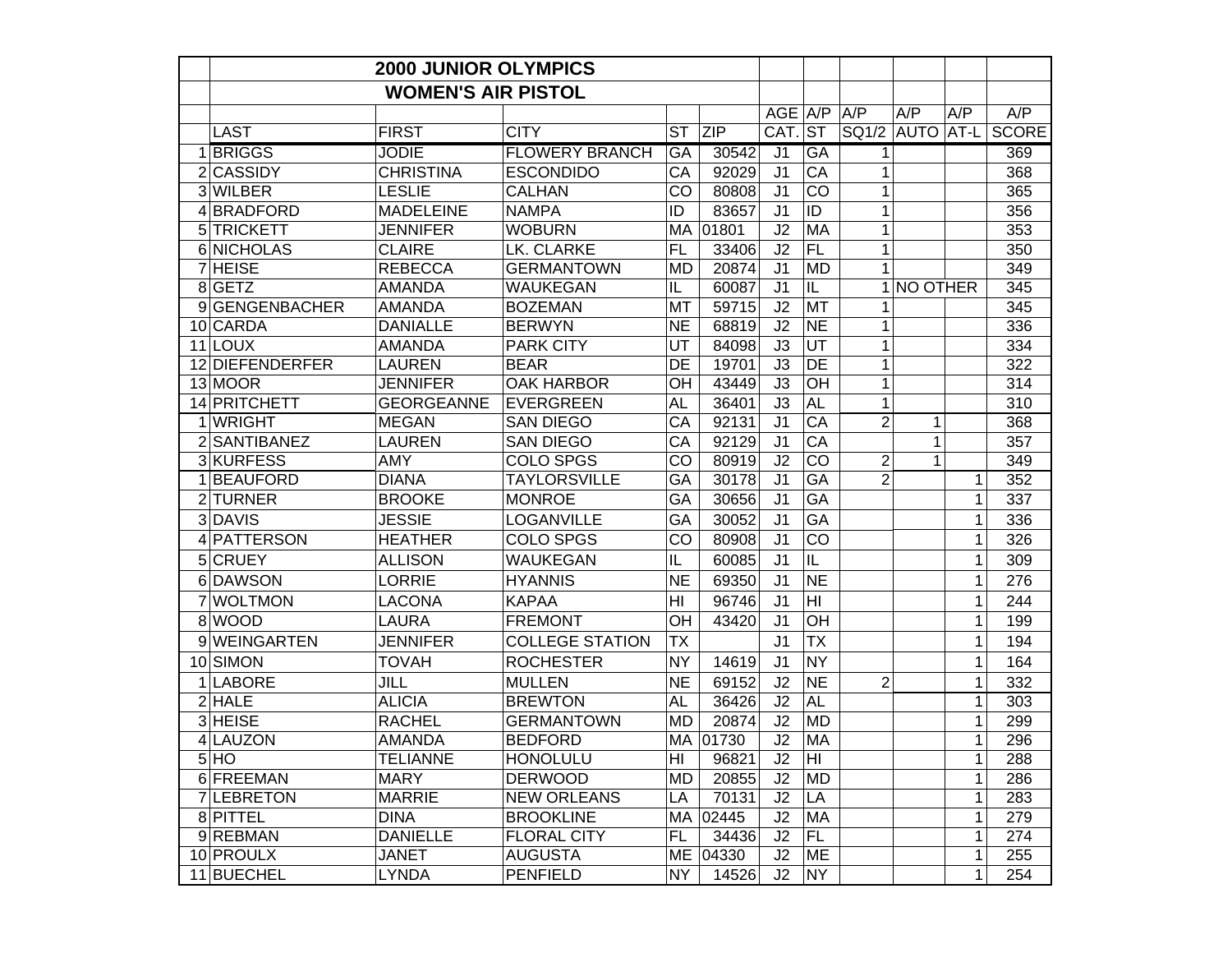|    | <b>2000 JUNIOR OLYMPICS</b> |                           |                        |                        |          |                 |                     |                |                  |              |              |
|----|-----------------------------|---------------------------|------------------------|------------------------|----------|-----------------|---------------------|----------------|------------------|--------------|--------------|
|    |                             | <b>WOMEN'S AIR PISTOL</b> |                        |                        |          |                 |                     |                |                  |              |              |
|    |                             |                           |                        |                        |          | $AGE$ $A/P$     |                     | A/P            | A/P              | A/P          | A/P          |
|    | <b>LAST</b>                 | <b>FIRST</b>              | <b>CITY</b>            | $\overline{\text{ST}}$ | ZIP      | CAT. ST         |                     | SQ1/2          | <b>AUTO AT-L</b> |              | <b>SCORE</b> |
|    | 1BRIGGS                     | JODIE                     | <b>FLOWERY BRANCH</b>  | GA                     | 30542    | J <sub>1</sub>  | GA                  | 1              |                  |              | 369          |
|    | 2 CASSIDY                   | <b>CHRISTINA</b>          | <b>ESCONDIDO</b>       | СA                     | 92029    | J <sub>1</sub>  | CA                  | 1              |                  |              | 368          |
|    | 3 WILBER                    | <b>LESLIE</b>             | <b>CALHAN</b>          | CO                     | 80808    | J <sub>1</sub>  | CO                  | 1              |                  |              | 365          |
|    | 4 BRADFORD                  | <b>MADELEINE</b>          | <b>NAMPA</b>           | ID                     | 83657    | J <sub>1</sub>  | ID                  | 1              |                  |              | 356          |
|    | 5 TRICKETT                  | <b>JENNIFER</b>           | <b>WOBURN</b>          | MA                     | 01801    | J2              | <b>MA</b>           | 1              |                  |              | 353          |
|    | 6 NICHOLAS                  | <b>CLAIRE</b>             | LK. CLARKE             | <b>FL</b>              | 33406    | J2              | FL                  | 1              |                  |              | 350          |
|    | 7 HEISE                     | <b>REBECCA</b>            | <b>GERMANTOWN</b>      | <b>MD</b>              | 20874    | J <sub>1</sub>  | <b>MD</b>           | 1              |                  |              | 349          |
|    | 8 GETZ                      | <b>AMANDA</b>             | <b>WAUKEGAN</b>        | IL                     | 60087    | J <sub>1</sub>  | IL                  |                | 1 NO OTHER       |              | 345          |
|    | 9 GENGENBACHER              | <b>AMANDA</b>             | <b>BOZEMAN</b>         | MT                     | 59715    | J2              | <b>MT</b>           | 1              |                  |              | 345          |
|    | 10 CARDA                    | <b>DANIALLE</b>           | <b>BERWYN</b>          | <b>NE</b>              | 68819    | J2              | $\overline{\sf NE}$ | 1              |                  |              | 336          |
|    | $11$  LOUX                  | <b>AMANDA</b>             | <b>PARK CITY</b>       | UT                     | 84098    | J3              | UT                  | 1              |                  |              | 334          |
|    | 12 DIEFENDERFER             | <b>LAUREN</b>             | <b>BEAR</b>            | DE                     | 19701    | $\overline{J3}$ | $\overline{DE}$     | 1              |                  |              | 322          |
|    | $13$ MOOR                   | <b>JENNIFER</b>           | <b>OAK HARBOR</b>      | OH                     | 43449    | J3              | $\overline{O}$ H    | 1              |                  |              | 314          |
|    | 14 PRITCHETT                | <b>GEORGEANNE</b>         | <b>EVERGREEN</b>       | <b>AL</b>              | 36401    | J3              | <b>AL</b>           | 1              |                  |              | 310          |
| 1. | <b>WRIGHT</b>               | <b>MEGAN</b>              | <b>SAN DIEGO</b>       | CA                     | 92131    | J <sub>1</sub>  | $\overline{CA}$     | $\overline{2}$ | 1                |              | 368          |
|    | 2 SANTIBANEZ                | LAUREN                    | <b>SAN DIEGO</b>       | CA                     | 92129    | J <sub>1</sub>  | CA                  |                | 1                |              | 357          |
|    | 3 KURFESS                   | AMY                       | <b>COLO SPGS</b>       | CO                     | 80919    | J2              | CO                  | $\overline{2}$ | 1                |              | 349          |
|    | 1 BEAUFORD                  | <b>DIANA</b>              | <b>TAYLORSVILLE</b>    | GA                     | 30178    | J <sub>1</sub>  | GA                  | $\overline{2}$ |                  | 1            | 352          |
|    | 2 TURNER                    | <b>BROOKE</b>             | <b>MONROE</b>          | GA                     | 30656    | J <sub>1</sub>  | GA                  |                |                  | 1            | 337          |
|    | 3 DAVIS                     | <b>JESSIE</b>             | <b>LOGANVILLE</b>      | GA                     | 30052    | J <sub>1</sub>  | GA                  |                |                  | 1            | 336          |
|    | 4 PATTERSON                 | <b>HEATHER</b>            | <b>COLO SPGS</b>       | CO                     | 80908    | J <sub>1</sub>  | CO                  |                |                  | 1            | 326          |
|    | 5 CRUEY                     | <b>ALLISON</b>            | <b>WAUKEGAN</b>        | IL                     | 60085    | J <sub>1</sub>  | IL                  |                |                  | 1            | 309          |
|    | 6DAWSON                     | LORRIE                    | <b>HYANNIS</b>         | <b>NE</b>              | 69350    | J <sub>1</sub>  | <b>NE</b>           |                |                  | 1            | 276          |
|    | <b>WOLTMON</b>              | LACONA                    | <b>KAPAA</b>           | HI                     | 96746    | J <sub>1</sub>  | HI                  |                |                  | 1            | 244          |
|    | 8WOOD                       | <b>LAURA</b>              | <b>FREMONT</b>         | OH                     | 43420    | J <sub>1</sub>  | OH                  |                |                  | 1            | 199          |
|    | 9 WEINGARTEN                | <b>JENNIFER</b>           | <b>COLLEGE STATION</b> | <b>TX</b>              |          | J <sub>1</sub>  | <b>TX</b>           |                |                  | 1            | 194          |
|    | 10 SIMON                    | <b>TOVAH</b>              | <b>ROCHESTER</b>       | <b>NY</b>              | 14619    | J <sub>1</sub>  | <b>NY</b>           |                |                  | 1            | 164          |
|    | 1 LABORE                    | JILL                      | <b>MULLEN</b>          | <b>NE</b>              | 69152    | J <sub>2</sub>  | <b>NE</b>           | 2              |                  | 1            | 332          |
|    | 2 HALE                      | <b>ALICIA</b>             | <b>BREWTON</b>         | <b>AL</b>              | 36426    | J2              | <b>AL</b>           |                |                  | 1            | 303          |
|    | 3 HEISE                     | <b>RACHEL</b>             | <b>GERMANTOWN</b>      | <b>MD</b>              | 20874    | J2              | <b>MD</b>           |                |                  | 1            | 299          |
|    | 4 LAUZON                    | AMANDA                    | <b>BEDFORD</b>         |                        | MA 01730 | J2              | <b>MA</b>           |                |                  | 1            | 296          |
|    | $5H$ O                      | <b>TELIANNE</b>           | <b>HONOLULU</b>        | $\overline{H}$         | 96821    | $J2$ $HI$       |                     |                |                  | $\mathbf{1}$ | 288          |
|    | 6 FREEMAN                   | <b>MARY</b>               | <b>DERWOOD</b>         | MD                     | 20855    | J2              | <b>MD</b>           |                |                  | 1            | 286          |
|    | 7 LEBRETON                  | <b>MARRIE</b>             | <b>NEW ORLEANS</b>     | LA                     | 70131    | J2              | LA                  |                |                  | 1            | 283          |
|    | 8 PITTEL                    | <b>DINA</b>               | <b>BROOKLINE</b>       |                        | MA 02445 | J2              | MA                  |                |                  | 1            | 279          |
|    | 9REBMAN                     | <b>DANIELLE</b>           | <b>FLORAL CITY</b>     | FL.                    | 34436    | J2              | FL                  |                |                  | 1            | 274          |
|    | 10 PROULX                   | <b>JANET</b>              | <b>AUGUSTA</b>         |                        | ME 04330 | J2              | ME                  |                |                  | $\mathbf 1$  | 255          |
|    | 11 BUECHEL                  | <b>LYNDA</b>              | <b>PENFIELD</b>        | NY                     | 14526    | J2              | <b>NY</b>           |                |                  | $\mathbf{1}$ | 254          |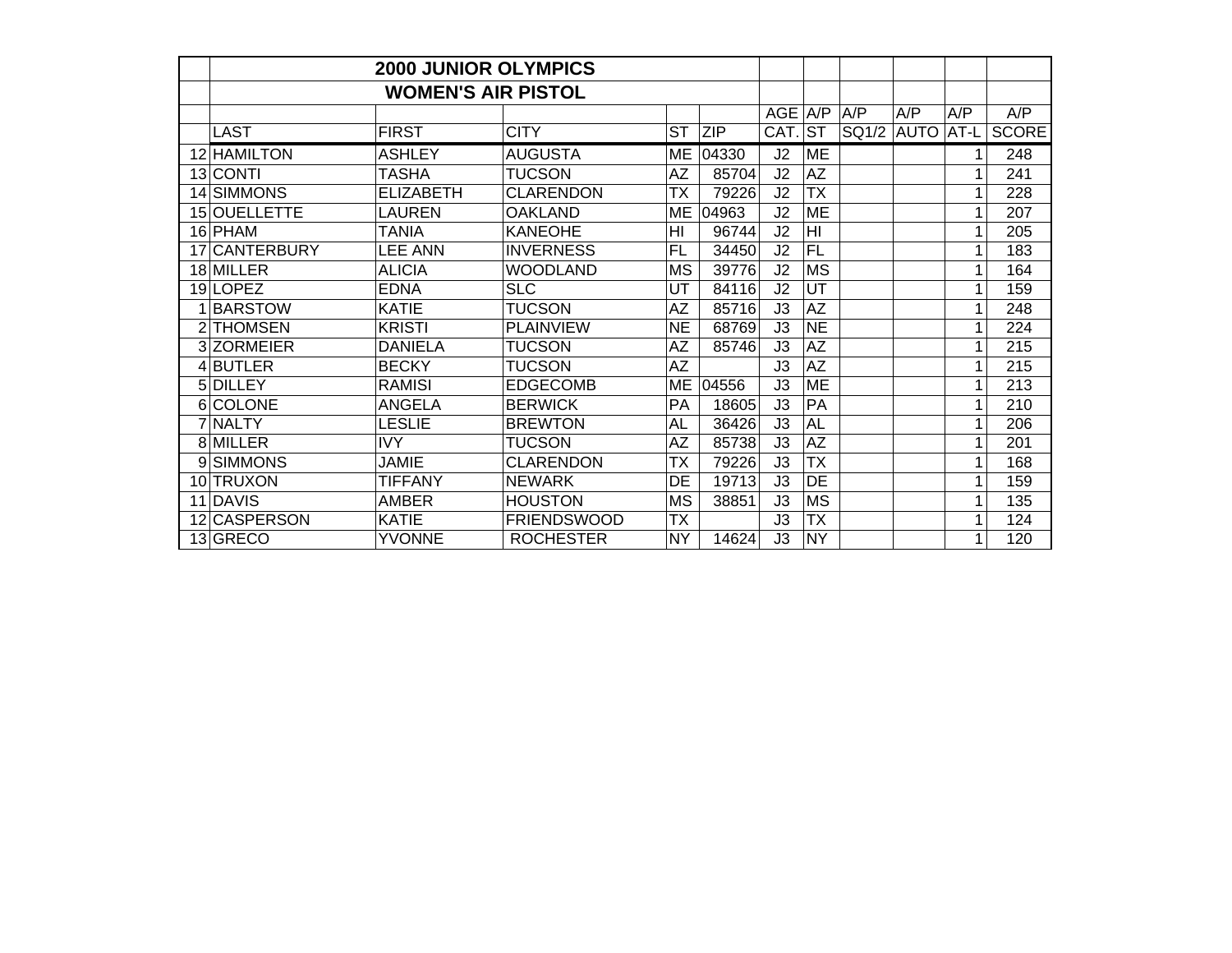|    |                  | <b>2000 JUNIOR OLYMPICS</b><br><b>WOMEN'S AIR PISTOL</b> |                    |           |            |      |           |       |             |      |              |
|----|------------------|----------------------------------------------------------|--------------------|-----------|------------|------|-----------|-------|-------------|------|--------------|
|    |                  |                                                          |                    |           |            |      |           |       |             |      |              |
|    |                  |                                                          |                    |           |            | AGE  | A/P       | A/P   | A/P         | A/P  | A/P          |
|    | <b>LAST</b>      | <b>FIRST</b>                                             | <b>CITY</b>        | <b>ST</b> | <b>ZIP</b> | CAT. | <b>ST</b> | SQ1/2 | <b>AUTO</b> | AT-L | <b>SCORE</b> |
|    | 12 HAMILTON      | <b>ASHLEY</b>                                            | <b>AUGUSTA</b>     | ME        | 04330      | J2   | ME        |       |             |      | 248          |
|    | 13 CONTI         | <b>TASHA</b>                                             | <b>TUCSON</b>      | <b>AZ</b> | 85704      | J2   | <b>ΑΖ</b> |       |             | 1    | 241          |
|    | 14 SIMMONS       | <b>ELIZABETH</b>                                         | <b>CLARENDON</b>   | <b>TX</b> | 79226      | J2   | TX        |       |             | 1    | 228          |
|    | 15 OUELLETTE     | <b>LAUREN</b>                                            | <b>OAKLAND</b>     | ME        | 04963      | J2   | ME        |       |             | 1    | 207          |
|    | 16 PHAM          | TANIA                                                    | <b>KANEOHE</b>     | HI        | 96744      | J2   | HI        |       |             | 1    | 205          |
|    | 17 CANTERBURY    | <b>LEE ANN</b>                                           | <b>INVERNESS</b>   | FL        | 34450      | J2   | <b>FL</b> |       |             | 1    | 183          |
|    | 18 MILLER        | <b>ALICIA</b>                                            | <b>WOODLAND</b>    | <b>MS</b> | 39776      | J2   | <b>MS</b> |       |             | 1    | 164          |
|    | 19 LOPEZ         | <b>EDNA</b>                                              | <b>SLC</b>         | UT        | 84116      | J2   | UT        |       |             | 1    | 159          |
|    | <b>BARSTOW</b>   | <b>KATIE</b>                                             | <b>TUCSON</b>      | AΖ        | 85716      | J3   | <b>ΑΖ</b> |       |             | 1    | 248          |
|    | 2 THOMSEN        | <b>KRISTI</b>                                            | <b>PLAINVIEW</b>   | <b>NE</b> | 68769      | J3   | <b>NE</b> |       |             | 1    | 224          |
|    | 3 ZORMEIER       | <b>DANIELA</b>                                           | <b>TUCSON</b>      | <b>AZ</b> | 85746      | J3   | <b>AZ</b> |       |             | 1    | 215          |
|    | 4 BUTLER         | <b>BECKY</b>                                             | <b>TUCSON</b>      | AΖ        |            | J3   | <b>ΑΖ</b> |       |             | 1    | 215          |
|    | 5 DILLEY         | <b>RAMISI</b>                                            | <b>EDGECOMB</b>    | ME        | 04556      | J3   | ME        |       |             | 1    | 213          |
|    | 6 COLONE         | ANGELA                                                   | <b>BERWICK</b>     | PA        | 18605      | J3   | PA        |       |             | 1    | 210          |
|    | 7 NALTY          | <b>LESLIE</b>                                            | <b>BREWTON</b>     | AL        | 36426      | J3   | AL        |       |             | 1    | 206          |
|    | 8 MILLER         | <b>IVY</b>                                               | <b>TUCSON</b>      | AΖ        | 85738      | J3   | <b>AZ</b> |       |             | 1    | 201          |
|    | 9SIMMONS         | JAMIE                                                    | <b>CLARENDON</b>   | <b>TX</b> | 79226      | J3   | TX        |       |             | 1    | 168          |
|    | 10 TRUXON        | TIFFANY                                                  | <b>NEWARK</b>      | DE        | 19713      | J3   | DE        |       |             | 1    | 159          |
|    | 11 DAVIS         | <b>AMBER</b>                                             | <b>HOUSTON</b>     | <b>MS</b> | 38851      | J3   | <b>MS</b> |       |             | 1    | 135          |
| 12 | <b>CASPERSON</b> | <b>KATIE</b>                                             | <b>FRIENDSWOOD</b> | <b>TX</b> |            | J3   | <b>TX</b> |       |             | 1    | 124          |
|    | 13 GRECO         | <b>YVONNE</b>                                            | <b>ROCHESTER</b>   | <b>NY</b> | 14624      | J3   | <b>NY</b> |       |             | 1    | 120          |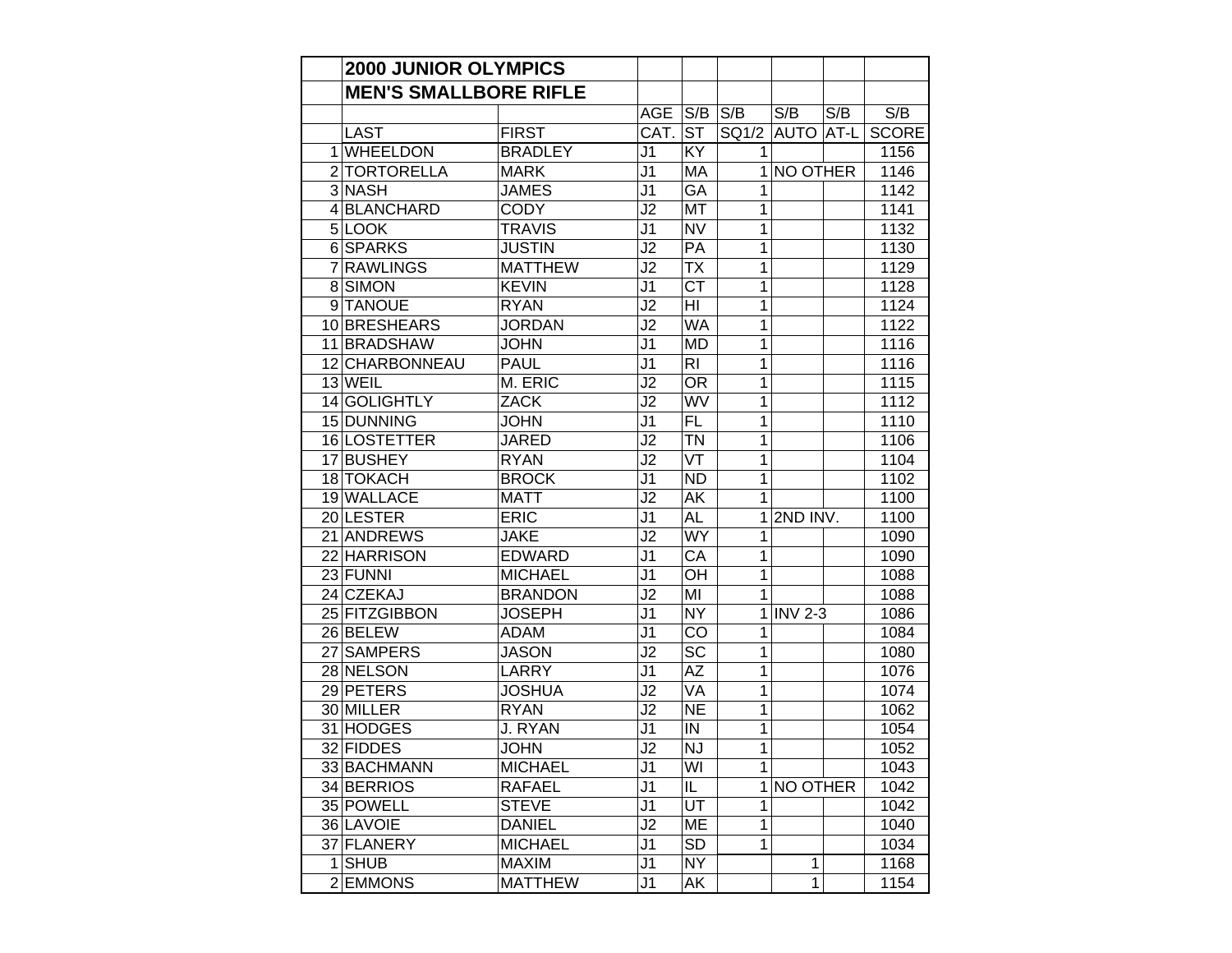| <b>2000 JUNIOR OLYMPICS</b>  |                |                |                |              |                  |     |              |
|------------------------------|----------------|----------------|----------------|--------------|------------------|-----|--------------|
| <b>MEN'S SMALLBORE RIFLE</b> |                |                |                |              |                  |     |              |
|                              |                | AGE            | S/B            | S/B          | S/B              | S/B | S/B          |
| <b>LAST</b>                  | <b>FIRST</b>   | CAT.           | <b>ST</b>      | SQ1/2        | <b>AUTO AT-L</b> |     | <b>SCORE</b> |
| 1 WHEELDON                   | <b>BRADLEY</b> | J <sub>1</sub> | KY             | $\mathbf{1}$ |                  |     | 1156         |
| 2 TORTORELLA                 | <b>MARK</b>    | J <sub>1</sub> | MA             |              | 1 NO OTHER       |     | 1146         |
| 3 NASH                       | <b>JAMES</b>   | J <sub>1</sub> | GA             | 1            |                  |     | 1142         |
| 4BLANCHARD                   | <b>CODY</b>    | J2             | MT             | 1            |                  |     | 1141         |
| 5 LOOK                       | <b>TRAVIS</b>  | J <sub>1</sub> | <b>NV</b>      | 1            |                  |     | 1132         |
| 6 SPARKS                     | <b>JUSTIN</b>  | J2             | PA             | 1            |                  |     | 1130         |
| 7 RAWLINGS                   | <b>MATTHEW</b> | J2             | ТX             | 1            |                  |     | 1129         |
| 8 SIMON                      | <b>KEVIN</b>   | J <sub>1</sub> | <b>CT</b>      | $\mathbf{1}$ |                  |     | 1128         |
| 9 TANOUE                     | <b>RYAN</b>    | J2             | H <sub>l</sub> | 1            |                  |     | 1124         |
| 10 BRESHEARS                 | <b>JORDAN</b>  | J2             | <b>WA</b>      | 1            |                  |     | 1122         |
| 11 BRADSHAW                  | <b>JOHN</b>    | J <sub>1</sub> | <b>MD</b>      | 1            |                  |     | 1116         |
| 12 CHARBONNEAU               | <b>PAUL</b>    | J <sub>1</sub> | R <sub>l</sub> | 1            |                  |     | 1116         |
| 13 WEIL                      | M. ERIC        | J2             | <b>OR</b>      | 1            |                  |     | 1115         |
| 14 GOLIGHTLY                 | <b>ZACK</b>    | J2             | WV             | 1            |                  |     | 1112         |
| 15 DUNNING                   | <b>JOHN</b>    | J1             | FL             | 1            |                  |     | 1110         |
| 16 LOSTETTER                 | JARED          | J2             | TN             | 1            |                  |     | 1106         |
| 17 BUSHEY                    | <b>RYAN</b>    | J2             | VT             | 1            |                  |     | 1104         |
| 18 TOKACH                    | <b>BROCK</b>   | J <sub>1</sub> | <b>ND</b>      | 1            |                  |     | 1102         |
| 19 WALLACE                   | <b>MATT</b>    | J2             | AK             | 1            |                  |     | 1100         |
| 20 LESTER                    | <b>ERIC</b>    | J <sub>1</sub> | <b>AL</b>      |              | $1$  2ND INV.    |     | 1100         |
| 21 ANDREWS                   | <b>JAKE</b>    | J2             | <b>WY</b>      | 1            |                  |     | 1090         |
| 22 HARRISON                  | <b>EDWARD</b>  | J <sub>1</sub> | CA             | 1            |                  |     | 1090         |
| 23 FUNNI                     | <b>MICHAEL</b> | J <sub>1</sub> | OH             | $\mathbf{1}$ |                  |     | 1088         |
| 24 CZEKAJ                    | <b>BRANDON</b> | J2             | MI             | $\mathbf{1}$ |                  |     | 1088         |
| 25 FITZGIBBON                | <b>JOSEPH</b>  | J <sub>1</sub> | <b>NY</b>      |              | $1$  INV 2-3     |     | 1086         |
| 26 BELEW                     | <b>ADAM</b>    | J <sub>1</sub> | CO             | 1            |                  |     | 1084         |
| 27 SAMPERS                   | JASON          | J2             | SC             | 1            |                  |     | 1080         |
| 28 NELSON                    | <b>LARRY</b>   | J1             | AZ             | 1            |                  |     | 1076         |
| 29 PETERS                    | <b>JOSHUA</b>  | J2             | VA             | 1            |                  |     | 1074         |
| 30 MILLER                    | <b>RYAN</b>    | J2             | <b>NE</b>      | 1            |                  |     | 1062         |
| 31 HODGES                    | J. RYAN        | J1             | IN             | 1            |                  |     | 1054         |
| 32 FIDDES                    | <b>JOHN</b>    | J2             | <b>NJ</b>      | 1            |                  |     | 1052         |
| 33 BACHMANN                  | <b>MICHAEL</b> | J1             | WI             | 1            |                  |     | 1043         |
| 34 BERRIOS                   | <b>RAFAEL</b>  | J <sub>1</sub> | IL             |              | 1 NO OTHER       |     | 1042         |
| 35 POWELL                    | <b>STEVE</b>   | J <sub>1</sub> | UT             | 1            |                  |     | 1042         |
| 36 LAVOIE                    | <b>DANIEL</b>  | J2             | ME             | 1            |                  |     | 1040         |
| 37 FLANERY                   | <b>MICHAEL</b> | J <sub>1</sub> | SD             | 1            |                  |     | 1034         |
| 1 SHUB                       | <b>MAXIM</b>   | J <sub>1</sub> | <b>NY</b>      |              | 1                |     | 1168         |
| 2 EMMONS                     | <b>MATTHEW</b> | J <sub>1</sub> | AK             |              | 1                |     | 1154         |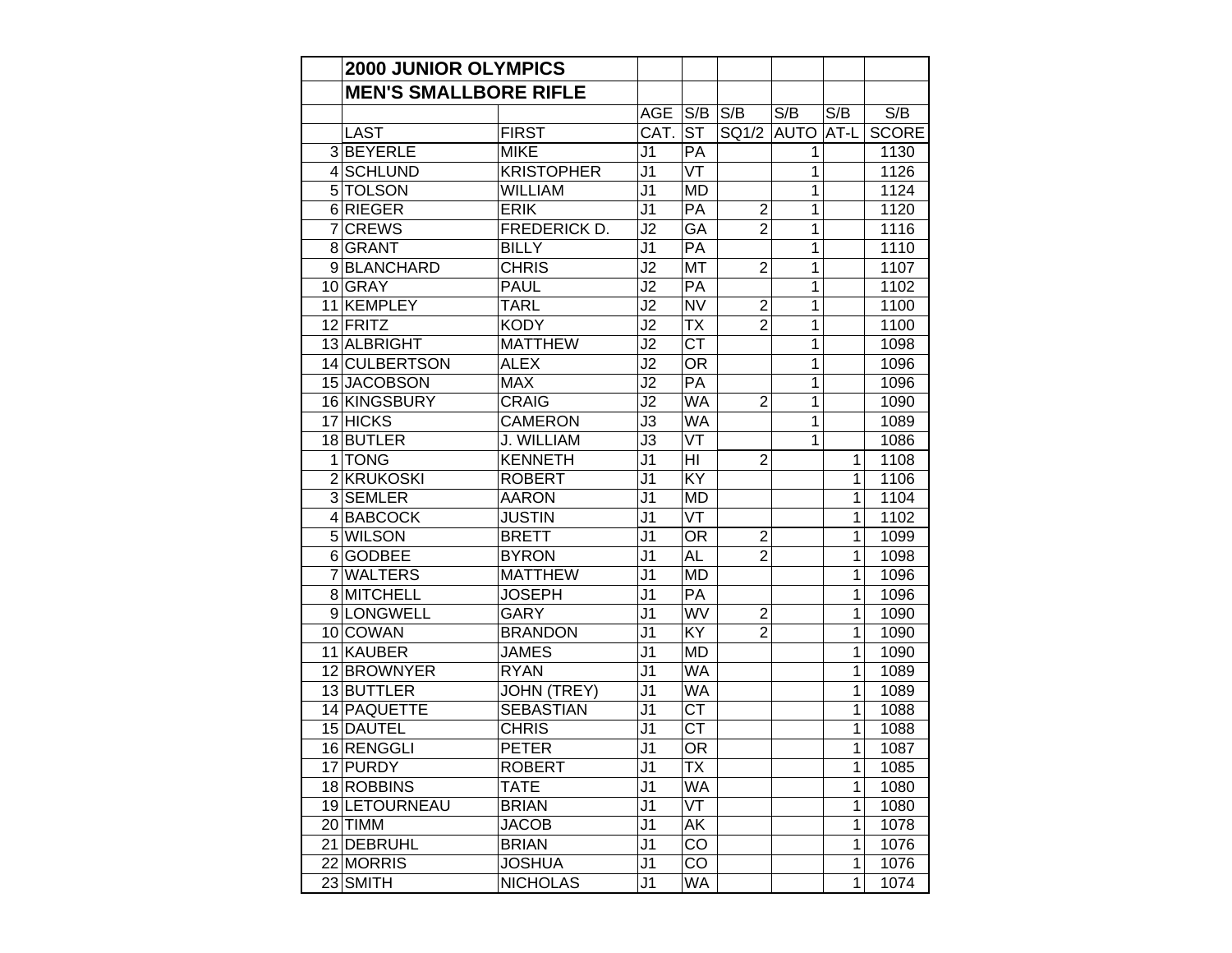| <b>2000 JUNIOR OLYMPICS</b>  |                    |                 |                 |                 |     |     |              |
|------------------------------|--------------------|-----------------|-----------------|-----------------|-----|-----|--------------|
| <b>MEN'S SMALLBORE RIFLE</b> |                    |                 |                 |                 |     |     |              |
|                              |                    | <b>AGE</b>      | S/B             | S/B             | S/B | S/B | S/B          |
| <b>LAST</b>                  | <b>FIRST</b>       | CAT.            | <b>ST</b>       | SQ1/2 AUTO AT-L |     |     | <b>SCORE</b> |
| 3BEYERLE                     | <b>MIKE</b>        | J1              | PA              |                 | 1   |     | 1130         |
| 4 SCHLUND                    | <b>KRISTOPHER</b>  | J <sub>1</sub>  | VT              |                 | 1   |     | 1126         |
| 5 TOLSON                     | <b>WILLIAM</b>     | J <sub>1</sub>  | <b>MD</b>       |                 | 1   |     | 1124         |
| 6 RIEGER                     | <b>ERIK</b>        | J <sub>1</sub>  | PA              | $\overline{2}$  | 1   |     | 1120         |
| 7 CREWS                      | FREDERICK D.       | J2              | GA              | $\overline{2}$  | 1   |     | 1116         |
| 8 GRANT                      | <b>BILLY</b>       | J <sub>1</sub>  | PA              |                 | 1   |     | 1110         |
| 9BLANCHARD                   | <b>CHRIS</b>       | J2              | MT              | $\overline{2}$  | 1   |     | 1107         |
| 10 GRAY                      | <b>PAUL</b>        | J2              | PA              |                 | 1   |     | 1102         |
| 11 KEMPLEY                   | <b>TARL</b>        | J2              | <b>NV</b>       | $\overline{2}$  | 1   |     | 1100         |
| $12$ FRITZ                   | <b>KODY</b>        | J2              | TX              | $\overline{2}$  | 1   |     | 1100         |
| 13 ALBRIGHT                  | <b>MATTHEW</b>     | $\overline{J2}$ | <b>CT</b>       |                 | 1   |     | 1098         |
| 14 CULBERTSON                | <b>ALEX</b>        | $\overline{J2}$ | OR.             |                 | 1   |     | 1096         |
| 15 JACOBSON                  | <b>MAX</b>         | J2              | $\overline{PA}$ |                 | 1   |     | 1096         |
| 16 KINGSBURY                 | <b>CRAIG</b>       | J2              | <b>WA</b>       | $\overline{2}$  | 1   |     | 1090         |
| 17 HICKS                     | <b>CAMERON</b>     | J3              | WA              |                 | 1   |     | 1089         |
| 18BUTLER                     | J. WILLIAM         | J3              | VT              |                 | 1   |     | 1086         |
| 1 TONG                       | <b>KENNETH</b>     | J <sub>1</sub>  | HI              | $\overline{2}$  |     | 1   | 1108         |
| 2 KRUKOSKI                   | <b>ROBERT</b>      | J <sub>1</sub>  | KY              |                 |     | 1   | 1106         |
| 3 SEMLER                     | <b>AARON</b>       | J <sub>1</sub>  | <b>MD</b>       |                 |     | 1   | 1104         |
| 4BABCOCK                     | <b>JUSTIN</b>      | J <sub>1</sub>  | VT              |                 |     | 1   | 1102         |
| 5 WILSON                     | <b>BRETT</b>       | J <sub>1</sub>  | <b>OR</b>       | $\overline{2}$  |     | 1   | 1099         |
| 6 GODBEE                     | <b>BYRON</b>       | J <sub>1</sub>  | <b>AL</b>       | $\overline{2}$  |     | 1   | 1098         |
| 7 WALTERS                    | <b>MATTHEW</b>     | J <sub>1</sub>  | <b>MD</b>       |                 |     | 1   | 1096         |
| 8 MITCHELL                   | <b>JOSEPH</b>      | J <sub>1</sub>  | PA              |                 |     | 1   | 1096         |
| 9 LONGWELL                   | <b>GARY</b>        | J <sub>1</sub>  | <b>WV</b>       | $\overline{2}$  |     | 1   | 1090         |
| 10 COWAN                     | <b>BRANDON</b>     | J <sub>1</sub>  | KY              | $\overline{2}$  |     | 1   | 1090         |
| 11 KAUBER                    | <b>JAMES</b>       | J <sub>1</sub>  | <b>MD</b>       |                 |     | 1   | 1090         |
| 12 BROWNYER                  | <b>RYAN</b>        | J <sub>1</sub>  | <b>WA</b>       |                 |     | 1   | 1089         |
| 13 BUTTLER                   | <b>JOHN (TREY)</b> | J <sub>1</sub>  | <b>WA</b>       |                 |     | 1   | 1089         |
| 14 PAQUETTE                  | <b>SEBASTIAN</b>   | J <sub>1</sub>  | СT              |                 |     | 1   | 1088         |
| 15 DAUTEL                    | <b>CHRIS</b>       | J1              | СT              |                 |     | 1   | 1088         |
| 16 RENGGLI                   | <b>PETER</b>       | J <sub>1</sub>  | <b>OR</b>       |                 |     | 1   | 1087         |
| 17 PURDY                     | <b>ROBERT</b>      | J1              | ТX              |                 |     | 1   | 1085         |
| 18 ROBBINS                   | <b>TATE</b>        | J <sub>1</sub>  | WA              |                 |     | 1   | 1080         |
| 19 LETOURNEAU                | <b>BRIAN</b>       | J <sub>1</sub>  | VT              |                 |     | 1   | 1080         |
| 20 TIMM                      | <b>JACOB</b>       | J <sub>1</sub>  | AΚ              |                 |     | 1   | 1078         |
| 21 DEBRUHL                   | <b>BRIAN</b>       | J <sub>1</sub>  | CO              |                 |     | 1   | 1076         |
| 22 MORRIS                    | <b>JOSHUA</b>      | J <sub>1</sub>  | CO              |                 |     | 1   | 1076         |
| $23$ SMITH                   | <b>NICHOLAS</b>    | J <sub>1</sub>  | <b>WA</b>       |                 |     | 1   | 1074         |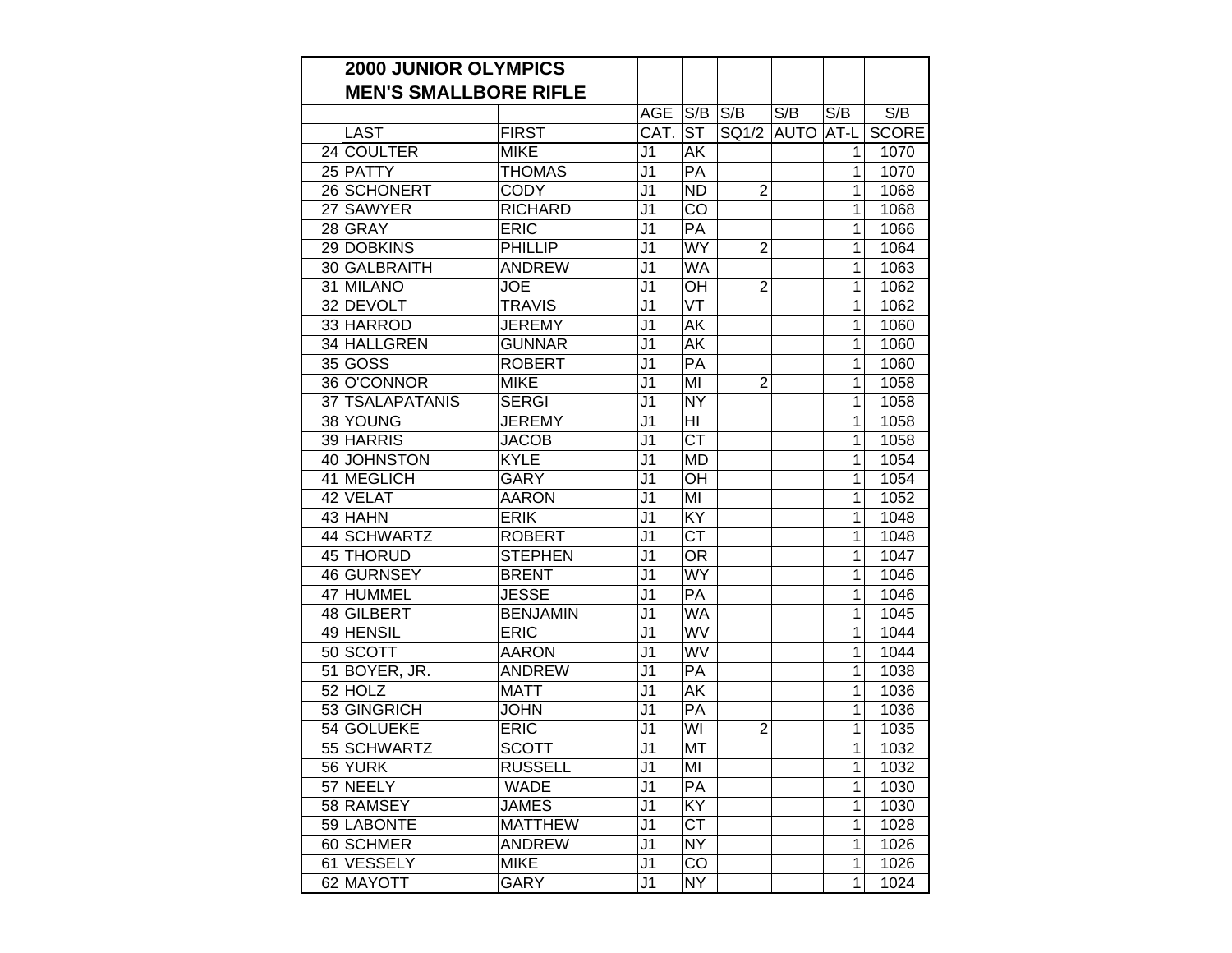| <b>2000 JUNIOR OLYMPICS</b>  |                 |                |           |                |           |              |              |
|------------------------------|-----------------|----------------|-----------|----------------|-----------|--------------|--------------|
| <b>MEN'S SMALLBORE RIFLE</b> |                 |                |           |                |           |              |              |
|                              |                 | AGE            | S/B       | S/B            | S/B       | S/B          | S/B          |
| <b>LAST</b>                  | <b>FIRST</b>    | CAT.           | <b>ST</b> | SQ1/2          | AUTO AT-L |              | <b>SCORE</b> |
| 24 COULTER                   | <b>MIKE</b>     | J1             | AK        |                |           | 1.           | 1070         |
| 25 PATTY                     | <b>THOMAS</b>   | J <sub>1</sub> | PA        |                |           | 1.           | 1070         |
| 26 SCHONERT                  | <b>CODY</b>     | J <sub>1</sub> | <b>ND</b> | 2              |           | 1            | 1068         |
| 27 SAWYER                    | <b>RICHARD</b>  | J <sub>1</sub> | CO        |                |           | 1            | 1068         |
| 28 GRAY                      | <b>ERIC</b>     | J <sub>1</sub> | PA        |                |           | 1            | 1066         |
| 29 DOBKINS                   | <b>PHILLIP</b>  | J <sub>1</sub> | <b>WY</b> | $\overline{2}$ |           | 1            | 1064         |
| 30 GALBRAITH                 | <b>ANDREW</b>   | J <sub>1</sub> | <b>WA</b> |                |           | $\mathbf{1}$ | 1063         |
| 31 MILANO                    | <b>JOE</b>      | J <sub>1</sub> | OH        | $\overline{2}$ |           | 1            | 1062         |
| 32 DEVOLT                    | <b>TRAVIS</b>   | J <sub>1</sub> | VT        |                |           | 1            | 1062         |
| 33 HARROD                    | <b>JEREMY</b>   | J <sub>1</sub> | AK        |                |           | 1            | 1060         |
| 34 HALLGREN                  | <b>GUNNAR</b>   | J <sub>1</sub> | AK        |                |           | 1            | 1060         |
| 35 GOSS                      | <b>ROBERT</b>   | J <sub>1</sub> | PA        |                |           | 1            | 1060         |
| 36 O'CONNOR                  | <b>MIKE</b>     | J <sub>1</sub> | MI        | $\overline{2}$ |           | 1            | 1058         |
| 37 TSALAPATANIS              | <b>SERGI</b>    | J <sub>1</sub> | <b>NY</b> |                |           | 1            | 1058         |
| 38 YOUNG                     | <b>JEREMY</b>   | J <sub>1</sub> | HI        |                |           | 1            | 1058         |
| 39 HARRIS                    | <b>JACOB</b>    | J <sub>1</sub> | <b>CT</b> |                |           | 1            | 1058         |
| 40 JOHNSTON                  | <b>KYLE</b>     | J <sub>1</sub> | <b>MD</b> |                |           | 1            | 1054         |
| 41 MEGLICH                   | <b>GARY</b>     | J <sub>1</sub> | OH        |                |           | 1            | 1054         |
| 42 VELAT                     | <b>AARON</b>    | J <sub>1</sub> | MI        |                |           | 1            | 1052         |
| 43 HAHN                      | <b>ERIK</b>     | J <sub>1</sub> | KY        |                |           | 1            | 1048         |
| 44 SCHWARTZ                  | <b>ROBERT</b>   | J <sub>1</sub> | <b>CT</b> |                |           | 1            | 1048         |
| 45 THORUD                    | <b>STEPHEN</b>  | J <sub>1</sub> | <b>OR</b> |                |           | 1            | 1047         |
| 46 GURNSEY                   | <b>BRENT</b>    | J <sub>1</sub> | <b>WY</b> |                |           | 1            | 1046         |
| 47 HUMMEL                    | <b>JESSE</b>    | J <sub>1</sub> | PA        |                |           | 1            | 1046         |
| 48 GILBERT                   | <b>BENJAMIN</b> | J <sub>1</sub> | WA        |                |           | 1            | 1045         |
| 49 HENSIL                    | ERIC            | J <sub>1</sub> | WV        |                |           | 1            | 1044         |
| 50 SCOTT                     | <b>AARON</b>    | J <sub>1</sub> | WV        |                |           | 1            | 1044         |
| 51 BOYER, JR.                | <b>ANDREW</b>   | J <sub>1</sub> | PA        |                |           | $\mathbf{1}$ | 1038         |
| 52 HOLZ                      | <b>MATT</b>     | J <sub>1</sub> | AK        |                |           | 1            | 1036         |
| 53 GINGRICH                  | <b>JOHN</b>     | J <sub>1</sub> | PA        |                |           | 1            | 1036         |
| 54 GOLUEKE                   | <b>ERIC</b>     | J <sub>1</sub> | WI        | $\overline{2}$ |           | 1            | 1035         |
| 55 SCHWARTZ                  | <b>SCOTT</b>    | J <sub>1</sub> | MT        |                |           | 1            | 1032         |
| 56 YURK                      | <b>RUSSELL</b>  | J1             | MI        |                |           | 1            | 1032         |
| 57 NEELY                     | <b>WADE</b>     | J <sub>1</sub> | PA        |                |           | 1            | 1030         |
| 58 RAMSEY                    | <b>JAMES</b>    | J <sub>1</sub> | KY        |                |           | 1            | 1030         |
| 59 LABONTE                   | <b>MATTHEW</b>  | J <sub>1</sub> | <b>CT</b> |                |           | 1            | 1028         |
| 60 SCHMER                    | <b>ANDREW</b>   | J <sub>1</sub> | <b>NY</b> |                |           | 1            | 1026         |
| 61 VESSELY                   | <b>MIKE</b>     | J <sub>1</sub> | CO        |                |           | 1            | 1026         |
| 62 MAYOTT                    | <b>GARY</b>     | J <sub>1</sub> | <b>NY</b> |                |           | 1            | 1024         |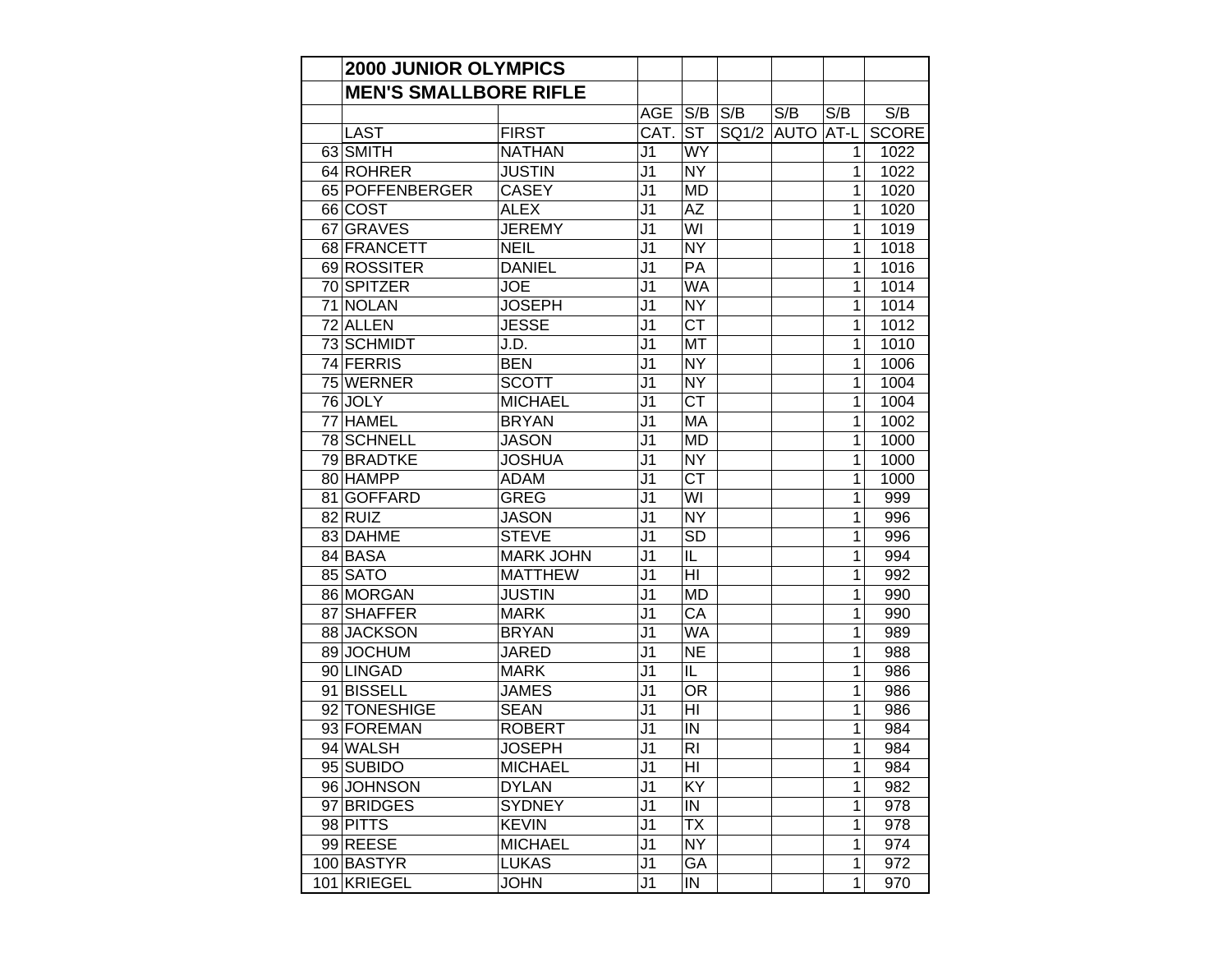| <b>2000 JUNIOR OLYMPICS</b>  |                  |                          |                |       |             |       |              |
|------------------------------|------------------|--------------------------|----------------|-------|-------------|-------|--------------|
| <b>MEN'S SMALLBORE RIFLE</b> |                  |                          |                |       |             |       |              |
|                              |                  | AGE                      | S/B            | S/B   | S/B         | S/B   | S/B          |
| <b>LAST</b>                  | <b>FIRST</b>     | CAT.                     | <b>ST</b>      | SQ1/2 | <b>AUTO</b> | IAT-L | <b>SCORE</b> |
| 63 SMITH                     | <b>NATHAN</b>    | J1                       | WY             |       |             | 1     | 1022         |
| 64 ROHRER                    | <b>JUSTIN</b>    | J <sub>1</sub>           | <b>NY</b>      |       |             | 1     | 1022         |
| 65 POFFENBERGER              | <b>CASEY</b>     | J <sub>1</sub>           | <b>MD</b>      |       |             | 1     | 1020         |
| 66 COST                      | <b>ALEX</b>      | J <sub>1</sub>           | AΖ             |       |             | 1     | 1020         |
| 67 GRAVES                    | <b>JEREMY</b>    | J <sub>1</sub>           | WI             |       |             | 1     | 1019         |
| 68 FRANCETT                  | <b>NEIL</b>      | J <sub>1</sub>           | <b>NY</b>      |       |             | 1     | 1018         |
| 69 ROSSITER                  | <b>DANIEL</b>    | J <sub>1</sub>           | PA             |       |             | 1     | 1016         |
| 70 SPITZER                   | <b>JOE</b>       | J <sub>1</sub>           | <b>WA</b>      |       |             | 1     | 1014         |
| 71 NOLAN                     | <b>JOSEPH</b>    | J <sub>1</sub>           | <b>NY</b>      |       |             | 1     | 1014         |
| 72 ALLEN                     | <b>JESSE</b>     | J <sub>1</sub>           | <b>CT</b>      |       |             | 1     | 1012         |
| 73 SCHMIDT                   | J.D.             | J <sub>1</sub>           | МT             |       |             | 1     | 1010         |
| 74 FERRIS                    | <b>BEN</b>       | $\overline{\mathsf{J1}}$ | <b>NY</b>      |       |             | 1     | 1006         |
| 75 WERNER                    | <b>SCOTT</b>     | J <sub>1</sub>           | <b>NY</b>      |       |             | 1     | 1004         |
| 76 JOLY                      | <b>MICHAEL</b>   | J <sub>1</sub>           | <b>CT</b>      |       |             | 1     | 1004         |
| 77 HAMEL                     | <b>BRYAN</b>     | J <sub>1</sub>           | MA             |       |             | 1     | 1002         |
| 78 SCHNELL                   | <b>JASON</b>     | J <sub>1</sub>           | MD             |       |             | 1     | 1000         |
| 79 BRADTKE                   | <b>JOSHUA</b>    | J1                       | <b>NY</b>      |       |             | 1     | 1000         |
| 80 HAMPP                     | <b>ADAM</b>      | J <sub>1</sub>           | <b>CT</b>      |       |             | 1     | 1000         |
| 81 GOFFARD                   | <b>GREG</b>      | J <sub>1</sub>           | WI             |       |             | 1     | 999          |
| 82 RUIZ                      | <b>JASON</b>     | J <sub>1</sub>           | <b>NY</b>      |       |             | 1     | 996          |
| 83 DAHME                     | <b>STEVE</b>     | J <sub>1</sub>           | <b>SD</b>      |       |             | 1     | 996          |
| 84 BASA                      | <b>MARK JOHN</b> | J <sub>1</sub>           | IL             |       |             | 1     | 994          |
| 85 SATO                      | <b>MATTHEW</b>   | J <sub>1</sub>           | H <sub>l</sub> |       |             | 1     | 992          |
| 86 MORGAN                    | <b>JUSTIN</b>    | J <sub>1</sub>           | <b>MD</b>      |       |             | 1     | 990          |
| 87 SHAFFER                   | <b>MARK</b>      | J <sub>1</sub>           | CA             |       |             | 1     | 990          |
| 88 JACKSON                   | <b>BRYAN</b>     | J <sub>1</sub>           | <b>WA</b>      |       |             | 1     | 989          |
| 89 JOCHUM                    | <b>JARED</b>     | J <sub>1</sub>           | <b>NE</b>      |       |             | 1     | 988          |
| 90 LINGAD                    | <b>MARK</b>      | J <sub>1</sub>           | IL             |       |             | 1     | 986          |
| 91 BISSELL                   | <b>JAMES</b>     | J <sub>1</sub>           | OR             |       |             | 1     | 986          |
| 92 TONESHIGE                 | <b>SEAN</b>      | J <sub>1</sub>           | HI             |       |             | 1     | 986          |
| 93 FOREMAN                   | <b>ROBERT</b>    | J <sub>1</sub>           | IN             |       |             | 1     | 984          |
| 94 WALSH                     | <b>JOSEPH</b>    | J <sub>1</sub>           | <b>RI</b>      |       |             | 1     | 984          |
| 95 SUBIDO                    | <b>MICHAEL</b>   | J1                       | HI             |       |             | 1     | 984          |
| 96 JOHNSON                   | <b>DYLAN</b>     | J <sub>1</sub>           | KY             |       |             | 1     | 982          |
| 97 BRIDGES                   | <b>SYDNEY</b>    | J <sub>1</sub>           | IN             |       |             | 1     | 978          |
| 98 PITTS                     | <b>KEVIN</b>     | J <sub>1</sub>           | ТX             |       |             | 1     | 978          |
| 99 REESE                     | <b>MICHAEL</b>   | J <sub>1</sub>           | <b>NY</b>      |       |             | 1     | 974          |
| 100 BASTYR                   | <b>LUKAS</b>     | J <sub>1</sub>           | GA             |       |             | 1     | 972          |
| 101 KRIEGEL                  | <b>JOHN</b>      | J <sub>1</sub>           | IN             |       |             | 1     | 970          |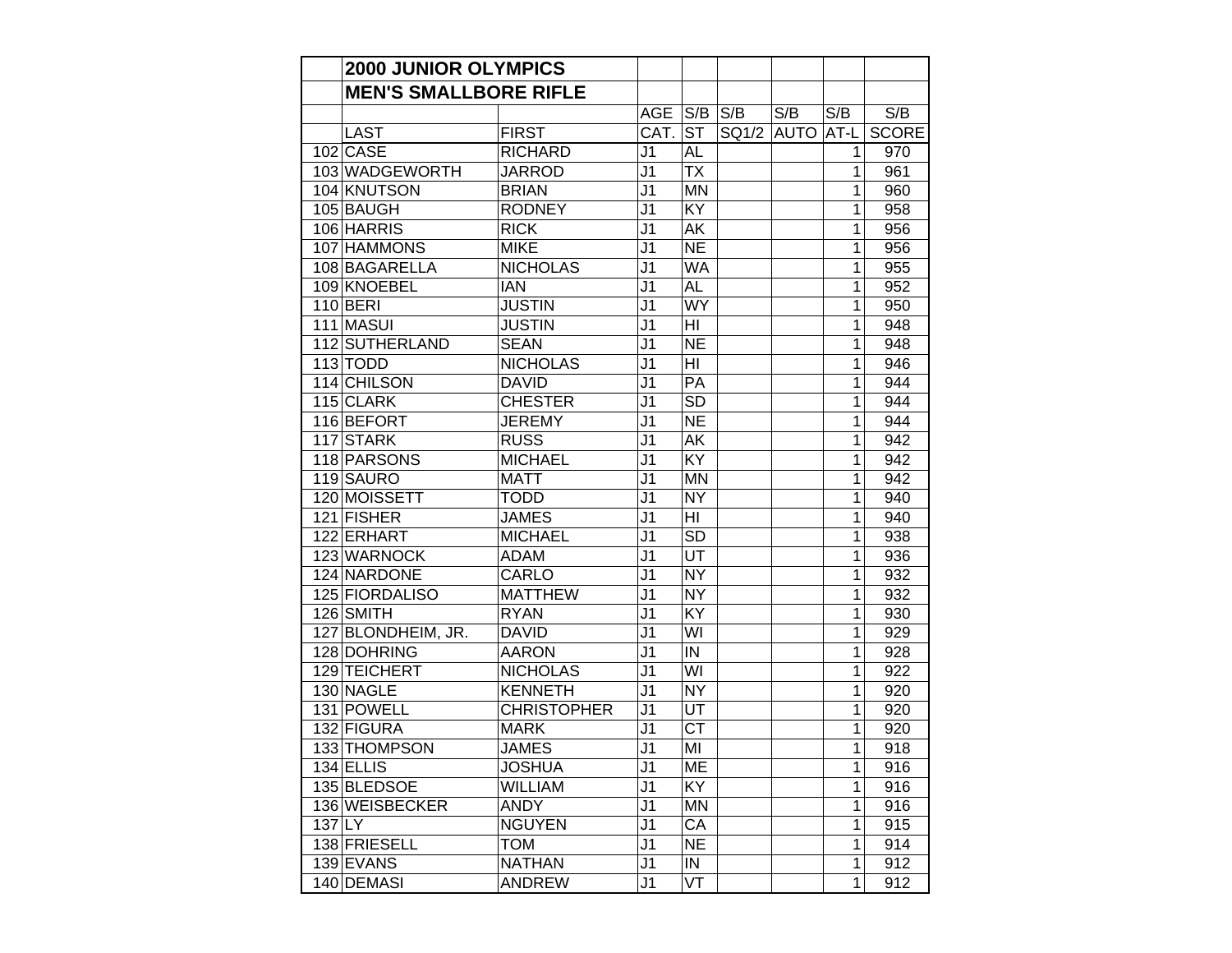|        | <b>2000 JUNIOR OLYMPICS</b>  |                    |                          |                |       |             |       |              |
|--------|------------------------------|--------------------|--------------------------|----------------|-------|-------------|-------|--------------|
|        | <b>MEN'S SMALLBORE RIFLE</b> |                    |                          |                |       |             |       |              |
|        |                              |                    | <b>AGE</b>               | S/B            | S/B   | S/B         | S/B   | S/B          |
|        | <b>LAST</b>                  | <b>FIRST</b>       | CAT.                     | <b>ST</b>      | SQ1/2 | <b>AUTO</b> | ∣AT-L | <b>SCORE</b> |
|        | 102 CASE                     | <b>RICHARD</b>     | J <sub>1</sub>           | <b>AL</b>      |       |             | 1     | 970          |
|        | 103 WADGEWORTH               | <b>JARROD</b>      | J <sub>1</sub>           | <b>TX</b>      |       |             | 1     | 961          |
|        | 104 KNUTSON                  | <b>BRIAN</b>       | J <sub>1</sub>           | <b>MN</b>      |       |             | 1     | 960          |
|        | 105 BAUGH                    | <b>RODNEY</b>      | J <sub>1</sub>           | KY             |       |             | 1     | 958          |
|        | 106 HARRIS                   | <b>RICK</b>        | J <sub>1</sub>           | AK             |       |             | 1     | 956          |
|        | 107 HAMMONS                  | <b>MIKE</b>        | J <sub>1</sub>           | <b>NE</b>      |       |             | 1     | 956          |
|        | 108 BAGARELLA                | <b>NICHOLAS</b>    | J <sub>1</sub>           | <b>WA</b>      |       |             | 1     | 955          |
|        | 109 KNOEBEL                  | <b>IAN</b>         | J <sub>1</sub>           | <b>AL</b>      |       |             | 1     | 952          |
|        | $110$ BERI                   | <b>JUSTIN</b>      | J <sub>1</sub>           | <b>WY</b>      |       |             | 1     | 950          |
|        | 111 MASUI                    | <b>JUSTIN</b>      | J <sub>1</sub>           | H <sub>l</sub> |       |             | 1     | 948          |
|        | 112 SUTHERLAND               | <b>SEAN</b>        | $\overline{J1}$          | <b>NE</b>      |       |             | 1     | 948          |
|        | 113 TODD                     | <b>NICHOLAS</b>    | $\overline{\mathsf{J}1}$ | H <sub>l</sub> |       |             | 1     | 946          |
|        | 114 CHILSON                  | <b>DAVID</b>       | J1                       | PA             |       |             | 1     | 944          |
|        | 115 CLARK                    | <b>CHESTER</b>     | J1                       | <b>SD</b>      |       |             | 1     | 944          |
|        | 116 BEFORT                   | <b>JEREMY</b>      | J1                       | <b>NE</b>      |       |             | 1     | 944          |
|        | 117 STARK                    | <b>RUSS</b>        | J1                       | AK             |       |             | 1     | 942          |
|        | 118 PARSONS                  | <b>MICHAEL</b>     | J1                       | KY             |       |             | 1     | 942          |
|        | 119 SAURO                    | <b>MATT</b>        | J1                       | <b>MN</b>      |       |             | 1     | 942          |
|        | 120 MOISSETT                 | <b>TODD</b>        | J <sub>1</sub>           | <b>NY</b>      |       |             | 1     | 940          |
|        | 121 FISHER                   | <b>JAMES</b>       | J <sub>1</sub>           | HI             |       |             | 1     | 940          |
|        | 122 ERHART                   | <b>MICHAEL</b>     | J <sub>1</sub>           | <b>SD</b>      |       |             | 1     | 938          |
|        | 123 WARNOCK                  | <b>ADAM</b>        | J <sub>1</sub>           | UT             |       |             | 1     | 936          |
|        | 124 NARDONE                  | CARLO              | J <sub>1</sub>           | <b>NY</b>      |       |             | 1     | 932          |
|        | 125 FIORDALISO               | <b>MATTHEW</b>     | J <sub>1</sub>           | <b>NY</b>      |       |             | 1     | 932          |
|        | 126 SMITH                    | <b>RYAN</b>        | J <sub>1</sub>           | KY             |       |             | 1     | 930          |
|        | 127 BLONDHEIM, JR.           | <b>DAVID</b>       | J <sub>1</sub>           | WI             |       |             | 1     | 929          |
|        | 128 DOHRING                  | <b>AARON</b>       | J1                       | IN             |       |             | 1     | 928          |
|        | 129 TEICHERT                 | <b>NICHOLAS</b>    | J1                       | WI             |       |             | 1     | 922          |
|        | 130 NAGLE                    | <b>KENNETH</b>     | J1                       | <b>NY</b>      |       |             | 1     | 920          |
|        | 131 POWELL                   | <b>CHRISTOPHER</b> | J1                       | UT             |       |             | 1     | 920          |
|        | 132 FIGURA                   | <b>MARK</b>        | J1                       | <b>CT</b>      |       |             | 1     | 920          |
|        | 133 THOMPSON                 | <b>JAMES</b>       | J1                       | MI             |       |             | 1     | 918          |
|        | $134$ ELLIS                  | JOSHUA             | J <sub>1</sub>           | ME             |       |             | 1     | 916          |
|        | 135 BLEDSOE                  | WILLIAM            | J <sub>1</sub>           | KY             |       |             | 1     | 916          |
|        | 136 WEISBECKER               | <b>ANDY</b>        | J <sub>1</sub>           | MN             |       |             | 1     | 916          |
| 137 LY |                              | <b>NGUYEN</b>      | J <sub>1</sub>           | CA             |       |             | 1     | 915          |
|        | 138 FRIESELL                 | <b>TOM</b>         | J <sub>1</sub>           | <b>NE</b>      |       |             | 1     | 914          |
|        | 139 EVANS                    | <b>NATHAN</b>      | J <sub>1</sub>           | $\sf IN$       |       |             | 1     | 912          |
|        | 140 DEMASI                   | <b>ANDREW</b>      | J <sub>1</sub>           | VT             |       |             | 1     | 912          |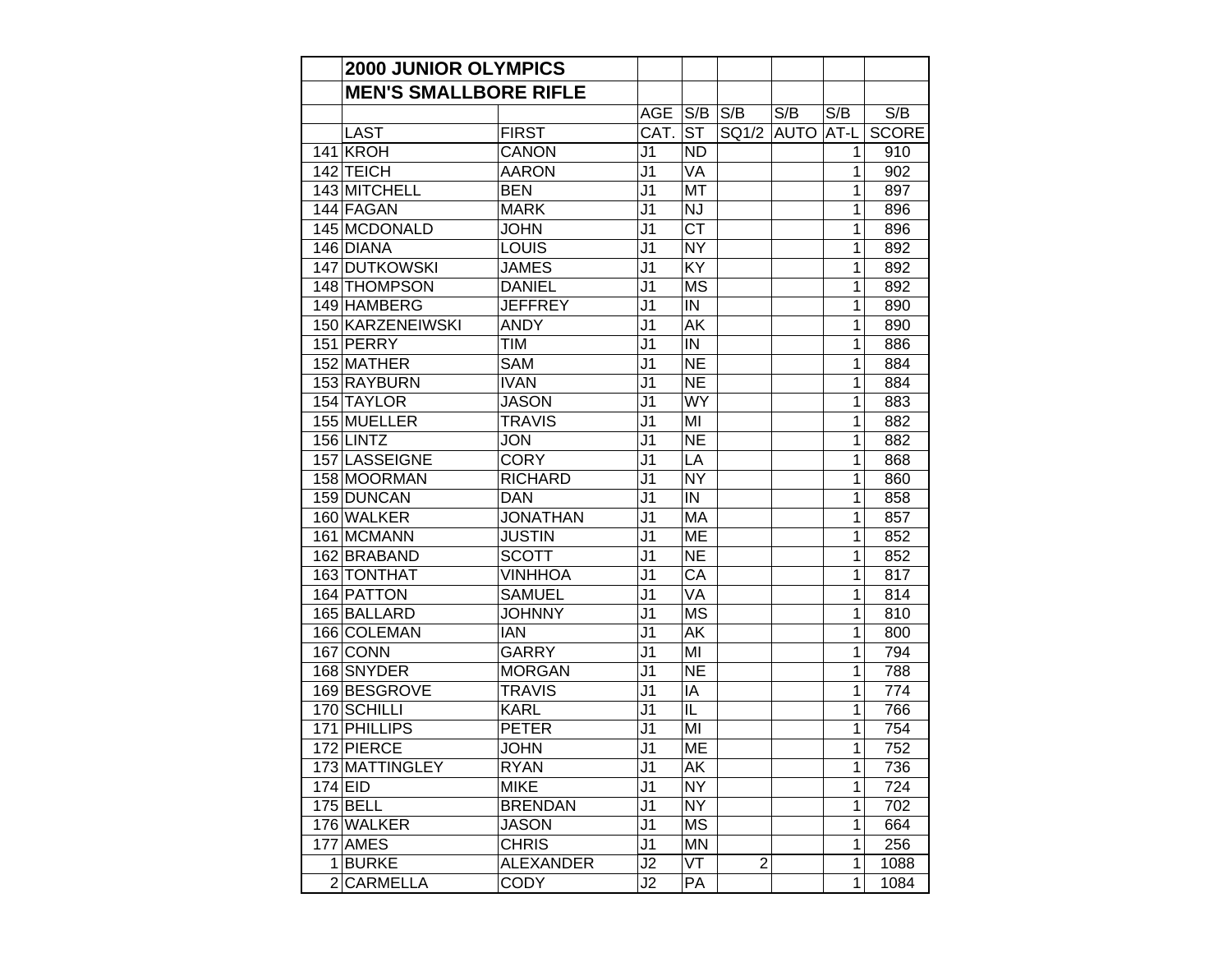| <b>2000 JUNIOR OLYMPICS</b>  |                  |                          |           |                |             |             |              |
|------------------------------|------------------|--------------------------|-----------|----------------|-------------|-------------|--------------|
| <b>MEN'S SMALLBORE RIFLE</b> |                  |                          |           |                |             |             |              |
|                              |                  | <b>AGE</b>               | S/B       | S/B            | S/B         | S/B         | S/B          |
| <b>LAST</b>                  | <b>FIRST</b>     | CAT.                     | <b>ST</b> | SQ1/2          | <b>AUTO</b> | AT-L        | <b>SCORE</b> |
| 141 KROH                     | <b>CANON</b>     | J1                       | <b>ND</b> |                |             | 1           | 910          |
| 142 TEICH                    | <b>AARON</b>     | J <sub>1</sub>           | VA        |                |             | 1           | 902          |
| 143 MITCHELL                 | <b>BEN</b>       | J <sub>1</sub>           | MT        |                |             | 1           | 897          |
| 144 FAGAN                    | <b>MARK</b>      | J <sub>1</sub>           | <b>NJ</b> |                |             | 1           | 896          |
| 145 MCDONALD                 | <b>JOHN</b>      | J <sub>1</sub>           | <b>CT</b> |                |             | 1           | 896          |
| 146 DIANA                    | <b>LOUIS</b>     | J <sub>1</sub>           | <b>NY</b> |                |             | 1           | 892          |
| 147 DUTKOWSKI                | <b>JAMES</b>     | J <sub>1</sub>           | KY        |                |             | 1           | 892          |
| 148 THOMPSON                 | <b>DANIEL</b>    | J <sub>1</sub>           | <b>MS</b> |                |             | 1           | 892          |
| 149 HAMBERG                  | <b>JEFFREY</b>   | J <sub>1</sub>           | IN        |                |             | 1           | 890          |
| 150 KARZENEIWSKI             | <b>ANDY</b>      | J <sub>1</sub>           | AK        |                |             | 1           | 890          |
| 151 PERRY                    | TIM              | $\overline{\mathsf{J1}}$ | IN        |                |             | 1           | 886          |
| 152 MATHER                   | <b>SAM</b>       | $\overline{\mathsf{J}1}$ | <b>NE</b> |                |             | 1           | 884          |
| 153 RAYBURN                  | <b>IVAN</b>      | J <sub>1</sub>           | <b>NE</b> |                |             | 1           | 884          |
| 154 TAYLOR                   | <b>JASON</b>     | J1                       | <b>WY</b> |                |             | 1           | 883          |
| 155 MUELLER                  | <b>TRAVIS</b>    | J1                       | MI        |                |             | 1           | 882          |
| $156$ LINTZ                  | JON              | J <sub>1</sub>           | <b>NE</b> |                |             | 1           | 882          |
| 157 LASSEIGNE                | <b>CORY</b>      | J <sub>1</sub>           | LA        |                |             | 1           | 868          |
| 158 MOORMAN                  | <b>RICHARD</b>   | J <sub>1</sub>           | <b>NY</b> |                |             | 1           | 860          |
| 159 DUNCAN                   | <b>DAN</b>       | J <sub>1</sub>           | IN        |                |             | 1           | 858          |
| 160 WALKER                   | <b>JONATHAN</b>  | J <sub>1</sub>           | MA        |                |             | 1           | 857          |
| 161 MCMANN                   | <b>JUSTIN</b>    | J <sub>1</sub>           | <b>ME</b> |                |             | 1           | 852          |
| 162 BRABAND                  | <b>SCOTT</b>     | J <sub>1</sub>           | <b>NE</b> |                |             | 1           | 852          |
| 163 TONTHAT                  | <b>VINHHOA</b>   | J <sub>1</sub>           | CA        |                |             | 1           | 817          |
| 164 PATTON                   | <b>SAMUEL</b>    | J <sub>1</sub>           | VA        |                |             | 1           | 814          |
| 165 BALLARD                  | <b>JOHNNY</b>    | J <sub>1</sub>           | <b>MS</b> |                |             | 1           | 810          |
| 166 COLEMAN                  | <b>IAN</b>       | J <sub>1</sub>           | AK        |                |             | 1           | 800          |
| 167 CONN                     | <b>GARRY</b>     | J <sub>1</sub>           | MI        |                |             | 1           | 794          |
| 168 SNYDER                   | <b>MORGAN</b>    | J <sub>1</sub>           | <b>NE</b> |                |             | 1           | 788          |
| 169 BESGROVE                 | <b>TRAVIS</b>    | J1                       | IA        |                |             | 1           | 774          |
| 170 SCHILLI                  | <b>KARL</b>      | J <sub>1</sub>           | IL        |                |             | 1           | 766          |
| 171 PHILLIPS                 | <b>PETER</b>     | J1                       | MI        |                |             | 1           | 754          |
| 172 PIERCE                   | <b>JOHN</b>      | J <sub>1</sub>           | ME        |                |             | $\mathbf 1$ | 752          |
| 173 MATTINGLEY               | <b>RYAN</b>      | J <sub>1</sub>           | AK        |                |             | 1           | 736          |
| $174$ EID                    | <b>MIKE</b>      | J1                       | NY.       |                |             | 1           | 724          |
| $175$ BELL                   | <b>BRENDAN</b>   | J <sub>1</sub>           | <b>NY</b> |                |             | 1           | 702          |
| 176 WALKER                   | <b>JASON</b>     | J <sub>1</sub>           | <b>MS</b> |                |             | 1           | 664          |
| 177 AMES                     | <b>CHRIS</b>     | J <sub>1</sub>           | MN        |                |             | 1           | 256          |
| $1$ <b>BURKE</b>             | <b>ALEXANDER</b> | J2                       | VT        | $\overline{2}$ |             | 1           | 1088         |
| 2 CARMELLA                   | <b>CODY</b>      | J2                       | PA        |                |             | 1           | 1084         |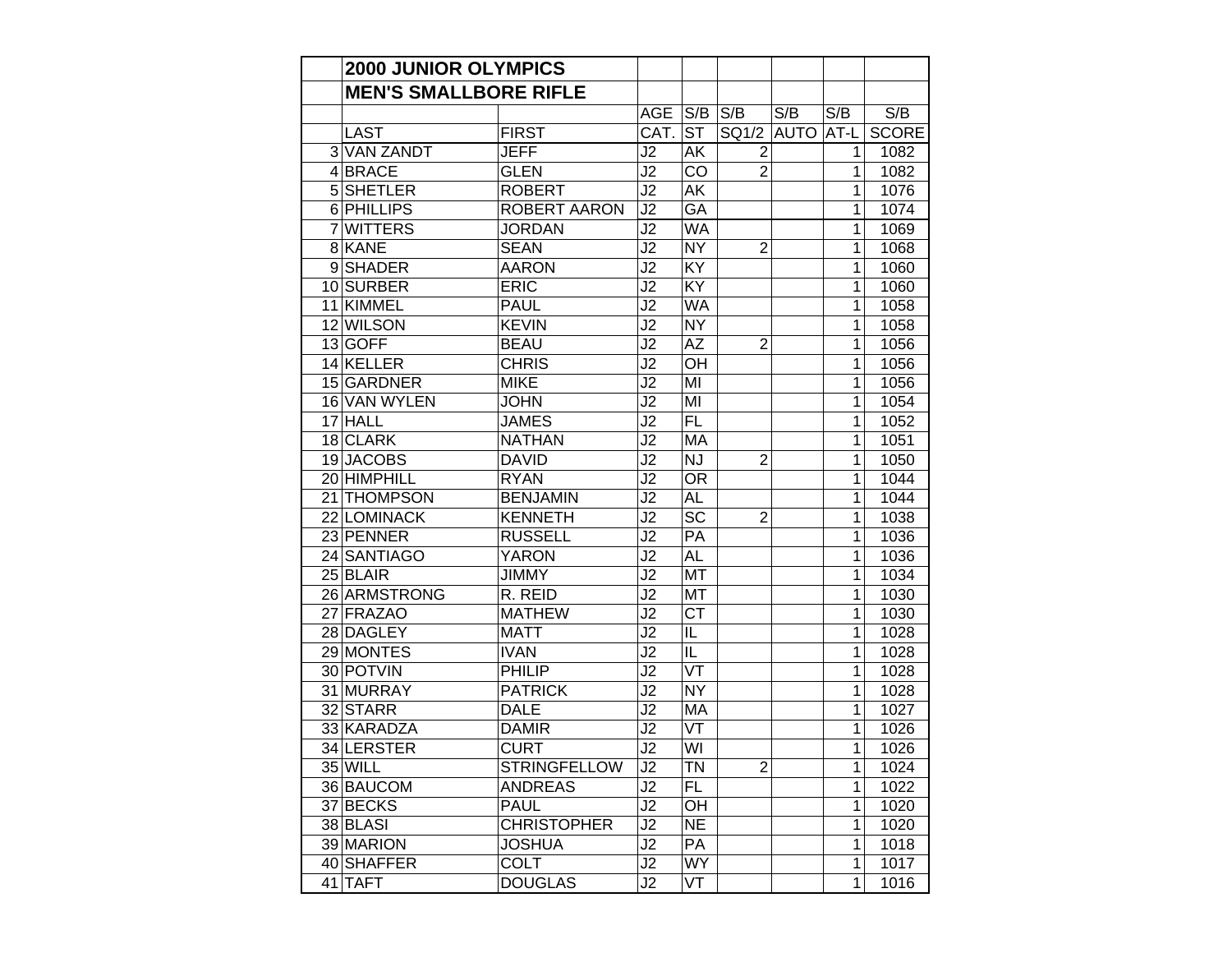| <b>2000 JUNIOR OLYMPICS</b>  |                     |      |           |                |           |              |              |
|------------------------------|---------------------|------|-----------|----------------|-----------|--------------|--------------|
| <b>MEN'S SMALLBORE RIFLE</b> |                     |      |           |                |           |              |              |
|                              |                     | AGE  | S/B       | S/B            | S/B       | S/B          | S/B          |
| <b>LAST</b>                  | <b>FIRST</b>        | CAT. | <b>ST</b> | SQ1/2          | AUTO AT-L |              | <b>SCORE</b> |
| 3 VAN ZANDT                  | <b>JEFF</b>         | J2   | AΚ        | 2              |           | 1            | 1082         |
| 4BRACE                       | <b>GLEN</b>         | J2   | CO        | $\overline{2}$ |           | 1.           | 1082         |
| 5 SHETLER                    | <b>ROBERT</b>       | J2   | ΑK        |                |           | 1            | 1076         |
| 6 PHILLIPS                   | ROBERT AARON        | J2   | GA        |                |           | 1            | 1074         |
| 7 WITTERS                    | <b>JORDAN</b>       | J2   | <b>WA</b> |                |           | 1            | 1069         |
| 8 KANE                       | <b>SEAN</b>         | J2   | <b>NY</b> | $\overline{2}$ |           | 1            | 1068         |
| 9SHADER                      | <b>AARON</b>        | J2   | KY        |                |           | $\mathbf{1}$ | 1060         |
| 10 SURBER                    | <b>ERIC</b>         | J2   | KY        |                |           | 1            | 1060         |
| 11 KIMMEL                    | <b>PAUL</b>         | J2   | <b>WA</b> |                |           | 1            | 1058         |
| 12 WILSON                    | <b>KEVIN</b>        | J2   | <b>NY</b> |                |           | 1            | 1058         |
| 13 GOFF                      | <b>BEAU</b>         | J2   | AZ        | $\overline{2}$ |           | 1            | 1056         |
| 14 KELLER                    | <b>CHRIS</b>        | J2   | OH        |                |           | 1            | 1056         |
| 15 GARDNER                   | <b>MIKE</b>         | J2   | MI        |                |           | 1            | 1056         |
| 16 VAN WYLEN                 | <b>JOHN</b>         | J2   | MI        |                |           | 1            | 1054         |
| 17 HALL                      | <b>JAMES</b>        | J2   | <b>FL</b> |                |           | 1            | 1052         |
| 18 CLARK                     | <b>NATHAN</b>       | J2   | MA        |                |           | 1            | 1051         |
| 19 JACOBS                    | <b>DAVID</b>        | J2   | <b>NJ</b> | $\overline{2}$ |           | 1.           | 1050         |
| 20 HIMPHILL                  | <b>RYAN</b>         | J2   | OR.       |                |           | 1            | 1044         |
| 21 THOMPSON                  | <b>BENJAMIN</b>     | J2   | AL        |                |           | 1            | 1044         |
| 22 LOMINACK                  | <b>KENNETH</b>      | J2   | <b>SC</b> | 2              |           | 1            | 1038         |
| 23 PENNER                    | <b>RUSSELL</b>      | J2   | PA        |                |           | 1            | 1036         |
| 24 SANTIAGO                  | <b>YARON</b>        | J2   | <b>AL</b> |                |           | 1            | 1036         |
| 25 BLAIR                     | <b>JIMMY</b>        | J2   | MT        |                |           | 1            | 1034         |
| 26 ARMSTRONG                 | R. REID             | J2   | MT        |                |           | 1            | 1030         |
| 27 FRAZAO                    | <b>MATHEW</b>       | J2   | СT        |                |           | 1            | 1030         |
| 28 DAGLEY                    | <b>MATT</b>         | J2   | IL        |                |           | 1            | 1028         |
| 29 MONTES                    | <b>IVAN</b>         | J2   | IL        |                |           | 1            | 1028         |
| 30 POTVIN                    | <b>PHILIP</b>       | J2   | VT        |                |           | 1            | 1028         |
| 31 MURRAY                    | <b>PATRICK</b>      | J2   | <b>NY</b> |                |           | 1            | 1028         |
| 32 STARR                     | <b>DALE</b>         | J2   | MA        |                |           | 1            | 1027         |
| 33 KARADZA                   | <b>DAMIR</b>        | J2   | VT        |                |           | 1            | 1026         |
| 34 LERSTER                   | <b>CURT</b>         | J2   | WI        |                |           | 1            | 1026         |
| 35 WILL                      | <b>STRINGFELLOW</b> | J2   | ΤN        | $\overline{2}$ |           | 1            | 1024         |
| 36 BAUCOM                    | <b>ANDREAS</b>      | J2   | FL        |                |           | 1            | 1022         |
| 37 BECKS                     | <b>PAUL</b>         | J2   | OH        |                |           | 1            | 1020         |
| 38 BLASI                     | <b>CHRISTOPHER</b>  | J2   | <b>NE</b> |                |           | 1            | 1020         |
| 39 MARION                    | <b>JOSHUA</b>       | J2   | PA        |                |           | 1            | 1018         |
| 40 SHAFFER                   | <b>COLT</b>         | J2   | <b>WY</b> |                |           | 1            | 1017         |
| 41 TAFT                      | <b>DOUGLAS</b>      | J2   | VT        |                |           | 1            | 1016         |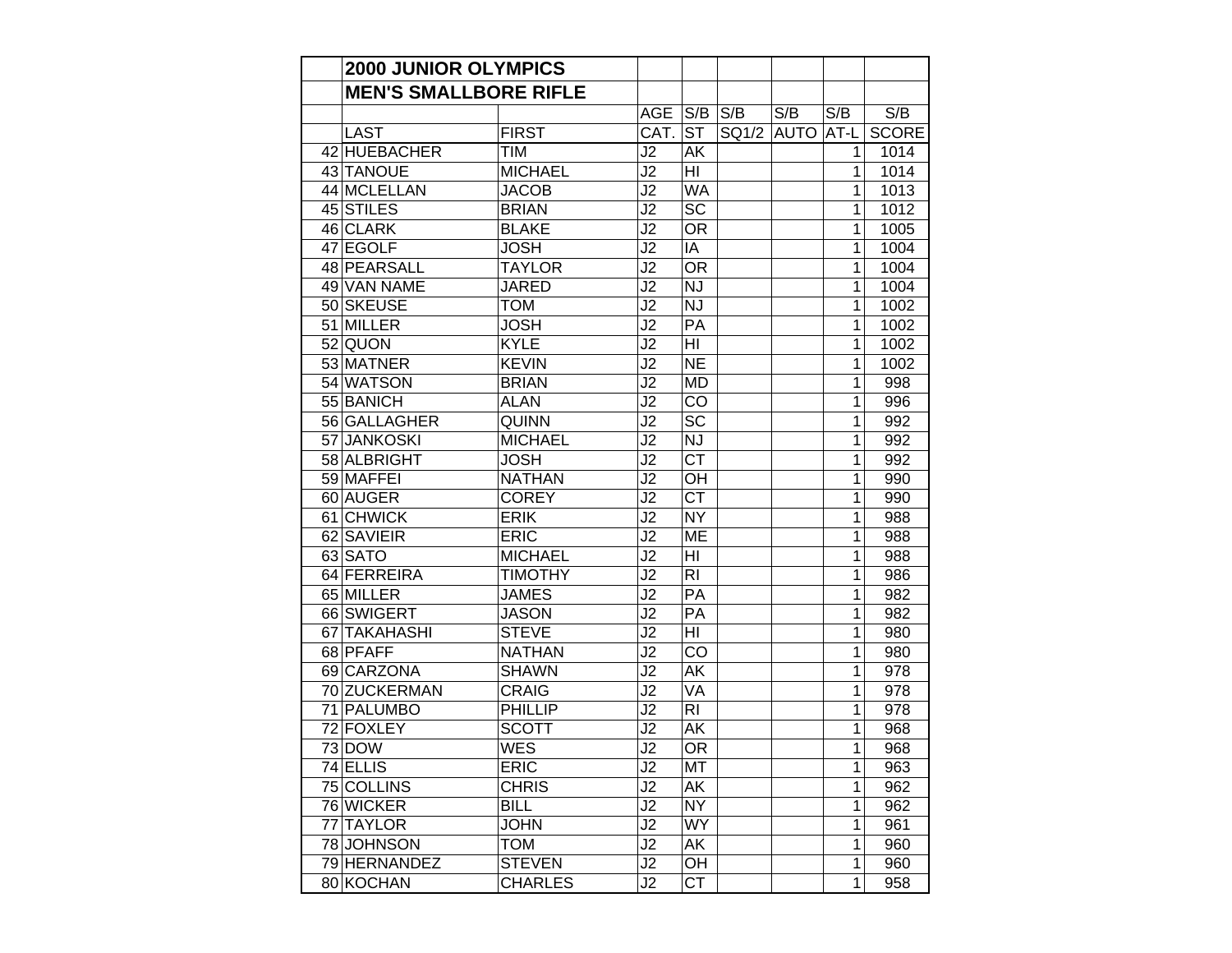| <b>2000 JUNIOR OLYMPICS</b>  |                |            |                |       |                  |     |              |
|------------------------------|----------------|------------|----------------|-------|------------------|-----|--------------|
| <b>MEN'S SMALLBORE RIFLE</b> |                |            |                |       |                  |     |              |
|                              |                | <b>AGE</b> | S/B            | S/B   | S/B              | S/B | S/B          |
| <b>LAST</b>                  | <b>FIRST</b>   | CAT.       | <b>ST</b>      | SQ1/2 | <b>AUTO AT-L</b> |     | <b>SCORE</b> |
| 42 HUEBACHER                 | <b>TIM</b>     | J2         | AK             |       |                  | 1   | 1014         |
| 43 TANOUE                    | <b>MICHAEL</b> | J2         | HI             |       |                  | 1   | 1014         |
| 44 MCLELLAN                  | <b>JACOB</b>   | J2         | <b>WA</b>      |       |                  | 1   | 1013         |
| 45 STILES                    | <b>BRIAN</b>   | J2         | <b>SC</b>      |       |                  | 1   | 1012         |
| 46 CLARK                     | <b>BLAKE</b>   | J2         | <b>OR</b>      |       |                  | 1   | 1005         |
| 47 EGOLF                     | <b>JOSH</b>    | J2         | IA             |       |                  | 1   | 1004         |
| 48 PEARSALL                  | <b>TAYLOR</b>  | J2         | <b>OR</b>      |       |                  | 1   | 1004         |
| 49 VAN NAME                  | <b>JARED</b>   | J2         | <b>NJ</b>      |       |                  | 1   | 1004         |
| 50 SKEUSE                    | <b>TOM</b>     | J2         | <b>NJ</b>      |       |                  | 1   | 1002         |
| 51 MILLER                    | <b>JOSH</b>    | J2         | PA             |       |                  | 1   | 1002         |
| 52 QUON                      | <b>KYLE</b>    | J2         | H <sub>l</sub> |       |                  | 1   | 1002         |
| 53 MATNER                    | <b>KEVIN</b>   | J2         | <b>NE</b>      |       |                  | 1   | 1002         |
| 54 WATSON                    | <b>BRIAN</b>   | J2         | <b>MD</b>      |       |                  | 1   | 998          |
| 55 BANICH                    | <b>ALAN</b>    | J2         | CO             |       |                  | 1   | 996          |
| 56 GALLAGHER                 | <b>QUINN</b>   | J2         | SC             |       |                  | 1   | 992          |
| 57 JANKOSKI                  | <b>MICHAEL</b> | J2         | <b>NJ</b>      |       |                  | 1   | 992          |
| 58 ALBRIGHT                  | <b>JOSH</b>    | J2         | <b>CT</b>      |       |                  | 1   | 992          |
| 59 MAFFEI                    | <b>NATHAN</b>  | J2         | OH             |       |                  | 1   | 990          |
| 60 AUGER                     | <b>COREY</b>   | J2         | <b>CT</b>      |       |                  | 1   | 990          |
| 61 CHWICK                    | <b>ERIK</b>    | J2         | <b>NY</b>      |       |                  | 1   | 988          |
| 62 SAVIEIR                   | <b>ERIC</b>    | J2         | ME             |       |                  | 1   | 988          |
| 63 SATO                      | <b>MICHAEL</b> | J2         | HI             |       |                  | 1   | 988          |
| 64 FERREIRA                  | <b>TIMOTHY</b> | J2         | R <sub>l</sub> |       |                  | 1   | 986          |
| 65 MILLER                    | <b>JAMES</b>   | J2         | PA             |       |                  | 1   | 982          |
| 66 SWIGERT                   | <b>JASON</b>   | J2         | PA             |       |                  | 1   | 982          |
| 67 TAKAHASHI                 | <b>STEVE</b>   | J2         | H <sub>l</sub> |       |                  | 1   | 980          |
| 68 PFAFF                     | <b>NATHAN</b>  | J2         | CO             |       |                  | 1   | 980          |
| 69 CARZONA                   | <b>SHAWN</b>   | J2         | AK             |       |                  | 1   | 978          |
| 70 ZUCKERMAN                 | <b>CRAIG</b>   | J2         | VA             |       |                  | 1   | 978          |
| 71 PALUMBO                   | <b>PHILLIP</b> | J2         | RI             |       |                  | 1   | 978          |
| 72 FOXLEY                    | <b>SCOTT</b>   | J2         | AK             |       |                  | 1   | 968          |
| 73 DOW                       | <b>WES</b>     | J2         | <b>OR</b>      |       |                  | 1   | 968          |
| 74 ELLIS                     | <b>ERIC</b>    | J2         | MT             |       |                  | 1   | 963          |
| 75 COLLINS                   | <b>CHRIS</b>   | J2         | AK             |       |                  | 1   | 962          |
| 76 WICKER                    | <b>BILL</b>    | J2         | <b>NY</b>      |       |                  | 1   | 962          |
| 77 TAYLOR                    | <b>JOHN</b>    | J2         | <b>WY</b>      |       |                  | 1   | 961          |
| 78 JOHNSON                   | <b>TOM</b>     | J2         | AK             |       |                  | 1   | 960          |
| 79 HERNANDEZ                 | <b>STEVEN</b>  | J2         | OH             |       |                  | 1   | 960          |
| 80 KOCHAN                    | <b>CHARLES</b> | J2         | <b>CT</b>      |       |                  | 1   | 958          |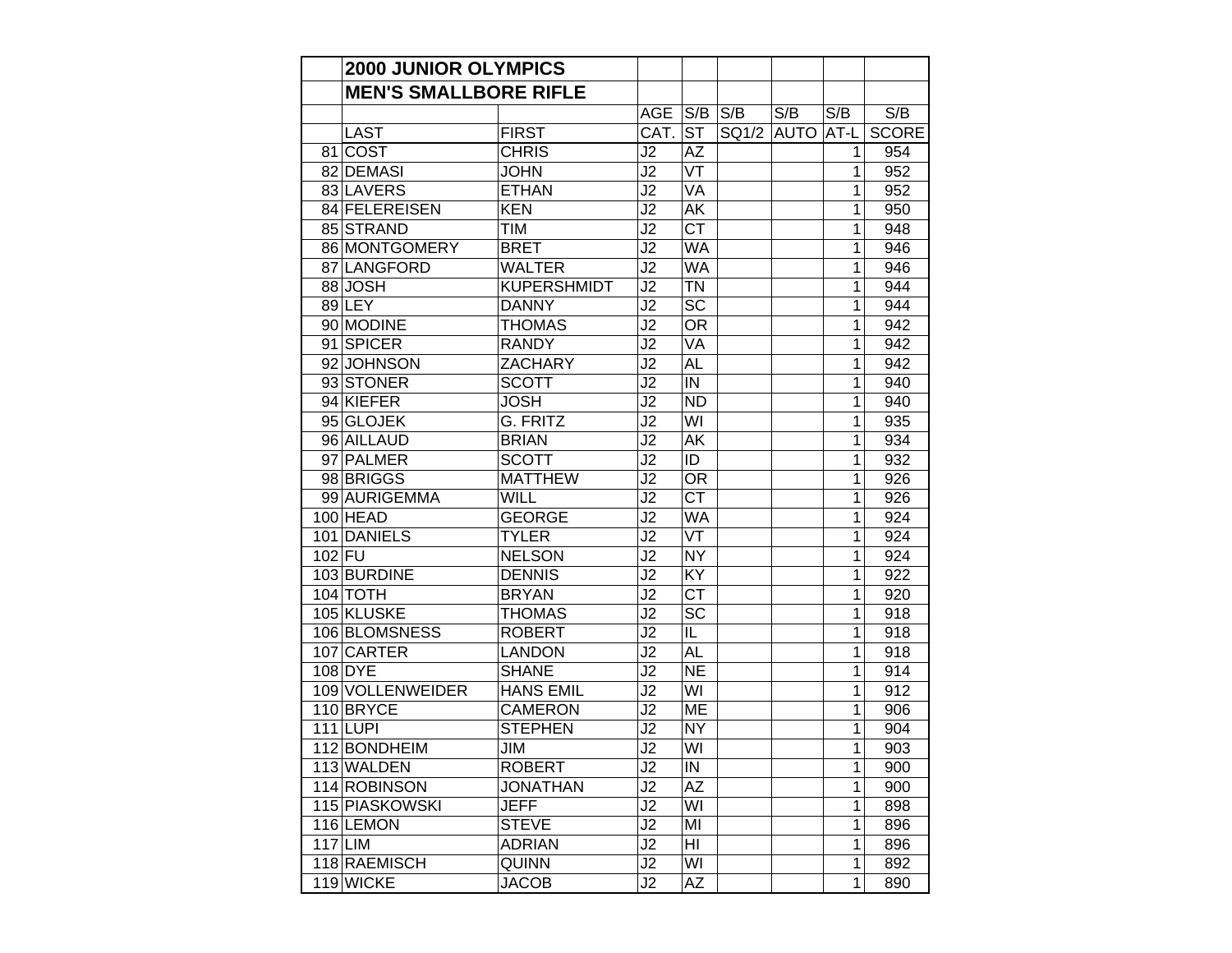|        | <b>2000 JUNIOR OLYMPICS</b>  |                    |            |                |       |             |      |              |
|--------|------------------------------|--------------------|------------|----------------|-------|-------------|------|--------------|
|        | <b>MEN'S SMALLBORE RIFLE</b> |                    |            |                |       |             |      |              |
|        |                              |                    | <b>AGE</b> | S/B            | S/B   | S/B         | S/B  | S/B          |
|        | <b>LAST</b>                  | <b>FIRST</b>       | CAT.       | <b>ST</b>      | SQ1/2 | <b>AUTO</b> | AT-L | <b>SCORE</b> |
|        | 81 COST                      | <b>CHRIS</b>       | J2         | AΖ             |       |             | 1    | 954          |
|        | 82 DEMASI                    | <b>JOHN</b>        | J2         | VT             |       |             | 1    | 952          |
|        | 83 LAVERS                    | <b>ETHAN</b>       | J2         | VA             |       |             | 1    | 952          |
|        | 84 FELEREISEN                | <b>KEN</b>         | J2         | AK             |       |             | 1    | 950          |
|        | 85 STRAND                    | <b>TIM</b>         | J2         | <b>CT</b>      |       |             | 1    | 948          |
|        | 86 MONTGOMERY                | <b>BRET</b>        | J2         | <b>WA</b>      |       |             | 1    | 946          |
|        | 87 LANGFORD                  | <b>WALTER</b>      | J2         | <b>WA</b>      |       |             | 1    | 946          |
|        | 88 JOSH                      | <b>KUPERSHMIDT</b> | J2         | TN             |       |             | 1    | 944          |
|        | $89$ LEY                     | <b>DANNY</b>       | J2         | <b>SC</b>      |       |             | 1    | 944          |
|        | 90 MODINE                    | <b>THOMAS</b>      | J2         | <b>OR</b>      |       |             | 1    | 942          |
|        | 91 SPICER                    | <b>RANDY</b>       | J2         | VA             |       |             | 1    | 942          |
|        | 92 JOHNSON                   | <b>ZACHARY</b>     | J2         | AL             |       |             | 1    | 942          |
|        | 93 STONER                    | <b>SCOTT</b>       | J2         | $\sf IN$       |       |             | 1    | 940          |
|        | 94 KIEFER                    | <b>JOSH</b>        | J2         | <b>ND</b>      |       |             | 1    | 940          |
|        | 95 GLOJEK                    | G. FRITZ           | J2         | WI             |       |             | 1    | 935          |
|        | 96 AILLAUD                   | <b>BRIAN</b>       | J2         | AK             |       |             | 1    | 934          |
|        | 97 PALMER                    | <b>SCOTT</b>       | J2         | ID             |       |             | 1    | 932          |
|        | 98 BRIGGS                    | <b>MATTHEW</b>     | J2         | <b>OR</b>      |       |             | 1    | 926          |
|        | 99 AURIGEMMA                 | <b>WILL</b>        | J2         | <b>CT</b>      |       |             | 1    | 926          |
|        | 100 HEAD                     | <b>GEORGE</b>      | J2         | <b>WA</b>      |       |             | 1    | 924          |
|        | 101 DANIELS                  | <b>TYLER</b>       | J2         | VT             |       |             | 1    | 924          |
| 102 FU |                              | <b>NELSON</b>      | J2         | <b>NY</b>      |       |             | 1    | 924          |
|        | 103 BURDINE                  | <b>DENNIS</b>      | J2         | KY             |       |             | 1    | 922          |
|        | 104 TOTH                     | <b>BRYAN</b>       | J2         | <b>CT</b>      |       |             | 1    | 920          |
|        | 105 KLUSKE                   | <b>THOMAS</b>      | J2         | <b>SC</b>      |       |             | 1    | 918          |
|        | 106 BLOMSNESS                | <b>ROBERT</b>      | J2         | IL             |       |             | 1    | 918          |
|        | 107 CARTER                   | <b>LANDON</b>      | J2         | AL             |       |             | 1    | 918          |
|        | 108 DYE                      | <b>SHANE</b>       | J2         | <b>NE</b>      |       |             | 1    | 914          |
|        | 109 VOLLENWEIDER             | <b>HANS EMIL</b>   | J2         | WI             |       |             | 1    | 912          |
|        | 110 BRYCE                    | <b>CAMERON</b>     | J2         | ME             |       |             | 1    | 906          |
|        | 111 LUPI                     | <b>STEPHEN</b>     | J2         | <b>NY</b>      |       |             | 1    | 904          |
|        | 112 BONDHEIM                 | JIM                | J2         | WI             |       |             | 1    | 903          |
|        | 113 WALDEN                   | <b>ROBERT</b>      | J2         | IN             |       |             | 1    | 900          |
|        | 114 ROBINSON                 | <b>JONATHAN</b>    | J2         | AZ             |       |             | 1    | 900          |
|        | 115 PIASKOWSKI               | <b>JEFF</b>        | J2         | WI             |       |             | 1    | 898          |
|        | 116 LEMON                    | <b>STEVE</b>       | J2         | MI             |       |             | 1    | 896          |
|        | 117 LIM                      | <b>ADRIAN</b>      | J2         | H <sub>l</sub> |       |             | 1    | 896          |
|        | 118 RAEMISCH                 | <b>QUINN</b>       | J2         | WI             |       |             | 1    | 892          |
|        | 119 WICKE                    | <b>JACOB</b>       | J2         | AZ             |       |             | 1    | 890          |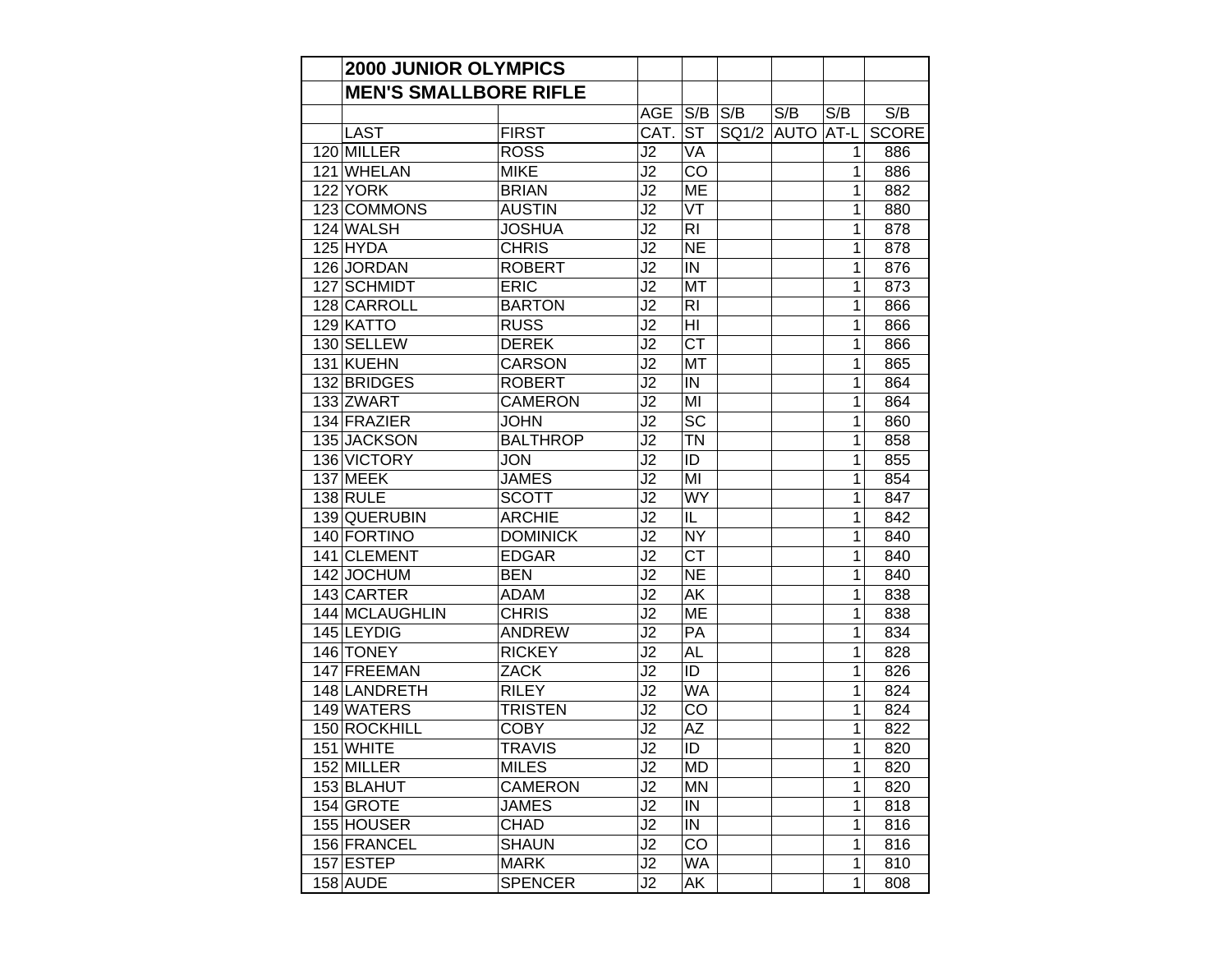| <b>2000 JUNIOR OLYMPICS</b>  |                 |            |                |       |             |      |              |
|------------------------------|-----------------|------------|----------------|-------|-------------|------|--------------|
| <b>MEN'S SMALLBORE RIFLE</b> |                 |            |                |       |             |      |              |
|                              |                 | <b>AGE</b> | S/B            | S/B   | S/B         | S/B  | S/B          |
| <b>LAST</b>                  | <b>FIRST</b>    | CAT.       | <b>ST</b>      | SQ1/2 | <b>AUTO</b> | AT-L | <b>SCORE</b> |
| 120 MILLER                   | <b>ROSS</b>     | J2         | VA             |       |             | 1.   | 886          |
| 121 WHELAN                   | <b>MIKE</b>     | J2         | CO             |       |             | 1    | 886          |
| $122$ YORK                   | <b>BRIAN</b>    | J2         | ME             |       |             | 1    | 882          |
| 123 COMMONS                  | <b>AUSTIN</b>   | J2         | VT             |       |             | 1    | 880          |
| 124 WALSH                    | <b>JOSHUA</b>   | J2         | R <sub>l</sub> |       |             | 1    | 878          |
| $125$ HYDA                   | <b>CHRIS</b>    | J2         | <b>NE</b>      |       |             | 1    | 878          |
| 126 JORDAN                   | <b>ROBERT</b>   | J2         | IN             |       |             | 1    | 876          |
| 127 SCHMIDT                  | <b>ERIC</b>     | J2         | МT             |       |             | 1    | 873          |
| 128 CARROLL                  | <b>BARTON</b>   | J2         | R <sub>l</sub> |       |             | 1    | 866          |
| 129 KATTO                    | <b>RUSS</b>     | J2         | HI             |       |             | 1    | 866          |
| 130 SELLEW                   | <b>DEREK</b>    | J2         | <b>CT</b>      |       |             | 1    | 866          |
| 131 KUEHN                    | <b>CARSON</b>   | J2         | MT             |       |             | 1    | 865          |
| 132 BRIDGES                  | <b>ROBERT</b>   | J2         | IN             |       |             | 1    | 864          |
| 133 ZWART                    | <b>CAMERON</b>  | J2         | MI             |       |             | 1    | 864          |
| 134 FRAZIER                  | <b>JOHN</b>     | J2         | SC             |       |             | 1    | 860          |
| 135 JACKSON                  | <b>BALTHROP</b> | J2         | ΤN             |       |             | 1    | 858          |
| 136 VICTORY                  | <b>JON</b>      | J2         | ID             |       |             | 1    | 855          |
| $137$ MEEK                   | <b>JAMES</b>    | J2         | MI             |       |             | 1    | 854          |
| <b>138 RULE</b>              | <b>SCOTT</b>    | J2         | <b>WY</b>      |       |             | 1    | 847          |
| 139 QUERUBIN                 | <b>ARCHIE</b>   | J2         | IL             |       |             | 1    | 842          |
| 140 FORTINO                  | <b>DOMINICK</b> | J2         | <b>NY</b>      |       |             | 1    | 840          |
| 141 CLEMENT                  | <b>EDGAR</b>    | J2         | <b>CT</b>      |       |             | 1    | 840          |
| 142 JOCHUM                   | <b>BEN</b>      | J2         | <b>NE</b>      |       |             | 1    | 840          |
| 143 CARTER                   | ADAM            | J2         | AK             |       |             | 1    | 838          |
| 144 MCLAUGHLIN               | <b>CHRIS</b>    | J2         | ME             |       |             | 1    | 838          |
| 145 LEYDIG                   | <b>ANDREW</b>   | J2         | PA             |       |             | 1    | 834          |
| 146 TONEY                    | <b>RICKEY</b>   | J2         | <b>AL</b>      |       |             | 1    | 828          |
| 147 FREEMAN                  | <b>ZACK</b>     | J2         | ID             |       |             | 1    | 826          |
| 148 LANDRETH                 | <b>RILEY</b>    | J2         | <b>WA</b>      |       |             | 1    | 824          |
| 149 WATERS                   | <b>TRISTEN</b>  | J2         | CO             |       |             | 1    | 824          |
| 150 ROCKHILL                 | <b>COBY</b>     | J2         | AΖ             |       |             | 1    | 822          |
| 151 WHITE                    | <b>TRAVIS</b>   | J2         | ID             |       |             | 1    | 820          |
| 152 MILLER                   | <b>MILES</b>    | J2         | MD             |       |             | 1    | 820          |
| 153 BLAHUT                   | <b>CAMERON</b>  | J2         | MN             |       |             | 1    | 820          |
| 154 GROTE                    | <b>JAMES</b>    | J2         | IN             |       |             | 1    | 818          |
| 155 HOUSER                   | CHAD            | J2         | IN             |       |             | 1    | 816          |
| 156 FRANCEL                  | <b>SHAUN</b>    | J2         | CO             |       |             | 1    | 816          |
| 157 ESTEP                    | <b>MARK</b>     | J2         | <b>WA</b>      |       |             | 1    | 810          |
| 158 AUDE                     | <b>SPENCER</b>  | J2         | AK             |       |             | 1    | 808          |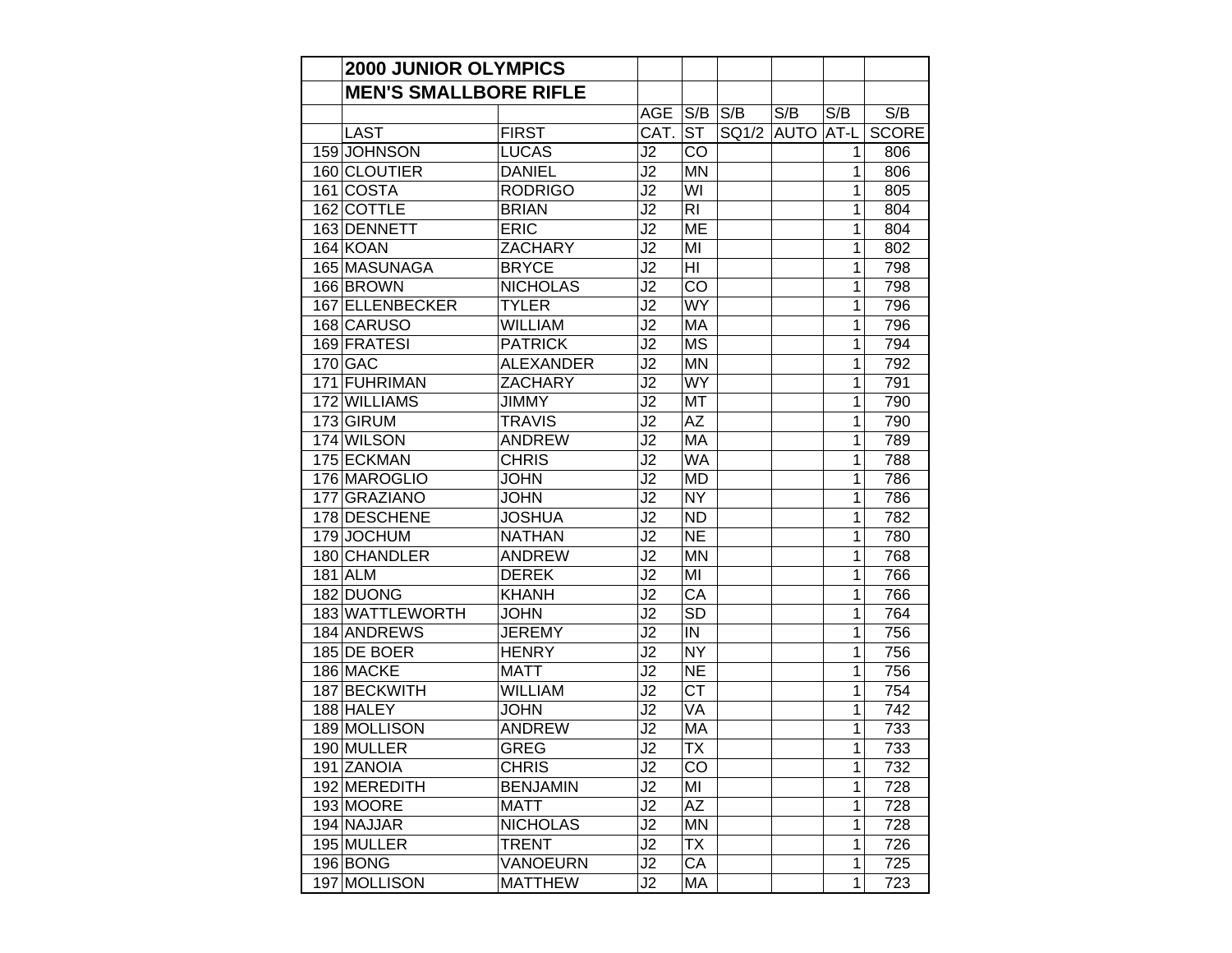| <b>2000 JUNIOR OLYMPICS</b>  |                  |            |                |       |             |             |              |
|------------------------------|------------------|------------|----------------|-------|-------------|-------------|--------------|
| <b>MEN'S SMALLBORE RIFLE</b> |                  |            |                |       |             |             |              |
|                              |                  | <b>AGE</b> | S/B            | S/B   | S/B         | S/B         | S/B          |
| <b>LAST</b>                  | <b>FIRST</b>     | CAT.       | <b>ST</b>      | SQ1/2 | <b>AUTO</b> | AT-L        | <b>SCORE</b> |
| 159 JOHNSON                  | <b>LUCAS</b>     | J2         | CO             |       |             | 1           | 806          |
| 160 CLOUTIER                 | <b>DANIEL</b>    | J2         | <b>MN</b>      |       |             | 1           | 806          |
| 161 COSTA                    | <b>RODRIGO</b>   | J2         | WI             |       |             | 1           | 805          |
| 162 COTTLE                   | <b>BRIAN</b>     | J2         | R <sub>l</sub> |       |             | 1           | 804          |
| 163 DENNETT                  | <b>ERIC</b>      | J2         | <b>ME</b>      |       |             | 1           | 804          |
| 164 KOAN                     | <b>ZACHARY</b>   | J2         | MI             |       |             | 1           | 802          |
| 165 MASUNAGA                 | <b>BRYCE</b>     | J2         | HI             |       |             | 1           | 798          |
| 166 BROWN                    | <b>NICHOLAS</b>  | J2         | CO             |       |             | 1           | 798          |
| 167 ELLENBECKER              | <b>TYLER</b>     | J2         | <b>WY</b>      |       |             | 1           | 796          |
| 168 CARUSO                   | <b>WILLIAM</b>   | J2         | MA             |       |             | 1           | 796          |
| 169 FRATESI                  | <b>PATRICK</b>   | J2         | <b>MS</b>      |       |             | 1           | 794          |
| $170$ GAC                    | <b>ALEXANDER</b> | J2         | MN             |       |             | 1           | 792          |
| 171 FUHRIMAN                 | <b>ZACHARY</b>   | J2         | <b>WY</b>      |       |             | 1           | 791          |
| 172 WILLIAMS                 | <b>JIMMY</b>     | J2         | MT             |       |             | 1           | 790          |
| 173 GIRUM                    | <b>TRAVIS</b>    | J2         | AZ             |       |             | 1           | 790          |
| 174 WILSON                   | <b>ANDREW</b>    | J2         | MA             |       |             | 1           | 789          |
| 175 ECKMAN                   | <b>CHRIS</b>     | J2         | <b>WA</b>      |       |             | 1           | 788          |
| 176 MAROGLIO                 | <b>JOHN</b>      | J2         | <b>MD</b>      |       |             | 1           | 786          |
| 177 GRAZIANO                 | <b>JOHN</b>      | J2         | <b>NY</b>      |       |             | 1           | 786          |
| 178 DESCHENE                 | <b>JOSHUA</b>    | J2         | <b>ND</b>      |       |             | 1           | 782          |
| 179 JOCHUM                   | <b>NATHAN</b>    | J2         | <b>NE</b>      |       |             | 1           | 780          |
| 180 CHANDLER                 | <b>ANDREW</b>    | J2         | <b>MN</b>      |       |             | 1           | 768          |
| 181 ALM                      | <b>DEREK</b>     | J2         | MI             |       |             | 1           | 766          |
| 182 DUONG                    | <b>KHANH</b>     | J2         | CA             |       |             | 1           | 766          |
| 183 WATTLEWORTH              | <b>JOHN</b>      | J2         | <b>SD</b>      |       |             | 1           | 764          |
| 184 ANDREWS                  | <b>JEREMY</b>    | J2         | IN             |       |             | 1           | 756          |
| 185 DE BOER                  | <b>HENRY</b>     | J2         | <b>NY</b>      |       |             | 1           | 756          |
| 186 MACKE                    | <b>MATT</b>      | J2         | <b>NE</b>      |       |             | 1           | 756          |
| 187 BECKWITH                 | <b>WILLIAM</b>   | J2         | <b>CT</b>      |       |             | 1           | 754          |
| 188 HALEY                    | <b>JOHN</b>      | J2         | VA             |       |             | 1           | 742          |
| 189 MOLLISON                 | <b>ANDREW</b>    | J2         | MA             |       |             | 1           | 733          |
| 190 MULLER                   | <b>GREG</b>      | J2         | TX             |       |             | $\mathbf 1$ | 733          |
| 191 ZANOIA                   | <b>CHRIS</b>     | J2         | CO             |       |             | 1           | 732          |
| 192 MEREDITH                 | <b>BENJAMIN</b>  | J2         | MI             |       |             | 1           | 728          |
| 193 MOORE                    | <b>MATT</b>      | J2         | AΖ             |       |             | 1           | 728          |
| 194 NAJJAR                   | <b>NICHOLAS</b>  | J2         | ΜN             |       |             | 1           | 728          |
| 195 MULLER                   | <b>TRENT</b>     | J2         | <b>TX</b>      |       |             | 1           | 726          |
| 196 BONG                     | <b>VANOEURN</b>  | J2         | CA             |       |             | 1           | 725          |
| 197 MOLLISON                 | <b>MATTHEW</b>   | J2         | MA             |       |             | 1           | 723          |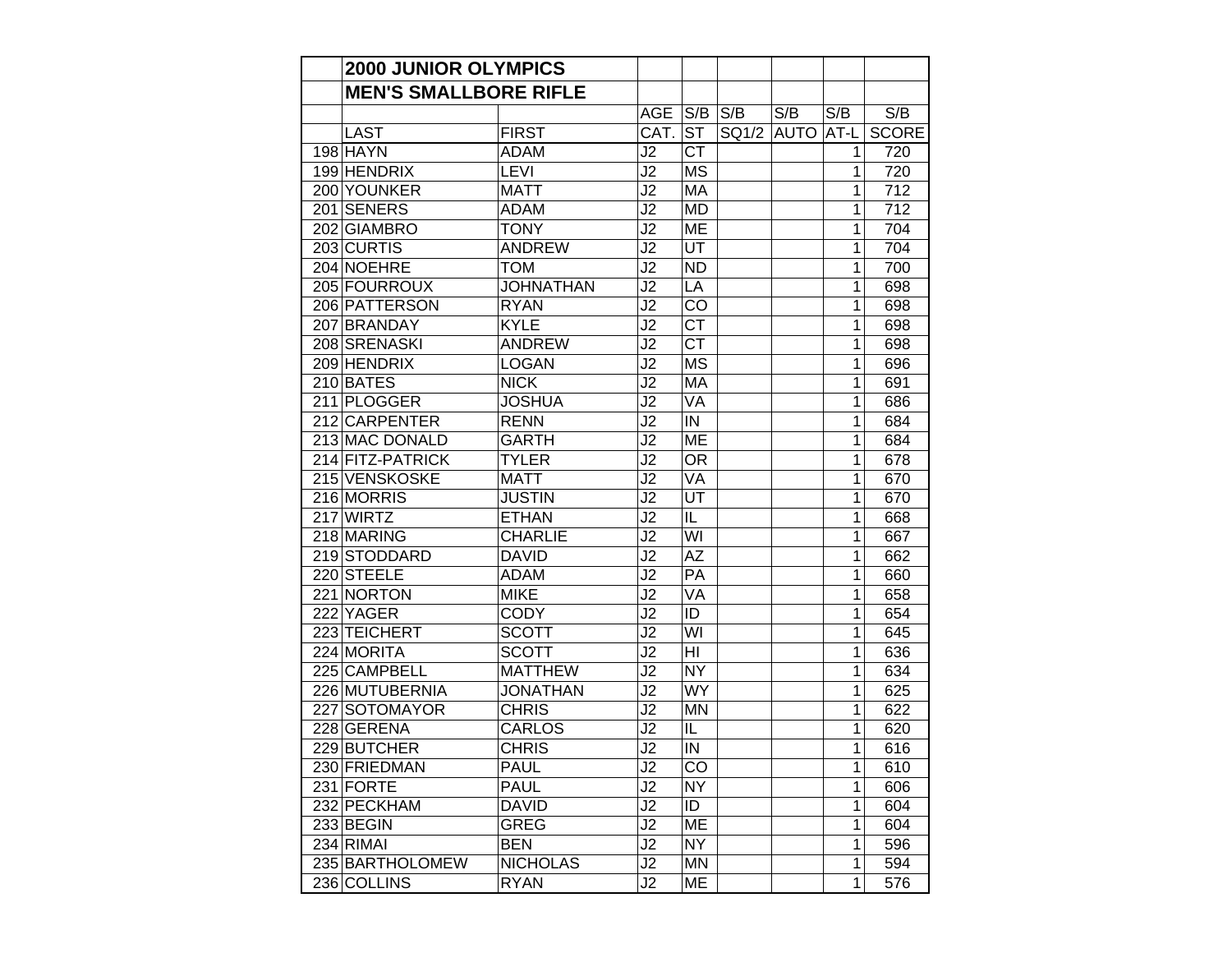| <b>2000 JUNIOR OLYMPICS</b>  |                  |                 |           |       |           |              |              |
|------------------------------|------------------|-----------------|-----------|-------|-----------|--------------|--------------|
| <b>MEN'S SMALLBORE RIFLE</b> |                  |                 |           |       |           |              |              |
|                              |                  | <b>AGE</b>      | S/B       | S/B   | S/B       | S/B          | S/B          |
| <b>LAST</b>                  | <b>FIRST</b>     | CAT.            | <b>ST</b> | SQ1/2 | AUTO AT-L |              | <b>SCORE</b> |
| 198 HAYN                     | <b>ADAM</b>      | J2              | <b>CT</b> |       |           | 1            | 720          |
| 199 HENDRIX                  | LEVI             | J2              | <b>MS</b> |       |           | 1            | 720          |
| 200 YOUNKER                  | <b>MATT</b>      | J2              | MA        |       |           | 1            | 712          |
| 201 SENERS                   | <b>ADAM</b>      | J2              | <b>MD</b> |       |           | 1            | 712          |
| 202 GIAMBRO                  | <b>TONY</b>      | J2              | ME        |       |           | 1            | 704          |
| 203 CURTIS                   | <b>ANDREW</b>    | J2              | UT        |       |           | 1            | 704          |
| 204 NOEHRE                   | <b>TOM</b>       | J2              | <b>ND</b> |       |           | 1            | 700          |
| 205 FOURROUX                 | <b>JOHNATHAN</b> | J2              | LA        |       |           | 1            | 698          |
| 206 PATTERSON                | <b>RYAN</b>      | J2              | CO        |       |           | 1            | 698          |
| 207 BRANDAY                  | <b>KYLE</b>      | J2              | <b>CT</b> |       |           | 1            | 698          |
| 208 SRENASKI                 | <b>ANDREW</b>    | J2              | <b>CT</b> |       |           | 1            | 698          |
| 209 HENDRIX                  | <b>LOGAN</b>     | $\overline{J2}$ | <b>MS</b> |       |           | 1            | 696          |
| 210 BATES                    | <b>NICK</b>      | J2              | MA        |       |           | 1            | 691          |
| 211 PLOGGER                  | <b>JOSHUA</b>    | J2              | VA        |       |           | 1            | 686          |
| 212 CARPENTER                | <b>RENN</b>      | J2              | IN        |       |           | 1            | 684          |
| 213 MAC DONALD               | <b>GARTH</b>     | J2              | MЕ        |       |           | 1            | 684          |
| 214 FITZ-PATRICK             | <b>TYLER</b>     | J2              | <b>OR</b> |       |           | 1            | 678          |
| 215 VENSKOSKE                | <b>MATT</b>      | J2              | VA        |       |           | 1            | 670          |
| 216 MORRIS                   | <b>JUSTIN</b>    | J2              | UT        |       |           | 1            | 670          |
| 217 WIRTZ                    | <b>ETHAN</b>     | J2              | IL.       |       |           | 1            | 668          |
| $218$ MARING                 | <b>CHARLIE</b>   | J2              | WI        |       |           | 1            | 667          |
| 219 STODDARD                 | <b>DAVID</b>     | J2              | <b>AZ</b> |       |           | 1            | 662          |
| 220 STEELE                   | <b>ADAM</b>      | J2              | PA        |       |           | 1            | 660          |
| 221 NORTON                   | <b>MIKE</b>      | J2              | VA        |       |           | 1            | 658          |
| 222 YAGER                    | <b>CODY</b>      | J2              | ID        |       |           | 1            | 654          |
| 223 TEICHERT                 | <b>SCOTT</b>     | J2              | WI        |       |           | 1            | 645          |
| 224 MORITA                   | <b>SCOTT</b>     | J2              | HI        |       |           | 1            | 636          |
| 225 CAMPBELL                 | <b>MATTHEW</b>   | J2              | <b>NY</b> |       |           | 1            | 634          |
| 226 MUTUBERNIA               | <b>JONATHAN</b>  | J2              | <b>WY</b> |       |           | 1            | 625          |
| 227 SOTOMAYOR                | <b>CHRIS</b>     | J2              | <b>MN</b> |       |           | 1            | 622          |
| 228 GERENA                   | <b>CARLOS</b>    | J2              | IL        |       |           | 1            | 620          |
| 229 BUTCHER                  | <b>CHRIS</b>     | J2              | IN        |       |           | 1            | 616          |
| 230 FRIEDMAN                 | <b>PAUL</b>      | J <sub>2</sub>  | CO        |       |           | 1            | 610          |
| 231 FORTE                    | <b>PAUL</b>      | J <sub>2</sub>  | <b>NY</b> |       |           | 1            | 606          |
| 232 PECKHAM                  | <b>DAVID</b>     | J2              | ID        |       |           | 1            | 604          |
| 233 BEGIN                    | <b>GREG</b>      | J2              | ME        |       |           | 1            | 604          |
| 234 RIMAI                    | <b>BEN</b>       | J2              | <b>NY</b> |       |           | 1            | 596          |
| 235 BARTHOLOMEW              | <b>NICHOLAS</b>  | J2              | <b>MN</b> |       |           | 1            | 594          |
| 236 COLLINS                  | <b>RYAN</b>      | J2              | ME        |       |           | $\mathbf{1}$ | 576          |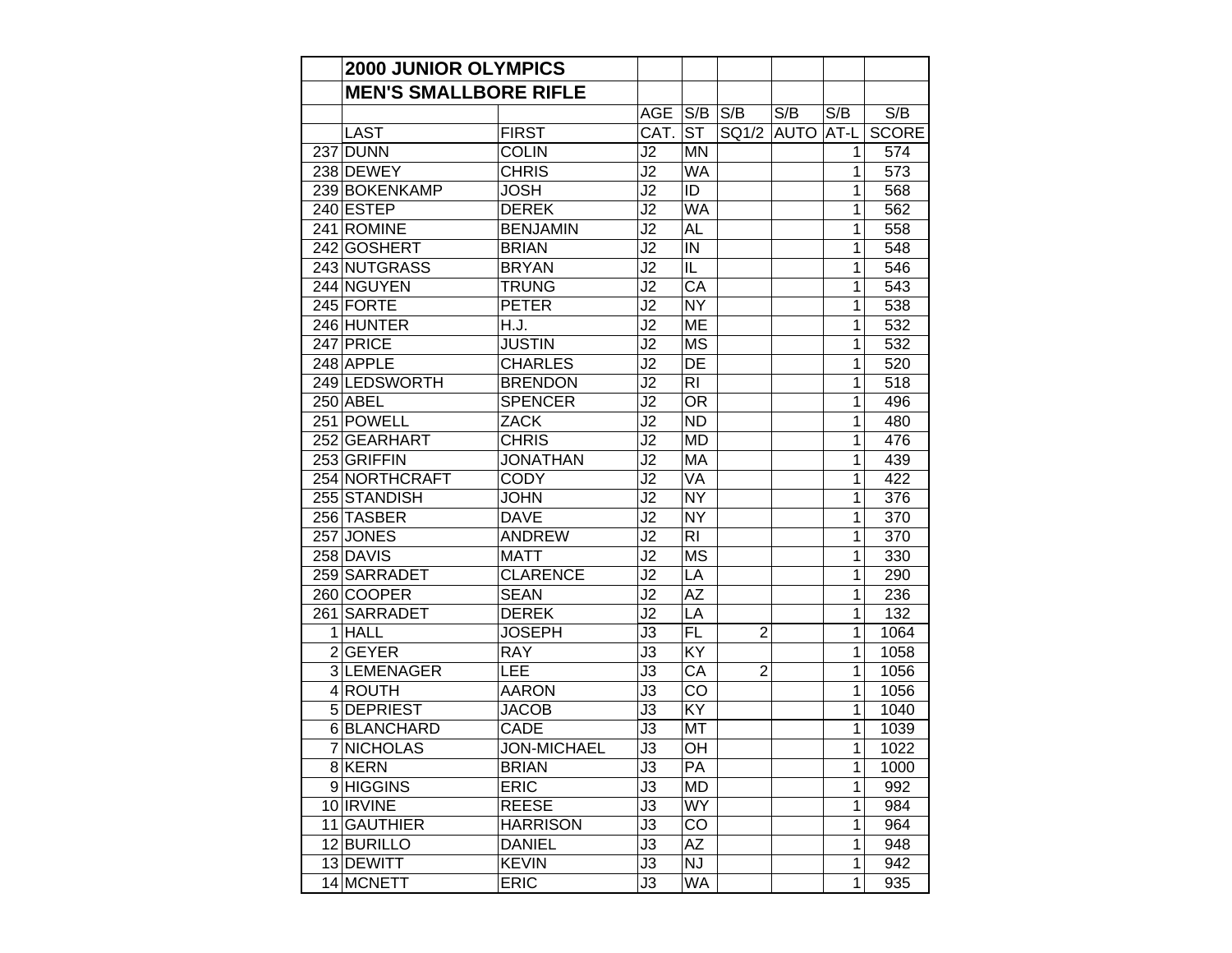| <b>2000 JUNIOR OLYMPICS</b>  |                    |            |                |                |             |      |              |
|------------------------------|--------------------|------------|----------------|----------------|-------------|------|--------------|
| <b>MEN'S SMALLBORE RIFLE</b> |                    |            |                |                |             |      |              |
|                              |                    | <b>AGE</b> | S/B            | S/B            | S/B         | S/B  | S/B          |
| <b>LAST</b>                  | <b>FIRST</b>       | CAT.       | <b>ST</b>      | SQ1/2          | <b>AUTO</b> | AT-L | <b>SCORE</b> |
| 237 DUNN                     | <b>COLIN</b>       | J2         | ΜN             |                |             | 1    | 574          |
| 238 DEWEY                    | <b>CHRIS</b>       | J2         | <b>WA</b>      |                |             | 1    | 573          |
| 239 BOKENKAMP                | <b>JOSH</b>        | J2         | ID             |                |             | 1    | 568          |
| 240 ESTEP                    | <b>DEREK</b>       | J2         | <b>WA</b>      |                |             | 1    | 562          |
| $\overline{241}$ ROMINE      | <b>BENJAMIN</b>    | J2         | AL             |                |             | 1    | 558          |
| 242 GOSHERT                  | <b>BRIAN</b>       | J2         | IN             |                |             | 1    | 548          |
| 243 NUTGRASS                 | <b>BRYAN</b>       | J2         | IL             |                |             | 1    | 546          |
| 244 NGUYEN                   | <b>TRUNG</b>       | J2         | CA             |                |             | 1    | 543          |
| 245 FORTE                    | <b>PETER</b>       | J2         | <b>NY</b>      |                |             | 1    | 538          |
| 246 HUNTER                   | H.J.               | J2         | MЕ             |                |             | 1    | 532          |
| 247 PRICE                    | <b>JUSTIN</b>      | J2         | <b>MS</b>      |                |             | 1    | 532          |
| 248 APPLE                    | <b>CHARLES</b>     | J2         | DE             |                |             | 1    | 520          |
| 249 LEDSWORTH                | <b>BRENDON</b>     | J2         | R <sub>l</sub> |                |             | 1    | 518          |
| 250 ABEL                     | <b>SPENCER</b>     | J2         | <b>OR</b>      |                |             | 1    | 496          |
| 251 POWELL                   | <b>ZACK</b>        | J2         | <b>ND</b>      |                |             | 1    | 480          |
| 252 GEARHART                 | <b>CHRIS</b>       | J2         | MD             |                |             | 1    | 476          |
| 253 GRIFFIN                  | <b>JONATHAN</b>    | J2         | МA             |                |             | 1    | 439          |
| 254 NORTHCRAFT               | <b>CODY</b>        | J2         | VA             |                |             | 1    | 422          |
| 255 STANDISH                 | <b>JOHN</b>        | J2         | <b>NY</b>      |                |             | 1    | 376          |
| 256 TASBER                   | <b>DAVE</b>        | J2         | <b>NY</b>      |                |             | 1    | 370          |
| 257 JONES                    | <b>ANDREW</b>      | J2         | R <sub>l</sub> |                |             | 1    | 370          |
| 258 DAVIS                    | <b>MATT</b>        | J2         | <b>MS</b>      |                |             | 1    | 330          |
| 259 SARRADET                 | <b>CLARENCE</b>    | J2         | LA             |                |             | 1    | 290          |
| 260 COOPER                   | <b>SEAN</b>        | J2         | AΖ             |                |             | 1    | 236          |
| 261 SARRADET                 | <b>DEREK</b>       | J2         | LA             |                |             | 1    | 132          |
| 1 HALL                       | <b>JOSEPH</b>      | J3         | FL.            | $\overline{2}$ |             | 1    | 1064         |
| 2 GEYER                      | <b>RAY</b>         | J3         | KY             |                |             | 1    | 1058         |
| 3 LEMENAGER                  | LEE                | J3         | CA             | $\overline{2}$ |             | 1    | 1056         |
| 4 ROUTH                      | <b>AARON</b>       | J3         | CO             |                |             | 1    | 1056         |
| 5DEPRIEST                    | <b>JACOB</b>       | J3         | KY             |                |             | 1    | 1040         |
| 6 BLANCHARD                  | <b>CADE</b>        | J3         | МT             |                |             | 1    | 1039         |
| 7 NICHOLAS                   | <b>JON-MICHAEL</b> | J3         | OH             |                |             | 1    | 1022         |
| 8 KERN                       | <b>BRIAN</b>       | J3         | PA             |                |             | 1    | 1000         |
| 9 HIGGINS                    | <b>ERIC</b>        | J3         | <b>MD</b>      |                |             | 1    | 992          |
| 10 IRVINE                    | <b>REESE</b>       | J3         | <b>WY</b>      |                |             | 1    | 984          |
| 11 GAUTHIER                  | <b>HARRISON</b>    | J3         | CO             |                |             | 1    | 964          |
| 12 BURILLO                   | <b>DANIEL</b>      | J3         | AZ             |                |             | 1    | 948          |
| 13 DEWITT                    | <b>KEVIN</b>       | J3         | <b>NJ</b>      |                |             | 1    | 942          |
| 14 MCNETT                    | <b>ERIC</b>        | J3         | <b>WA</b>      |                |             | 1    | 935          |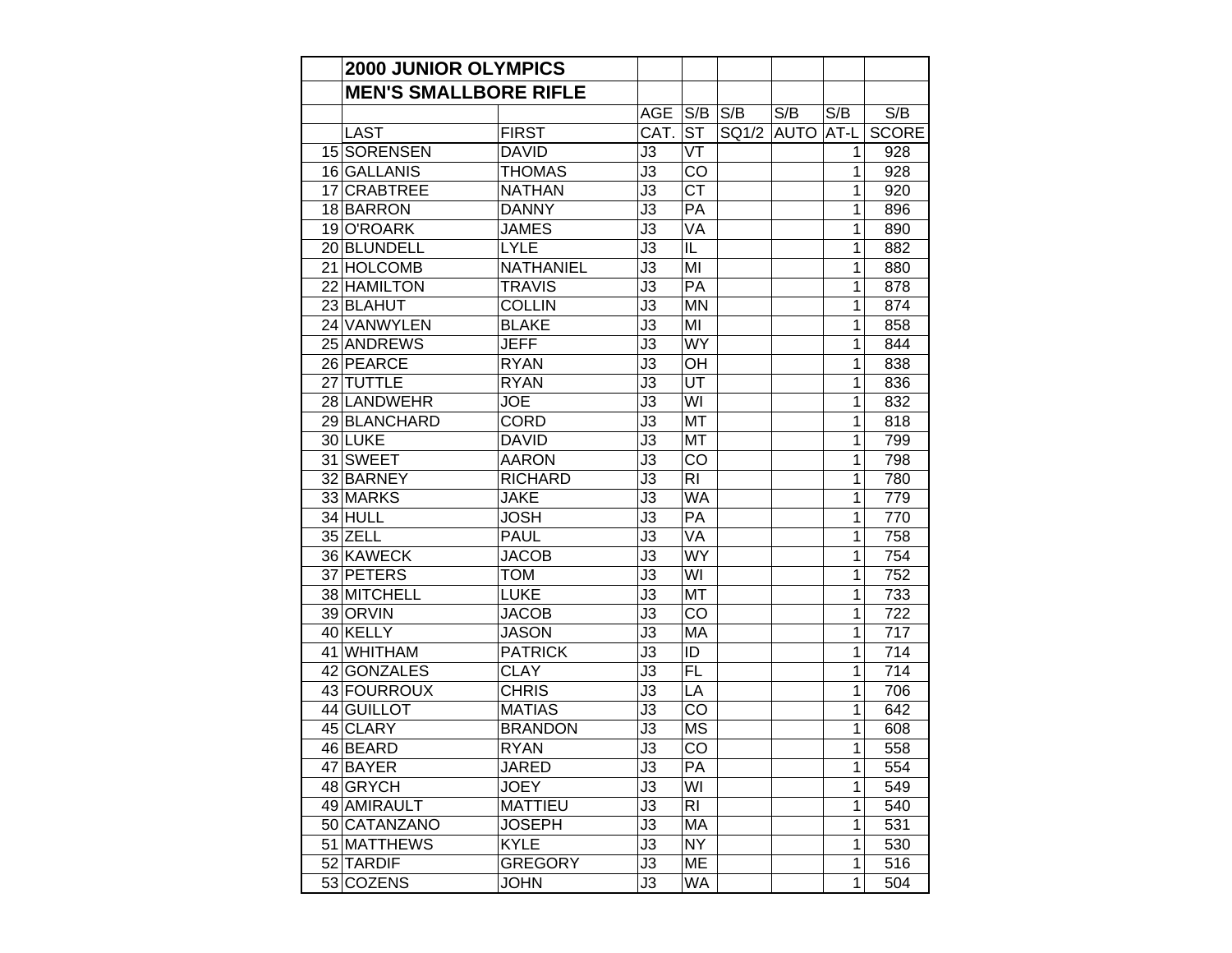| <b>2000 JUNIOR OLYMPICS</b>  |                  |      |                |       |       |       |              |
|------------------------------|------------------|------|----------------|-------|-------|-------|--------------|
| <b>MEN'S SMALLBORE RIFLE</b> |                  |      |                |       |       |       |              |
|                              |                  | AGE  | S/B            | S/B   | S/B   | S/B   | S/B          |
| <b>LAST</b>                  | <b>FIRST</b>     | CAT. | <b>ST</b>      | SQ1/2 | AUTO. | ∣AT-L | <b>SCORE</b> |
| 15 SORENSEN                  | <b>DAVID</b>     | J3   | VT             |       |       | 1     | 928          |
| 16 GALLANIS                  | <b>THOMAS</b>    | J3   | CO             |       |       | 1     | 928          |
| 17 CRABTREE                  | <b>NATHAN</b>    | J3   | <b>CT</b>      |       |       | 1     | 920          |
| 18 BARRON                    | <b>DANNY</b>     | J3   | PA             |       |       | 1     | 896          |
| 19 O'ROARK                   | <b>JAMES</b>     | J3   | VA             |       |       | 1     | 890          |
| 20 BLUNDELL                  | <b>LYLE</b>      | J3   | IL             |       |       | 1     | 882          |
| 21 HOLCOMB                   | <b>NATHANIEL</b> | J3   | MI             |       |       | 1     | 880          |
| 22 HAMILTON                  | <b>TRAVIS</b>    | J3   | PA             |       |       | 1     | 878          |
| 23 BLAHUT                    | <b>COLLIN</b>    | J3   | MN             |       |       | 1     | 874          |
| 24 VANWYLEN                  | <b>BLAKE</b>     | J3   | MI             |       |       | 1     | 858          |
| 25 ANDREWS                   | <b>JEFF</b>      | J3   | <b>WY</b>      |       |       | 1     | 844          |
| 26 PEARCE                    | <b>RYAN</b>      | J3   | OH             |       |       | 1     | 838          |
| 27 TUTTLE                    | <b>RYAN</b>      | J3   | UT             |       |       | 1     | 836          |
| 28 LANDWEHR                  | <b>JOE</b>       | J3   | WI             |       |       | 1     | 832          |
| 29 BLANCHARD                 | <b>CORD</b>      | J3   | MT             |       |       | 1     | 818          |
| 30 LUKE                      | <b>DAVID</b>     | J3   | МT             |       |       | 1     | 799          |
| 31 SWEET                     | <b>AARON</b>     | J3   | CO             |       |       | 1     | 798          |
| 32 BARNEY                    | <b>RICHARD</b>   | J3   | R <sub>l</sub> |       |       | 1     | 780          |
| 33 MARKS                     | <b>JAKE</b>      | J3   | <b>WA</b>      |       |       | 1     | 779          |
| 34 HULL                      | <b>JOSH</b>      | J3   | PA             |       |       | 1     | 770          |
| $35$ ZELL                    | <b>PAUL</b>      | J3   | VA             |       |       | 1     | 758          |
| 36 KAWECK                    | <b>JACOB</b>     | J3   | <b>WY</b>      |       |       | 1     | 754          |
| 37 PETERS                    | <b>TOM</b>       | J3   | WI             |       |       | 1     | 752          |
| 38 MITCHELL                  | <b>LUKE</b>      | J3   | MT             |       |       | 1     | 733          |
| 39 ORVIN                     | <b>JACOB</b>     | J3   | CO             |       |       | 1     | 722          |
| 40 KELLY                     | <b>JASON</b>     | J3   | МA             |       |       | 1     | 717          |
| 41 WHITHAM                   | <b>PATRICK</b>   | J3   | ID             |       |       | 1     | 714          |
| 42 GONZALES                  | <b>CLAY</b>      | J3   | <b>FL</b>      |       |       | 1     | 714          |
| 43 FOURROUX                  | <b>CHRIS</b>     | J3   | LA             |       |       | 1     | 706          |
| 44 GUILLOT                   | <b>MATIAS</b>    | J3   | CO             |       |       | 1     | 642          |
| 45 CLARY                     | <b>BRANDON</b>   | J3   | MS             |       |       | 1     | 608          |
| 46 BEARD                     | <b>RYAN</b>      | J3   | CO             |       |       | 1     | 558          |
| 47 BAYER                     | <b>JARED</b>     | J3   | PA             |       |       | 1     | 554          |
| 48 GRYCH                     | <b>JOEY</b>      | J3   | WI             |       |       | 1     | 549          |
| 49 AMIRAULT                  | <b>MATTIEU</b>   | J3   | RI             |       |       | 1     | 540          |
| 50 CATANZANO                 | <b>JOSEPH</b>    | J3   | MA             |       |       | 1     | 531          |
| 51 MATTHEWS                  | <b>KYLE</b>      | J3   | <b>NY</b>      |       |       | 1     | 530          |
| 52 TARDIF                    | <b>GREGORY</b>   | J3   | ME             |       |       | 1     | 516          |
| 53 COZENS                    | <b>JOHN</b>      | J3   | <b>WA</b>      |       |       | 1     | 504          |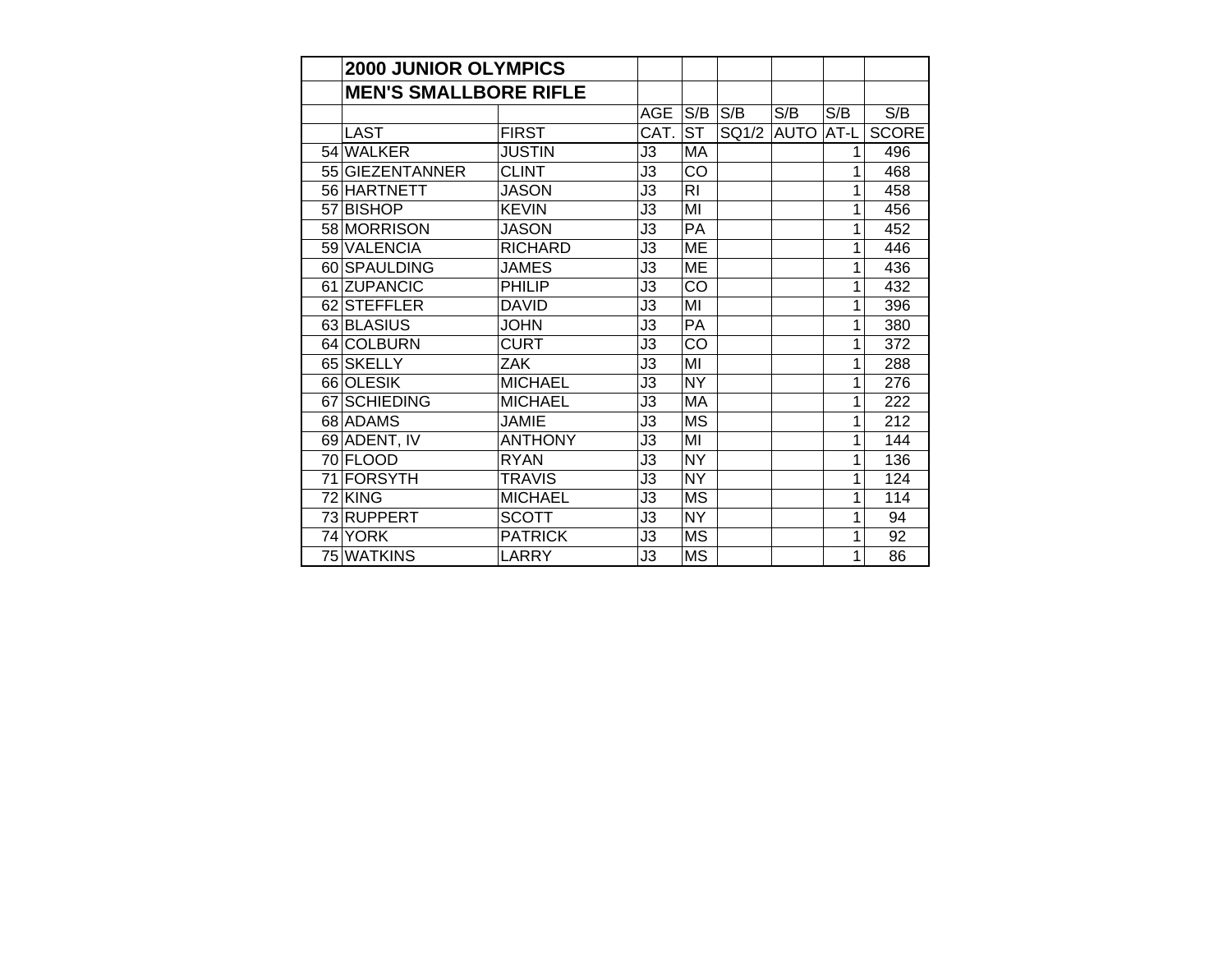| <b>2000 JUNIOR OLYMPICS</b>  |                |            |                |       |             |      |              |
|------------------------------|----------------|------------|----------------|-------|-------------|------|--------------|
| <b>MEN'S SMALLBORE RIFLE</b> |                |            |                |       |             |      |              |
|                              |                | <b>AGE</b> | S/B            | S/B   | S/B         | S/B  | S/B          |
| LAST                         | <b>FIRST</b>   | CAT.       | <b>ST</b>      | SQ1/2 | <b>AUTO</b> | AT-L | <b>SCORE</b> |
| 54 WALKER                    | JUSTIN         | JЗ         | MA             |       |             | 1    | 496          |
| 55 GIEZENTANNER              | <b>CLINT</b>   | J3         | CO             |       |             | 1    | 468          |
| 56 HARTNETT                  | JASON          | J3         | R <sub>l</sub> |       |             | 1    | 458          |
| 57 BISHOP                    | <b>KEVIN</b>   | J3         | MI             |       |             | 1    | 456          |
| 58 MORRISON                  | <b>JASON</b>   | J3         | PA             |       |             | 1    | 452          |
| 59 VALENCIA                  | <b>RICHARD</b> | J3         | ME             |       |             | 1    | 446          |
| 60 SPAULDING                 | JAMES          | J3         | ME             |       |             | 1    | 436          |
| 61 ZUPANCIC                  | PHILIP         | J3         | CO             |       |             | 1    | 432          |
| 62 STEFFLER                  | <b>DAVID</b>   | J3         | MI             |       |             | 1    | 396          |
| 63 BLASIUS                   | <b>JOHN</b>    | J3         | PA             |       |             | 1    | 380          |
| 64 COLBURN                   | <b>CURT</b>    | J3         | CO             |       |             | 1    | 372          |
| 65 SKELLY                    | ZAK            | J3         | MI             |       |             | 1    | 288          |
| 66 OLESIK                    | <b>MICHAEL</b> | J3         | <b>NY</b>      |       |             | 1    | 276          |
| 67 SCHIEDING                 | <b>MICHAEL</b> | J3         | MA             |       |             | 1    | 222          |
| 68 ADAMS                     | JAMIE          | J3         | MS             |       |             | 1    | 212          |
| 69 ADENT, IV                 | <b>ANTHONY</b> | J3         | MI             |       |             | 1    | 144          |
| 70 FLOOD                     | <b>RYAN</b>    | J3         | <b>NY</b>      |       |             | 1    | 136          |
| 71 FORSYTH                   | TRAVIS         | J3         | <b>NY</b>      |       |             | 1    | 124          |
| 72 KING                      | <b>MICHAEL</b> | J3         | <b>MS</b>      |       |             | 1    | 114          |
| 73 RUPPERT                   | <b>SCOTT</b>   | J3         | <b>NY</b>      |       |             | 1    | 94           |
| 74 YORK                      | <b>PATRICK</b> | J3         | <b>MS</b>      |       |             | 1    | 92           |
| 75 WATKINS                   | LARRY          | J3         | <b>MS</b>      |       |             | 1    | 86           |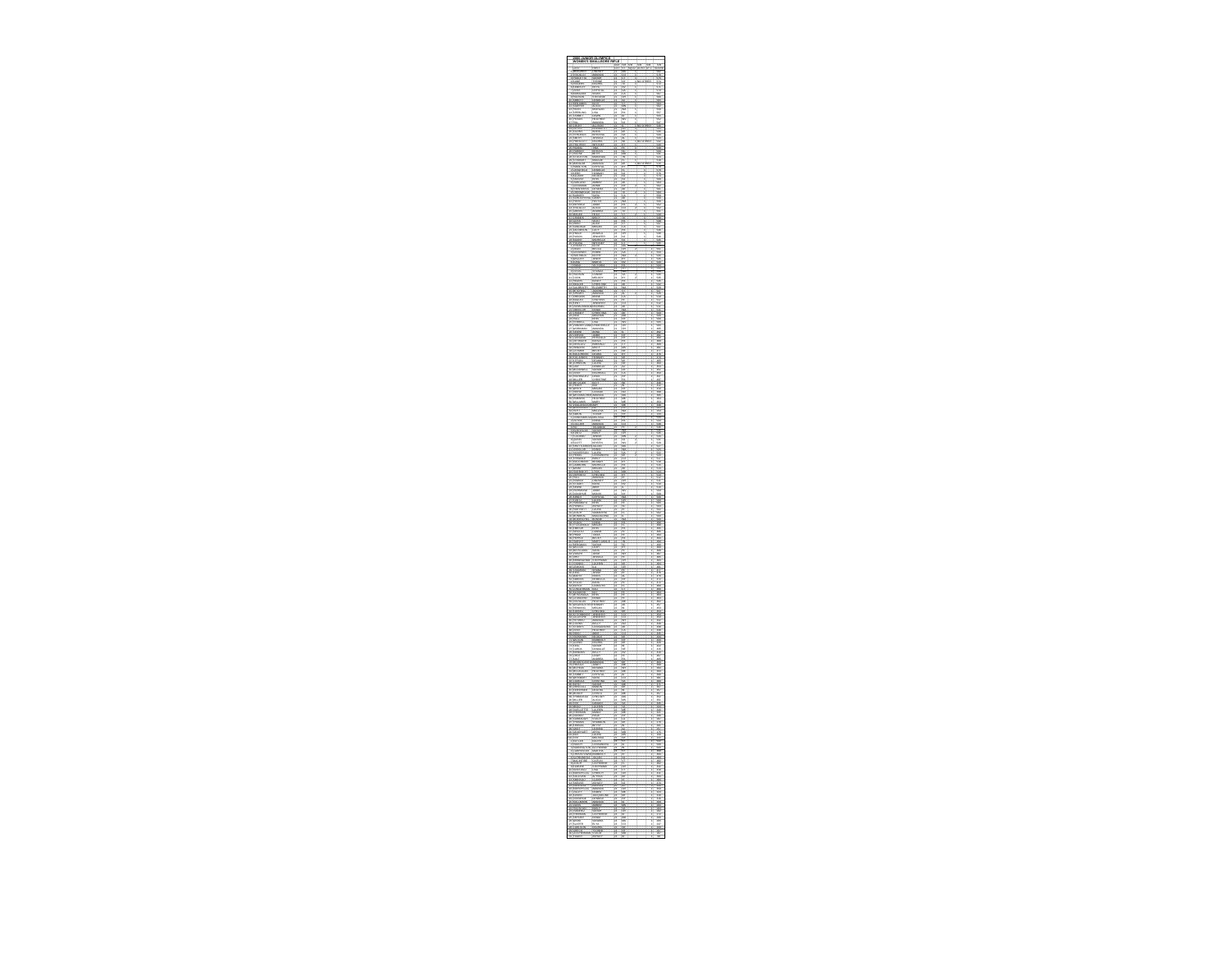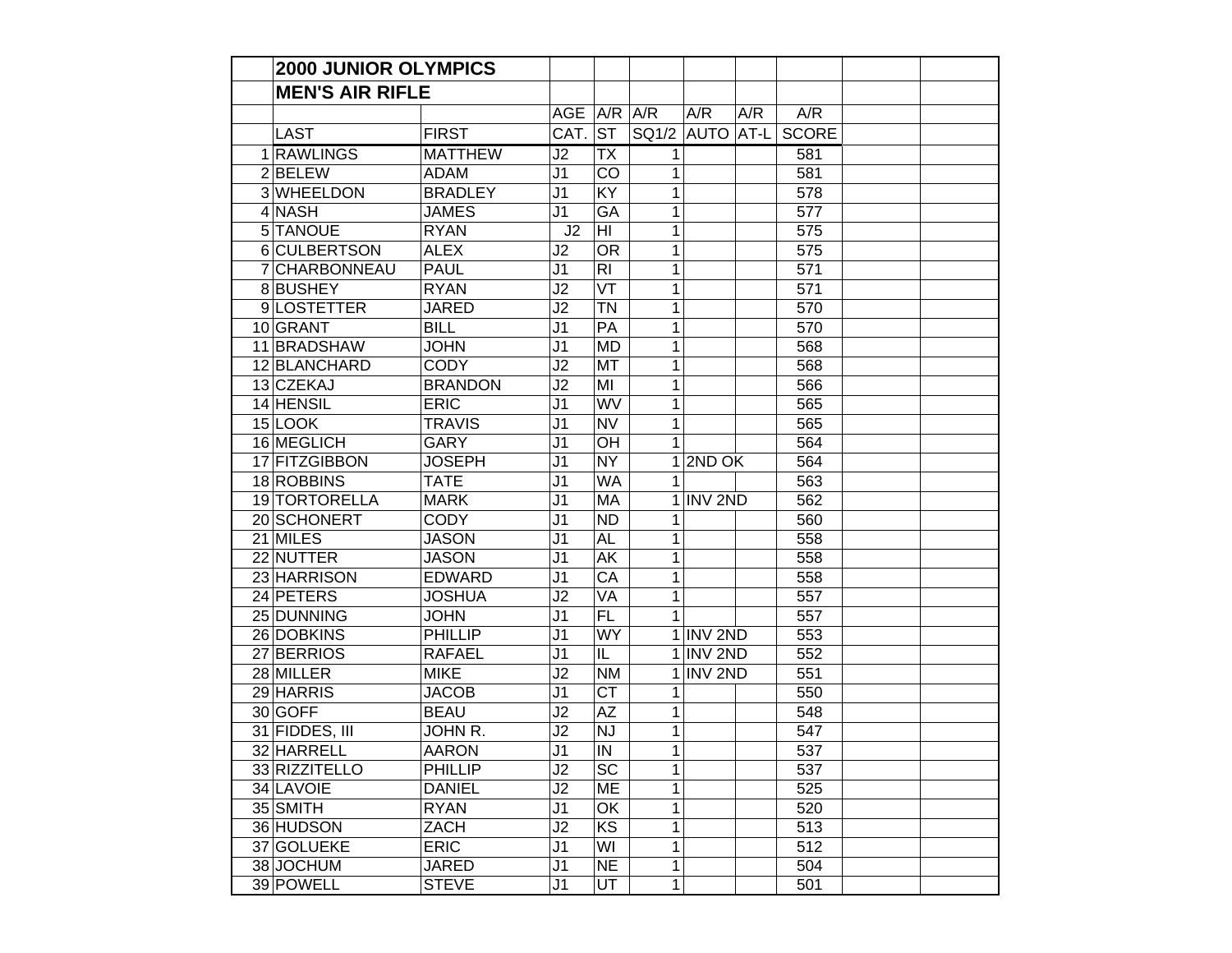| <b>2000 JUNIOR OLYMPICS</b> |                |                          |                |                 |             |     |              |  |
|-----------------------------|----------------|--------------------------|----------------|-----------------|-------------|-----|--------------|--|
| <b>MEN'S AIR RIFLE</b>      |                |                          |                |                 |             |     |              |  |
|                             |                | AGE                      | $A/R$ $A/R$    |                 | A/R         | A/R | A/R          |  |
| <b>LAST</b>                 | <b>FIRST</b>   | CAT.                     | <b>ST</b>      | SQ1/2 AUTO AT-L |             |     | <b>SCORE</b> |  |
| 1 RAWLINGS                  | <b>MATTHEW</b> | J2                       | TX             | 1               |             |     | 581          |  |
| $2$ <b>BELEW</b>            | <b>ADAM</b>    | J <sub>1</sub>           | CO             | 1               |             |     | 581          |  |
| 3 WHEELDON                  | <b>BRADLEY</b> | J <sub>1</sub>           | KY             | 1               |             |     | 578          |  |
| 4 NASH                      | <b>JAMES</b>   | J <sub>1</sub>           | GA             | 1               |             |     | 577          |  |
| 5 TANOUE                    | <b>RYAN</b>    | J2                       | HI             | 1               |             |     | 575          |  |
| 6 CULBERTSON                | <b>ALEX</b>    | J2                       | <b>OR</b>      | 1               |             |     | 575          |  |
| 7 CHARBONNEAU               | <b>PAUL</b>    | J <sub>1</sub>           | R <sub>l</sub> | 1               |             |     | 571          |  |
| 8BUSHEY                     | <b>RYAN</b>    | J2                       | VT             | 1               |             |     | 571          |  |
| 9 LOSTETTER                 | <b>JARED</b>   | $\overline{\mathsf{J2}}$ | TN             | 1               |             |     | 570          |  |
| 10 GRANT                    | <b>BILL</b>    | J <sub>1</sub>           | PA             | $\mathbf{1}$    |             |     | 570          |  |
| 11 BRADSHAW                 | <b>JOHN</b>    | J <sub>1</sub>           | <b>MD</b>      | 1               |             |     | 568          |  |
| 12 BLANCHARD                | <b>CODY</b>    | J2                       | <b>MT</b>      | 1               |             |     | 568          |  |
| 13 CZEKAJ                   | <b>BRANDON</b> | J2                       | MI             | 1               |             |     | 566          |  |
| 14 HENSIL                   | <b>ERIC</b>    | J1                       | WV             | 1               |             |     | 565          |  |
| $15$ LOOK                   | <b>TRAVIS</b>  | J <sub>1</sub>           | <b>NV</b>      | 1               |             |     | 565          |  |
| 16 MEGLICH                  | <b>GARY</b>    | J <sub>1</sub>           | OH             | 1               |             |     | 564          |  |
| 17 FITZGIBBON               | <b>JOSEPH</b>  | J <sub>1</sub>           | NY.            |                 | $1$  2ND OK |     | 564          |  |
| 18 ROBBINS                  | <b>TATE</b>    | J <sub>1</sub>           | <b>WA</b>      | 1               |             |     | 563          |  |
| 19 TORTORELLA               | <b>MARK</b>    | J <sub>1</sub>           | MA             |                 | 1 INV 2ND   |     | 562          |  |
| 20 SCHONERT                 | <b>CODY</b>    | J <sub>1</sub>           | <b>ND</b>      | 1               |             |     | 560          |  |
| 21 MILES                    | <b>JASON</b>   | J <sub>1</sub>           | AL             | 1               |             |     | 558          |  |
| 22 NUTTER                   | <b>JASON</b>   | J1                       | AK             | 1               |             |     | 558          |  |
| 23 HARRISON                 | <b>EDWARD</b>  | J <sub>1</sub>           | CA             | 1               |             |     | 558          |  |
| 24 PETERS                   | <b>JOSHUA</b>  | J2                       | VA             | 1               |             |     | 557          |  |
| 25 DUNNING                  | <b>JOHN</b>    | J <sub>1</sub>           | FL             | 1               |             |     | 557          |  |
| 26 DOBKINS                  | <b>PHILLIP</b> | J <sub>1</sub>           | <b>WY</b>      |                 | 1 INV 2ND   |     | 553          |  |
| 27 BERRIOS                  | <b>RAFAEL</b>  | J <sub>1</sub>           | IL             |                 | $1$ INV 2ND |     | 552          |  |
| 28 MILLER                   | <b>MIKE</b>    | J2                       | <b>NM</b>      |                 | 1 INV 2ND   |     | 551          |  |
| 29 HARRIS                   | <b>JACOB</b>   | J1                       | <b>CT</b>      | 1               |             |     | 550          |  |
| 30 GOFF                     | <b>BEAU</b>    | J2                       | AZ             | 1               |             |     | 548          |  |
| 31 FIDDES, III              | JOHN R.        | J2                       | <b>NJ</b>      | 1               |             |     | 547          |  |
| 32 HARRELI                  | <b>AARON</b>   | J1                       | IN             | 1               |             |     | 537          |  |
| 33 RIZZITELLO               | <b>PHILLIP</b> | J <sub>2</sub>           | SC             | 1               |             |     | 537          |  |
| 34 LAVOIE                   | <b>DANIEL</b>  | J2                       | ME             | 1               |             |     | 525          |  |
| 35 SMITH                    | <b>RYAN</b>    | J <sub>1</sub>           | OK             | 1               |             |     | 520          |  |
| 36 HUDSON                   | <b>ZACH</b>    | J <sub>2</sub>           | KS             | 1               |             |     | 513          |  |
| 37 GOLUEKE                  | <b>ERIC</b>    | J <sub>1</sub>           | WI             | 1               |             |     | 512          |  |
| 38 JOCHUM                   | <b>JARED</b>   | J <sub>1</sub>           | <b>NE</b>      | 1               |             |     | 504          |  |
| 39 POWELL                   | <b>STEVE</b>   | J <sub>1</sub>           | UT             | 1               |             |     | 501          |  |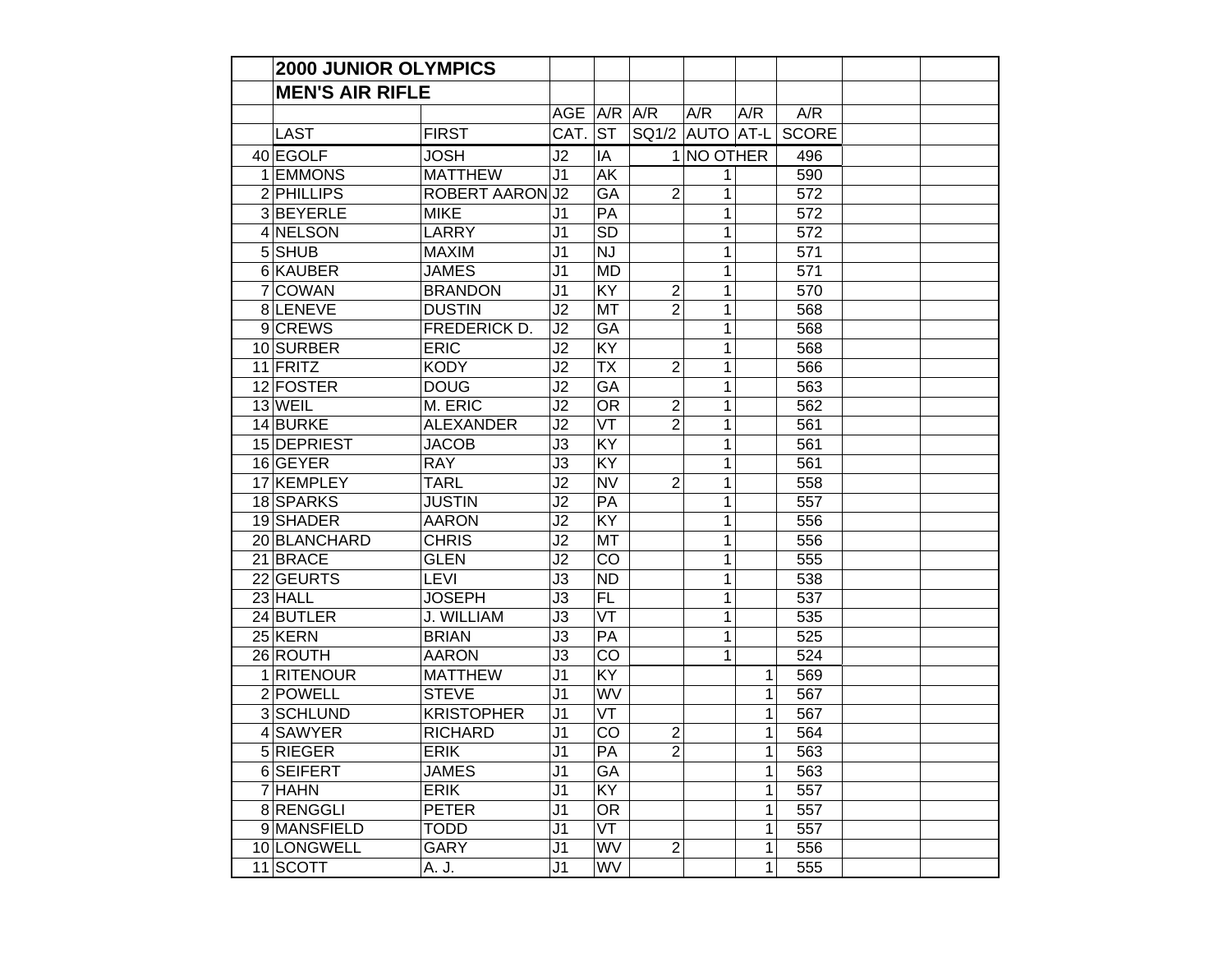| <b>2000 JUNIOR OLYMPICS</b> |                        |                          |                 |                 |              |              |              |  |
|-----------------------------|------------------------|--------------------------|-----------------|-----------------|--------------|--------------|--------------|--|
| <b>MEN'S AIR RIFLE</b>      |                        |                          |                 |                 |              |              |              |  |
|                             |                        | AGE                      | $AYR$ $AYR$     |                 | A/R          | A/R          | A/R          |  |
| <b>LAST</b>                 | <b>FIRST</b>           | CAT.                     | <b>ST</b>       | SQ1/2 AUTO AT-L |              |              | <b>SCORE</b> |  |
| 40 EGOLF                    | <b>JOSH</b>            | J2                       | IA              |                 | 1 NO OTHER   |              | 496          |  |
| 1 EMMONS                    | <b>MATTHEW</b>         | J1                       | AK              |                 | 1            |              | 590          |  |
| 2 PHILLIPS                  | <b>ROBERT AARON J2</b> |                          | GA              | $\overline{2}$  | 1            |              | 572          |  |
| 3BEYERLE                    | <b>MIKE</b>            | J <sub>1</sub>           | PA              |                 | 1            |              | 572          |  |
| 4 NELSON                    | LARRY                  | J1                       | <b>SD</b>       |                 | 1            |              | 572          |  |
| 5 SHUB                      | <b>MAXIM</b>           | J1                       | <b>NJ</b>       |                 | $\mathbf{1}$ |              | 571          |  |
| 6 KAUBER                    | <b>JAMES</b>           | J <sub>1</sub>           | <b>MD</b>       |                 | 1            |              | 571          |  |
| 7 COWAN                     | <b>BRANDON</b>         | J1                       | KY              | $\overline{2}$  | $\mathbf 1$  |              | 570          |  |
| 8 LENEVE                    | <b>DUSTIN</b>          | J2                       | <b>MT</b>       | $\overline{2}$  | $\mathbf{1}$ |              | 568          |  |
| 9 CREWS                     | FREDERICK D.           | J2                       | GA              |                 | $\mathbf 1$  |              | 568          |  |
| 10 SURBER                   | <b>ERIC</b>            | J2                       | KY              |                 | 1            |              | 568          |  |
| 11 FRITZ                    | <b>KODY</b>            | J2                       | ТX              | $\overline{2}$  | $\mathbf{1}$ |              | 566          |  |
| 12 FOSTER                   | <b>DOUG</b>            | J2                       | GA              |                 | 1            |              | 563          |  |
| 13 WEIL                     | M. ERIC                | J2                       | <b>OR</b>       | 2               | 1            |              | 562          |  |
| 14 BURKE                    | <b>ALEXANDER</b>       | J2                       | VT              | $\overline{2}$  | 1            |              | 561          |  |
| 15 DEPRIEST                 | <b>JACOB</b>           | J3                       | KY              |                 | 1            |              | 561          |  |
| 16 GEYER                    | <b>RAY</b>             | J3                       | KY              |                 | 1            |              | 561          |  |
| 17 KEMPLEY                  | <b>TARL</b>            | J2                       | <b>NV</b>       | $\overline{2}$  | 1            |              | 558          |  |
| 18 SPARKS                   | <b>JUSTIN</b>          | J2                       | PA              |                 | 1            |              | 557          |  |
| 19 SHADER                   | <b>AARON</b>           | J2                       | KY              |                 | 1            |              | 556          |  |
| 20 BLANCHARD                | <b>CHRIS</b>           | J2                       | <b>MT</b>       |                 | 1            |              | 556          |  |
| 21 BRACE                    | <b>GLEN</b>            | J2                       | CO              |                 | 1            |              | 555          |  |
| 22 GEURTS                   | <b>LEVI</b>            | $\overline{\mathsf{J3}}$ | <b>ND</b>       |                 | 1            |              | 538          |  |
| $23$ HALL                   | <b>JOSEPH</b>          | J3                       | <b>FL</b>       |                 | $\mathbf{1}$ |              | 537          |  |
| 24 BUTLER                   | J. WILLIAM             | J3                       | VT              |                 | 1            |              | 535          |  |
| 25 KERN                     | <b>BRIAN</b>           | J3                       | PA              |                 | 1            |              | 525          |  |
| 26 ROUTH                    | <b>AARON</b>           | J3                       | $\overline{CO}$ |                 | 1            |              | 524          |  |
| 1 RITENOUR                  | <b>MATTHEW</b>         | J1                       | KY              |                 |              | 1            | 569          |  |
| 2 POWELL                    | <b>STEVE</b>           | J1                       | WV              |                 |              | $\mathbf{1}$ | 567          |  |
| 3 SCHLUND                   | <b>KRISTOPHER</b>      | J1                       | VT              |                 |              | 1            | 567          |  |
| 4 SAWYER                    | <b>RICHARD</b>         | J1                       | CO              | 2               |              | 1            | 564          |  |
| $5$ RIEGER                  | <b>ERIK</b>            | J1                       | PA              | $\mathcal{D}$   |              | $\mathbf{1}$ | 563          |  |
| 6SEIFERT                    | <b>JAMES</b>           | J1                       | GA              |                 |              | 1            | 563          |  |
| 7 HAHN                      | <b>ERIK</b>            | J1                       | <b>KY</b>       |                 |              | 1            | 557          |  |
| 8 RENGGLI                   | <b>PETER</b>           | J1                       | <b>OR</b>       |                 |              | 1            | 557          |  |
| 9 MANSFIELD                 | <b>TODD</b>            | J1                       | VT              |                 |              | 1            | 557          |  |
| 10 LONGWELL                 | <b>GARY</b>            | J1                       | WV              | $\overline{2}$  |              | 1            | 556          |  |
| 11 SCOTT                    | A. J.                  | J1                       | WV              |                 |              | 1            | 555          |  |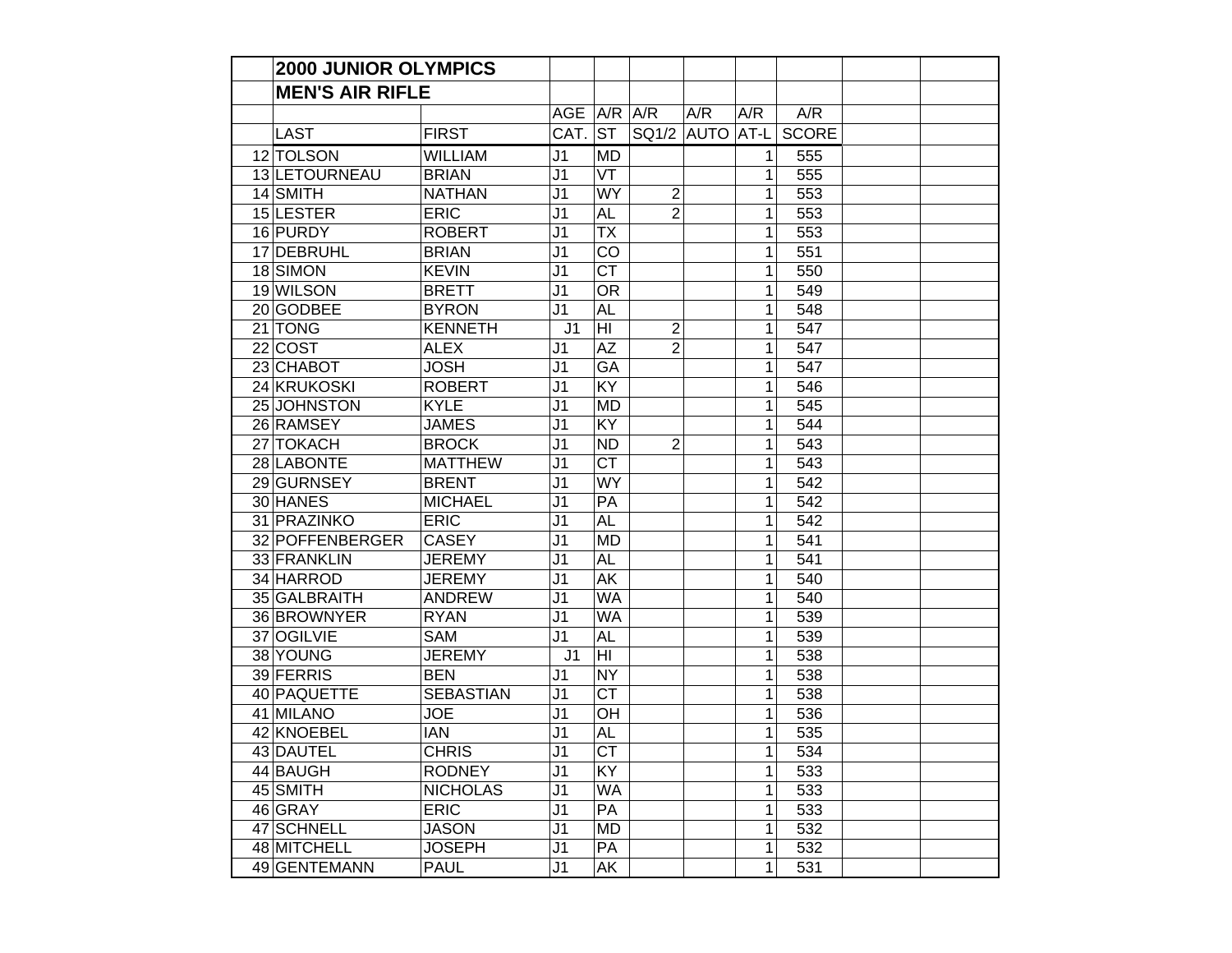| <b>2000 JUNIOR OLYMPICS</b> |                  |                |             |                 |     |              |              |  |
|-----------------------------|------------------|----------------|-------------|-----------------|-----|--------------|--------------|--|
| <b>MEN'S AIR RIFLE</b>      |                  |                |             |                 |     |              |              |  |
|                             |                  | AGE            | $A/R$ $A/R$ |                 | A/R | A/R          | A/R          |  |
| <b>LAST</b>                 | <b>FIRST</b>     | CAT.           | <b>ST</b>   | SQ1/2 AUTO AT-L |     |              | <b>SCORE</b> |  |
| 12 TOLSON                   | <b>WILLIAM</b>   | J <sub>1</sub> | <b>MD</b>   |                 |     | 1            | 555          |  |
| 13 LETOURNEAU               | <b>BRIAN</b>     | J <sub>1</sub> | VT          |                 |     | 1            | 555          |  |
| 14 SMITH                    | <b>NATHAN</b>    | J <sub>1</sub> | <b>WY</b>   | $\overline{2}$  |     | 1            | 553          |  |
| 15 LESTER                   | <b>ERIC</b>      | J <sub>1</sub> | <b>AL</b>   | $\overline{2}$  |     | $\mathbf{1}$ | 553          |  |
| 16 PURDY                    | <b>ROBERT</b>    | J <sub>1</sub> | ТX          |                 |     | 1            | 553          |  |
| 17 DEBRUHL                  | <b>BRIAN</b>     | J <sub>1</sub> | CO          |                 |     | $\mathbf{1}$ | 551          |  |
| 18 SIMON                    | <b>KEVIN</b>     | J <sub>1</sub> | <b>CT</b>   |                 |     | 1            | 550          |  |
| 19 WILSON                   | <b>BRETT</b>     | J1             | <b>OR</b>   |                 |     | 1            | 549          |  |
| 20 GODBEE                   | <b>BYRON</b>     | J <sub>1</sub> | AL          |                 |     | 1            | 548          |  |
| 21 TONG                     | <b>KENNETH</b>   | J <sub>1</sub> | HI          | $\overline{c}$  |     | 1            | 547          |  |
| $22$ COST                   | <b>ALEX</b>      | J1             | AΖ          | $\overline{2}$  |     | 1            | 547          |  |
| 23 CHABOT                   | <b>JOSH</b>      | J <sub>1</sub> | GA          |                 |     | 1            | 547          |  |
| 24 KRUKOSKI                 | <b>ROBERT</b>    | J1             | <b>KY</b>   |                 |     | 1            | 546          |  |
| 25 JOHNSTON                 | <b>KYLE</b>      | J <sub>1</sub> | <b>MD</b>   |                 |     | 1            | 545          |  |
| 26 RAMSEY                   | <b>JAMES</b>     | J <sub>1</sub> | KY          |                 |     | 1            | 544          |  |
| 27 TOKACH                   | <b>BROCK</b>     | J <sub>1</sub> | <b>ND</b>   | $\overline{2}$  |     | 1            | 543          |  |
| 28 LABONTE                  | <b>MATTHEW</b>   | J <sub>1</sub> | <b>CT</b>   |                 |     | 1            | 543          |  |
| 29 GURNSEY                  | <b>BRENT</b>     | J <sub>1</sub> | <b>WY</b>   |                 |     | 1            | 542          |  |
| 30 HANES                    | <b>MICHAEL</b>   | J <sub>1</sub> | PA          |                 |     | 1            | 542          |  |
| 31 PRAZINKO                 | <b>ERIC</b>      | J <sub>1</sub> | <b>AL</b>   |                 |     | 1            | 542          |  |
| 32 POFFENBERGER             | <b>CASEY</b>     | J <sub>1</sub> | <b>MD</b>   |                 |     | 1            | 541          |  |
| 33 FRANKLIN                 | <b>JEREMY</b>    | J <sub>1</sub> | AL          |                 |     | 1            | 541          |  |
| 34 HARROD                   | <b>JEREMY</b>    | J <sub>1</sub> | AK          |                 |     | 1            | 540          |  |
| 35 GALBRAITH                | <b>ANDREW</b>    | J <sub>1</sub> | <b>WA</b>   |                 |     | 1            | 540          |  |
| 36 BROWNYER                 | <b>RYAN</b>      | J1             | <b>WA</b>   |                 |     | 1            | 539          |  |
| 37 OGILVIE                  | SAM              | J <sub>1</sub> | <b>AL</b>   |                 |     | 1            | 539          |  |
| 38 YOUNG                    | <b>JEREMY</b>    | J1             | HI          |                 |     | 1            | 538          |  |
| 39 FERRIS                   | <b>BEN</b>       | J1             | <b>NY</b>   |                 |     | 1            | 538          |  |
| 40 PAQUETTE                 | <b>SEBASTIAN</b> | J1             | <b>CT</b>   |                 |     | 1            | 538          |  |
| 41 MILANO                   | JOE              | J1             | OН          |                 |     | 1            | 536          |  |
| 42 KNOEBEL                  | <b>IAN</b>       | J <sub>1</sub> | AL          |                 |     | 1            | 535          |  |
| 43 DAUTEL                   | <b>CHRIS</b>     | J1             | <b>CT</b>   |                 |     | 1            | 534          |  |
| 44 BAUGH                    | <b>RODNEY</b>    | J <sub>1</sub> | KY.         |                 |     | 1            | 533          |  |
| 45 SMITH                    | <b>NICHOLAS</b>  | J1             | <b>WA</b>   |                 |     | 1            | 533          |  |
| 46 GRAY                     | <b>ERIC</b>      | J <sub>1</sub> | PA          |                 |     | 1            | 533          |  |
| 47 SCHNELL                  | <b>JASON</b>     | J1             | MD          |                 |     | 1            | 532          |  |
| 48 MITCHELL                 | <b>JOSEPH</b>    | J1             | PA          |                 |     | 1            | 532          |  |
| 49 GENTEMANN                | <b>PAUL</b>      | J <sub>1</sub> | AΚ          |                 |     | 1            | 531          |  |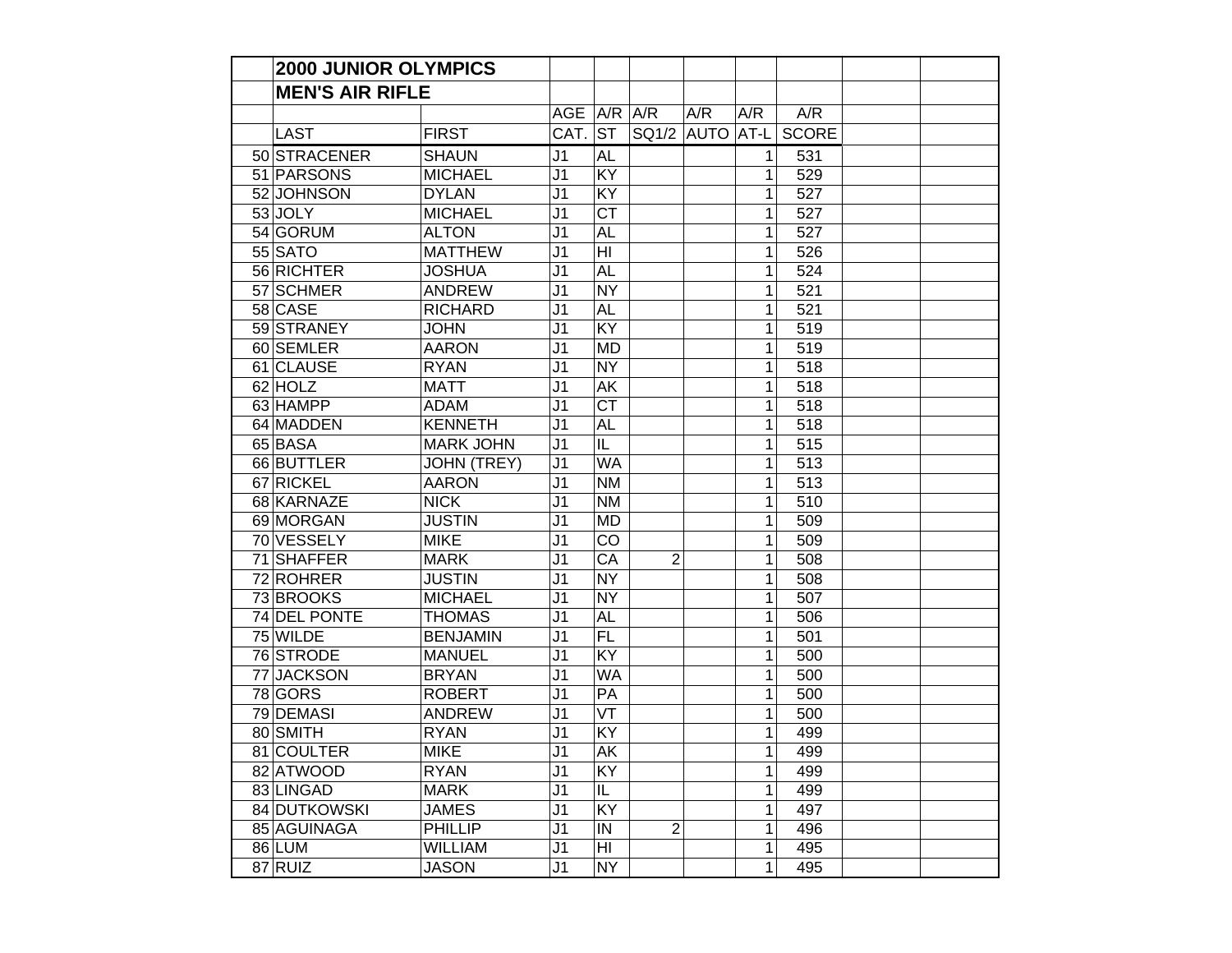| 2000 JUNIOR OLYMPICS   |                    |                |             |                 |     |              |              |  |
|------------------------|--------------------|----------------|-------------|-----------------|-----|--------------|--------------|--|
| <b>MEN'S AIR RIFLE</b> |                    |                |             |                 |     |              |              |  |
|                        |                    | AGE            | $AYR$ $AYR$ |                 | A/R | A/R          | A/R          |  |
| <b>LAST</b>            | <b>FIRST</b>       | CAT.           | <b>ST</b>   | SQ1/2 AUTO AT-L |     |              | <b>SCORE</b> |  |
| 50 STRACENER           | <b>SHAUN</b>       | J <sub>1</sub> | <b>AL</b>   |                 |     | $\mathbf{1}$ | 531          |  |
| 51 PARSONS             | <b>MICHAEL</b>     | J <sub>1</sub> | KY          |                 |     | 1            | 529          |  |
| 52 JOHNSON             | <b>DYLAN</b>       | J1             | KY          |                 |     | 1            | 527          |  |
| 53 JOLY                | <b>MICHAEL</b>     | J <sub>1</sub> | <b>CT</b>   |                 |     | 1            | 527          |  |
| 54 GORUM               | <b>ALTON</b>       | J <sub>1</sub> | <b>AL</b>   |                 |     | 1            | 527          |  |
| 55 SATO                | <b>MATTHEW</b>     | J <sub>1</sub> | HI          |                 |     | 1            | 526          |  |
| 56 RICHTER             | <b>JOSHUA</b>      | J <sub>1</sub> | <b>AL</b>   |                 |     | 1            | 524          |  |
| 57 SCHMER              | <b>ANDREW</b>      | J <sub>1</sub> | <b>NY</b>   |                 |     | $\mathbf{1}$ | 521          |  |
| 58 CASE                | <b>RICHARD</b>     | J1             | <b>AL</b>   |                 |     | $\mathbf{1}$ | 521          |  |
| 59 STRANEY             | <b>JOHN</b>        | J1             | KY          |                 |     | 1            | 519          |  |
| 60 SEMLER              | <b>AARON</b>       | J1             | <b>MD</b>   |                 |     | $\mathbf{1}$ | 519          |  |
| 61 CLAUSE              | <b>RYAN</b>        | J <sub>1</sub> | <b>NY</b>   |                 |     | $\mathbf{1}$ | 518          |  |
| 62 HOLZ                | <b>MATT</b>        | J1             | AK          |                 |     | 1            | 518          |  |
| 63 HAMPP               | <b>ADAM</b>        | J <sub>1</sub> | <b>CT</b>   |                 |     | 1            | 518          |  |
| 64 MADDEN              | <b>KENNETH</b>     | J <sub>1</sub> | <b>AL</b>   |                 |     | 1            | 518          |  |
| 65 BASA                | <b>MARK JOHN</b>   | J <sub>1</sub> | IL          |                 |     | 1            | 515          |  |
| 66 BUTTLER             | <b>JOHN (TREY)</b> | J <sub>1</sub> | <b>WA</b>   |                 |     | 1            | 513          |  |
| 67 RICKEL              | <b>AARON</b>       | J <sub>1</sub> | <b>NM</b>   |                 |     | 1            | 513          |  |
| 68 KARNAZE             | <b>NICK</b>        | J <sub>1</sub> | <b>NM</b>   |                 |     | 1            | 510          |  |
| 69 MORGAN              | <b>JUSTIN</b>      | J <sub>1</sub> | <b>MD</b>   |                 |     | 1            | 509          |  |
| 70 VESSELY             | <b>MIKE</b>        | J <sub>1</sub> | CO          |                 |     | 1            | 509          |  |
| 71 SHAFFER             | <b>MARK</b>        | J <sub>1</sub> | CA          | $\overline{2}$  |     | 1            | 508          |  |
| 72 ROHRER              | <b>JUSTIN</b>      | J <sub>1</sub> | <b>NY</b>   |                 |     | 1            | 508          |  |
| 73 BROOKS              | <b>MICHAEL</b>     | J <sub>1</sub> | <b>NY</b>   |                 |     | 1            | 507          |  |
| 74 DEL PONTE           | <b>THOMAS</b>      | J1             | AL          |                 |     | 1            | 506          |  |
| 75 WILDE               | <b>BENJAMIN</b>    | J <sub>1</sub> | FL          |                 |     | 1            | 501          |  |
| 76 STRODE              | <b>MANUEL</b>      | J1             | KY          |                 |     | 1            | 500          |  |
| 77 JACKSON             | <b>BRYAN</b>       | J <sub>1</sub> | WA          |                 |     | 1            | 500          |  |
| 78 GORS                | <b>ROBERT</b>      | J <sub>1</sub> | PA          |                 |     | 1            | 500          |  |
| 79 DEMASI              | <b>ANDREW</b>      | J1             | VT          |                 |     | 1            | 500          |  |
| 80 SMITH               | <b>RYAN</b>        | J <sub>1</sub> | KY          |                 |     | 1            | 499          |  |
| 81 COULTER             | <b>MIKE</b>        | J1             | AK          |                 |     | 1            | 499          |  |
| 82 ATWOOD              | <b>RYAN</b>        | J <sub>1</sub> | KY          |                 |     | 1            | 499          |  |
| 83 LINGAD              | <b>MARK</b>        | J1             | IL.         |                 |     | 1            | 499          |  |
| 84 DUTKOWSKI           | <b>JAMES</b>       | J1             | <b>KY</b>   |                 |     | 1            | 497          |  |
| 85 AGUINAGA            | <b>PHILLIP</b>     | J1             | IN          | $\overline{2}$  |     | 1            | 496          |  |
| 86 LUM                 | <b>WILLIAM</b>     | J1             | HI          |                 |     | 1            | 495          |  |
| 87 RUIZ                | <b>JASON</b>       | J <sub>1</sub> | <b>NY</b>   |                 |     | 1            | 495          |  |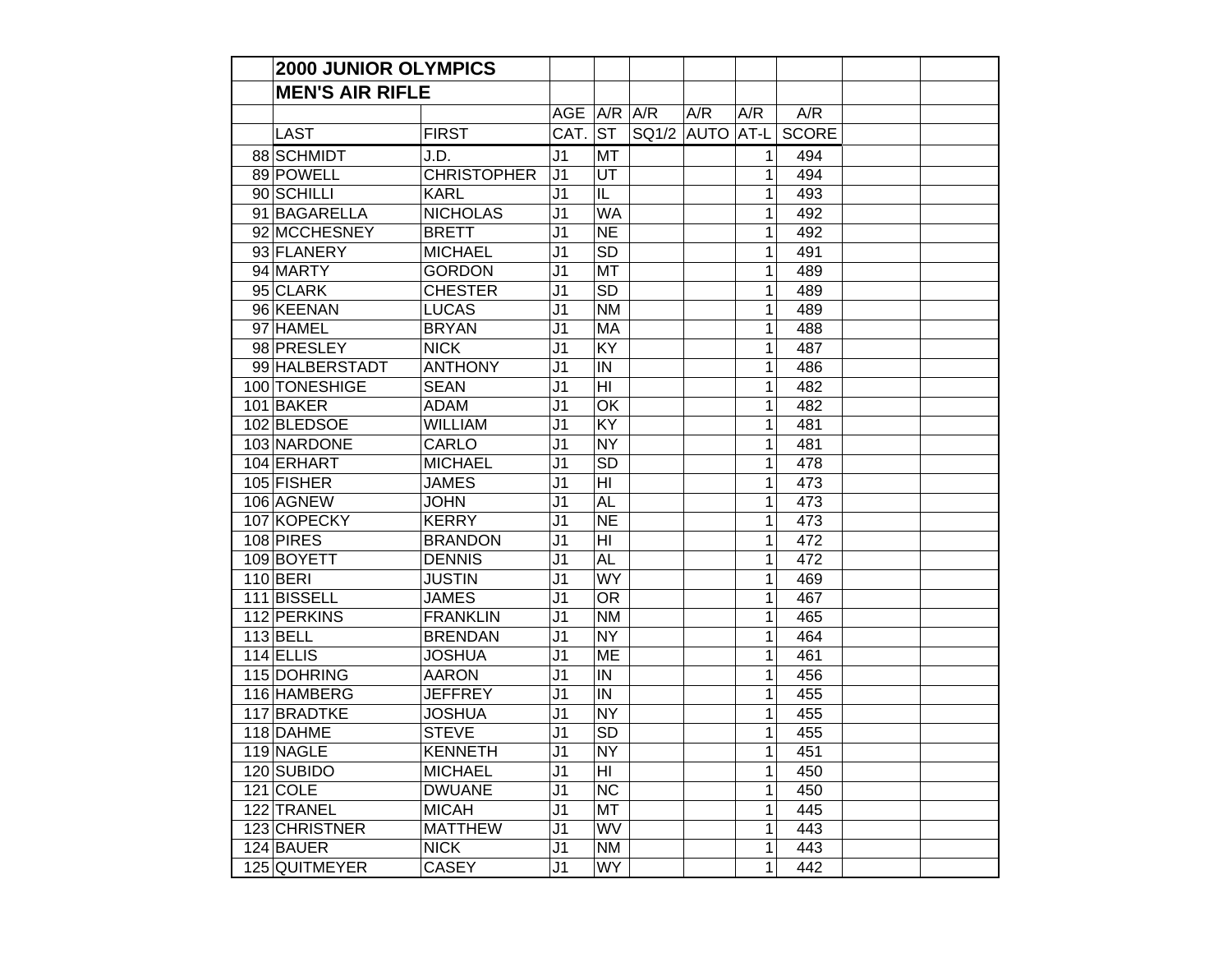| <b>2000 JUNIOR OLYMPICS</b> |                    |                |                 |                 |              |              |  |
|-----------------------------|--------------------|----------------|-----------------|-----------------|--------------|--------------|--|
| <b>MEN'S AIR RIFLE</b>      |                    |                |                 |                 |              |              |  |
|                             |                    | AGE            | $A/R$ $A/R$     | A/R             | A/R          | A/R          |  |
| <b>LAST</b>                 | <b>FIRST</b>       | CAT.           | <b>ST</b>       | SQ1/2 AUTO AT-L |              | <b>SCORE</b> |  |
| 88 SCHMIDT                  | J.D.               | J1             | MT              |                 | 1            | 494          |  |
| 89 POWELL                   | <b>CHRISTOPHER</b> | J <sub>1</sub> | UT              |                 | 1            | 494          |  |
| 90 SCHILLI                  | <b>KARL</b>        | J1             | IL              |                 | 1            | 493          |  |
| 91 BAGARELLA                | <b>NICHOLAS</b>    | J <sub>1</sub> | <b>WA</b>       |                 | 1            | 492          |  |
| 92 MCCHESNEY                | <b>BRETT</b>       | J <sub>1</sub> | <b>NE</b>       |                 | 1            | 492          |  |
| 93 FLANERY                  | <b>MICHAEL</b>     | J <sub>1</sub> | <b>SD</b>       |                 | 1            | 491          |  |
| 94 MARTY                    | <b>GORDON</b>      | J <sub>1</sub> | MT              |                 | 1            | 489          |  |
| 95 CLARK                    | <b>CHESTER</b>     | J <sub>1</sub> | <b>SD</b>       |                 | $\mathbf{1}$ | 489          |  |
| 96 KEENAN                   | <b>LUCAS</b>       | J1             | <b>NM</b>       |                 | 1            | 489          |  |
| 97 HAMEL                    | <b>BRYAN</b>       | J <sub>1</sub> | MA              |                 | 1            | 488          |  |
| 98 PRESLEY                  | <b>NICK</b>        | J <sub>1</sub> | KY              |                 | 1            | 487          |  |
| 99 HALBERSTADT              | <b>ANTHONY</b>     | J <sub>1</sub> | IN              |                 | 1            | 486          |  |
| 100 TONESHIGE               | <b>SEAN</b>        | J <sub>1</sub> | H <sub>II</sub> |                 | 1            | 482          |  |
| 101 BAKER                   | <b>ADAM</b>        | J <sub>1</sub> | OK              |                 | 1            | 482          |  |
| 102 BLEDSOE                 | <b>WILLIAM</b>     | J1             | KY              |                 | 1            | 481          |  |
| 103 NARDONE                 | CARLO              | J <sub>1</sub> | <b>NY</b>       |                 | 1            | 481          |  |
| 104 ERHART                  | <b>MICHAEL</b>     | J <sub>1</sub> | <b>SD</b>       |                 | 1            | 478          |  |
| 105 FISHER                  | <b>JAMES</b>       | J <sub>1</sub> | HI              |                 | 1            | 473          |  |
| 106 AGNEW                   | <b>JOHN</b>        | J <sub>1</sub> | <b>AL</b>       |                 | 1            | 473          |  |
| 107 KOPECKY                 | <b>KERRY</b>       | J <sub>1</sub> | <b>NE</b>       |                 | $\mathbf{1}$ | 473          |  |
| 108 PIRES                   | <b>BRANDON</b>     | J1             | HI              |                 | 1            | 472          |  |
| 109 BOYETT                  | <b>DENNIS</b>      | J <sub>1</sub> | <b>AL</b>       |                 | 1            | 472          |  |
| $110$ BERI                  | <b>JUSTIN</b>      | J <sub>1</sub> | <b>WY</b>       |                 | 1            | 469          |  |
| 111 BISSELL                 | <b>JAMES</b>       | J <sub>1</sub> | <b>OR</b>       |                 | 1            | 467          |  |
| 112 PERKINS                 | <b>FRANKLIN</b>    | J1             | <b>NM</b>       |                 | 1            | 465          |  |
| $113$ BELL                  | <b>BRENDAN</b>     | J <sub>1</sub> | <b>NY</b>       |                 | 1            | 464          |  |
| $114$ ELLIS                 | <b>JOSHUA</b>      | J1             | <b>ME</b>       |                 | 1            | 461          |  |
| 115 DOHRING                 | AARON              | J <sub>1</sub> | IN              |                 | 1            | 456          |  |
| 116 HAMBERG                 | <b>JEFFREY</b>     | J <sub>1</sub> | IN              |                 | 1            | 455          |  |
| 117 BRADTKE                 | <b>JOSHUA</b>      | J <sub>1</sub> | <b>NY</b>       |                 | 1            | 455          |  |
| 118 DAHME                   | <b>STEVE</b>       | J <sub>1</sub> | <b>SD</b>       |                 | 1            | 455          |  |
| 119 NAGLE                   | <b>KENNETH</b>     | J1             | <b>NY</b>       |                 | $\mathbf{1}$ | 451          |  |
| 120 SUBIDO                  | <b>MICHAEL</b>     | J1             | HI              |                 | 1            | 450          |  |
| $121$ COLE                  | <b>DWUANE</b>      | J1             | <b>NC</b>       |                 | 1            | 450          |  |
| 122 TRANEL                  | <b>MICAH</b>       | J1             | MT              |                 | 1            | 445          |  |
| 123 CHRISTNER               | <b>MATTHEW</b>     | J1             | WV              |                 | 1            | 443          |  |
| 124 BAUER                   | <b>NICK</b>        | J1             | <b>NM</b>       |                 | $\mathbf 1$  | 443          |  |
| 125 QUITMEYER               | <b>CASEY</b>       | J1             | <b>WY</b>       |                 | 1            | 442          |  |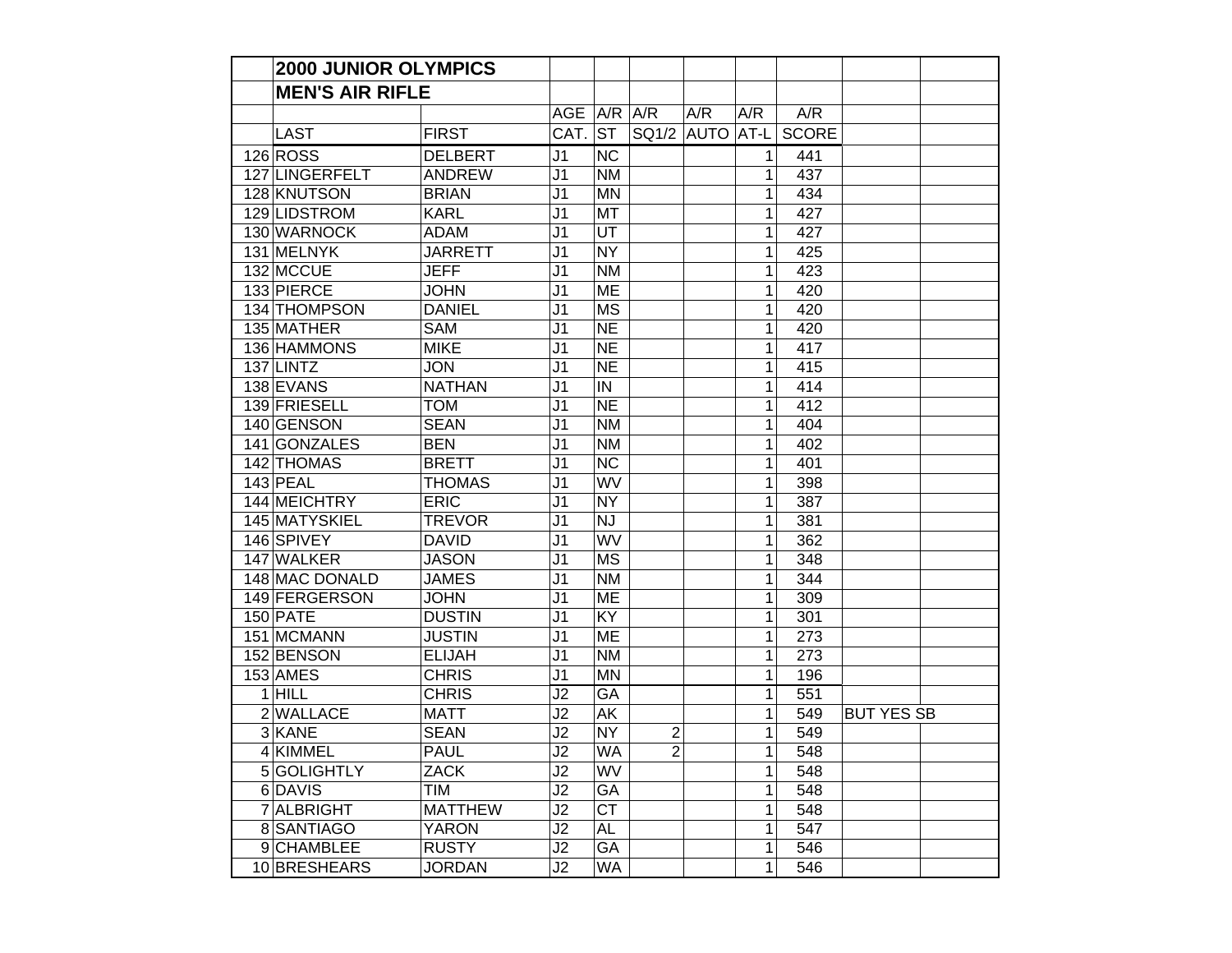| 2000 JUNIOR OLYMPICS    |                |                |             |                 |     |              |              |                   |  |
|-------------------------|----------------|----------------|-------------|-----------------|-----|--------------|--------------|-------------------|--|
| <b>MEN'S AIR RIFLE</b>  |                |                |             |                 |     |              |              |                   |  |
|                         |                | AGE            | $A/R$ $A/R$ |                 | A/R | A/R          | A/R          |                   |  |
| <b>LAST</b>             | <b>FIRST</b>   | CAT.           | <b>ST</b>   | SQ1/2 AUTO AT-L |     |              | <b>SCORE</b> |                   |  |
| 126 ROSS                | <b>DELBERT</b> | J <sub>1</sub> | <b>NC</b>   |                 |     | 1            | 441          |                   |  |
| 127 LINGERFELT          | <b>ANDREW</b>  | J <sub>1</sub> | <b>NM</b>   |                 |     | 1            | 437          |                   |  |
| 128 KNUTSON             | <b>BRIAN</b>   | J <sub>1</sub> | MN          |                 |     | 1            | 434          |                   |  |
| 129 LIDSTROM            | <b>KARL</b>    | J <sub>1</sub> | МT          |                 |     | 1            | 427          |                   |  |
| 130 WARNOCK             | <b>ADAM</b>    | J <sub>1</sub> | UT          |                 |     | $\mathbf{1}$ | 427          |                   |  |
| 131 MELNYK              | <b>JARRETT</b> | J <sub>1</sub> | <b>NY</b>   |                 |     | $\mathbf{1}$ | 425          |                   |  |
| 132 MCCUE               | <b>JEFF</b>    | J <sub>1</sub> | <b>NM</b>   |                 |     | $\mathbf{1}$ | 423          |                   |  |
| 133 PIERCE              | <b>JOHN</b>    | J1             | <b>ME</b>   |                 |     | 1            | 420          |                   |  |
| 134 THOMPSON            | <b>DANIEL</b>  | J1             | <b>MS</b>   |                 |     | $\mathbf{1}$ | 420          |                   |  |
| 135 MATHER              | <b>SAM</b>     | J1             | <b>NE</b>   |                 |     | 1            | 420          |                   |  |
| 136 HAMMONS             | <b>MIKE</b>    | J1             | <b>NE</b>   |                 |     | 1            | 417          |                   |  |
| 137 LINTZ               | <b>JON</b>     | J1             | <b>NE</b>   |                 |     | 1            | 415          |                   |  |
| 138 EVANS               | <b>NATHAN</b>  | J1             | IN          |                 |     | 1            | 414          |                   |  |
| 139 FRIESELL            | <b>TOM</b>     | J <sub>1</sub> | <b>NE</b>   |                 |     | 1            | 412          |                   |  |
| 140 GENSON              | <b>SEAN</b>    | J <sub>1</sub> | <b>NM</b>   |                 |     | 1            | 404          |                   |  |
| 141 GONZALES            | <b>BEN</b>     | J <sub>1</sub> | <b>NM</b>   |                 |     | 1            | 402          |                   |  |
| $\overline{142}$ THOMAS | <b>BRETT</b>   | J <sub>1</sub> | <b>NC</b>   |                 |     | 1            | 401          |                   |  |
| 143 PEAL                | <b>THOMAS</b>  | J <sub>1</sub> | WV          |                 |     | 1            | 398          |                   |  |
| 144 MEICHTRY            | <b>ERIC</b>    | J <sub>1</sub> | <b>NY</b>   |                 |     | 1            | 387          |                   |  |
| 145 MATYSKIEL           | <b>TREVOR</b>  | J <sub>1</sub> | <b>NJ</b>   |                 |     | 1            | 381          |                   |  |
| 146 SPIVEY              | <b>DAVID</b>   | J <sub>1</sub> | WV          |                 |     | 1            | 362          |                   |  |
| 147 WALKER              | <b>JASON</b>   | J <sub>1</sub> | <b>MS</b>   |                 |     | 1            | 348          |                   |  |
| 148 MAC DONALD          | <b>JAMES</b>   | J <sub>1</sub> | <b>NM</b>   |                 |     | 1            | 344          |                   |  |
| 149 FERGERSON           | <b>JOHN</b>    | J <sub>1</sub> | <b>ME</b>   |                 |     | 1            | 309          |                   |  |
| $150$ PATE              | <b>DUSTIN</b>  | J1             | <b>KY</b>   |                 |     | 1            | 301          |                   |  |
| 151 MCMANN              | <b>JUSTIN</b>  | J1             | ME          |                 |     | 1            | 273          |                   |  |
| 152 BENSON              | <b>ELIJAH</b>  | J1             | <b>NM</b>   |                 |     | $\mathbf{1}$ | 273          |                   |  |
| 153 AMES                | <b>CHRIS</b>   | J1             | <b>MN</b>   |                 |     | $\mathbf{1}$ | 196          |                   |  |
| $1$ $HILL$              | <b>CHRIS</b>   | J <sub>2</sub> | GA          |                 |     | 1            | 551          |                   |  |
| 2 WALLACE               | <b>MATT</b>    | J2             | AK          |                 |     | 1            | 549          | <b>BUT YES SB</b> |  |
| 3 KANE                  | <b>SEAN</b>    | J2             | <b>NY</b>   | 2               |     | 1            | 549          |                   |  |
| 4 KIMMEL                | <b>PAUL</b>    | J2             | WA          | $\mathfrak{p}$  |     | 1            | 548          |                   |  |
| 5 GOLIGHTLY             | <b>ZACK</b>    | J2             | WV          |                 |     | 1            | 548          |                   |  |
| 6 DAVIS                 | TIM            | J2             | GA          |                 |     | 1            | 548          |                   |  |
| 7 ALBRIGHT              | <b>MATTHEW</b> | J2             | <b>CT</b>   |                 |     | 1            | 548          |                   |  |
| 8 SANTIAGO              | <b>YARON</b>   | J2             | AL          |                 |     | 1            | 547          |                   |  |
| 9 CHAMBLEE              | <b>RUSTY</b>   | J2             | GA          |                 |     | 1            | 546          |                   |  |
| 10 BRESHEARS            | <b>JORDAN</b>  | J2             | WA          |                 |     | $\mathbf{1}$ | 546          |                   |  |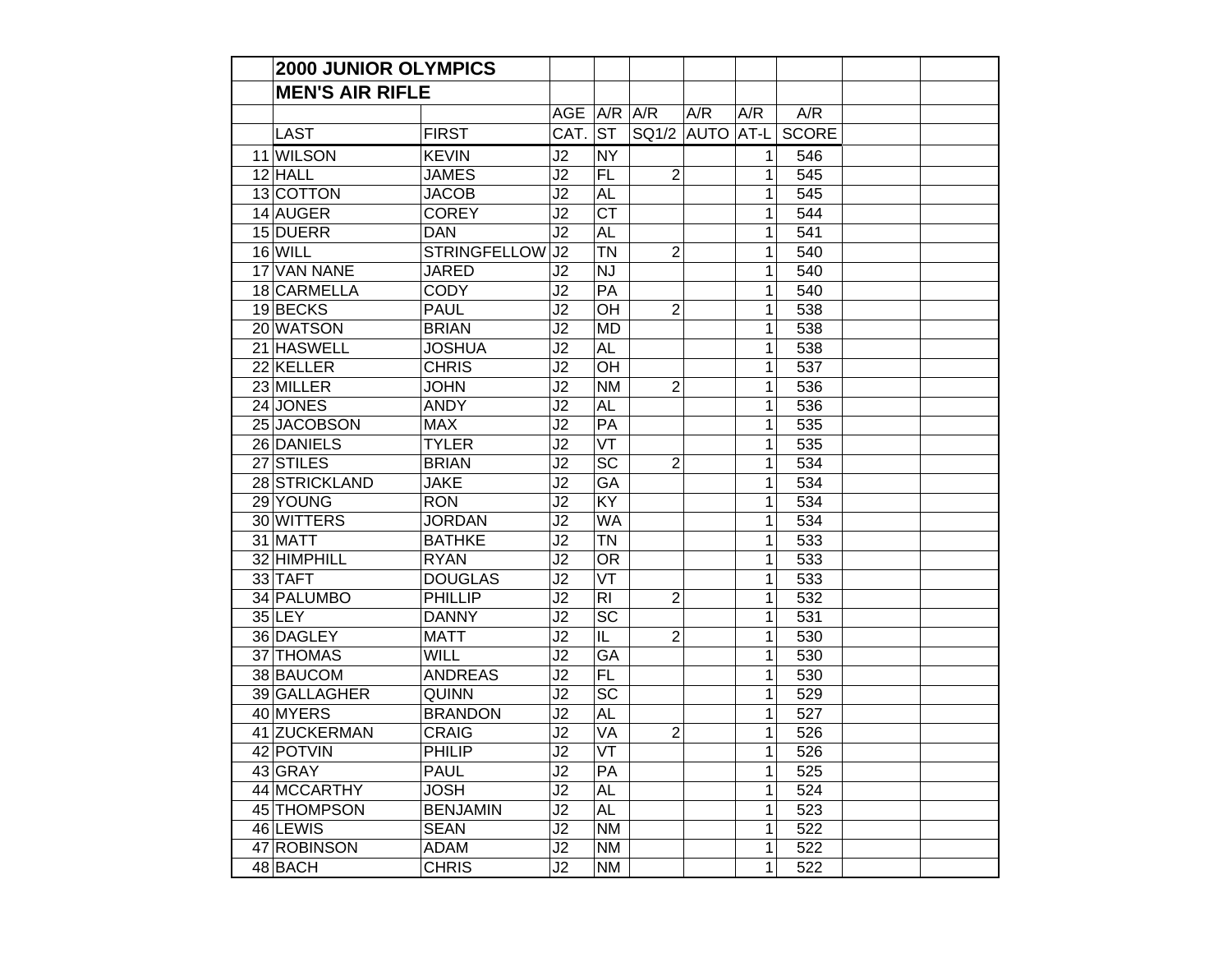| <b>2000 JUNIOR OLYMPICS</b> |                     |                          |                 |                |                 |              |              |  |
|-----------------------------|---------------------|--------------------------|-----------------|----------------|-----------------|--------------|--------------|--|
| <b>MEN'S AIR RIFLE</b>      |                     |                          |                 |                |                 |              |              |  |
|                             |                     | AGE                      | $A/R$ $A/R$     |                | A/R             | A/R          | A/R          |  |
| <b>LAST</b>                 | <b>FIRST</b>        | CAT.                     | <b>ST</b>       |                | SQ1/2 AUTO AT-L |              | <b>SCORE</b> |  |
| 11 WILSON                   | <b>KEVIN</b>        | J2                       | <b>NY</b>       |                |                 | 1            | 546          |  |
| 12 HALL                     | <b>JAMES</b>        | J2                       | FL              | $\overline{2}$ |                 | 1            | 545          |  |
| 13 COTTON                   | <b>JACOB</b>        | J2                       | <b>AL</b>       |                |                 | 1            | 545          |  |
| 14 AUGER                    | <b>COREY</b>        | J2                       | <b>CT</b>       |                |                 | $\mathbf{1}$ | 544          |  |
| 15 DUERR                    | <b>DAN</b>          | J2                       | <b>AL</b>       |                |                 | $\mathbf{1}$ | 541          |  |
| 16 WILL                     | <b>STRINGFELLOW</b> | J2                       | TN              | $\overline{2}$ |                 | 1            | 540          |  |
| 17 VAN NANE                 | <b>JARED</b>        | J2                       | <b>NJ</b>       |                |                 | $\mathbf{1}$ | 540          |  |
| 18 CARMELLA                 | <b>CODY</b>         | J2                       | PA              |                |                 | $\mathbf{1}$ | 540          |  |
| 19 BECKS                    | <b>PAUL</b>         | J2                       | OH              | 2              |                 | $\mathbf{1}$ | 538          |  |
| 20 WATSON                   | <b>BRIAN</b>        | J2                       | <b>MD</b>       |                |                 | $\mathbf{1}$ | 538          |  |
| 21 HASWELL                  | <b>JOSHUA</b>       | J2                       | <b>AL</b>       |                |                 | $\mathbf{1}$ | 538          |  |
| 22 KELLER                   | <b>CHRIS</b>        | J2                       | OH              |                |                 | $\mathbf{1}$ | 537          |  |
| 23 MILLER                   | <b>JOHN</b>         | J2                       | <b>NM</b>       | 2              |                 | 1            | 536          |  |
| 24 JONES                    | <b>ANDY</b>         | J2                       | <b>AL</b>       |                |                 | 1            | 536          |  |
| 25 JACOBSON                 | <b>MAX</b>          | J2                       | PA              |                |                 | 1            | 535          |  |
| 26 DANIELS                  | <b>TYLER</b>        | J2                       | VT              |                |                 | 1            | 535          |  |
| 27 STILES                   | <b>BRIAN</b>        | J2                       | <b>SC</b>       | 2              |                 | 1            | 534          |  |
| 28 STRICKLAND               | <b>JAKE</b>         | J2                       | GA              |                |                 | $\mathbf{1}$ | 534          |  |
| 29 YOUNG                    | <b>RON</b>          | J2                       | KY              |                |                 | $\mathbf{1}$ | 534          |  |
| 30 WITTERS                  | <b>JORDAN</b>       | J2                       | <b>WA</b>       |                |                 | 1            | 534          |  |
| 31 MATT                     | <b>BATHKE</b>       | J2                       | <b>TN</b>       |                |                 | $\mathbf{1}$ | 533          |  |
| 32 HIMPHILL                 | <b>RYAN</b>         | J2                       | <b>OR</b>       |                |                 | 1            | 533          |  |
| 33 TAFT                     | <b>DOUGLAS</b>      | $\overline{\mathsf{J2}}$ | VT              |                |                 | 1            | 533          |  |
| 34 PALUMBO                  | <b>PHILLIP</b>      | J2                       | R <sub>l</sub>  | $\overline{2}$ |                 | $\mathbf{1}$ | 532          |  |
| 35 LEY                      | <b>DANNY</b>        | J2                       | $\overline{SC}$ |                |                 | $\mathbf{1}$ | 531          |  |
| 36 DAGLEY                   | <b>MATT</b>         | J2                       | IL              | 2              |                 | $\mathbf{1}$ | 530          |  |
| 37 THOMAS                   | <b>WILL</b>         | J2                       | <b>GA</b>       |                |                 | $\mathbf{1}$ | 530          |  |
| 38 BAUCOM                   | <b>ANDREAS</b>      | J2                       | <b>FL</b>       |                |                 | 1            | 530          |  |
| 39 GALLAGHER                | <b>QUINN</b>        | J2                       | SC              |                |                 | $\mathbf{1}$ | 529          |  |
| 40 MYERS                    | <b>BRANDON</b>      | J2                       | <b>AL</b>       |                |                 | 1            | 527          |  |
| 41 ZUCKERMAN                | <b>CRAIG</b>        | J2                       | VA              | 2              |                 | 1            | 526          |  |
| 42 POTVIN                   | <b>PHILIP</b>       | J2                       | VT              |                |                 | $\mathbf{1}$ | 526          |  |
| 43 GRAY                     | <b>PAUL</b>         | J2                       | PA              |                |                 | 1            | 525          |  |
| 44 MCCARTHY                 | <b>JOSH</b>         | J2                       | <b>AL</b>       |                |                 | 1            | 524          |  |
| 45 THOMPSON                 | <b>BENJAMIN</b>     | J2                       | <b>AL</b>       |                |                 | 1            | 523          |  |
| 46 LEWIS                    | <b>SEAN</b>         | J2                       | <b>NM</b>       |                |                 | 1            | 522          |  |
| 47 ROBINSON                 | <b>ADAM</b>         | J2                       | <b>NM</b>       |                |                 | $\mathbf{1}$ | 522          |  |
| 48 BACH                     | <b>CHRIS</b>        | J2                       | <b>NM</b>       |                |                 | 1            | 522          |  |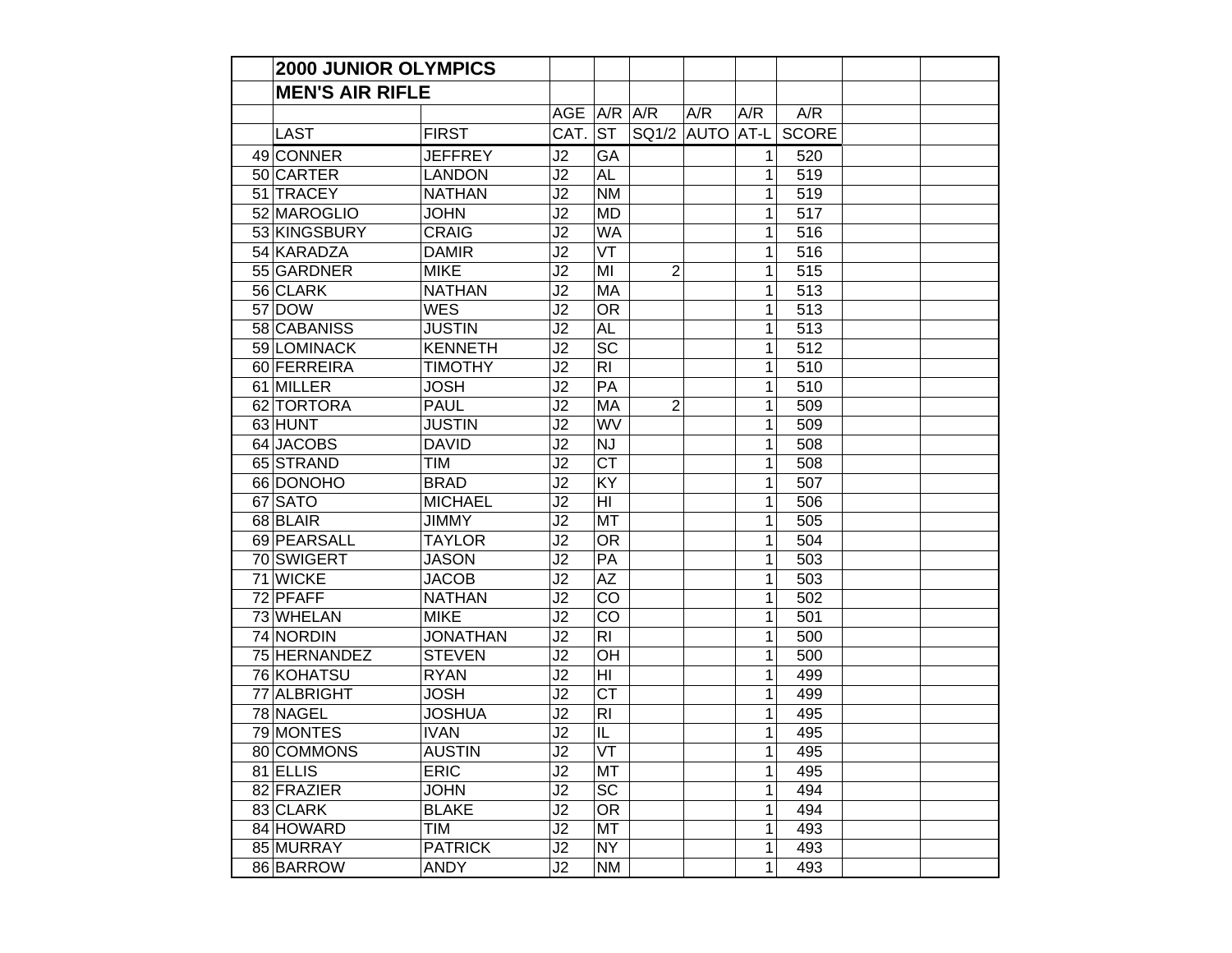| <b>2000 JUNIOR OLYMPICS</b> |                 |                |                |                |                  |              |              |  |
|-----------------------------|-----------------|----------------|----------------|----------------|------------------|--------------|--------------|--|
| <b>MEN'S AIR RIFLE</b>      |                 |                |                |                |                  |              |              |  |
|                             |                 | AGE            | $A/R$ $A/R$    |                | A/R              | A/R          | A/R          |  |
| <b>LAST</b>                 | <b>FIRST</b>    | CAT.           | <b>ST</b>      | SQ1/2          | <b>AUTO AT-L</b> |              | <b>SCORE</b> |  |
| 49 CONNER                   | <b>JEFFREY</b>  | J2             | GA             |                |                  | 1            | 520          |  |
| 50 CARTER                   | <b>LANDON</b>   | J2             | <b>AL</b>      |                |                  | 1            | 519          |  |
| 51 TRACEY                   | <b>NATHAN</b>   | J2             | <b>NM</b>      |                |                  | 1            | 519          |  |
| 52 MAROGLIO                 | <b>JOHN</b>     | J2             | <b>MD</b>      |                |                  | 1            | 517          |  |
| 53 KINGSBURY                | <b>CRAIG</b>    | J2             | <b>WA</b>      |                |                  | 1            | 516          |  |
| 54 KARADZA                  | <b>DAMIR</b>    | J2             | VT             |                |                  | 1            | 516          |  |
| 55 GARDNER                  | <b>MIKE</b>     | J2             | MI             | $\overline{2}$ |                  | 1            | 515          |  |
| 56 CLARK                    | <b>NATHAN</b>   | J2             | MA             |                |                  | 1            | 513          |  |
| 57 DOW                      | <b>WES</b>      | J2             | <b>OR</b>      |                |                  | 1            | 513          |  |
| 58 CABANISS                 | <b>JUSTIN</b>   | J2             | <b>AL</b>      |                |                  | 1            | 513          |  |
| 59 LOMINACK                 | <b>KENNETH</b>  | J2             | <b>SC</b>      |                |                  | 1            | 512          |  |
| 60 FERREIRA                 | <b>TIMOTHY</b>  | J2             | R <sub>l</sub> |                |                  | 1            | 510          |  |
| 61 MILLER                   | <b>JOSH</b>     | J <sub>2</sub> | PA             |                |                  | 1            | 510          |  |
| 62 TORTORA                  | <b>PAUL</b>     | J2             | MA             | 2              |                  | 1            | 509          |  |
| 63 HUNT                     | <b>JUSTIN</b>   | J2             | WV             |                |                  | 1            | 509          |  |
| 64 JACOBS                   | <b>DAVID</b>    | J2             | <b>NJ</b>      |                |                  | 1            | 508          |  |
| 65 STRAND                   | <b>TIM</b>      | J2             | <b>CT</b>      |                |                  | 1            | 508          |  |
| 66 DONOHO                   | <b>BRAD</b>     | J2             | KY             |                |                  | 1            | 507          |  |
| 67 SATO                     | <b>MICHAEL</b>  | J2             | HI             |                |                  | 1            | 506          |  |
| 68 BLAIR                    | <b>JIMMY</b>    | J2             | MT             |                |                  | 1            | 505          |  |
| 69 PEARSALL                 | <b>TAYLOR</b>   | J2             | <b>OR</b>      |                |                  | 1            | 504          |  |
| 70 SWIGERT                  | <b>JASON</b>    | J2             | PA             |                |                  | 1            | 503          |  |
| 71 WICKE                    | <b>JACOB</b>    | J2             | <b>AZ</b>      |                |                  | 1            | 503          |  |
| 72 PFAFF                    | <b>NATHAN</b>   | J2             | $\overline{C}$ |                |                  | 1            | 502          |  |
| 73 WHELAN                   | <b>MIKE</b>     | J2             | CO             |                |                  | 1            | 501          |  |
| 74 NORDIN                   | <b>JONATHAN</b> | J2             | R <sub>l</sub> |                |                  | 1            | 500          |  |
| 75 HERNANDEZ                | <b>STEVEN</b>   | J2             | OH             |                |                  | 1            | 500          |  |
| 76 KOHATSU                  | <b>RYAN</b>     | J2             | HI             |                |                  | 1            | 499          |  |
| 77 ALBRIGHT                 | <b>JOSH</b>     | J2             | CT             |                |                  | 1            | 499          |  |
| 78 NAGEL                    | <b>JOSHUA</b>   | J2             | R <sub>l</sub> |                |                  | 1            | 495          |  |
| 79 MONTES                   | <b>IVAN</b>     | J2             | IL             |                |                  | 1            | 495          |  |
| 80 COMMONS                  | <b>AUSTIN</b>   | J2             | VT             |                |                  | 1            | 495          |  |
| 81 ELLIS                    | <b>ERIC</b>     | J2             | MT             |                |                  | 1            | 495          |  |
| 82 FRAZIER                  | <b>JOHN</b>     | J2             | <b>SC</b>      |                |                  | 1            | 494          |  |
| 83 CLARK                    | <b>BLAKE</b>    | J2             | <b>OR</b>      |                |                  | 1            | 494          |  |
| 84 HOWARD                   | TIM             | J2             | МT             |                |                  | 1            | 493          |  |
| 85 MURRAY                   | <b>PATRICK</b>  | J2             | <b>NY</b>      |                |                  | $\mathbf{1}$ | 493          |  |
| 86 BARROW                   | <b>ANDY</b>     | J2             | ΝM             |                |                  | 1            | 493          |  |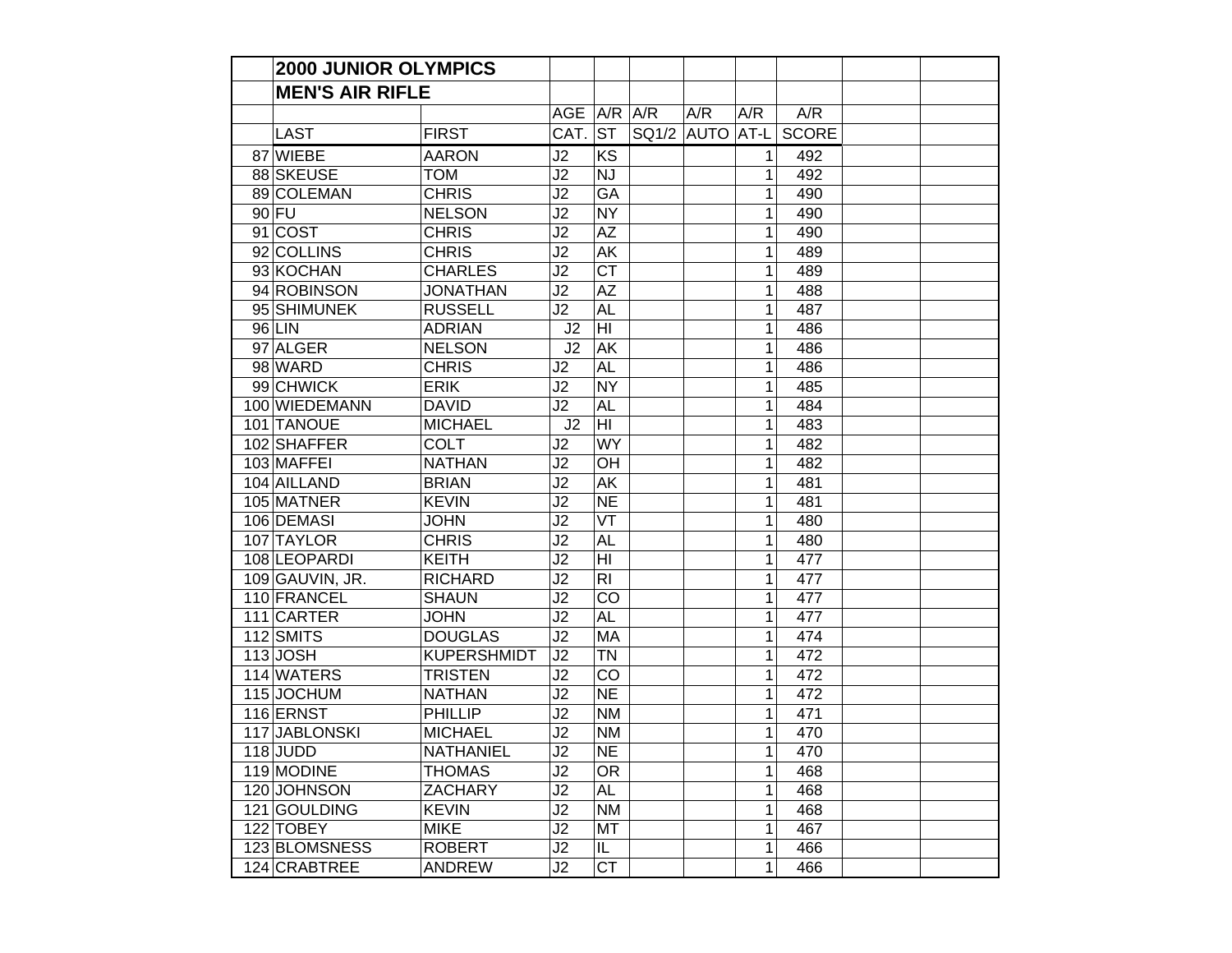| <b>2000 JUNIOR OLYMPICS</b> |                    |                          |                     |                 |              |              |  |
|-----------------------------|--------------------|--------------------------|---------------------|-----------------|--------------|--------------|--|
| <b>MEN'S AIR RIFLE</b>      |                    |                          |                     |                 |              |              |  |
|                             |                    | AGE                      | $A/R$ $A/R$         | A/R             | A/R          | A/R          |  |
| <b>LAST</b>                 | <b>FIRST</b>       | CAT.                     | <b>ST</b>           | SQ1/2 AUTO AT-L |              | <b>SCORE</b> |  |
| 87 WIEBE                    | <b>AARON</b>       | J2                       | KS                  |                 | 1            | 492          |  |
| 88 SKEUSE                   | <b>NOT</b>         | J2                       | <b>NJ</b>           |                 | 1            | 492          |  |
| 89 COLEMAN                  | <b>CHRIS</b>       | J2                       | GA                  |                 | 1            | 490          |  |
| $90$ FU                     | <b>NELSON</b>      | J2                       | <b>NY</b>           |                 | 1            | 490          |  |
| 91 COST                     | <b>CHRIS</b>       | J2                       | <b>AZ</b>           |                 | 1            | 490          |  |
| 92 COLLINS                  | <b>CHRIS</b>       | J2                       | AK                  |                 | 1            | 489          |  |
| 93 KOCHAN                   | <b>CHARLES</b>     | J2                       | <b>CT</b>           |                 | 1            | 489          |  |
| 94 ROBINSON                 | <b>JONATHAN</b>    | J2                       | AΖ                  |                 | 1            | 488          |  |
| 95 SHIMUNEK                 | <b>RUSSELL</b>     | J2                       | AL                  |                 | 1            | 487          |  |
| $\overline{96}$ LIN         | <b>ADRIAN</b>      | J2                       | H <sub>l</sub>      |                 | 1            | 486          |  |
| 97 ALGER                    | <b>NELSON</b>      | J2                       | AK                  |                 | 1            | 486          |  |
| 98 WARD                     | <b>CHRIS</b>       | J2                       | <b>AL</b>           |                 | 1            | 486          |  |
| 99 CHWICK                   | <b>ERIK</b>        | J2                       | <b>NY</b>           |                 | 1            | 485          |  |
| 100 WIEDEMANN               | <b>DAVID</b>       | J2                       | <b>AL</b>           |                 | 1            | 484          |  |
| 101 TANOUE                  | <b>MICHAEL</b>     | J2                       | HI                  |                 | 1            | 483          |  |
| 102 SHAFFER                 | <b>COLT</b>        | J2                       | <b>WY</b>           |                 | 1            | 482          |  |
| 103 MAFFEI                  | <b>NATHAN</b>      | J2                       | OH                  |                 | 1            | 482          |  |
| 104 AILLAND                 | <b>BRIAN</b>       | J2                       | AK                  |                 | 1            | 481          |  |
| 105 MATNER                  | <b>KEVIN</b>       | J2                       | <b>NE</b>           |                 | 1            | 481          |  |
| 106 DEMASI                  | <b>JOHN</b>        | J2                       | $\overline{\nabla}$ |                 | 1            | 480          |  |
| 107 TAYLOR                  | CHRIS              | J2                       | <b>AL</b>           |                 | 1            | 480          |  |
| 108 LEOPARDI                | <b>KEITH</b>       | J2                       | H <sub>l</sub>      |                 | 1            | 477          |  |
| 109 GAUVIN, JR.             | <b>RICHARD</b>     | $\overline{J2}$          | R <sub>l</sub>      |                 | 1            | 477          |  |
| 110 FRANCEL                 | <b>SHAUN</b>       | $\overline{\mathsf{J2}}$ | CO                  |                 | 1            | 477          |  |
| 111 CARTER                  | <b>JOHN</b>        | $\overline{\mathsf{J2}}$ | <b>AL</b>           |                 | 1            | 477          |  |
| 112 SMITS                   | <b>DOUGLAS</b>     | J2                       | <b>MA</b>           |                 | 1            | 474          |  |
| $113$ JOSH                  | <b>KUPERSHMIDT</b> | J2                       | <b>TN</b>           |                 | 1            | 472          |  |
| 114 WATERS                  | <b>TRISTEN</b>     | J2                       | CO                  |                 | 1            | 472          |  |
| 115 JOCHUM                  | <b>NATHAN</b>      | J2                       | <b>NE</b>           |                 | 1            | 472          |  |
| 116 ERNST                   | <b>PHILLIP</b>     | J2                       | <b>NM</b>           |                 | 1            | 471          |  |
| 117 JABLONSKI               | <b>MICHAEL</b>     | J2                       | <b>NM</b>           |                 | 1            | 470          |  |
| $118$ JUDD                  | NATHANIEL          | J2                       | <b>NE</b>           |                 | $\mathbf{1}$ | 470          |  |
| 119 MODINE                  | THOMAS             | J2                       | <b>OR</b>           |                 | 1            | 468          |  |
| 120 JOHNSON                 | <b>ZACHARY</b>     | J2                       | <b>AL</b>           |                 | 1            | 468          |  |
| 121 GOULDING                | <b>KEVIN</b>       | J2                       | <b>NM</b>           |                 | 1            | 468          |  |
| 122 TOBEY                   | <b>MIKE</b>        | J2                       | MT                  |                 | 1            | 467          |  |
| 123 BLOMSNESS               | <b>ROBERT</b>      | J2                       | IL                  |                 | 1            | 466          |  |
| 124 CRABTREE                | <b>ANDREW</b>      | J2                       | <b>CT</b>           |                 | $\mathbf{1}$ | 466          |  |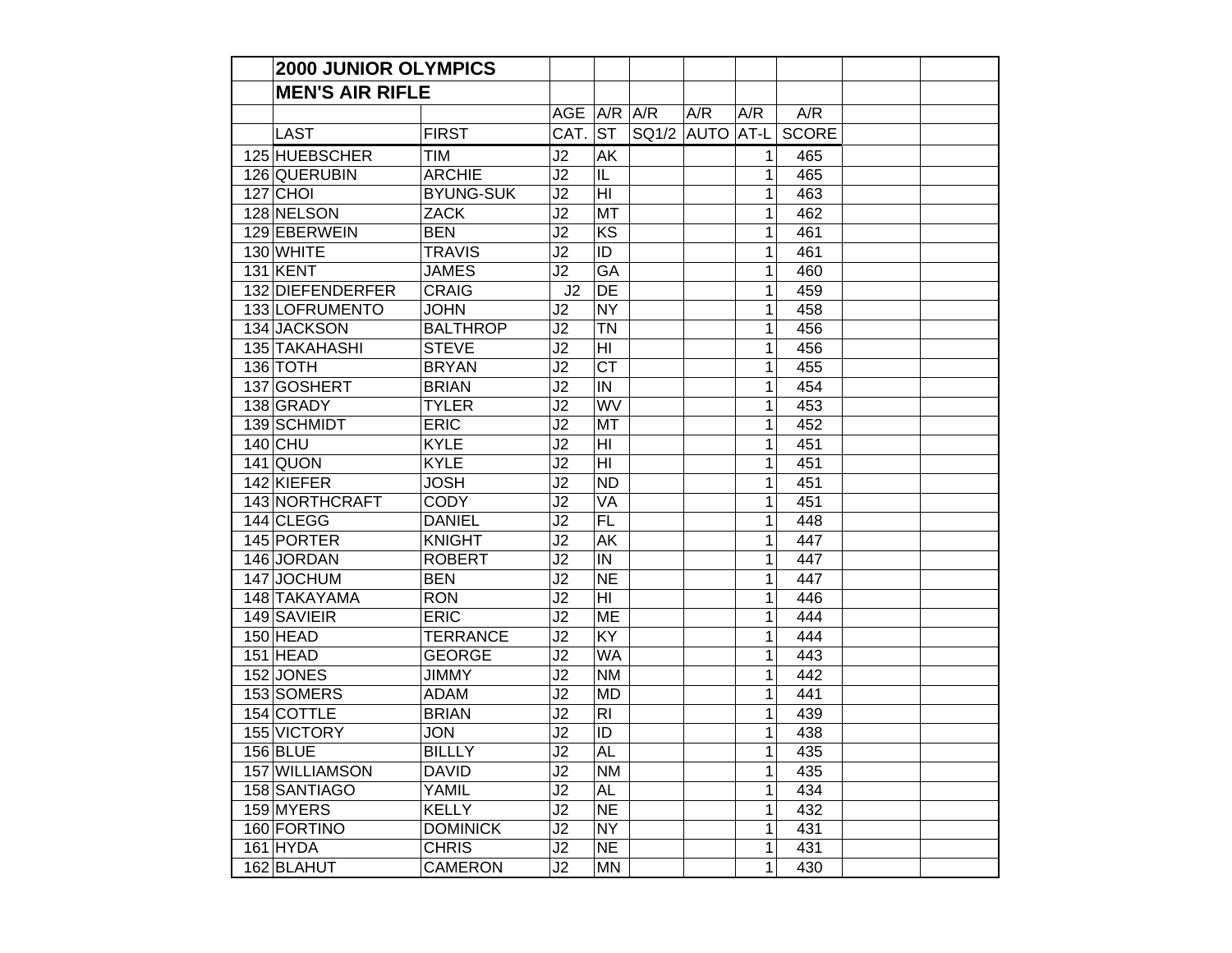| <b>2000 JUNIOR OLYMPICS</b> |                  |                   |                |       |                  |     |              |  |
|-----------------------------|------------------|-------------------|----------------|-------|------------------|-----|--------------|--|
| <b>MEN'S AIR RIFLE</b>      |                  |                   |                |       |                  |     |              |  |
|                             |                  | $AGE$ $AYR$ $AYR$ |                |       | A/R              | A/R | A/R          |  |
| <b>LAST</b>                 | <b>FIRST</b>     | CAT. ST           |                | SQ1/2 | <b>AUTO AT-L</b> |     | <b>SCORE</b> |  |
| 125 HUEBSCHER               | TIM              | J2                | AK             |       |                  | 1   | 465          |  |
| 126 QUERUBIN                | <b>ARCHIE</b>    | J2                | IL             |       |                  | 1   | 465          |  |
| $127$ CHOI                  | <b>BYUNG-SUK</b> | J2                | HI             |       |                  | 1   | 463          |  |
| 128 NELSON                  | <b>ZACK</b>      | J2                | МT             |       |                  | 1   | 462          |  |
| 129 EBERWEIN                | <b>BEN</b>       | J2                | KS             |       |                  | 1   | 461          |  |
| 130 WHITE                   | <b>TRAVIS</b>    | J2                | ID             |       |                  | 1   | 461          |  |
| <b>131 KENT</b>             | <b>JAMES</b>     | J2                | GA             |       |                  | 1   | 460          |  |
| 132 DIEFENDERFER            | <b>CRAIG</b>     | J2                | DE             |       |                  | 1   | 459          |  |
| 133 LOFRUMENTO              | <b>JOHN</b>      | J2                | <b>NY</b>      |       |                  | 1   | 458          |  |
| 134 JACKSON                 | <b>BALTHROP</b>  | J2                | <b>TN</b>      |       |                  | 1   | 456          |  |
| 135 TAKAHASHI               | <b>STEVE</b>     | J2                | HI             |       |                  | 1   | 456          |  |
| 136 TOTH                    | <b>BRYAN</b>     | J2                | <b>CT</b>      |       |                  | 1   | 455          |  |
| 137 GOSHERT                 | <b>BRIAN</b>     | J2                | IN             |       |                  | 1   | 454          |  |
| 138 GRADY                   | <b>TYLER</b>     | J2                | <b>WV</b>      |       |                  | 1   | 453          |  |
| 139 SCHMIDT                 | <b>ERIC</b>      | J2                | MT             |       |                  | 1   | 452          |  |
| 140 CHU                     | <b>KYLE</b>      | J2                | HI             |       |                  | 1   | 451          |  |
| $141$ QUON                  | <b>KYLE</b>      | J2                | HI             |       |                  | 1   | 451          |  |
| 142 KIEFER                  | <b>JOSH</b>      | J2                | <b>ND</b>      |       |                  | 1   | 451          |  |
| 143 NORTHCRAFT              | <b>CODY</b>      | J2                | VA             |       |                  | 1   | 451          |  |
| 144 CLEGG                   | <b>DANIEL</b>    | J2                | <b>FL</b>      |       |                  | 1   | 448          |  |
| 145 PORTER                  | <b>KNIGHT</b>    | J2                | AK             |       |                  | 1   | 447          |  |
| 146 JORDAN                  | <b>ROBERT</b>    | J2                | IN             |       |                  | 1   | 447          |  |
| 147 JOCHUM                  | <b>BEN</b>       | J2                | <b>NE</b>      |       |                  | 1   | 447          |  |
| 148 TAKAYAMA                | <b>RON</b>       | $\overline{J2}$   | HI             |       |                  | 1   | 446          |  |
| 149 SAVIEIR                 | <b>ERIC</b>      | $\overline{J2}$   | <b>ME</b>      |       |                  | 1   | 444          |  |
| 150 HEAD                    | <b>TERRANCE</b>  | J2                | KY             |       |                  | 1   | 444          |  |
| 151 HEAD                    | <b>GEORGE</b>    | J <sub>2</sub>    | <b>WA</b>      |       |                  | 1   | 443          |  |
| 152 JONES                   | JIMMY            | J2                | <b>NM</b>      |       |                  | 1   | 442          |  |
| 153 SOMERS                  | ADAM             | J <sub>2</sub>    | MD             |       |                  | 1   | 441          |  |
| 154 COTTLE                  | <b>BRIAN</b>     | J2                | R <sub>l</sub> |       |                  | 1   | 439          |  |
| 155 VICTORY                 | JON              | J2                | ID             |       |                  | 1   | 438          |  |
| 156 BLUE                    | <b>BILLLY</b>    | J2                | AL             |       |                  | 1   | 435          |  |
| 157 WILLIAMSON              | <b>DAVID</b>     | J2                | ΝM             |       |                  | 1   | 435          |  |
| 158 SANTIAGO                | <b>YAMIL</b>     | J2                | AL             |       |                  | 1   | 434          |  |
| 159 MYERS                   | <b>KELLY</b>     | J2                | <b>NE</b>      |       |                  | 1   | 432          |  |
| 160 FORTINO                 | <b>DOMINICK</b>  | J2                | <b>NY</b>      |       |                  | 1   | 431          |  |
| 161 HYDA                    | <b>CHRIS</b>     | J2                | <b>NE</b>      |       |                  | 1   | 431          |  |
| 162 BLAHUT                  | <b>CAMERON</b>   | J2                | ΜN             |       |                  | 1   | 430          |  |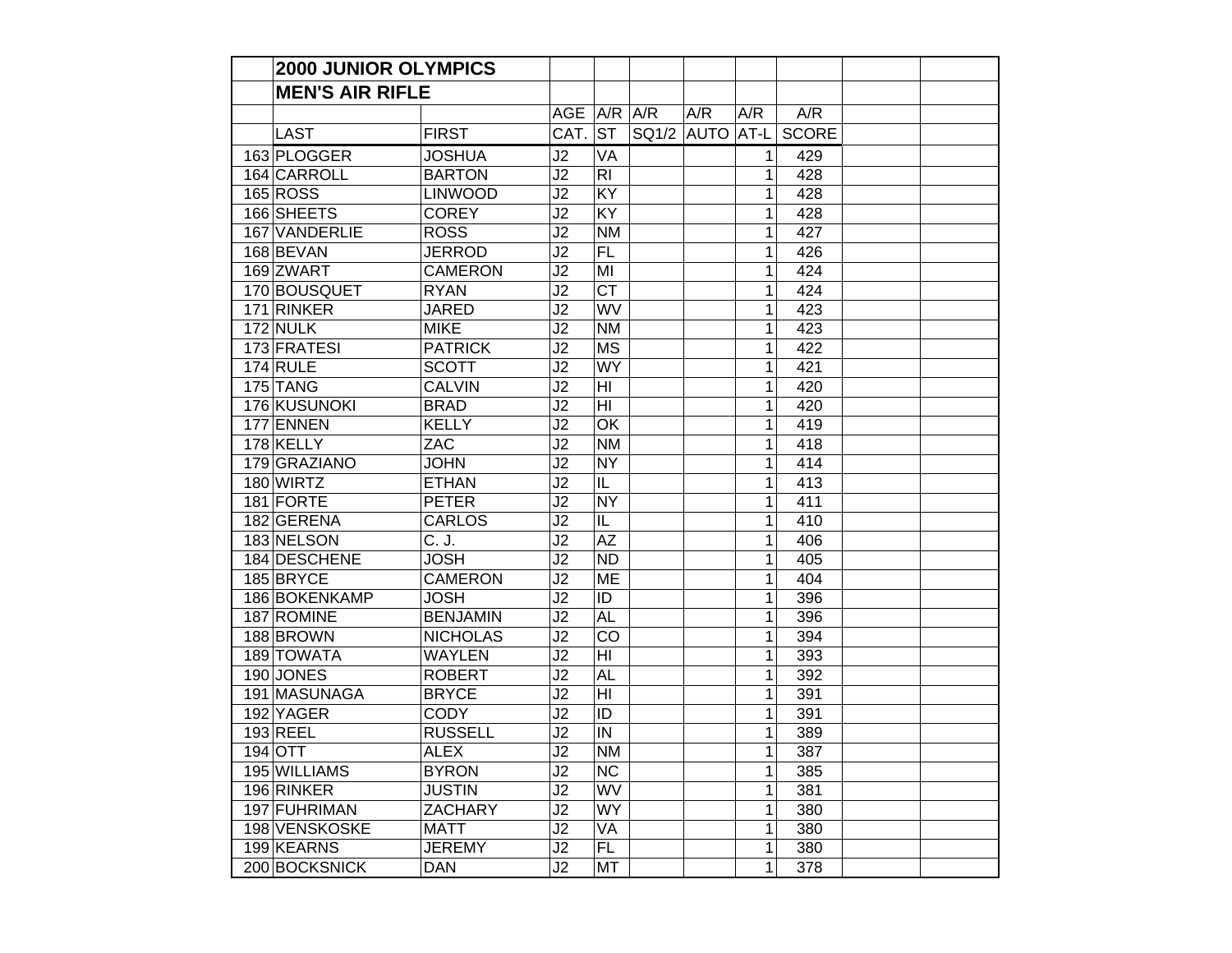| <b>2000 JUNIOR OLYMPICS</b> |                 |                          |                |                 |              |              |  |
|-----------------------------|-----------------|--------------------------|----------------|-----------------|--------------|--------------|--|
| <b>MEN'S AIR RIFLE</b>      |                 |                          |                |                 |              |              |  |
|                             |                 | AGE                      | $A/R$ $A/R$    | A/R             | A/R          | A/R          |  |
| <b>LAST</b>                 | <b>FIRST</b>    | CAT.                     | <b>ST</b>      | SQ1/2 AUTO AT-L |              | <b>SCORE</b> |  |
| 163 PLOGGER                 | <b>JOSHUA</b>   | J2                       | VA             |                 | 1            | 429          |  |
| 164 CARROLL                 | <b>BARTON</b>   | J2                       | <b>RI</b>      |                 | $\mathbf{1}$ | 428          |  |
| 165 ROSS                    | <b>LINWOOD</b>  | J2                       | KY             |                 | 1            | 428          |  |
| 166 SHEETS                  | <b>COREY</b>    | J2                       | KY             |                 | 1            | 428          |  |
| 167 VANDERLIE               | <b>ROSS</b>     | J2                       | <b>NM</b>      |                 | 1            | 427          |  |
| 168 BEVAN                   | <b>JERROD</b>   | J2                       | FL             |                 | 1            | 426          |  |
| 169 ZWART                   | <b>CAMERON</b>  | J2                       | MI             |                 | 1            | 424          |  |
| 170 BOUSQUET                | <b>RYAN</b>     | J2                       | <b>CT</b>      |                 | 1            | 424          |  |
| 171 RINKER                  | <b>JARED</b>    | J2                       | WV             |                 | 1            | 423          |  |
| 172 NULK                    | <b>MIKE</b>     | J2                       | <b>NM</b>      |                 | 1            | 423          |  |
| 173 FRATESI                 | <b>PATRICK</b>  | J2                       | <b>MS</b>      |                 | 1            | 422          |  |
| $174$ RULE                  | <b>SCOTT</b>    | J <sub>2</sub>           | <b>WY</b>      |                 | 1            | 421          |  |
| 175 TANG                    | <b>CALVIN</b>   | J2                       | HI             |                 | 1            | 420          |  |
| 176 KUSUNOKI                | <b>BRAD</b>     | J2                       | H <sub>l</sub> |                 | 1            | 420          |  |
| 177 ENNEN                   | <b>KELLY</b>    | J2                       | OK             |                 | 1            | 419          |  |
| 178 KELLY                   | ZAC             | J2                       | <b>NM</b>      |                 | 1            | 418          |  |
| 179 GRAZIANO                | <b>JOHN</b>     | J2                       | <b>NY</b>      |                 | 1            | 414          |  |
| 180 WIRTZ                   | <b>ETHAN</b>    | J2                       | IL             |                 | 1            | 413          |  |
| 181 FORTE                   | <b>PETER</b>    | J2                       | <b>NY</b>      |                 | 1            | 411          |  |
| 182 GERENA                  | <b>CARLOS</b>   | J2                       | IL             |                 | $\mathbf{1}$ | 410          |  |
| 183 NELSON                  | C. J.           | J2                       | <b>AZ</b>      |                 | 1            | 406          |  |
| 184 DESCHENE                | <b>JOSH</b>     | J2                       | <b>ND</b>      |                 | 1            | 405          |  |
| 185 BRYCE                   | <b>CAMERON</b>  | J2                       | <b>ME</b>      |                 | 1            | 404          |  |
| 186 BOKENKAMP               | JOSH            | J2                       | ID             |                 | 1            | 396          |  |
| 187 ROMINE                  | <b>BENJAMIN</b> | $\overline{\mathsf{J2}}$ | <b>AL</b>      |                 | 1            | 396          |  |
| 188 BROWN                   | <b>NICHOLAS</b> | J2                       | CO             |                 | 1            | 394          |  |
| 189 TOWATA                  | WAYLEN          | J <sub>2</sub>           | HI             |                 | 1            | 393          |  |
| 190 JONES                   | <b>ROBERT</b>   | J2                       | AL             |                 | 1            | 392          |  |
| 191 MASUNAGA                | <b>BRYCE</b>    | J <sub>2</sub>           | H <sub>l</sub> |                 | 1            | 391          |  |
| 192 YAGER                   | <b>CODY</b>     | J2                       | ID             |                 | 1            | 391          |  |
| 193 REEL                    | <b>RUSSELL</b>  | J2                       | IN             |                 | 1            | 389          |  |
| 194 OTT                     | ALEX            | J2                       | <b>NM</b>      |                 | $\mathbf{1}$ | 387          |  |
| 195 WILLIAMS                | <b>BYRON</b>    | J2                       | <b>NC</b>      |                 | 1            | 385          |  |
| 196 RINKER                  | <b>JUSTIN</b>   | J2                       | WV             |                 | 1            | 381          |  |
| 197 FUHRIMAN                | <b>ZACHARY</b>  | J2                       | <b>WY</b>      |                 | 1            | 380          |  |
| 198 VENSKOSKE               | <b>MATT</b>     | J2                       | VA             |                 | 1            | 380          |  |
| 199 KEARNS                  | <b>JEREMY</b>   | J2                       | FL             |                 | $\mathbf 1$  | 380          |  |
| 200 BOCKSNICK               | DAN             | J2                       | МT             |                 | $\mathbf{1}$ | 378          |  |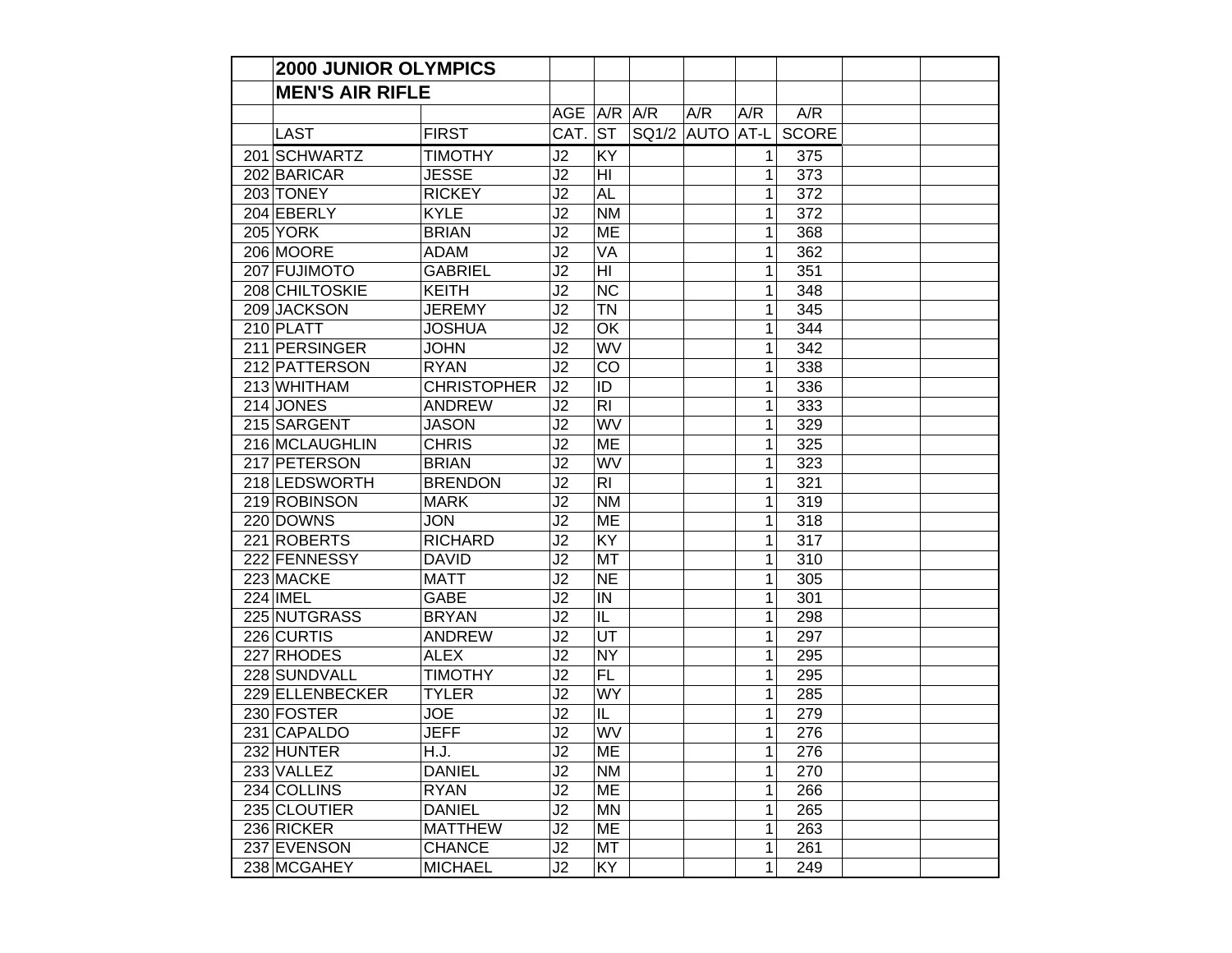| 2000 JUNIOR OLYMPICS   |                    |                |                |                 |     |              |              |  |
|------------------------|--------------------|----------------|----------------|-----------------|-----|--------------|--------------|--|
| <b>MEN'S AIR RIFLE</b> |                    |                |                |                 |     |              |              |  |
|                        |                    | AGE            | $A/R$ $A/R$    |                 | A/R | A/R          | A/R          |  |
| <b>LAST</b>            | <b>FIRST</b>       | CAT.           | <b>ST</b>      | SQ1/2 AUTO AT-L |     |              | <b>SCORE</b> |  |
| 201 SCHWARTZ           | <b>TIMOTHY</b>     | J <sub>2</sub> | KY             |                 |     | 1            | 375          |  |
| 202 BARICAR            | <b>JESSE</b>       | J2             | HI             |                 |     | 1            | 373          |  |
| 203 TONEY              | <b>RICKEY</b>      | J2             | <b>AL</b>      |                 |     | 1            | 372          |  |
| 204 EBERLY             | <b>KYLE</b>        | J2             | <b>NM</b>      |                 |     | $\mathbf{1}$ | 372          |  |
| 205 YORK               | <b>BRIAN</b>       | J2             | ME             |                 |     | 1            | 368          |  |
| 206 MOORE              | <b>ADAM</b>        | J2             | VA             |                 |     | 1            | 362          |  |
| 207 FUJIMOTO           | <b>GABRIEL</b>     | J2             | HI             |                 |     | 1            | 351          |  |
| 208 CHILTOSKIE         | <b>KEITH</b>       | J2             | <b>NC</b>      |                 |     | 1            | 348          |  |
| 209 JACKSON            | <b>JEREMY</b>      | J2             | <b>TN</b>      |                 |     | $\mathbf{1}$ | 345          |  |
| 210 PLATT              | <b>JOSHUA</b>      | J2             | OK             |                 |     | 1            | 344          |  |
| 211 PERSINGER          | <b>JOHN</b>        | J2             | WV             |                 |     | 1            | 342          |  |
| 212 PATTERSON          | <b>RYAN</b>        | J2             | CO             |                 |     | 1            | 338          |  |
| 213 WHITHAM            | <b>CHRISTOPHER</b> | J2             | ID             |                 |     | 1            | 336          |  |
| 214 JONES              | <b>ANDREW</b>      | J2             | R <sub>l</sub> |                 |     | 1            | 333          |  |
| 215 SARGENT            | <b>JASON</b>       | J2             | <b>WV</b>      |                 |     | 1            | 329          |  |
| 216 MCLAUGHLIN         | <b>CHRIS</b>       | J2             | ME             |                 |     | 1            | 325          |  |
| 217 PETERSON           | <b>BRIAN</b>       | J2             | WV             |                 |     | 1            | 323          |  |
| 218 LEDSWORTH          | <b>BRENDON</b>     | J2             | <b>RI</b>      |                 |     | 1            | 321          |  |
| 219 ROBINSON           | <b>MARK</b>        | J2             | <b>NM</b>      |                 |     | 1            | 319          |  |
| 220 DOWNS              | <b>JON</b>         | J2             | ME             |                 |     | 1            | 318          |  |
| 221 ROBERTS            | <b>RICHARD</b>     | J2             | KY             |                 |     | 1            | 317          |  |
| 222 FENNESSY           | <b>DAVID</b>       | J2             | MT             |                 |     | 1            | 310          |  |
| 223 MACKE              | <b>MATT</b>        | J2             | <b>NE</b>      |                 |     | 1            | 305          |  |
| <b>224 IMEL</b>        | <b>GABE</b>        | J2             | IN             |                 |     | 1            | 301          |  |
| 225 NUTGRASS           | <b>BRYAN</b>       | J2             | IL             |                 |     | $\mathbf{1}$ | 298          |  |
| 226 CURTIS             | <b>ANDREW</b>      | J2             | UT             |                 |     | 1            | 297          |  |
| 227 RHODES             | <b>ALEX</b>        | J2             | NY.            |                 |     | $\mathbf{1}$ | 295          |  |
| 228 SUNDVALL           | <b>TIMOTHY</b>     | J2             | FL             |                 |     | 1            | 295          |  |
| 229 ELLENBECKER        | TYLER              | J2             | <b>WY</b>      |                 |     | 1            | 285          |  |
| 230 FOSTER             | <b>JOE</b>         | J2             | IL             |                 |     | 1            | 279          |  |
| 231 CAPALDO            | <b>JEFF</b>        | J2             | WV             |                 |     | 1            | 276          |  |
| 232 HUNTER             | H.J.               | J2             | ME             |                 |     | 1            | 276          |  |
| 233 VALLEZ             | <b>DANIEL</b>      | J2             | <b>NM</b>      |                 |     | 1            | 270          |  |
| 234 COLLINS            | <b>RYAN</b>        | J2             | ME             |                 |     | 1            | 266          |  |
| 235 CLOUTIER           | <b>DANIEL</b>      | J2             | ΜN             |                 |     | 1            | 265          |  |
| 236 RICKER             | <b>MATTHEW</b>     | J2             | ME             |                 |     | 1            | 263          |  |
| 237 EVENSON            | <b>CHANCE</b>      | J2             | МT             |                 |     | 1            | 261          |  |
| 238 MCGAHEY            | <b>MICHAEL</b>     | J2             | KY.            |                 |     | 1            | 249          |  |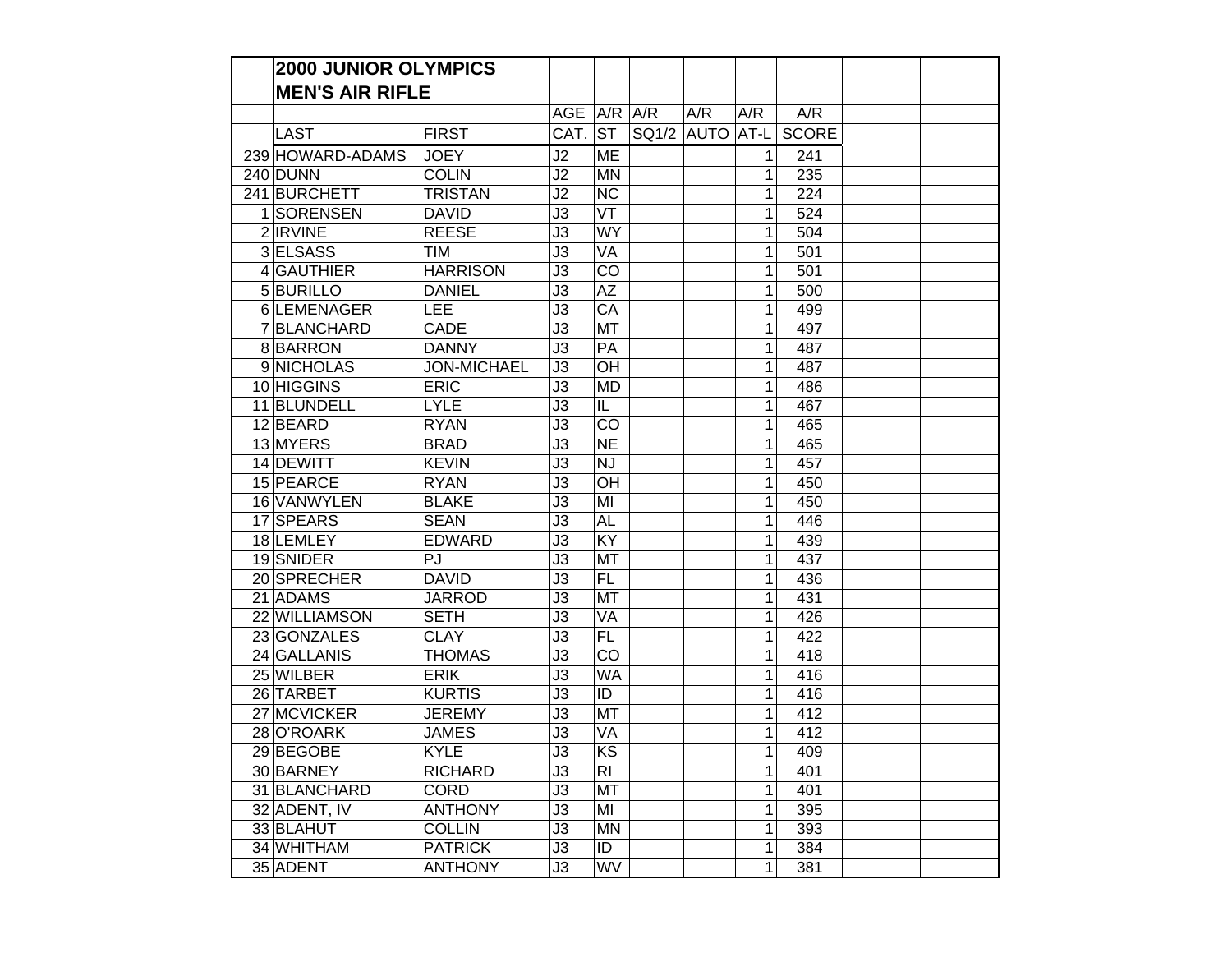| <b>2000 JUNIOR OLYMPICS</b> |                    |                          |                       |                 |     |              |              |  |
|-----------------------------|--------------------|--------------------------|-----------------------|-----------------|-----|--------------|--------------|--|
| <b>MEN'S AIR RIFLE</b>      |                    |                          |                       |                 |     |              |              |  |
|                             |                    | AGE                      | $A/R$ $A/R$           |                 | A/R | A/R          | A/R          |  |
| <b>LAST</b>                 | <b>FIRST</b>       | CAT.                     | <b>ST</b>             | SQ1/2 AUTO AT-L |     |              | <b>SCORE</b> |  |
| 239 HOWARD-ADAMS            | <b>JOEY</b>        | J2                       | ME                    |                 |     | 1            | 241          |  |
| 240 DUNN                    | <b>COLIN</b>       | J2                       | <b>MN</b>             |                 |     | 1            | 235          |  |
| 241 BURCHETT                | <b>TRISTAN</b>     | J2                       | <b>NC</b>             |                 |     | 1            | 224          |  |
| 1 SORENSEN                  | <b>DAVID</b>       | J3                       | $\overline{\nabla T}$ |                 |     | 1            | 524          |  |
| $2$  IRVINE                 | <b>REESE</b>       | J3                       | <b>WY</b>             |                 |     | 1            | 504          |  |
| 3ELSASS                     | TIM                | J3                       | VA                    |                 |     | 1            | 501          |  |
| 4 GAUTHIER                  | <b>HARRISON</b>    | J3                       | CO                    |                 |     | 1            | 501          |  |
| 5BURILLO                    | <b>DANIEL</b>      | J3                       | AΖ                    |                 |     | 1            | 500          |  |
| 6 LEMENAGER                 | <b>LEE</b>         | J3                       | CA                    |                 |     | $\mathbf{1}$ | 499          |  |
| 7 BLANCHARD                 | CADE               | J3                       | MT                    |                 |     | $\mathbf{1}$ | 497          |  |
| 8BARRON                     | <b>DANNY</b>       | J3                       | PA                    |                 |     | $\mathbf{1}$ | 487          |  |
| 9 NICHOLAS                  | <b>JON-MICHAEL</b> | J3                       | OH                    |                 |     | $\mathbf{1}$ | 487          |  |
| 10 HIGGINS                  | <b>ERIC</b>        | J3                       | MD                    |                 |     | 1            | 486          |  |
| 11 BLUNDELL                 | <b>LYLE</b>        | J3                       | IL                    |                 |     | 1            | 467          |  |
| 12 BEARD                    | <b>RYAN</b>        | J3                       | CO                    |                 |     | 1            | 465          |  |
| 13 MYERS                    | <b>BRAD</b>        | J3                       | <b>NE</b>             |                 |     | 1            | 465          |  |
| 14 DEWITT                   | <b>KEVIN</b>       | J3                       | <b>NJ</b>             |                 |     | 1            | 457          |  |
| 15 PEARCE                   | <b>RYAN</b>        | J3                       | OH                    |                 |     | 1            | 450          |  |
| 16 VANWYLEN                 | <b>BLAKE</b>       | J3                       | MI                    |                 |     | 1            | 450          |  |
| 17 SPEARS                   | <b>SEAN</b>        | J3                       | <b>AL</b>             |                 |     | 1            | 446          |  |
| 18 LEMLEY                   | <b>EDWARD</b>      | J3                       | KY                    |                 |     | 1            | 439          |  |
| 19 SNIDER                   | PJ                 | J3                       | МT                    |                 |     | 1            | 437          |  |
| 20 SPRECHER                 | <b>DAVID</b>       | $\overline{\mathsf{J3}}$ | FL                    |                 |     | 1            | 436          |  |
| 21 ADAMS                    | <b>JARROD</b>      | J3                       | MT                    |                 |     | 1            | 431          |  |
| 22 WILLIAMSON               | <b>SETH</b>        | J3                       | VA                    |                 |     | 1            | 426          |  |
| 23 GONZALES                 | <b>CLAY</b>        | J3                       | FL                    |                 |     | 1            | 422          |  |
| 24 GALLANIS                 | <b>THOMAS</b>      | J3                       | CO                    |                 |     | 1            | 418          |  |
| 25 WILBER                   | <b>ERIK</b>        | J3                       | WA                    |                 |     | 1            | 416          |  |
| 26 TARBET                   | <b>KURTIS</b>      | J3                       | ID                    |                 |     | 1            | 416          |  |
| 27 MCVICKER                 | <b>JEREMY</b>      | J3                       | МT                    |                 |     | 1            | 412          |  |
| 28 O'ROARK                  | <b>JAMES</b>       | J3                       | VA                    |                 |     | 1            | 412          |  |
| 29 BEGOBE                   | KYLE               | J3                       | KS                    |                 |     | 1            | 409          |  |
| 30 BARNEY                   | <b>RICHARD</b>     | J3                       | RI.                   |                 |     | 1            | 401          |  |
| 31 BLANCHARD                | CORD               | J3                       | MT                    |                 |     | 1            | 401          |  |
| 32 ADENT, IV                | <b>ANTHONY</b>     | J3                       | MI                    |                 |     | 1            | 395          |  |
| 33 BLAHUT                   | <b>COLLIN</b>      | J3                       | MN                    |                 |     | 1            | 393          |  |
| 34 WHITHAM                  | <b>PATRICK</b>     | J3                       | ID                    |                 |     | 1            | 384          |  |
| 35 ADENT                    | <b>ANTHONY</b>     | J3                       | WV                    |                 |     | 1            | 381          |  |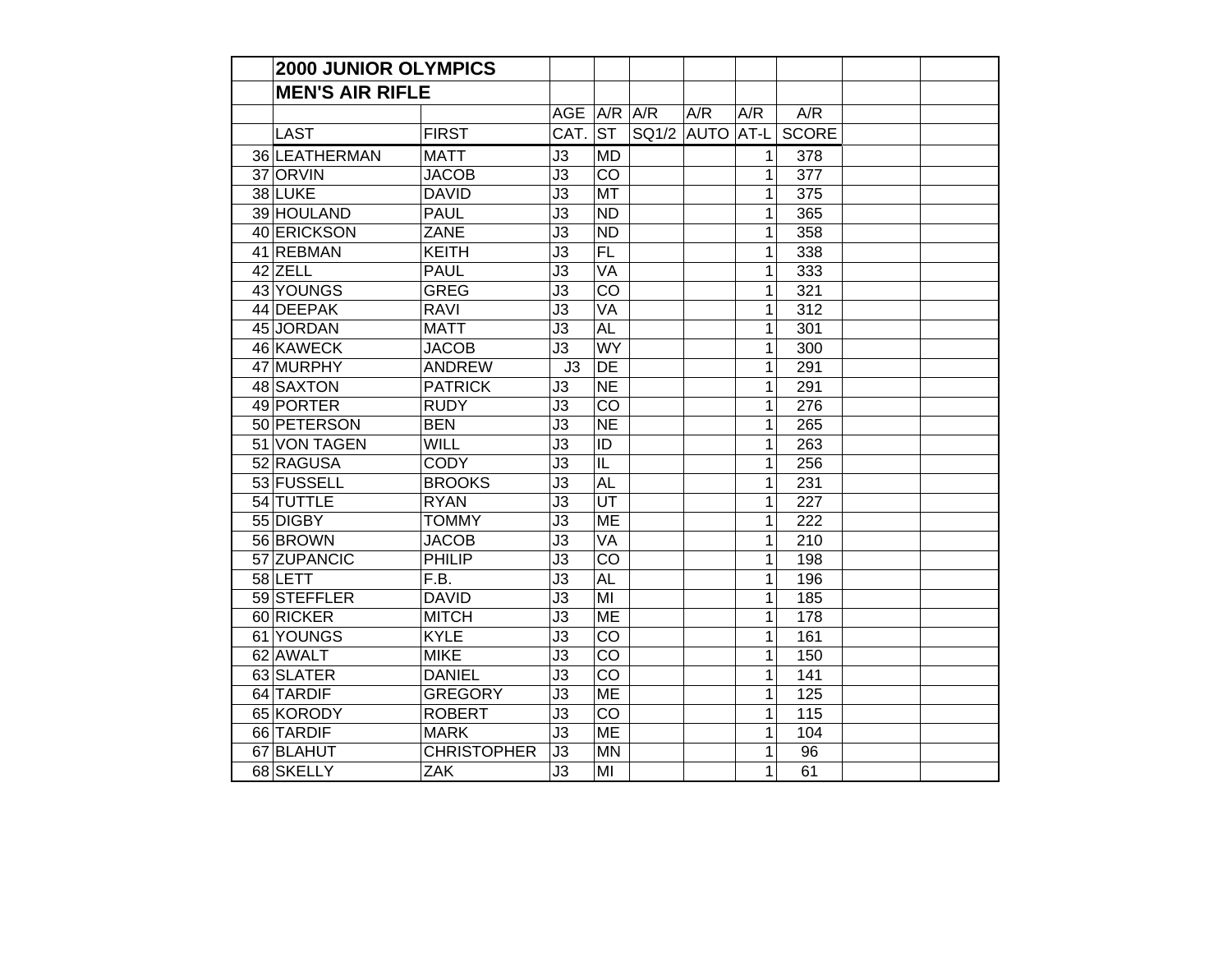| <b>2000 JUNIOR OLYMPICS</b> |                    |                          |             |       |             |      |              |  |
|-----------------------------|--------------------|--------------------------|-------------|-------|-------------|------|--------------|--|
| <b>MEN'S AIR RIFLE</b>      |                    |                          |             |       |             |      |              |  |
|                             |                    | AGE                      | $A/R$ $A/R$ |       | A/R         | A/R  | A/R          |  |
| <b>LAST</b>                 | <b>FIRST</b>       | CAT.                     | ST          | SQ1/2 | <b>AUTO</b> | AT-L | <b>SCORE</b> |  |
| 36 LEATHERMAN               | <b>MATT</b>        | J3                       | <b>MD</b>   |       |             | 1    | 378          |  |
| 37 ORVIN                    | <b>JACOB</b>       | J3                       | CO          |       |             | 1    | 377          |  |
| 38 LUKE                     | <b>DAVID</b>       | J3                       | <b>MT</b>   |       |             | 1    | 375          |  |
| 39 HOULAND                  | <b>PAUL</b>        | J3                       | <b>ND</b>   |       |             | 1    | 365          |  |
| 40 ERICKSON                 | ZANE               | J3                       | <b>ND</b>   |       |             | 1    | 358          |  |
| 41 REBMAN                   | <b>KEITH</b>       | J3                       | <b>FL</b>   |       |             | 1    | 338          |  |
| 42 ZELL                     | <b>PAUL</b>        | J3                       | VA          |       |             | 1    | 333          |  |
| 43 YOUNGS                   | <b>GREG</b>        | J3                       | CO          |       |             | 1    | 321          |  |
| 44 DEEPAK                   | <b>RAVI</b>        | J3                       | VA          |       |             | 1    | 312          |  |
| 45 JORDAN                   | <b>MATT</b>        | J3                       | <b>AL</b>   |       |             | 1    | 301          |  |
| 46 KAWECK                   | <b>JACOB</b>       | J3                       | <b>WY</b>   |       |             | 1    | 300          |  |
| 47 MURPHY                   | <b>ANDREW</b>      | J3                       | DE          |       |             | 1    | 291          |  |
| 48 SAXTON                   | <b>PATRICK</b>     | JЗ                       | <b>NE</b>   |       |             | 1    | 291          |  |
| 49 PORTER                   | <b>RUDY</b>        | J3                       | CO          |       |             | 1    | 276          |  |
| 50 PETERSON                 | <b>BEN</b>         | J3                       | <b>NE</b>   |       |             | 1    | 265          |  |
| 51 VON TAGEN                | WILL               | J3                       | ID          |       |             | 1    | 263          |  |
| 52 RAGUSA                   | <b>CODY</b>        | J3                       | IL          |       |             | 1    | 256          |  |
| 53 FUSSELL                  | <b>BROOKS</b>      | $\overline{\mathsf{J3}}$ | <b>AL</b>   |       |             | 1    | 231          |  |
| 54 TUTTLE                   | <b>RYAN</b>        | J3                       | UT          |       |             | 1    | 227          |  |
| 55 DIGBY                    | <b>TOMMY</b>       | $\overline{J3}$          | <b>ME</b>   |       |             | 1    | 222          |  |
| 56 BROWN                    | <b>JACOB</b>       | $\overline{J3}$          | <b>VA</b>   |       |             | 1    | 210          |  |
| 57 ZUPANCIC                 | PHILIP             | $\overline{J3}$          | CO          |       |             | 1    | 198          |  |
| 58 LETT                     | F.B.               | $\overline{\mathsf{J3}}$ | <b>AL</b>   |       |             | 1    | 196          |  |
| 59 STEFFLER                 | <b>DAVID</b>       | $\overline{\mathsf{J3}}$ | MI          |       |             | 1    | 185          |  |
| 60 RICKER                   | <b>MITCH</b>       | $\overline{\mathsf{J3}}$ | <b>ME</b>   |       |             | 1    | 178          |  |
| 61 YOUNGS                   | <b>KYLE</b>        | J3                       | CO          |       |             | 1    | 161          |  |
| 62 AWALT                    | <b>MIKE</b>        | J3                       | CO          |       |             | 1    | 150          |  |
| 63 SLATER                   | <b>DANIEL</b>      | J3                       | CO          |       |             | 1    | 141          |  |
| 64 TARDIF                   | <b>GREGORY</b>     | J3                       | <b>ME</b>   |       |             | 1    | 125          |  |
| 65 KORODY                   | <b>ROBERT</b>      | J3                       | CO          |       |             | 1    | 115          |  |
| 66 TARDIF                   | <b>MARK</b>        | J3                       | <b>ME</b>   |       |             | 1    | 104          |  |
| 67 BLAHUT                   | <b>CHRISTOPHER</b> | J3                       | <b>MN</b>   |       |             | 1    | 96           |  |
| 68 SKELLY                   | <b>ZAK</b>         | J3                       | MI          |       |             | 1    | 61           |  |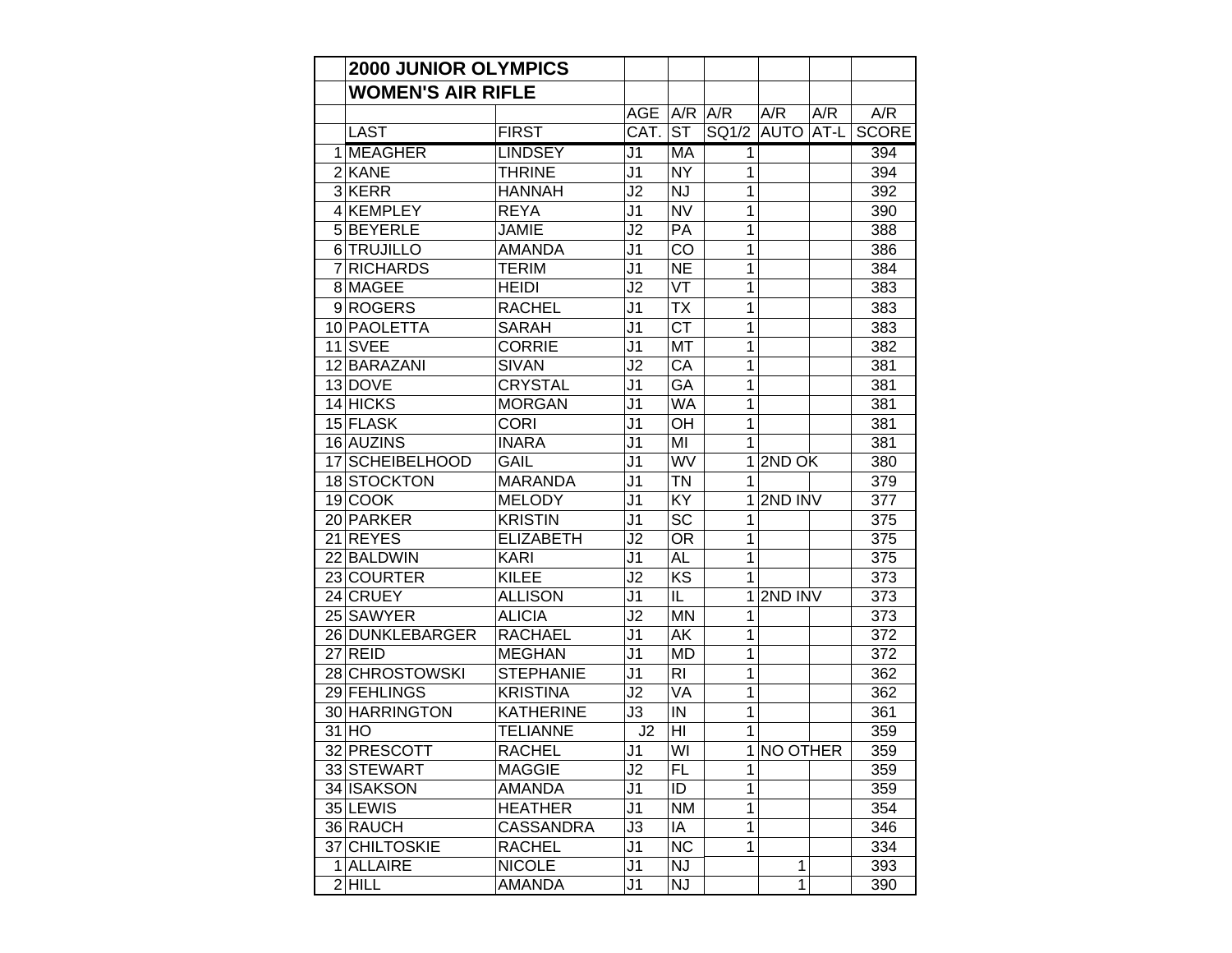| <b>2000 JUNIOR OLYMPICS</b> |                  |                |             |       |              |      |              |
|-----------------------------|------------------|----------------|-------------|-------|--------------|------|--------------|
| <b>WOMEN'S AIR RIFLE</b>    |                  |                |             |       |              |      |              |
|                             |                  | AGE.           | $A/R$ $A/R$ |       | A/R          | A/R  | A/R          |
| <b>LAST</b>                 | <b>FIRST</b>     | CAT.           | <b>ST</b>   | SQ1/2 | <b>AUTO</b>  | AT-L | <b>SCORE</b> |
| 1 MEAGHER                   | <b>LINDSEY</b>   | J <sub>1</sub> | МA          | 1     |              |      | 394          |
| 2 KANE                      | <b>THRINE</b>    | J <sub>1</sub> | <b>NY</b>   | 1     |              |      | 394          |
| 3 KERR                      | <b>HANNAH</b>    | J2             | <b>NJ</b>   | 1     |              |      | 392          |
| 4 KEMPLEY                   | <b>REYA</b>      | J <sub>1</sub> | <b>NV</b>   | 1     |              |      | 390          |
| 5BEYERLE                    | <b>JAMIE</b>     | J2             | PA          | 1     |              |      | 388          |
| 6 TRUJILLO                  | <b>AMANDA</b>    | J <sub>1</sub> | CO          | 1     |              |      | 386          |
| 7 RICHARDS                  | <b>TERIM</b>     | J <sub>1</sub> | <b>NE</b>   | 1     |              |      | 384          |
| 8 MAGEE                     | <b>HEIDI</b>     | J2             | VT          | 1     |              |      | 383          |
| 9ROGERS                     | <b>RACHEL</b>    | J <sub>1</sub> | <b>TX</b>   | 1     |              |      | 383          |
| 10 PAOLETTA                 | <b>SARAH</b>     | J1             | <b>CT</b>   | 1     |              |      | 383          |
| 11 SVEE                     | <b>CORRIE</b>    | J1             | МT          | 1     |              |      | 382          |
| 12 BARAZANI                 | <b>SIVAN</b>     | J <sub>2</sub> | CA          | 1     |              |      | 381          |
| 13 DOVE                     | <b>CRYSTAL</b>   | J1             | GA          | 1     |              |      | 381          |
| 14 HICKS                    | <b>MORGAN</b>    | J <sub>1</sub> | <b>WA</b>   | 1     |              |      | 381          |
| 15 FLASK                    | <b>CORI</b>      | J <sub>1</sub> | OH          | 1     |              |      | 381          |
| 16 AUZINS                   | <b>INARA</b>     | J <sub>1</sub> | MI          | 1     |              |      | 381          |
| 17 SCHEIBELHOOD             | <b>GAIL</b>      | J <sub>1</sub> | WV          |       | 12ND OK      |      | 380          |
| 18 STOCKTON                 | <b>MARANDA</b>   | J <sub>1</sub> | <b>TN</b>   | 1     |              |      | 379          |
| 19 COOK                     | <b>MELODY</b>    | J <sub>1</sub> | KY          |       | $1$  2ND INV |      | 377          |
| 20 PARKER                   | <b>KRISTIN</b>   | J1             | SC          | 1     |              |      | 375          |
| 21 REYES                    | <b>ELIZABETH</b> | J2             | <b>OR</b>   | 1     |              |      | 375          |
| 22 BALDWIN                  | <b>KARI</b>      | J <sub>1</sub> | AL          | 1     |              |      | 375          |
| 23 COURTER                  | <b>KILEE</b>     | J2             | <b>KS</b>   | 1     |              |      | 373          |
| 24 CRUEY                    | <b>ALLISON</b>   | J1             | IL          | 1     | 2ND INV      |      | 373          |
| 25 SAWYER                   | <b>ALICIA</b>    | J2             | <b>MN</b>   | 1     |              |      | 373          |
| 26 DUNKLEBARGER             | <b>RACHAEL</b>   | J1             | AK          | 1     |              |      | 372          |
| 27 REID                     | <b>MEGHAN</b>    | J1             | MD          | 1     |              |      | 372          |
| 28 CHROSTOWSKI              | <b>STEPHANIE</b> | J1             | <b>RI</b>   | 1     |              |      | 362          |
| 29 FEHLINGS                 | <b>KRISTINA</b>  | J2             | VA          | 1     |              |      | 362          |
| 30 HARRINGTON               | <b>KATHERINE</b> | JЗ             | IN          | 1     |              |      | 361          |
| $31$ HO                     | <b>TELIANNE</b>  | J2             | HI          | 1     |              |      | 359          |
| 32 PRESCOTT                 | <b>RACHEL</b>    | J1             | WI          |       | 1 NO OTHER   |      | 359          |
| 33 STEWART                  | <b>MAGGIE</b>    | J2             | FL.         | 1     |              |      | 359          |
| 34 ISAKSON                  | AMANDA           | J <sub>1</sub> | ID          | 1     |              |      | 359          |
| 35 LEWIS                    | <b>HEATHER</b>   | J <sub>1</sub> | <b>NM</b>   | 1     |              |      | 354          |
| 36 RAUCH                    | <b>CASSANDRA</b> | J3             | IA          | 1     |              |      | 346          |
| 37 CHILTOSKIE               | <b>RACHEL</b>    | J1             | NC          | 1     |              |      | 334          |
| 1 ALLAIRE                   | <b>NICOLE</b>    | J <sub>1</sub> | NJ          |       | $\mathbf{1}$ |      | 393          |
| $2$ HILL                    | <b>AMANDA</b>    | J1             | <b>NJ</b>   |       | 1            |      | 390          |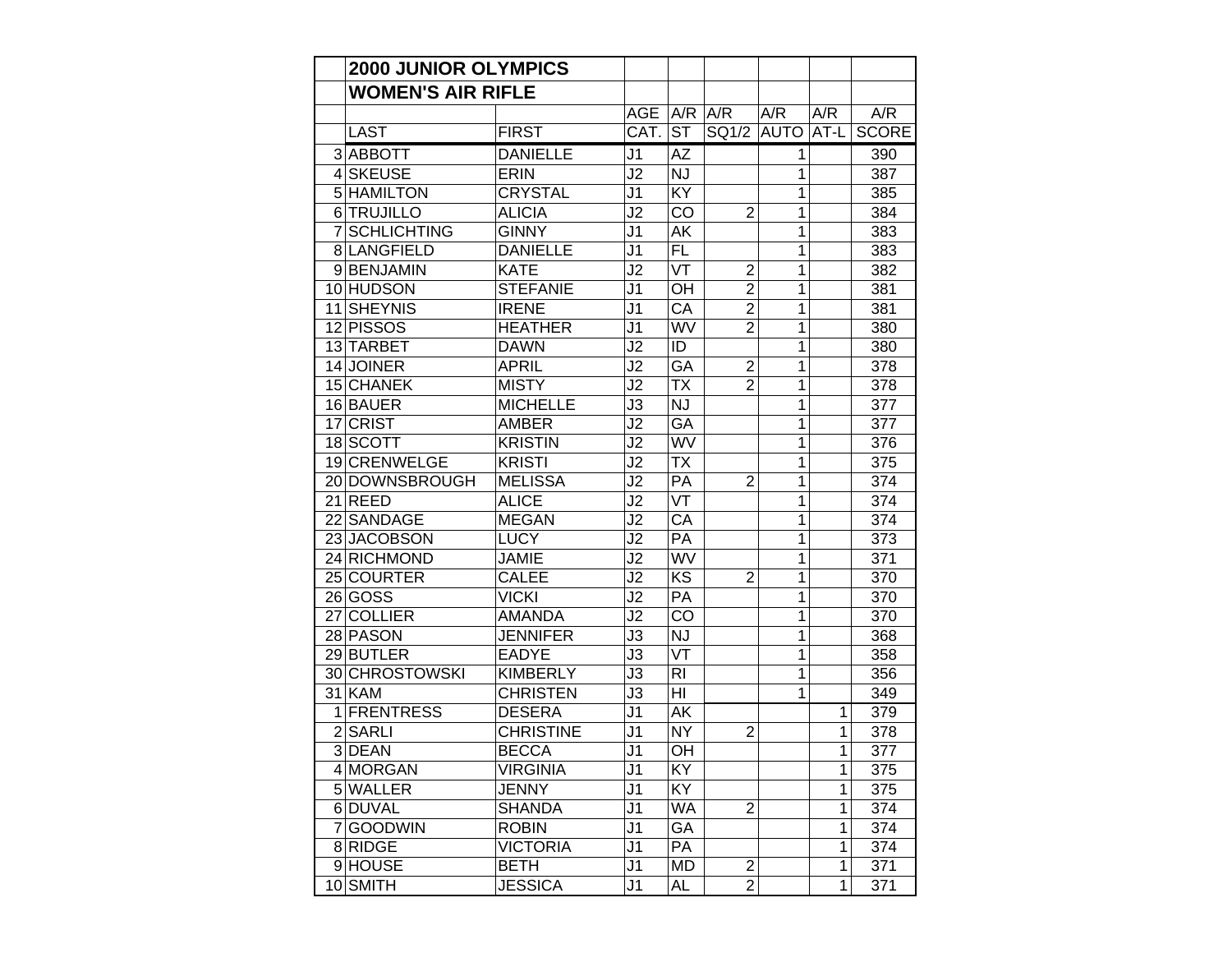| <b>2000 JUNIOR OLYMPICS</b> |                  |                |             |                |              |              |              |
|-----------------------------|------------------|----------------|-------------|----------------|--------------|--------------|--------------|
| <b>WOMEN'S AIR RIFLE</b>    |                  |                |             |                |              |              |              |
|                             |                  | AGE            | $AYR$ $AYR$ |                | A/R          | A/R          | A/R          |
| <b>LAST</b>                 | <b>FIRST</b>     | CAT.           | <b>ST</b>   | SQ1/2          | <b>AUTO</b>  | AT-L         | <b>SCORE</b> |
| 3 ABBOTT                    | <b>DANIELLE</b>  | J1             | AZ          |                | 1            |              | 390          |
| 4 SKEUSE                    | ERIN             | J2             | <b>NJ</b>   |                | 1            |              | 387          |
| 5 HAMILTON                  | <b>CRYSTAL</b>   | J <sub>1</sub> | KY          |                | 1            |              | 385          |
| 6 TRUJILLO                  | <b>ALICIA</b>    | J2             | CO          | $\overline{2}$ | 1            |              | 384          |
| <b>7 SCHLICHTING</b>        | <b>GINNY</b>     | J <sub>1</sub> | AK          |                | 1            |              | 383          |
| 8 LANGFIELD                 | <b>DANIELLE</b>  | J <sub>1</sub> | <b>FL</b>   |                | 1            |              | 383          |
| 9BENJAMIN                   | <b>KATE</b>      | J2             | VT          | $\overline{2}$ | 1            |              | 382          |
| 10 HUDSON                   | <b>STEFANIE</b>  | J <sub>1</sub> | OH          | $\overline{2}$ | $\mathbf 1$  |              | 381          |
| 11 SHEYNIS                  | <b>IRENE</b>     | J1             | CA          | $\overline{2}$ | $\mathbf{1}$ |              | 381          |
| 12 PISSOS                   | <b>HEATHER</b>   | J <sub>1</sub> | WV          | $\overline{2}$ | 1            |              | 380          |
| 13 TARBET                   | <b>DAWN</b>      | J2             | ID          |                | 1            |              | 380          |
| 14 JOINER                   | <b>APRIL</b>     | J2             | GA          | $\overline{2}$ | 1            |              | 378          |
| 15 CHANEK                   | <b>MISTY</b>     | J2             | ТX          | $\overline{2}$ | 1            |              | 378          |
| 16 BAUER                    | <b>MICHELLE</b>  | J3             | <b>NJ</b>   |                | 1            |              | 377          |
| 17 CRIST                    | <b>AMBER</b>     | J2             | GA          |                | 1            |              | 377          |
| 18 SCOTT                    | <b>KRISTIN</b>   | J2             | WV          |                | 1            |              | 376          |
| 19 CRENWELGE                | <b>KRISTI</b>    | J2             | TX          |                | 1            |              | 375          |
| 20 DOWNSBROUGH              | <b>MELISSA</b>   | J2             | PA          | $\overline{2}$ | 1            |              | 374          |
| 21 REED                     | <b>ALICE</b>     | J2             | VT          |                | 1            |              | 374          |
| 22 SANDAGE                  | <b>MEGAN</b>     | J2             | CA          |                | 1            |              | 374          |
| 23 JACOBSON                 | <b>LUCY</b>      | J2             | PA          |                | 1            |              | 373          |
| 24 RICHMOND                 | <b>JAMIE</b>     | J2             | WV          |                | 1            |              | 371          |
| 25 COURTER                  | <b>CALEE</b>     | J2             | KS          | $\overline{2}$ | $\mathbf{1}$ |              | 370          |
| 26 GOSS                     | <b>VICKI</b>     | J2             | PA          |                | 1            |              | 370          |
| 27 COLLIER                  | <b>AMANDA</b>    | J2             | CO          |                | 1            |              | 370          |
| 28 PASON                    | <b>JENNIFER</b>  | J3             | <b>NJ</b>   |                | 1            |              | 368          |
| 29 BUTLER                   | <b>EADYE</b>     | J3             | VT          |                | 1            |              | 358          |
| 30 CHROSTOWSKI              | <b>KIMBERLY</b>  | J3             | RI          |                | 1            |              | 356          |
| 31 KAM                      | <b>CHRISTEN</b>  | J3             | HI          |                | 1            |              | 349          |
| 1 FRENTRESS                 | <b>DESERA</b>    | J <sub>1</sub> | AΚ          |                |              | 1            | 379          |
| 2 SARLI                     | <b>CHRISTINE</b> | J <sub>1</sub> | <b>NY</b>   | $\overline{2}$ |              | 1            | 378          |
| 3DEAN                       | <b>BECCA</b>     | J1             | OH          |                |              | 1            | 377          |
| 4 MORGAN                    | <b>VIRGINIA</b>  | J <sub>1</sub> | KY          |                |              | 1            | 375          |
| 5 WALLER                    | <b>JENNY</b>     | J <sub>1</sub> | KY          |                |              | 1            | 375          |
| 6 DUVAL                     | <b>SHANDA</b>    | J <sub>1</sub> | WA          | $\overline{2}$ |              | 1            | 374          |
| 7 GOODWIN                   | <b>ROBIN</b>     | J1             | GA          |                |              | 1            | 374          |
| 8 RIDGE                     | <b>VICTORIA</b>  | J1             | PA          |                |              | 1.           | 374          |
| 9 HOUSE                     | <b>BETH</b>      | J <sub>1</sub> | MD          | $\overline{2}$ |              | 1            | 371          |
| 10 SMITH                    | <b>JESSICA</b>   | J <sub>1</sub> | AL          | $\overline{2}$ |              | $\mathbf{1}$ | 371          |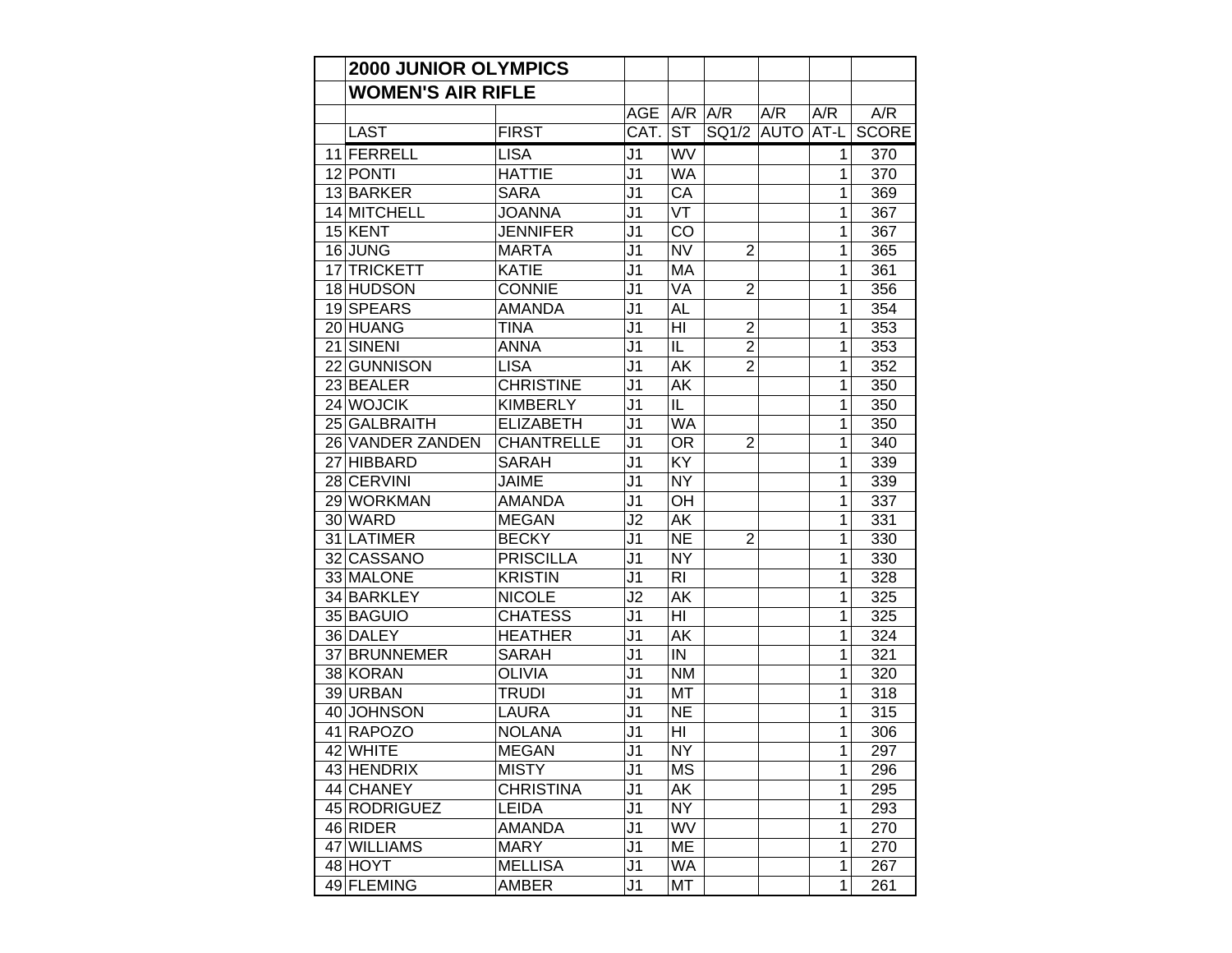| <b>2000 JUNIOR OLYMPICS</b> |                   |                |                |                |             |              |              |
|-----------------------------|-------------------|----------------|----------------|----------------|-------------|--------------|--------------|
| <b>WOMEN'S AIR RIFLE</b>    |                   |                |                |                |             |              |              |
|                             |                   | AGE            | $A/R$ $A/R$    |                | A/R         | A/R          | A/R          |
| <b>LAST</b>                 | <b>FIRST</b>      | CAT.           | <b>ST</b>      | SQ1/2          | <b>AUTO</b> | AT-L         | <b>SCORE</b> |
| 11 FERRELL                  | <b>LISA</b>       | J1             | WV             |                |             | 1            | 370          |
| 12 PONTI                    | <b>HATTIE</b>     | J <sub>1</sub> | <b>WA</b>      |                |             | 1            | 370          |
| 13 BARKER                   | <b>SARA</b>       | J <sub>1</sub> | CA             |                |             | 1            | 369          |
| 14 MITCHELL                 | <b>JOANNA</b>     | J <sub>1</sub> | VT             |                |             | 1            | 367          |
| 15 KENT                     | <b>JENNIFER</b>   | J <sub>1</sub> | CO             |                |             | 1            | 367          |
| 16 JUNG                     | <b>MARTA</b>      | J <sub>1</sub> | <b>NV</b>      | $\overline{2}$ |             | 1            | 365          |
| 17 TRICKETT                 | <b>KATIE</b>      | J <sub>1</sub> | MA             |                |             | 1            | 361          |
| 18 HUDSON                   | <b>CONNIE</b>     | J <sub>1</sub> | VA             | $\overline{2}$ |             | 1            | 356          |
| 19 SPEARS                   | <b>AMANDA</b>     | J1             | AL             |                |             | 1            | 354          |
| 20 HUANG                    | TINA              | J1             | HI             | $\overline{2}$ |             | 1            | 353          |
| 21 SINENI                   | <b>ANNA</b>       | J1             | IL             | 2              |             | 1            | 353          |
| 22 GUNNISON                 | <b>LISA</b>       | J1             | AK             | $\overline{2}$ |             | 1            | 352          |
| 23 BEALER                   | <b>CHRISTINE</b>  | J <sub>1</sub> | AK             |                |             | 1            | 350          |
| 24 WOJCIK                   | <b>KIMBERLY</b>   | J <sub>1</sub> | IL.            |                |             | 1            | 350          |
| 25 GALBRAITH                | <b>ELIZABETH</b>  | J <sub>1</sub> | <b>WA</b>      |                |             | 1            | 350          |
| 26 VANDER ZANDEN            | <b>CHANTRELLE</b> | J <sub>1</sub> | <b>OR</b>      | $\overline{2}$ |             | 1            | 340          |
| 27 HIBBARD                  | <b>SARAH</b>      | J <sub>1</sub> | KY             |                |             | 1            | 339          |
| 28 CERVINI                  | <b>JAIME</b>      | J <sub>1</sub> | <b>NY</b>      |                |             | 1            | 339          |
| 29 WORKMAN                  | <b>AMANDA</b>     | J <sub>1</sub> | OH             |                |             | 1            | 337          |
| 30 WARD                     | <b>MEGAN</b>      | J2             | AK             |                |             | 1            | 331          |
| 31 LATIMER                  | <b>BECKY</b>      | J <sub>1</sub> | <b>NE</b>      | $\overline{2}$ |             | 1            | 330          |
| 32 CASSANO                  | <b>PRISCILLA</b>  | J <sub>1</sub> | <b>NY</b>      |                |             | 1            | 330          |
| 33 MALONE                   | <b>KRISTIN</b>    | J <sub>1</sub> | R <sub>l</sub> |                |             | 1            | 328          |
| 34 BARKLEY                  | <b>NICOLE</b>     | J2             | AK             |                |             | 1            | 325          |
| 35 BAGUIO                   | <b>CHATESS</b>    | J1             | HI             |                |             | 1            | 325          |
| 36 DALEY                    | <b>HEATHER</b>    | J1             | AK             |                |             | 1            | 324          |
| 37 BRUNNEMER                | <b>SARAH</b>      | J1             | IN             |                |             | 1            | 321          |
| 38 KORAN                    | <b>OLIVIA</b>     | J1             | NM             |                |             | 1            | 320          |
| 39 URBAN                    | <b>TRUDI</b>      | J1             | MT             |                |             | 1            | 318          |
| 40 JOHNSON                  | <b>LAURA</b>      | J1             | <b>NE</b>      |                |             | 1            | 315          |
| 41 RAPOZO                   | <b>NOLANA</b>     | J1             | HI             |                |             | 1            | 306          |
| 42 WHITE                    | <b>MEGAN</b>      | J <sub>1</sub> | <b>NY</b>      |                |             | 1            | 297          |
| 43 HENDRIX                  | <b>MISTY</b>      | J <sub>1</sub> | MS             |                |             | 1            | 296          |
| 44 CHANEY                   | <b>CHRISTINA</b>  | J <sub>1</sub> | AK             |                |             | 1            | 295          |
| 45 RODRIGUEZ                | <b>LEIDA</b>      | J <sub>1</sub> | <b>NY</b>      |                |             | 1            | 293          |
| 46 RIDER                    | <b>AMANDA</b>     | J1             | WV             |                |             | 1            | 270          |
| 47 WILLIAMS                 | <b>MARY</b>       | J1             | ME             |                |             | 1            | 270          |
| 48 HOYT                     | <b>MELLISA</b>    | J <sub>1</sub> | WA             |                |             | 1            | 267          |
| 49 FLEMING                  | <b>AMBER</b>      | J <sub>1</sub> | МT             |                |             | $\mathbf{1}$ | 261          |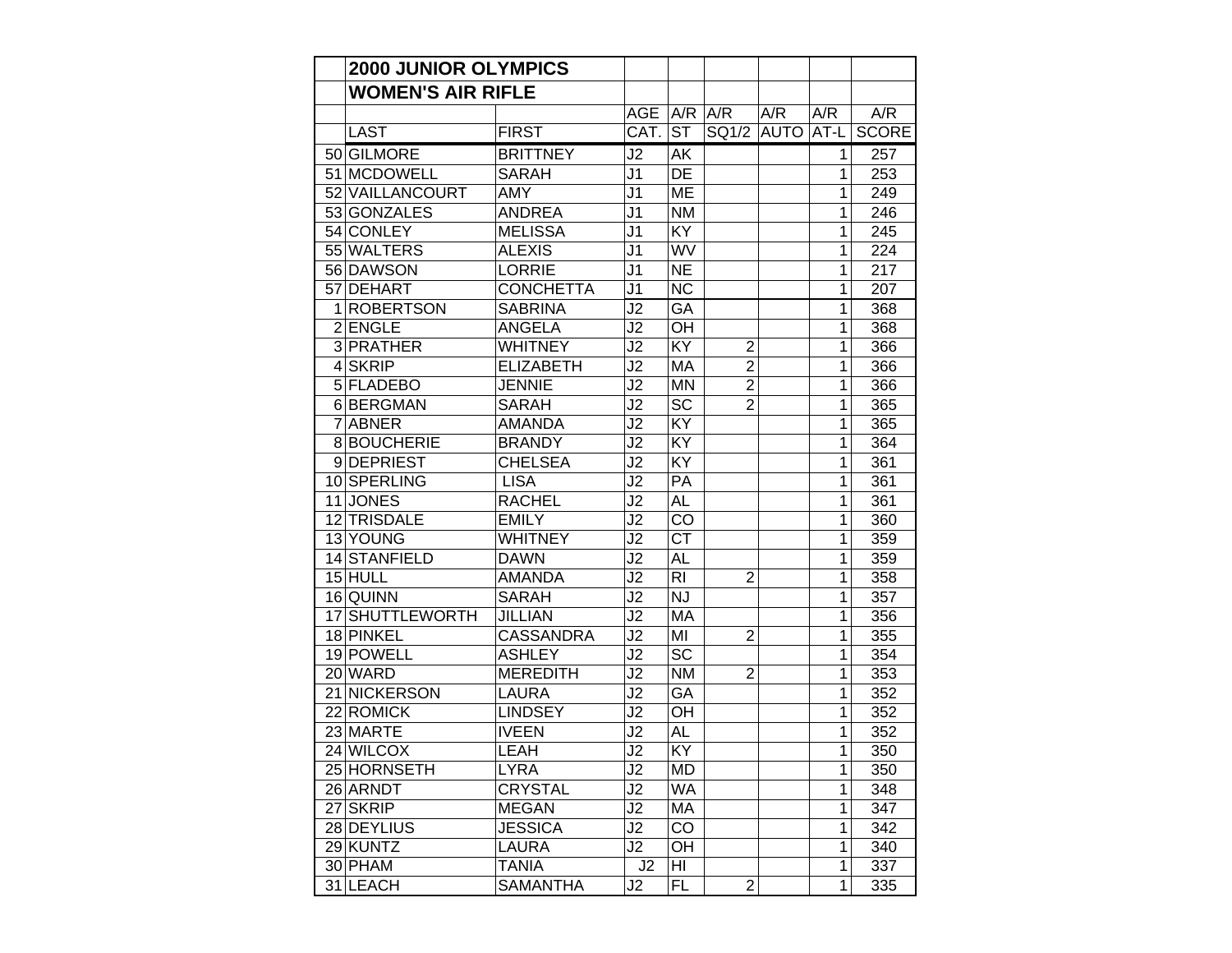| <b>2000 JUNIOR OLYMPICS</b> |                  |                |                |                |      |      |              |
|-----------------------------|------------------|----------------|----------------|----------------|------|------|--------------|
| <b>WOMEN'S AIR RIFLE</b>    |                  |                |                |                |      |      |              |
|                             |                  | <b>AGE</b>     | $A/R$ $A/R$    |                | A/R  | A/R  | A/R          |
| <b>LAST</b>                 | <b>FIRST</b>     | CAT.           | <b>ST</b>      | SQ1/2          | AUTO | AT-L | <b>SCORE</b> |
| 50 GILMORE                  | <b>BRITTNEY</b>  | J2             | AK             |                |      | 1    | 257          |
| 51 MCDOWELL                 | <b>SARAH</b>     | J1             | DE             |                |      | 1    | 253          |
| 52 VAILLANCOURT             | AMY              | J <sub>1</sub> | ME             |                |      | 1    | 249          |
| 53 GONZALES                 | <b>ANDREA</b>    | J <sub>1</sub> | <b>NM</b>      |                |      | 1    | 246          |
| 54 CONLEY                   | <b>MELISSA</b>   | J <sub>1</sub> | KY             |                |      | 1    | 245          |
| 55 WALTERS                  | <b>ALEXIS</b>    | J <sub>1</sub> | WV             |                |      | 1    | 224          |
| 56 DAWSON                   | <b>LORRIE</b>    | J1             | <b>NE</b>      |                |      | 1    | 217          |
| 57 DEHART                   | <b>CONCHETTA</b> | J1             | <b>NC</b>      |                |      | 1    | 207          |
| 1 ROBERTSON                 | <b>SABRINA</b>   | J2             | GA             |                |      | 1    | 368          |
| $2$ ENGLE                   | <b>ANGELA</b>    | J2             | OH             |                |      | 1    | 368          |
| 3 PRATHER                   | <b>WHITNEY</b>   | J2             | <b>KY</b>      | $\overline{2}$ |      | 1    | 366          |
| 4 SKRIP                     | <b>ELIZABETH</b> | J2             | MA             | $\overline{2}$ |      | 1    | 366          |
| 5 FLADEBO                   | <b>JENNIE</b>    | J2             | <b>MN</b>      | $\overline{2}$ |      | 1    | 366          |
| 6BERGMAN                    | <b>SARAH</b>     | J2             | <b>SC</b>      | $\overline{2}$ |      | 1    | 365          |
| 7 ABNER                     | <b>AMANDA</b>    | J2             | <b>KY</b>      |                |      | 1    | 365          |
| 8BOUCHERIE                  | <b>BRANDY</b>    | J2             | <b>KY</b>      |                |      | 1    | 364          |
| 9DEPRIEST                   | <b>CHELSEA</b>   | J2             | KY             |                |      | 1    | 361          |
| 10 SPERLING                 | <b>LISA</b>      | J2             | PA             |                |      | 1    | 361          |
| 11 JONES                    | <b>RACHEL</b>    | J2             | AL             |                |      | 1    | 361          |
| 12 TRISDALE                 | <b>EMILY</b>     | J2             | CO             |                |      | 1    | 360          |
| 13 YOUNG                    | <b>WHITNEY</b>   | J2             | <b>CT</b>      |                |      | 1    | 359          |
| 14 STANFIELD                | <b>DAWN</b>      | J2             | <b>AL</b>      |                |      | 1    | 359          |
| 15 HULL                     | <b>AMANDA</b>    | J2             | R <sub>l</sub> | $\overline{2}$ |      | 1    | 358          |
| 16 QUINN                    | <b>SARAH</b>     | J2             | <b>NJ</b>      |                |      | 1    | 357          |
| 17 SHUTTLEWORTH             | <b>JILLIAN</b>   | J2             | MA             |                |      | 1    | 356          |
| 18 PINKEL                   | <b>CASSANDRA</b> | J2             | MI             | $\overline{2}$ |      | 1    | 355          |
| 19 POWELL                   | <b>ASHLEY</b>    | J2             | SC             |                |      | 1    | 354          |
| 20 WARD                     | <b>MEREDITH</b>  | J2             | <b>NM</b>      | $\overline{2}$ |      | 1    | 353          |
| 21 NICKERSON                | <b>LAURA</b>     | J2             | GA             |                |      | 1    | 352          |
| 22 ROMICK                   | <b>LINDSEY</b>   | J2             | OH             |                |      | 1    | 352          |
| 23 MARTE                    | <b>IVEEN</b>     | J2             | <b>AL</b>      |                |      | 1    | 352          |
| 24 WILCOX                   | LEAH             | J2             | KY             |                |      | 1    | 350          |
| 25 HORNSETH                 | LYRA             | J2             | MD             |                |      | 1.   | 350          |
| 26 ARNDT                    | <b>CRYSTAL</b>   | J2             | <b>WA</b>      |                |      | 1.   | 348          |
| 27 SKRIP                    | <b>MEGAN</b>     | J2             | МA             |                |      | 1    | 347          |
| 28 DEYLIUS                  | <b>JESSICA</b>   | J2             | CO             |                |      | 1    | 342          |
| 29 KUNTZ                    | LAURA            | J2             | OH             |                |      | 1    | 340          |
| 30 PHAM                     | TANIA            | J <sub>2</sub> | HI             |                |      | 1.   | 337          |
| 31 LEACH                    | <b>SAMANTHA</b>  | J2             | FL             | $\overline{2}$ |      | 1    | 335          |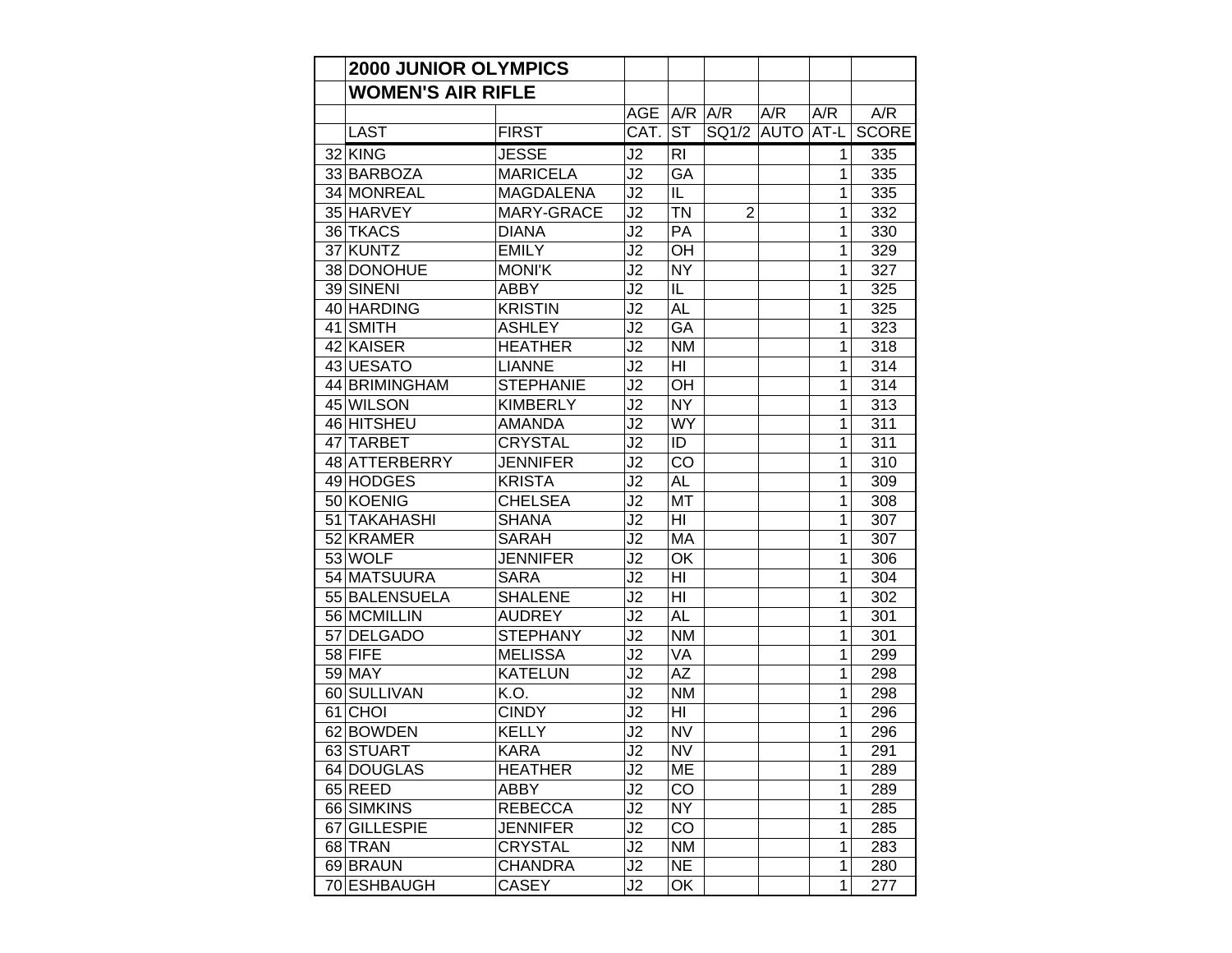| <b>2000 JUNIOR OLYMPICS</b> |                  |      |                |                |             |      |              |
|-----------------------------|------------------|------|----------------|----------------|-------------|------|--------------|
| <b>WOMEN'S AIR RIFLE</b>    |                  |      |                |                |             |      |              |
|                             |                  | AGE  | $A/R$ $A/R$    |                | A/R         | A/R  | A/R          |
| <b>LAST</b>                 | <b>FIRST</b>     | CAT. | <b>ST</b>      | SQ1/2          | <b>AUTO</b> | AT-L | <b>SCORE</b> |
| 32 KING                     | <b>JESSE</b>     | J2   | R <sub>l</sub> |                |             | 1    | 335          |
| 33 BARBOZA                  | <b>MARICELA</b>  | J2   | GA             |                |             | 1    | 335          |
| 34 MONREAL                  | <b>MAGDALENA</b> | J2   | IL             |                |             | 1    | 335          |
| 35 HARVEY                   | MARY-GRACE       | J2   | TN             | $\overline{2}$ |             | 1    | 332          |
| 36 TKACS                    | <b>DIANA</b>     | J2   | <b>PA</b>      |                |             | 1    | 330          |
| 37 KUNTZ                    | <b>EMILY</b>     | J2   | OH             |                |             | 1    | 329          |
| 38 DONOHUE                  | <b>MONI'K</b>    | J2   | <b>NY</b>      |                |             | 1    | 327          |
| 39 SINENI                   | <b>ABBY</b>      | J2   | IL             |                |             | 1    | 325          |
| 40 HARDING                  | <b>KRISTIN</b>   | J2   | AL             |                |             | 1    | 325          |
| 41 SMITH                    | <b>ASHLEY</b>    | J2   | GA             |                |             | 1    | 323          |
| 42 KAISER                   | <b>HEATHER</b>   | J2   | <b>NM</b>      |                |             | 1    | 318          |
| 43 UESATO                   | <b>LIANNE</b>    | J2   | HI             |                |             | 1    | 314          |
| 44 BRIMINGHAM               | <b>STEPHANIE</b> | J2   | OH             |                |             | 1    | 314          |
| 45 WILSON                   | <b>KIMBERLY</b>  | J2   | <b>NY</b>      |                |             | 1    | 313          |
| 46 HITSHEU                  | <b>AMANDA</b>    | J2   | <b>WY</b>      |                |             | 1    | 311          |
| 47 TARBET                   | <b>CRYSTAL</b>   | J2   | ID             |                |             | 1    | 311          |
| 48 ATTERBERRY               | <b>JENNIFER</b>  | J2   | CO             |                |             | 1    | 310          |
| 49 HODGES                   | <b>KRISTA</b>    | J2   | <b>AL</b>      |                |             | 1    | 309          |
| 50 KOENIG                   | <b>CHELSEA</b>   | J2   | МT             |                |             | 1    | 308          |
| 51 TAKAHASHI                | <b>SHANA</b>     | J2   | HI             |                |             | 1    | 307          |
| 52 KRAMER                   | <b>SARAH</b>     | J2   | МA             |                |             | 1    | 307          |
| 53 WOLF                     | <b>JENNIFER</b>  | J2   | OK             |                |             | 1    | 306          |
| 54 MATSUURA                 | <b>SARA</b>      | J2   | HI             |                |             | 1    | 304          |
| 55 BALENSUELA               | <b>SHALENE</b>   | J2   | HI             |                |             | 1    | 302          |
| 56 MCMILLIN                 | <b>AUDREY</b>    | J2   | AL             |                |             | 1    | 301          |
| 57 DELGADO                  | <b>STEPHANY</b>  | J2   | <b>NM</b>      |                |             | 1    | 301          |
| 58 FIFE                     | <b>MELISSA</b>   | J2   | VA             |                |             | 1    | 299          |
| 59 MAY                      | <b>KATELUN</b>   | J2   | AΖ             |                |             | 1    | 298          |
| 60 SULLIVAN                 | K.O.             | J2   | <b>NM</b>      |                |             | 1    | 298          |
| 61 CHOI                     | <b>CINDY</b>     | J2   | HI             |                |             | 1    | 296          |
| 62 BOWDEN                   | <b>KELLY</b>     | J2   | <b>NV</b>      |                |             | 1    | 296          |
| 63 STUART                   | KARA             | J2   | <b>NV</b>      |                |             | 1    | 291          |
| 64 DOUGLAS                  | <b>HEATHER</b>   | J2   | ME             |                |             | 1.   | 289          |
| 65 REED                     | ABBY             | J2   | CO             |                |             | 1    | 289          |
| 66 SIMKINS                  | <b>REBECCA</b>   | J2   | NY             |                |             | 1    | 285          |
| 67 GILLESPIE                | <b>JENNIFER</b>  | J2   | CO             |                |             | 1    | 285          |
| 68 TRAN                     | CRYSTAL          | J2   | NM             |                |             | 1    | 283          |
| 69 BRAUN                    | <b>CHANDRA</b>   | J2   | <b>NE</b>      |                |             | 1.   | 280          |
| 70 ESHBAUGH                 | <b>CASEY</b>     | J2   | OK             |                |             | 1    | 277          |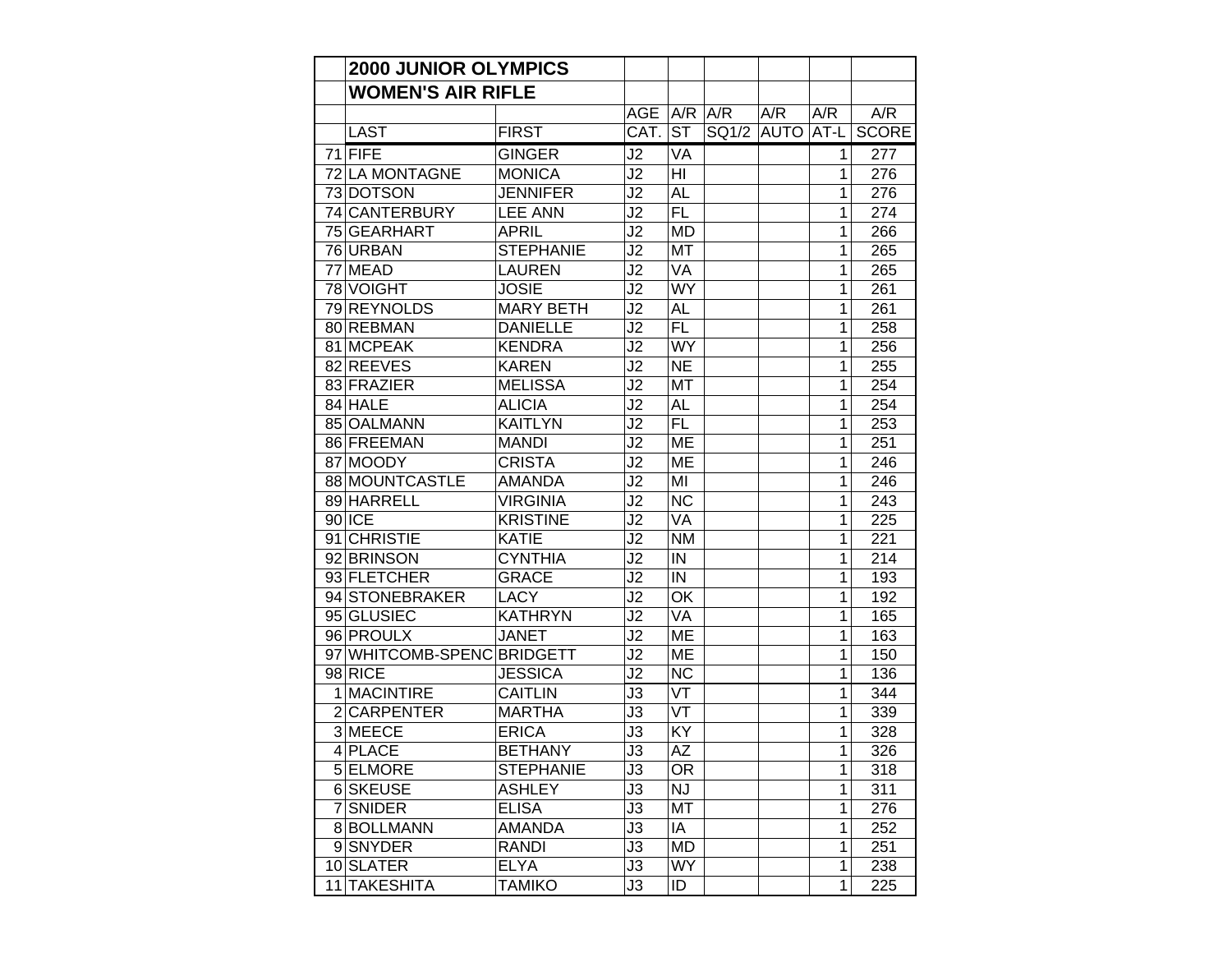| <b>2000 JUNIOR OLYMPICS</b> |                  |                |             |       |             |      |              |
|-----------------------------|------------------|----------------|-------------|-------|-------------|------|--------------|
| <b>WOMEN'S AIR RIFLE</b>    |                  |                |             |       |             |      |              |
|                             |                  | AGE            | $A/R$ $A/R$ |       | A/R         | A/R  | A/R          |
| <b>LAST</b>                 | <b>FIRST</b>     | CAT.           | <b>ST</b>   | SQ1/2 | <b>AUTO</b> | AT-L | <b>SCORE</b> |
| $71$ FIFE                   | <b>GINGER</b>    | J2             | VA          |       |             | 1    | 277          |
| 72 LA MONTAGNE              | <b>MONICA</b>    | J2             | HI          |       |             | 1    | 276          |
| 73 DOTSON                   | <b>JENNIFER</b>  | J2             | AL          |       |             | 1    | 276          |
| 74 CANTERBURY               | <b>LEE ANN</b>   | J2             | FL.         |       |             | 1    | 274          |
| 75 GEARHART                 | <b>APRIL</b>     | J2             | MD          |       |             | 1    | 266          |
| 76 URBAN                    | <b>STEPHANIE</b> | J2             | MT          |       |             | 1    | 265          |
| 77 MEAD                     | <b>LAUREN</b>    | J2             | VA          |       |             | 1    | 265          |
| 78 VOIGHT                   | <b>JOSIE</b>     | J2             | <b>WY</b>   |       |             | 1    | 261          |
| 79 REYNOLDS                 | <b>MARY BETH</b> | J <sub>2</sub> | AL          |       |             | 1    | 261          |
| 80 REBMAN                   | <b>DANIELLE</b>  | J2             | <b>FL</b>   |       |             | 1    | 258          |
| 81 MCPEAK                   | <b>KENDRA</b>    | J <sub>2</sub> | <b>WY</b>   |       |             | 1    | 256          |
| 82 REEVES                   | <b>KAREN</b>     | J2             | <b>NE</b>   |       |             | 1    | 255          |
| 83 FRAZIER                  | <b>MELISSA</b>   | J2             | МT          |       |             | 1    | 254          |
| 84 HALE                     | <b>ALICIA</b>    | J2             | <b>AL</b>   |       |             | 1    | 254          |
| 85 OALMANN                  | <b>KAITLYN</b>   | J2             | <b>FL</b>   |       |             | 1    | 253          |
| 86 FREEMAN                  | <b>MANDI</b>     | J2             | <b>ME</b>   |       |             | 1    | 251          |
| 87 MOODY                    | <b>CRISTA</b>    | J2             | ME          |       |             | 1    | 246          |
| 88 MOUNTCASTLE              | <b>AMANDA</b>    | J2             | MI          |       |             | 1    | 246          |
| 89 HARRELL                  | <b>VIRGINIA</b>  | J2             | <b>NC</b>   |       |             | 1    | 243          |
| 90 ICE                      | <b>KRISTINE</b>  | J2             | VA          |       |             | 1    | 225          |
| 91 CHRISTIE                 | <b>KATIE</b>     | J2             | <b>NM</b>   |       |             | 1    | 221          |
| 92 BRINSON                  | <b>CYNTHIA</b>   | J2             | IN          |       |             | 1    | 214          |
| 93 FLETCHER                 | <b>GRACE</b>     | J2             | IN          |       |             | 1    | 193          |
| 94 STONEBRAKER              | LACY             | J2             | OK          |       |             | 1    | 192          |
| 95 GLUSIEC                  | <b>KATHRYN</b>   | J2             | VA          |       |             | 1    | 165          |
| 96 PROULX                   | <b>JANET</b>     | J2             | ME          |       |             | 1    | 163          |
| 97 WHITCOMB-SPENC           | <b>BRIDGETT</b>  | J2             | ME          |       |             | 1    | 150          |
| 98 RICE                     | <b>JESSICA</b>   | J <sub>2</sub> | <b>NC</b>   |       |             | 1    | 136          |
| 1 MACINTIRE                 | <b>CAITLIN</b>   | J3             | VT          |       |             | 1    | 344          |
| 2 CARPENTER                 | <b>MARTHA</b>    | J3             | VT          |       |             | 1    | 339          |
| 3 MEECE                     | <b>ERICA</b>     | J3             | KY          |       |             | 1    | 328          |
| 4 PLACE                     | <b>BETHANY</b>   | J3             | AZ          |       |             | 1    | 326          |
| 5 ELMORE                    | <b>STEPHANIE</b> | J3             | <b>OR</b>   |       |             | 1    | 318          |
| 6 SKEUSE                    | <b>ASHLEY</b>    | J3             | <b>NJ</b>   |       |             | 1    | 311          |
| 7 SNIDER                    | <b>ELISA</b>     | J3             | МT          |       |             | 1    | 276          |
| 8 BOLLMANN                  | <b>AMANDA</b>    | J3             | IA          |       |             | 1    | 252          |
| 9SNYDER                     | <b>RANDI</b>     | J3             | MD          |       |             | 1    | 251          |
| 10 SLATER                   | <b>ELYA</b>      | J3             | <b>WY</b>   |       |             | 1.   | 238          |
| 11 TAKESHITA                | <b>TAMIKO</b>    | J3             | ID          |       |             | 1    | 225          |